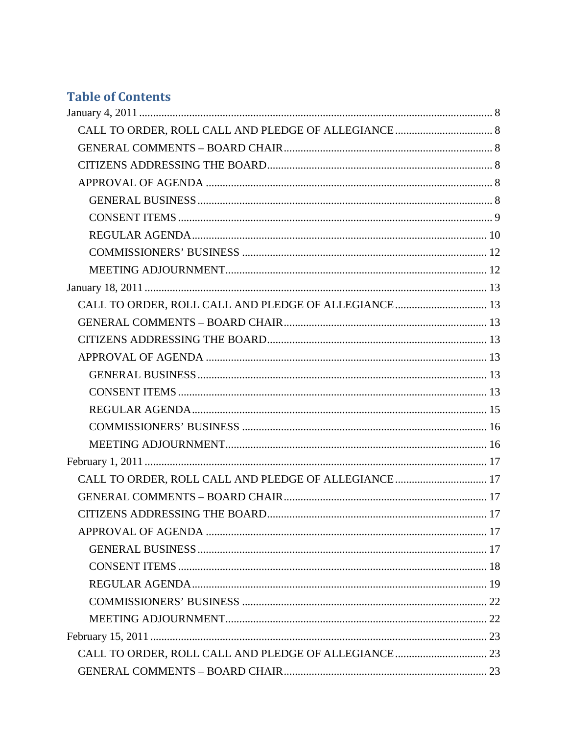# **Table of Contents**

| CALL TO ORDER, ROLL CALL AND PLEDGE OF ALLEGIANCE 13 |  |
|------------------------------------------------------|--|
|                                                      |  |
|                                                      |  |
|                                                      |  |
|                                                      |  |
|                                                      |  |
|                                                      |  |
|                                                      |  |
|                                                      |  |
|                                                      |  |
| CALL TO ORDER, ROLL CALL AND PLEDGE OF ALLEGIANCE 17 |  |
|                                                      |  |
|                                                      |  |
|                                                      |  |
|                                                      |  |
|                                                      |  |
|                                                      |  |
|                                                      |  |
|                                                      |  |
|                                                      |  |
|                                                      |  |
|                                                      |  |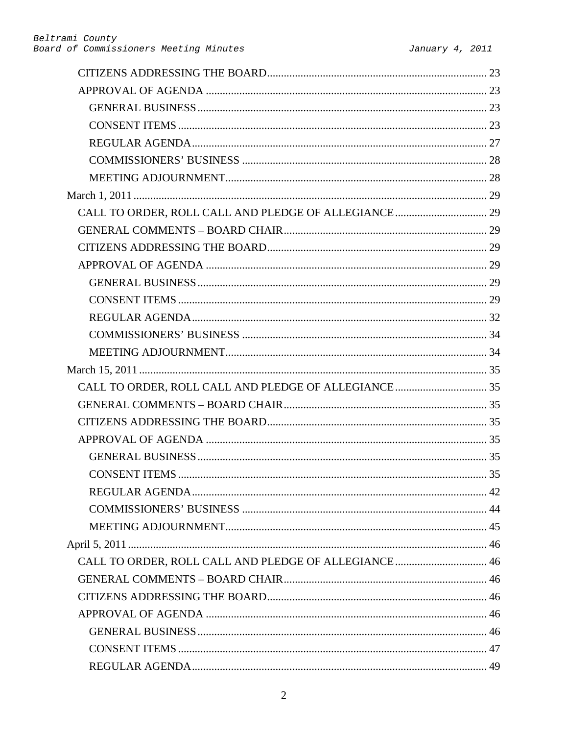| CALL TO ORDER, ROLL CALL AND PLEDGE OF ALLEGIANCE  46 |  |
|-------------------------------------------------------|--|
|                                                       |  |
|                                                       |  |
|                                                       |  |
|                                                       |  |
|                                                       |  |
|                                                       |  |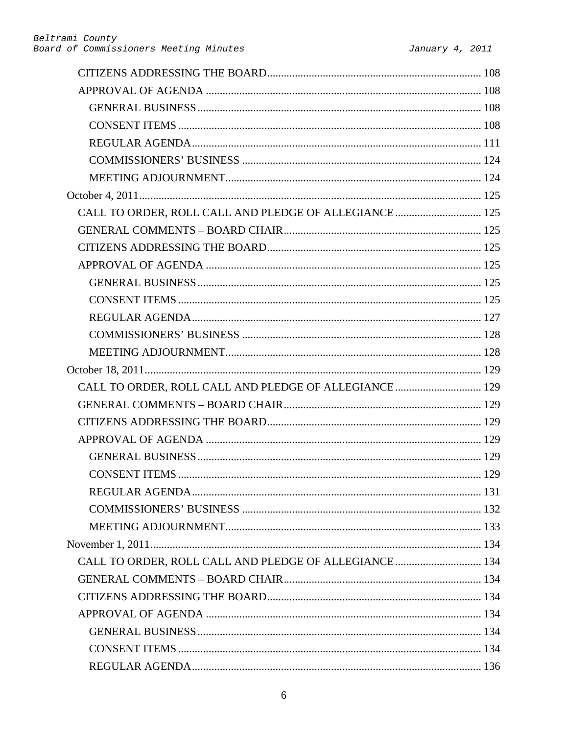| CALL TO ORDER, ROLL CALL AND PLEDGE OF ALLEGIANCE 125  |  |
|--------------------------------------------------------|--|
|                                                        |  |
|                                                        |  |
|                                                        |  |
|                                                        |  |
|                                                        |  |
|                                                        |  |
|                                                        |  |
|                                                        |  |
|                                                        |  |
| CALL TO ORDER, ROLL CALL AND PLEDGE OF ALLEGIANCE 129  |  |
|                                                        |  |
|                                                        |  |
|                                                        |  |
|                                                        |  |
|                                                        |  |
|                                                        |  |
|                                                        |  |
|                                                        |  |
|                                                        |  |
| CALL TO ORDER, ROLL CALL AND PLEDGE OF ALLEGIANCE  134 |  |
|                                                        |  |
|                                                        |  |
|                                                        |  |
|                                                        |  |
|                                                        |  |
|                                                        |  |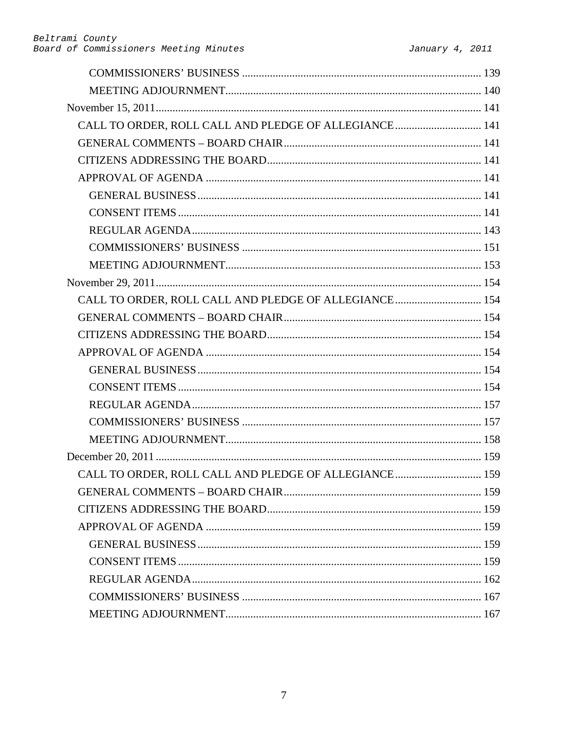| CALL TO ORDER, ROLL CALL AND PLEDGE OF ALLEGIANCE 141  |  |
|--------------------------------------------------------|--|
|                                                        |  |
|                                                        |  |
|                                                        |  |
|                                                        |  |
|                                                        |  |
|                                                        |  |
|                                                        |  |
|                                                        |  |
|                                                        |  |
| CALL TO ORDER, ROLL CALL AND PLEDGE OF ALLEGIANCE  154 |  |
|                                                        |  |
|                                                        |  |
|                                                        |  |
|                                                        |  |
|                                                        |  |
|                                                        |  |
|                                                        |  |
|                                                        |  |
|                                                        |  |
| CALL TO ORDER, ROLL CALL AND PLEDGE OF ALLEGIANCE  159 |  |
|                                                        |  |
|                                                        |  |
|                                                        |  |
|                                                        |  |
|                                                        |  |
|                                                        |  |
|                                                        |  |
|                                                        |  |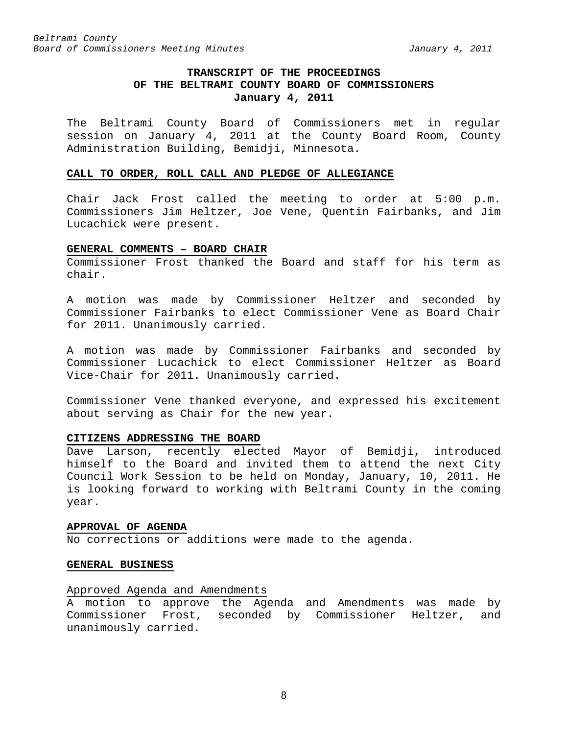# **TRANSCRIPT OF THE PROCEEDINGS OF THE BELTRAMI COUNTY BOARD OF COMMISSIONERS January 4, 2011**

<span id="page-7-0"></span>The Beltrami County Board of Commissioners met in regular session on January 4, 2011 at the County Board Room, County Administration Building, Bemidji, Minnesota.

#### <span id="page-7-1"></span>**CALL TO ORDER, ROLL CALL AND PLEDGE OF ALLEGIANCE**

Chair Jack Frost called the meeting to order at 5:00 p.m. Commissioners Jim Heltzer, Joe Vene, Quentin Fairbanks, and Jim Lucachick were present.

#### <span id="page-7-2"></span>**GENERAL COMMENTS – BOARD CHAIR**

Commissioner Frost thanked the Board and staff for his term as chair.

A motion was made by Commissioner Heltzer and seconded by Commissioner Fairbanks to elect Commissioner Vene as Board Chair for 2011. Unanimously carried.

A motion was made by Commissioner Fairbanks and seconded by Commissioner Lucachick to elect Commissioner Heltzer as Board Vice-Chair for 2011. Unanimously carried.

Commissioner Vene thanked everyone, and expressed his excitement about serving as Chair for the new year.

### <span id="page-7-3"></span>**CITIZENS ADDRESSING THE BOARD**

Dave Larson, recently elected Mayor of Bemidji, introduced himself to the Board and invited them to attend the next City Council Work Session to be held on Monday, January, 10, 2011. He is looking forward to working with Beltrami County in the coming year.

#### <span id="page-7-4"></span>**APPROVAL OF AGENDA**

No corrections or additions were made to the agenda.

#### <span id="page-7-5"></span>**GENERAL BUSINESS**

### Approved Agenda and Amendments

A motion to approve the Agenda and Amendments was made by Commissioner Frost, seconded by Commissioner Heltzer, and unanimously carried.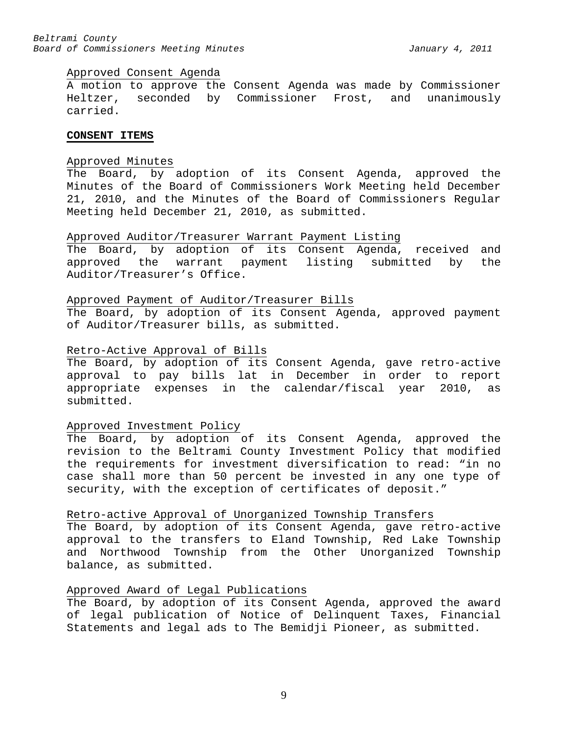#### Approved Consent Agenda

A motion to approve the Consent Agenda was made by Commissioner Heltzer, seconded by Commissioner Frost, and unanimously carried.

#### <span id="page-8-0"></span>**CONSENT ITEMS**

### Approved Minutes

The Board, by adoption of its Consent Agenda, approved the Minutes of the Board of Commissioners Work Meeting held December 21, 2010, and the Minutes of the Board of Commissioners Regular Meeting held December 21, 2010, as submitted.

#### Approved Auditor/Treasurer Warrant Payment Listing

The Board, by adoption of its Consent Agenda, received and approved the warrant payment listing submitted by the Auditor/Treasurer's Office.

### Approved Payment of Auditor/Treasurer Bills

The Board, by adoption of its Consent Agenda, approved payment of Auditor/Treasurer bills, as submitted.

#### Retro-Active Approval of Bills

The Board, by adoption of its Consent Agenda, gave retro-active approval to pay bills lat in December in order to report appropriate expenses in the calendar/fiscal year 2010, as submitted.

#### Approved Investment Policy

The Board, by adoption of its Consent Agenda, approved the revision to the Beltrami County Investment Policy that modified the requirements for investment diversification to read: "in no case shall more than 50 percent be invested in any one type of security, with the exception of certificates of deposit."

### Retro-active Approval of Unorganized Township Transfers

The Board, by adoption of its Consent Agenda, gave retro-active approval to the transfers to Eland Township, Red Lake Township and Northwood Township from the Other Unorganized Township balance, as submitted.

#### Approved Award of Legal Publications

The Board, by adoption of its Consent Agenda, approved the award of legal publication of Notice of Delinquent Taxes, Financial Statements and legal ads to The Bemidji Pioneer, as submitted.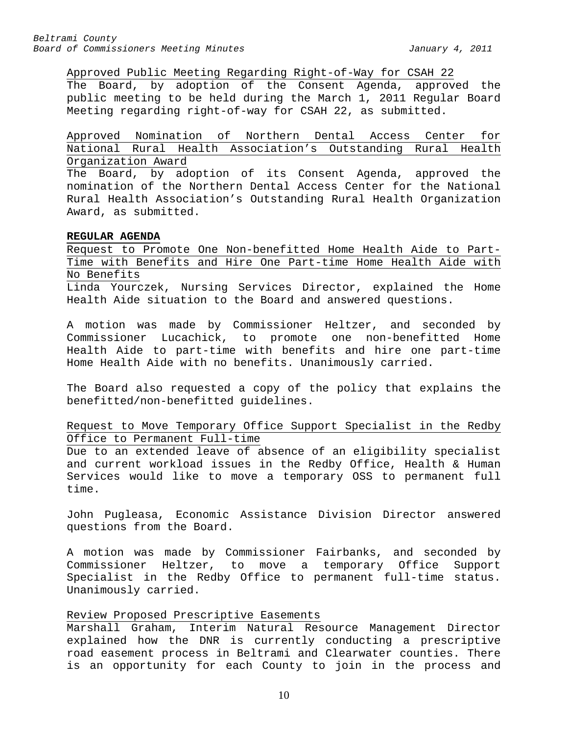Approved Public Meeting Regarding Right-of-Way for CSAH 22

The Board, by adoption of the Consent Agenda, approved the public meeting to be held during the March 1, 2011 Regular Board Meeting regarding right-of-way for CSAH 22, as submitted.

Approved Nomination of Northern Dental Access Center for National Rural Health Association's Outstanding Rural Health Organization Award

The Board, by adoption of its Consent Agenda, approved the nomination of the Northern Dental Access Center for the National Rural Health Association's Outstanding Rural Health Organization Award, as submitted.

#### <span id="page-9-0"></span>**REGULAR AGENDA**

Request to Promote One Non-benefitted Home Health Aide to Part-Time with Benefits and Hire One Part-time Home Health Aide with No Benefits

Linda Yourczek, Nursing Services Director, explained the Home Health Aide situation to the Board and answered questions.

A motion was made by Commissioner Heltzer, and seconded by Commissioner Lucachick, to promote one non-benefitted Home Health Aide to part-time with benefits and hire one part-time Home Health Aide with no benefits. Unanimously carried.

The Board also requested a copy of the policy that explains the benefitted/non-benefitted guidelines.

Request to Move Temporary Office Support Specialist in the Redby Office to Permanent Full-time

Due to an extended leave of absence of an eligibility specialist and current workload issues in the Redby Office, Health & Human Services would like to move a temporary OSS to permanent full time.

John Pugleasa, Economic Assistance Division Director answered questions from the Board.

A motion was made by Commissioner Fairbanks, and seconded by Commissioner Heltzer, to move a temporary Office Support Specialist in the Redby Office to permanent full-time status. Unanimously carried.

# Review Proposed Prescriptive Easements

Marshall Graham, Interim Natural Resource Management Director explained how the DNR is currently conducting a prescriptive road easement process in Beltrami and Clearwater counties. There is an opportunity for each County to join in the process and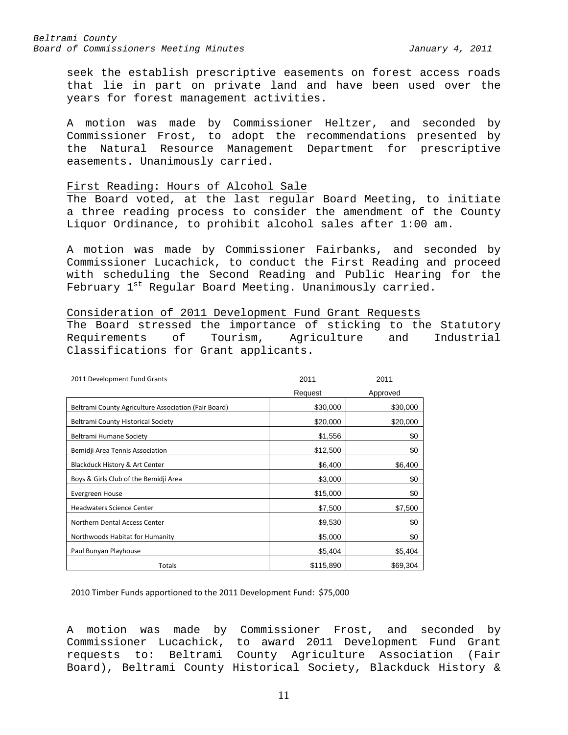seek the establish prescriptive easements on forest access roads that lie in part on private land and have been used over the years for forest management activities.

A motion was made by Commissioner Heltzer, and seconded by Commissioner Frost, to adopt the recommendations presented by the Natural Resource Management Department for prescriptive easements. Unanimously carried.

#### First Reading: Hours of Alcohol Sale

The Board voted, at the last regular Board Meeting, to initiate a three reading process to consider the amendment of the County Liquor Ordinance, to prohibit alcohol sales after 1:00 am.

A motion was made by Commissioner Fairbanks, and seconded by Commissioner Lucachick, to conduct the First Reading and proceed with scheduling the Second Reading and Public Hearing for the February 1<sup>st</sup> Regular Board Meeting. Unanimously carried.

# Consideration of 2011 Development Fund Grant Requests

The Board stressed the importance of sticking to the Statutory<br>Requirements of Tourism, Agriculture and Industrial Tourism, Agriculture and Industrial Classifications for Grant applicants.

| 2011 Development Fund Grants                         | 2011      | 2011     |
|------------------------------------------------------|-----------|----------|
|                                                      | Request   | Approved |
| Beltrami County Agriculture Association (Fair Board) | \$30,000  | \$30,000 |
| <b>Beltrami County Historical Society</b>            | \$20,000  | \$20,000 |
| Beltrami Humane Society                              | \$1,556   | \$0      |
| Bemidji Area Tennis Association                      | \$12,500  | \$0      |
| Blackduck History & Art Center                       | \$6,400   | \$6,400  |
| Boys & Girls Club of the Bemidji Area                | \$3,000   | \$0      |
| Evergreen House                                      | \$15,000  | \$0      |
| <b>Headwaters Science Center</b>                     | \$7,500   | \$7,500  |
| Northern Dental Access Center                        | \$9,530   | \$0      |
| Northwoods Habitat for Humanity                      | \$5,000   | \$0      |
| Paul Bunyan Playhouse                                | \$5,404   | \$5,404  |
| <b>Totals</b>                                        | \$115,890 | \$69,304 |

2010 Timber Funds apportioned to the 2011 Development Fund: \$75,000

A motion was made by Commissioner Frost, and seconded by Commissioner Lucachick, to award 2011 Development Fund Grant requests to: Beltrami County Agriculture Association (Fair Board), Beltrami County Historical Society, Blackduck History &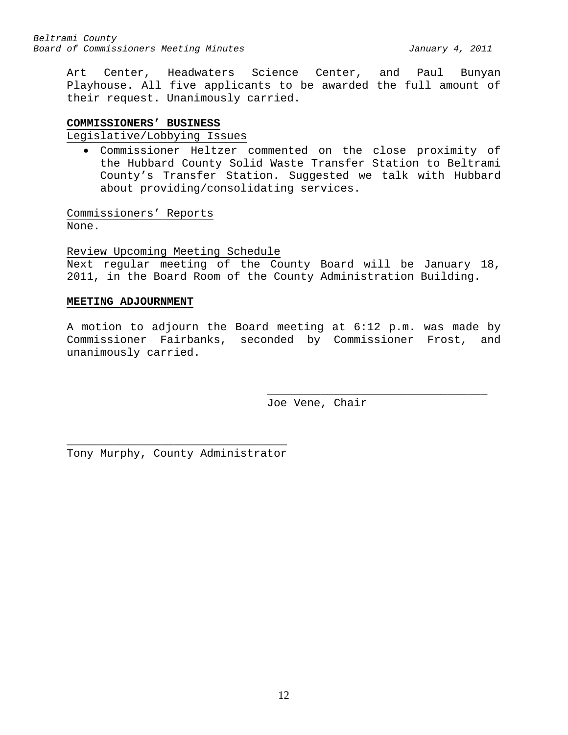Art Center, Headwaters Science Center, and Paul Bunyan Playhouse. All five applicants to be awarded the full amount of their request. Unanimously carried.

# <span id="page-11-0"></span>**COMMISSIONERS' BUSINESS**

Legislative/Lobbying Issues

• Commissioner Heltzer commented on the close proximity of the Hubbard County Solid Waste Transfer Station to Beltrami County's Transfer Station. Suggested we talk with Hubbard about providing/consolidating services.

Commissioners' Reports None.

Review Upcoming Meeting Schedule

Next regular meeting of the County Board will be January 18, 2011, in the Board Room of the County Administration Building.

# <span id="page-11-1"></span>**MEETING ADJOURNMENT**

A motion to adjourn the Board meeting at 6:12 p.m. was made by Commissioner Fairbanks, seconded by Commissioner Frost, and unanimously carried.

> \_\_\_\_\_\_\_\_\_\_\_\_\_\_\_\_\_\_\_\_\_\_\_\_\_\_\_\_\_\_\_\_\_ Joe Vene, Chair

\_\_\_\_\_\_\_\_\_\_\_\_\_\_\_\_\_\_\_\_\_\_\_\_\_\_\_\_\_\_\_\_\_ Tony Murphy, County Administrator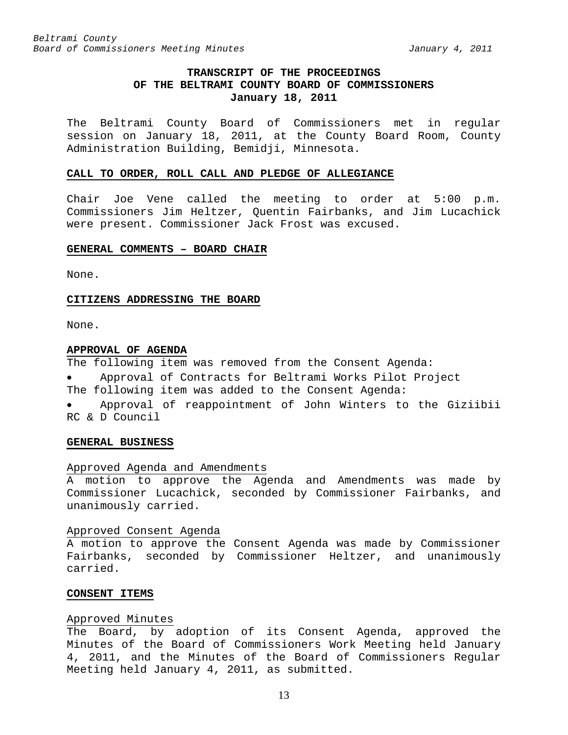# **TRANSCRIPT OF THE PROCEEDINGS OF THE BELTRAMI COUNTY BOARD OF COMMISSIONERS January 18, 2011**

<span id="page-12-0"></span>The Beltrami County Board of Commissioners met in regular session on January 18, 2011, at the County Board Room, County Administration Building, Bemidji, Minnesota.

#### <span id="page-12-1"></span>**CALL TO ORDER, ROLL CALL AND PLEDGE OF ALLEGIANCE**

Chair Joe Vene called the meeting to order at 5:00 p.m. Commissioners Jim Heltzer, Quentin Fairbanks, and Jim Lucachick were present. Commissioner Jack Frost was excused.

#### <span id="page-12-2"></span>**GENERAL COMMENTS – BOARD CHAIR**

None.

#### <span id="page-12-3"></span>**CITIZENS ADDRESSING THE BOARD**

None.

### <span id="page-12-4"></span>**APPROVAL OF AGENDA**

The following item was removed from the Consent Agenda:

- Approval of Contracts for Beltrami Works Pilot Project
- The following item was added to the Consent Agenda:
- Approval of reappointment of John Winters to the Giziibii RC & D Council

#### <span id="page-12-5"></span>**GENERAL BUSINESS**

#### Approved Agenda and Amendments

A motion to approve the Agenda and Amendments was made by Commissioner Lucachick, seconded by Commissioner Fairbanks, and unanimously carried.

### Approved Consent Agenda

A motion to approve the Consent Agenda was made by Commissioner Fairbanks, seconded by Commissioner Heltzer, and unanimously carried.

#### <span id="page-12-6"></span>**CONSENT ITEMS**

### Approved Minutes

The Board, by adoption of its Consent Agenda, approved the Minutes of the Board of Commissioners Work Meeting held January 4, 2011, and the Minutes of the Board of Commissioners Regular Meeting held January 4, 2011, as submitted.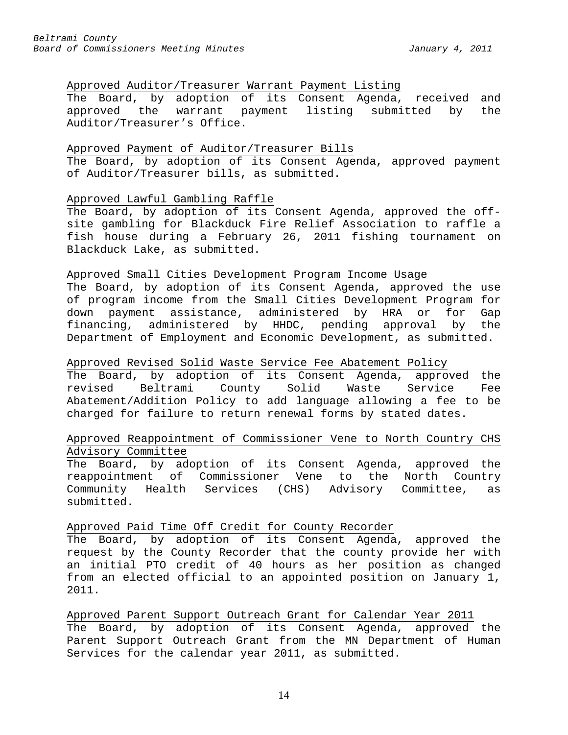# Approved Auditor/Treasurer Warrant Payment Listing

The Board, by adoption of its Consent Agenda, received and approved the warrant payment listing submitted by the Auditor/Treasurer's Office.

### Approved Payment of Auditor/Treasurer Bills

The Board, by adoption of its Consent Agenda, approved payment of Auditor/Treasurer bills, as submitted.

# Approved Lawful Gambling Raffle

The Board, by adoption of its Consent Agenda, approved the offsite gambling for Blackduck Fire Relief Association to raffle a fish house during a February 26, 2011 fishing tournament on Blackduck Lake, as submitted.

# Approved Small Cities Development Program Income Usage

The Board, by adoption of its Consent Agenda, approved the use of program income from the Small Cities Development Program for down payment assistance, administered by HRA or for Gap financing, administered by HHDC, pending approval by the Department of Employment and Economic Development, as submitted.

# Approved Revised Solid Waste Service Fee Abatement Policy

The Board, by adoption of its Consent Agenda, approved the<br>revised Beltrami County Solid Waste Service Fee County Solid Waste Service Fee Abatement/Addition Policy to add language allowing a fee to be charged for failure to return renewal forms by stated dates.

# Approved Reappointment of Commissioner Vene to North Country CHS Advisory Committee

The Board, by adoption of its Consent Agenda, approved the reappointment of Commissioner Vene to the North Country Community Health Services (CHS) Advisory Committee, as submitted.

### Approved Paid Time Off Credit for County Recorder

The Board, by adoption of its Consent Agenda, approved the request by the County Recorder that the county provide her with an initial PTO credit of 40 hours as her position as changed from an elected official to an appointed position on January 1, 2011.

# Approved Parent Support Outreach Grant for Calendar Year 2011 The Board, by adoption of its Consent Agenda, approved the Parent Support Outreach Grant from the MN Department of Human Services for the calendar year 2011, as submitted.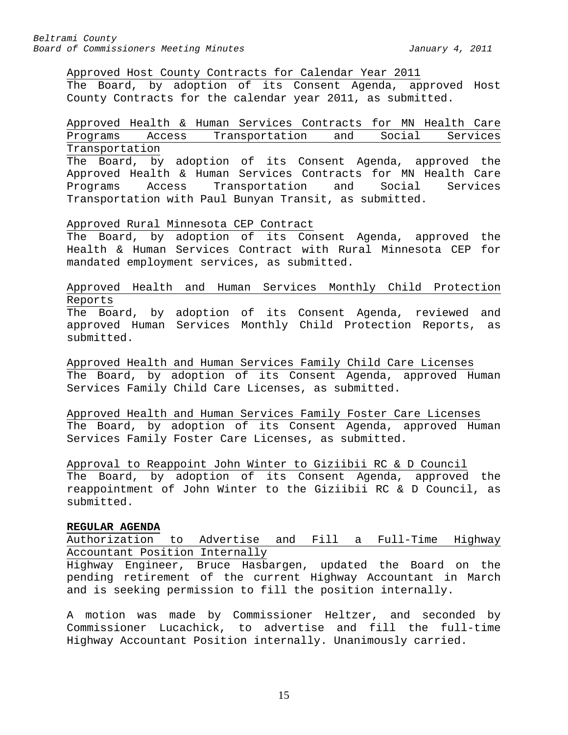Approved Host County Contracts for Calendar Year 2011

The Board, by adoption of its Consent Agenda, approved Host County Contracts for the calendar year 2011, as submitted.

Approved Health & Human Services Contracts for MN Health Care<br>Programs Access Transportation and Social Services Access Transportation and Social Services Transportation

The Board, by adoption of its Consent Agenda, approved the Approved Health & Human Services Contracts for MN Health Care<br>Programs 6 Access Transportation and Social Services Programs Access Transportation and Social Services Transportation with Paul Bunyan Transit, as submitted.

Approved Rural Minnesota CEP Contract

The Board, by adoption of its Consent Agenda, approved the Health & Human Services Contract with Rural Minnesota CEP for mandated employment services, as submitted.

Approved Health and Human Services Monthly Child Protection Reports The Board, by adoption of its Consent Agenda, reviewed and approved Human Services Monthly Child Protection Reports, as

submitted.

Approved Health and Human Services Family Child Care Licenses The Board, by adoption of its Consent Agenda, approved Human Services Family Child Care Licenses, as submitted.

Approved Health and Human Services Family Foster Care Licenses The Board, by adoption of its Consent Agenda, approved Human Services Family Foster Care Licenses, as submitted.

Approval to Reappoint John Winter to Giziibii RC & D Council The Board, by adoption of its Consent Agenda, approved the reappointment of John Winter to the Giziibii RC & D Council, as submitted.

### <span id="page-14-0"></span>**REGULAR AGENDA**

Authorization to Advertise and Fill a Full-Time Highway Accountant Position Internally

Highway Engineer, Bruce Hasbargen, updated the Board on the pending retirement of the current Highway Accountant in March and is seeking permission to fill the position internally.

A motion was made by Commissioner Heltzer, and seconded by Commissioner Lucachick, to advertise and fill the full-time Highway Accountant Position internally. Unanimously carried.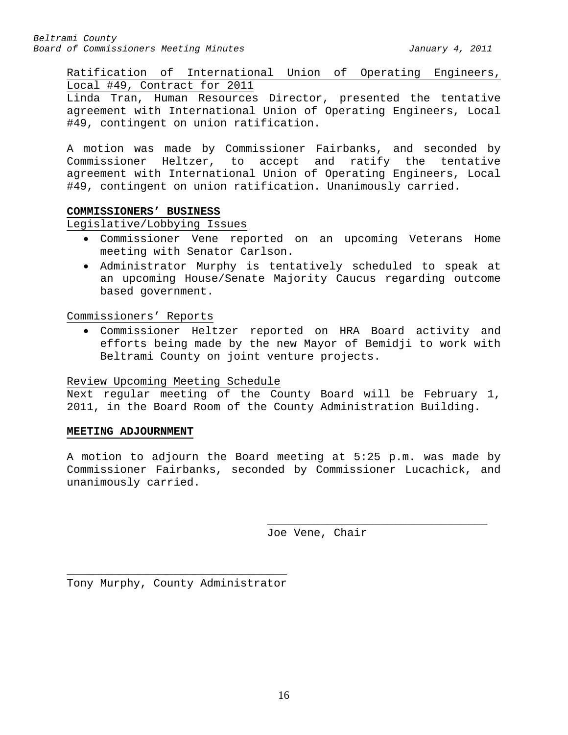Ratification of International Union of Operating Engineers, Local #49, Contract for 2011

Linda Tran, Human Resources Director, presented the tentative agreement with International Union of Operating Engineers, Local #49, contingent on union ratification.

A motion was made by Commissioner Fairbanks, and seconded by Commissioner Heltzer, to accept and ratify the tentative agreement with International Union of Operating Engineers, Local #49, contingent on union ratification. Unanimously carried.

# <span id="page-15-0"></span>**COMMISSIONERS' BUSINESS**

Legislative/Lobbying Issues

- Commissioner Vene reported on an upcoming Veterans Home meeting with Senator Carlson.
- Administrator Murphy is tentatively scheduled to speak at an upcoming House/Senate Majority Caucus regarding outcome based government.

Commissioners' Reports

• Commissioner Heltzer reported on HRA Board activity and efforts being made by the new Mayor of Bemidji to work with Beltrami County on joint venture projects.

# Review Upcoming Meeting Schedule

Next regular meeting of the County Board will be February 1, 2011, in the Board Room of the County Administration Building.

# <span id="page-15-1"></span>**MEETING ADJOURNMENT**

A motion to adjourn the Board meeting at 5:25 p.m. was made by Commissioner Fairbanks, seconded by Commissioner Lucachick, and unanimously carried.

> \_\_\_\_\_\_\_\_\_\_\_\_\_\_\_\_\_\_\_\_\_\_\_\_\_\_\_\_\_\_\_\_\_ Joe Vene, Chair

\_\_\_\_\_\_\_\_\_\_\_\_\_\_\_\_\_\_\_\_\_\_\_\_\_\_\_\_\_\_\_\_\_ Tony Murphy, County Administrator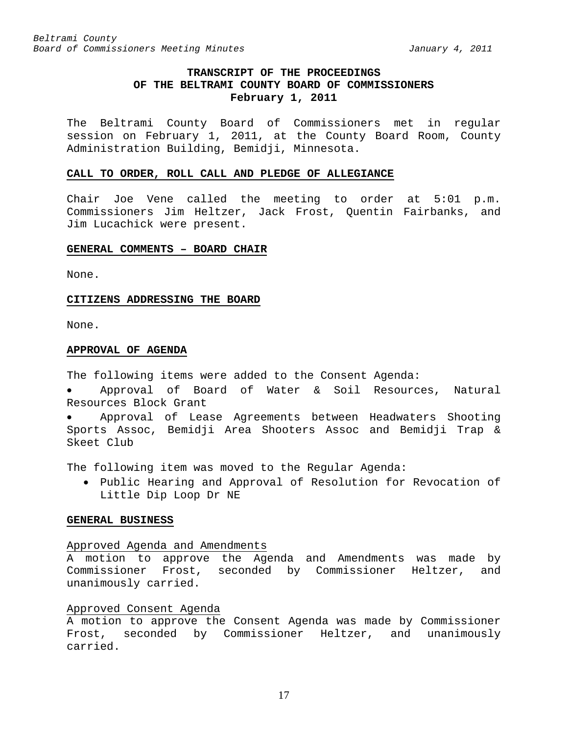# **TRANSCRIPT OF THE PROCEEDINGS OF THE BELTRAMI COUNTY BOARD OF COMMISSIONERS February 1, 2011**

<span id="page-16-0"></span>The Beltrami County Board of Commissioners met in regular session on February 1, 2011, at the County Board Room, County Administration Building, Bemidji, Minnesota.

#### <span id="page-16-1"></span>**CALL TO ORDER, ROLL CALL AND PLEDGE OF ALLEGIANCE**

Chair Joe Vene called the meeting to order at 5:01 p.m. Commissioners Jim Heltzer, Jack Frost, Quentin Fairbanks, and Jim Lucachick were present.

#### <span id="page-16-2"></span>**GENERAL COMMENTS – BOARD CHAIR**

None.

#### <span id="page-16-3"></span>**CITIZENS ADDRESSING THE BOARD**

None.

#### <span id="page-16-4"></span>**APPROVAL OF AGENDA**

The following items were added to the Consent Agenda:

• Approval of Board of Water & Soil Resources, Natural Resources Block Grant

• Approval of Lease Agreements between Headwaters Shooting Sports Assoc, Bemidji Area Shooters Assoc and Bemidji Trap & Skeet Club

The following item was moved to the Regular Agenda:

• Public Hearing and Approval of Resolution for Revocation of Little Dip Loop Dr NE

# <span id="page-16-5"></span>**GENERAL BUSINESS**

#### Approved Agenda and Amendments

A motion to approve the Agenda and Amendments was made by Commissioner Frost, seconded by Commissioner Heltzer, and unanimously carried.

# Approved Consent Agenda

A motion to approve the Consent Agenda was made by Commissioner Frost, seconded by Commissioner Heltzer, and unanimously carried.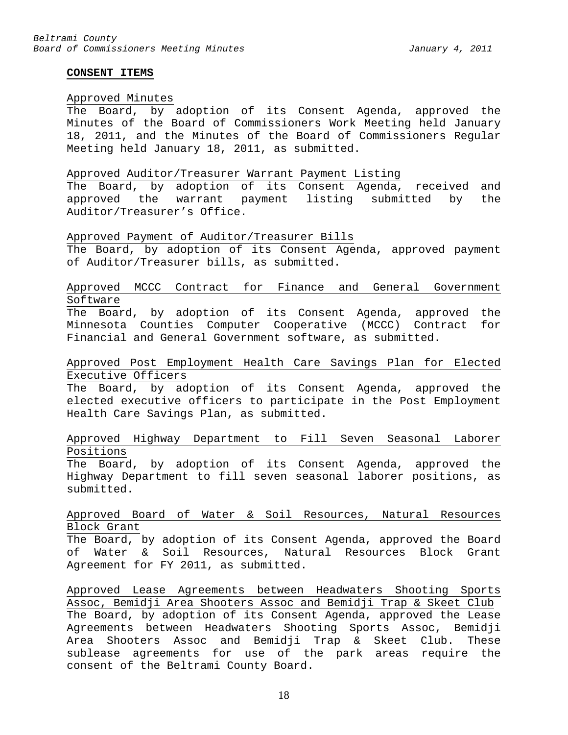#### <span id="page-17-0"></span>**CONSENT ITEMS**

### Approved Minutes

The Board, by adoption of its Consent Agenda, approved the Minutes of the Board of Commissioners Work Meeting held January 18, 2011, and the Minutes of the Board of Commissioners Regular Meeting held January 18, 2011, as submitted.

#### Approved Auditor/Treasurer Warrant Payment Listing

The Board, by adoption of its Consent Agenda, received and approved the warrant payment listing submitted by the Auditor/Treasurer's Office.

#### Approved Payment of Auditor/Treasurer Bills

The Board, by adoption of its Consent Agenda, approved payment of Auditor/Treasurer bills, as submitted.

# Approved MCCC Contract for Finance and General Government Software

The Board, by adoption of its Consent Agenda, approved the Minnesota Counties Computer Cooperative (MCCC) Contract for Financial and General Government software, as submitted.

# Approved Post Employment Health Care Savings Plan for Elected Executive Officers

The Board, by adoption of its Consent Agenda, approved the elected executive officers to participate in the Post Employment Health Care Savings Plan, as submitted.

# Approved Highway Department to Fill Seven Seasonal Laborer Positions

The Board, by adoption of its Consent Agenda, approved the Highway Department to fill seven seasonal laborer positions, as submitted.

# Approved Board of Water & Soil Resources, Natural Resources Block Grant

The Board, by adoption of its Consent Agenda, approved the Board of Water & Soil Resources, Natural Resources Block Grant Agreement for FY 2011, as submitted.

Approved Lease Agreements between Headwaters Shooting Sports Assoc, Bemidji Area Shooters Assoc and Bemidji Trap & Skeet Club The Board, by adoption of its Consent Agenda, approved the Lease Agreements between Headwaters Shooting Sports Assoc, Bemidji Area Shooters Assoc and Bemidji Trap & Skeet Club. These sublease agreements for use of the park areas require the consent of the Beltrami County Board.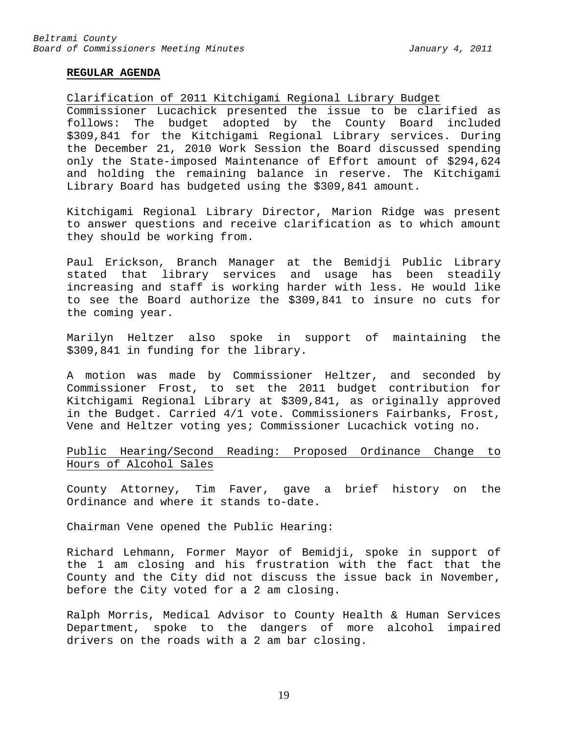#### <span id="page-18-0"></span>**REGULAR AGENDA**

Clarification of 2011 Kitchigami Regional Library Budget

Commissioner Lucachick presented the issue to be clarified as follows: The budget adopted by the County Board included \$309,841 for the Kitchigami Regional Library services. During the December 21, 2010 Work Session the Board discussed spending only the State-imposed Maintenance of Effort amount of \$294,624 and holding the remaining balance in reserve. The Kitchigami Library Board has budgeted using the \$309,841 amount.

Kitchigami Regional Library Director, Marion Ridge was present to answer questions and receive clarification as to which amount they should be working from.

Paul Erickson, Branch Manager at the Bemidji Public Library stated that library services and usage has been steadily increasing and staff is working harder with less. He would like to see the Board authorize the \$309,841 to insure no cuts for the coming year.

Marilyn Heltzer also spoke in support of maintaining the \$309,841 in funding for the library.

A motion was made by Commissioner Heltzer, and seconded by Commissioner Frost, to set the 2011 budget contribution for Kitchigami Regional Library at \$309,841, as originally approved in the Budget. Carried 4/1 vote. Commissioners Fairbanks, Frost, Vene and Heltzer voting yes; Commissioner Lucachick voting no.

Public Hearing/Second Reading: Proposed Ordinance Change to Hours of Alcohol Sales

County Attorney, Tim Faver, gave a brief history on the Ordinance and where it stands to-date.

Chairman Vene opened the Public Hearing:

Richard Lehmann, Former Mayor of Bemidji, spoke in support of the 1 am closing and his frustration with the fact that the County and the City did not discuss the issue back in November, before the City voted for a 2 am closing.

Ralph Morris, Medical Advisor to County Health & Human Services Department, spoke to the dangers of more alcohol impaired drivers on the roads with a 2 am bar closing.

19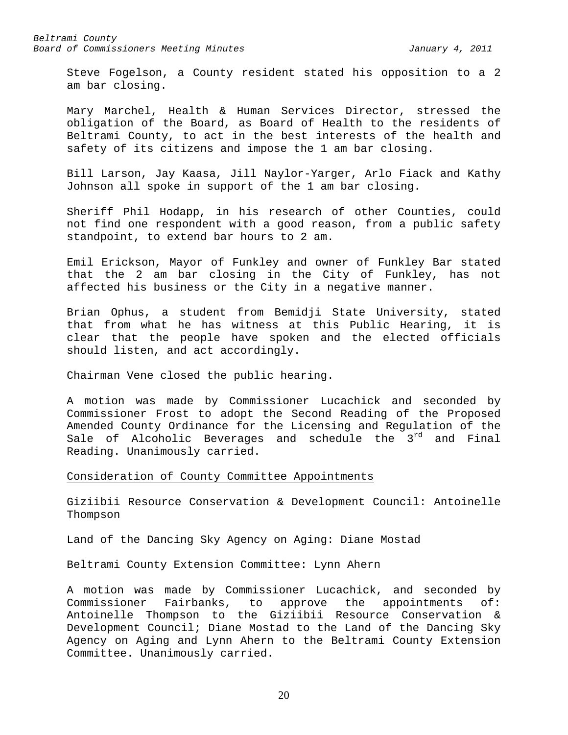Steve Fogelson, a County resident stated his opposition to a 2 am bar closing.

Mary Marchel, Health & Human Services Director, stressed the obligation of the Board, as Board of Health to the residents of Beltrami County, to act in the best interests of the health and safety of its citizens and impose the 1 am bar closing.

Bill Larson, Jay Kaasa, Jill Naylor-Yarger, Arlo Fiack and Kathy Johnson all spoke in support of the 1 am bar closing.

Sheriff Phil Hodapp, in his research of other Counties, could not find one respondent with a good reason, from a public safety standpoint, to extend bar hours to 2 am.

Emil Erickson, Mayor of Funkley and owner of Funkley Bar stated that the 2 am bar closing in the City of Funkley, has not affected his business or the City in a negative manner.

Brian Ophus, a student from Bemidji State University, stated that from what he has witness at this Public Hearing, it is clear that the people have spoken and the elected officials should listen, and act accordingly.

Chairman Vene closed the public hearing.

A motion was made by Commissioner Lucachick and seconded by Commissioner Frost to adopt the Second Reading of the Proposed Amended County Ordinance for the Licensing and Regulation of the Sale of Alcoholic Beverages and schedule the  $3^{rd}$  and Final Reading. Unanimously carried.

# Consideration of County Committee Appointments

Giziibii Resource Conservation & Development Council: Antoinelle Thompson

Land of the Dancing Sky Agency on Aging: Diane Mostad

Beltrami County Extension Committee: Lynn Ahern

A motion was made by Commissioner Lucachick, and seconded by Commissioner Fairbanks, to approve the appointments of: Antoinelle Thompson to the Giziibii Resource Conservation & Development Council; Diane Mostad to the Land of the Dancing Sky Agency on Aging and Lynn Ahern to the Beltrami County Extension Committee. Unanimously carried.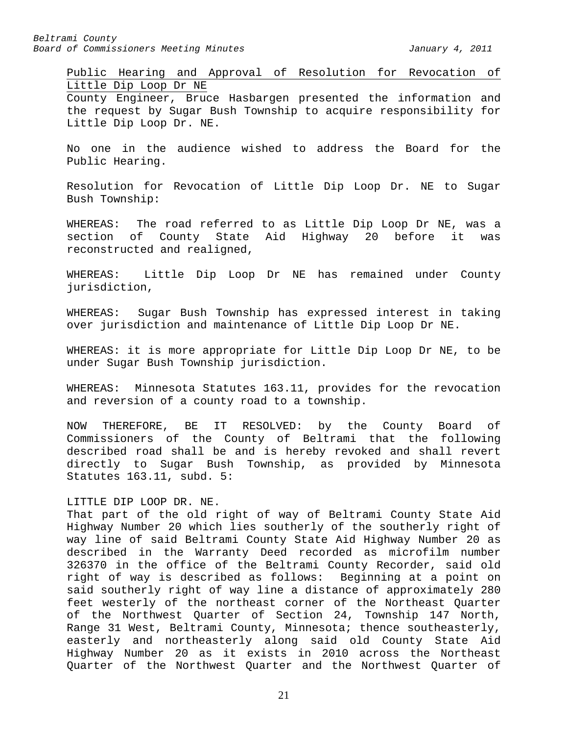Public Hearing and Approval of Resolution for Revocation of Little Dip Loop Dr NE County Engineer, Bruce Hasbargen presented the information and the request by Sugar Bush Township to acquire responsibility for

Little Dip Loop Dr. NE.

No one in the audience wished to address the Board for the Public Hearing.

Resolution for Revocation of Little Dip Loop Dr. NE to Sugar Bush Township:

WHEREAS: The road referred to as Little Dip Loop Dr NE, was a section of County State Aid Highway 20 before it was reconstructed and realigned,

WHEREAS: Little Dip Loop Dr NE has remained under County jurisdiction,

WHEREAS: Sugar Bush Township has expressed interest in taking over jurisdiction and maintenance of Little Dip Loop Dr NE.

WHEREAS: it is more appropriate for Little Dip Loop Dr NE, to be under Sugar Bush Township jurisdiction.

WHEREAS: Minnesota Statutes 163.11, provides for the revocation and reversion of a county road to a township.

NOW THEREFORE, BE IT RESOLVED: by the County Board of Commissioners of the County of Beltrami that the following described road shall be and is hereby revoked and shall revert directly to Sugar Bush Township, as provided by Minnesota Statutes 163.11, subd. 5:

#### LITTLE DIP LOOP DR. NE.

That part of the old right of way of Beltrami County State Aid Highway Number 20 which lies southerly of the southerly right of way line of said Beltrami County State Aid Highway Number 20 as described in the Warranty Deed recorded as microfilm number 326370 in the office of the Beltrami County Recorder, said old right of way is described as follows: Beginning at a point on said southerly right of way line a distance of approximately 280 feet westerly of the northeast corner of the Northeast Quarter of the Northwest Quarter of Section 24, Township 147 North, Range 31 West, Beltrami County, Minnesota; thence southeasterly, easterly and northeasterly along said old County State Aid Highway Number 20 as it exists in 2010 across the Northeast Quarter of the Northwest Quarter and the Northwest Quarter of

21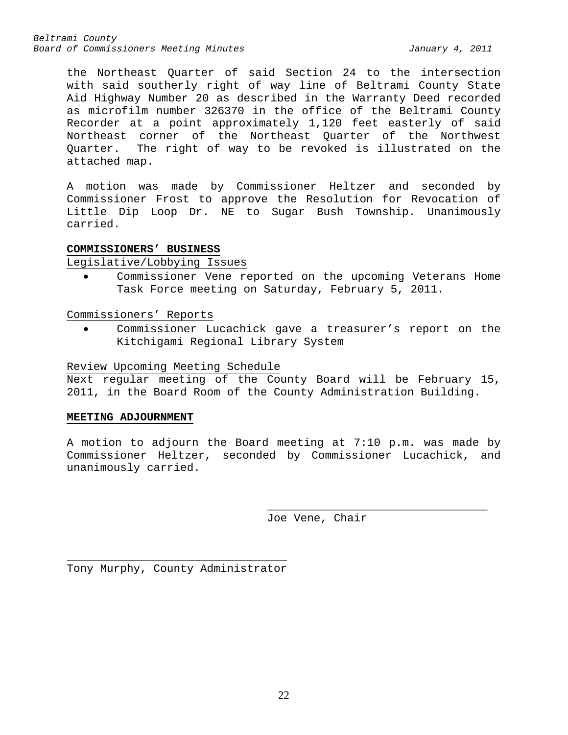the Northeast Quarter of said Section 24 to the intersection with said southerly right of way line of Beltrami County State Aid Highway Number 20 as described in the Warranty Deed recorded as microfilm number 326370 in the office of the Beltrami County Recorder at a point approximately 1,120 feet easterly of said Northeast corner of the Northeast Quarter of the Northwest Quarter. The right of way to be revoked is illustrated on the attached map.

A motion was made by Commissioner Heltzer and seconded by Commissioner Frost to approve the Resolution for Revocation of Little Dip Loop Dr. NE to Sugar Bush Township. Unanimously carried.

### <span id="page-21-0"></span>**COMMISSIONERS' BUSINESS**

### Legislative/Lobbying Issues

• Commissioner Vene reported on the upcoming Veterans Home Task Force meeting on Saturday, February 5, 2011.

Commissioners' Reports

Commissioner Lucachick gave a treasurer's report on the Kitchigami Regional Library System

# Review Upcoming Meeting Schedule

Next regular meeting of the County Board will be February 15, 2011, in the Board Room of the County Administration Building.

### <span id="page-21-1"></span>**MEETING ADJOURNMENT**

A motion to adjourn the Board meeting at 7:10 p.m. was made by Commissioner Heltzer, seconded by Commissioner Lucachick, and unanimously carried.

Joe Vene, Chair

\_\_\_\_\_\_\_\_\_\_\_\_\_\_\_\_\_\_\_\_\_\_\_\_\_\_\_\_\_\_\_\_\_

\_\_\_\_\_\_\_\_\_\_\_\_\_\_\_\_\_\_\_\_\_\_\_\_\_\_\_\_\_\_\_\_\_ Tony Murphy, County Administrator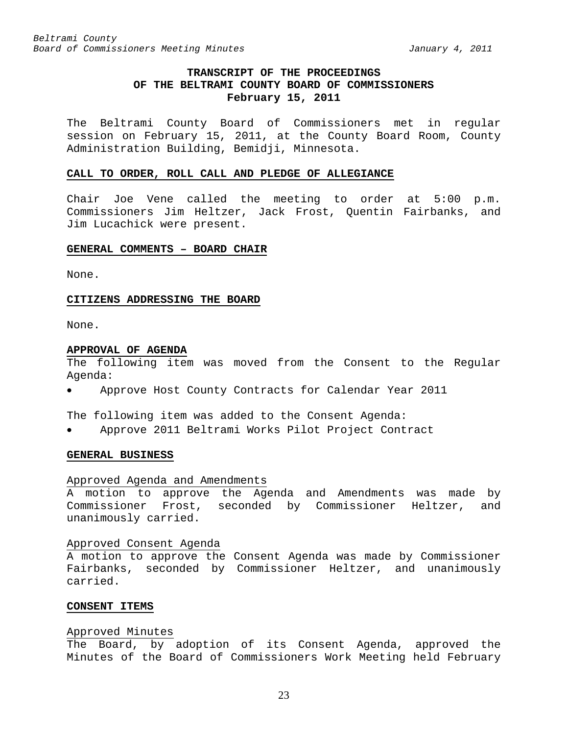# **TRANSCRIPT OF THE PROCEEDINGS OF THE BELTRAMI COUNTY BOARD OF COMMISSIONERS February 15, 2011**

<span id="page-22-0"></span>The Beltrami County Board of Commissioners met in regular session on February 15, 2011, at the County Board Room, County Administration Building, Bemidji, Minnesota.

### <span id="page-22-1"></span>**CALL TO ORDER, ROLL CALL AND PLEDGE OF ALLEGIANCE**

Chair Joe Vene called the meeting to order at 5:00 p.m. Commissioners Jim Heltzer, Jack Frost, Quentin Fairbanks, and Jim Lucachick were present.

### <span id="page-22-2"></span>**GENERAL COMMENTS – BOARD CHAIR**

None.

#### <span id="page-22-3"></span>**CITIZENS ADDRESSING THE BOARD**

None.

#### <span id="page-22-4"></span>**APPROVAL OF AGENDA**

The following item was moved from the Consent to the Regular Agenda:

• Approve Host County Contracts for Calendar Year 2011

The following item was added to the Consent Agenda:

• Approve 2011 Beltrami Works Pilot Project Contract

# <span id="page-22-5"></span>**GENERAL BUSINESS**

# Approved Agenda and Amendments

A motion to approve the Agenda and Amendments was made by Commissioner Frost, seconded by Commissioner Heltzer, and unanimously carried.

#### Approved Consent Agenda

A motion to approve the Consent Agenda was made by Commissioner Fairbanks, seconded by Commissioner Heltzer, and unanimously carried.

### <span id="page-22-6"></span>**CONSENT ITEMS**

### Approved Minutes

The Board, by adoption of its Consent Agenda, approved the Minutes of the Board of Commissioners Work Meeting held February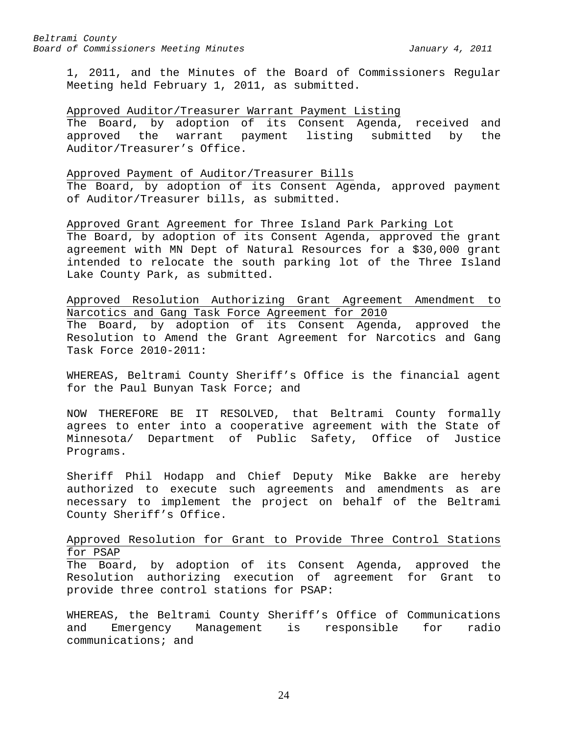1, 2011, and the Minutes of the Board of Commissioners Regular Meeting held February 1, 2011, as submitted.

### Approved Auditor/Treasurer Warrant Payment Listing

The Board, by adoption of its Consent Agenda, received and approved the warrant payment listing submitted by the Auditor/Treasurer's Office.

#### Approved Payment of Auditor/Treasurer Bills

The Board, by adoption of its Consent Agenda, approved payment of Auditor/Treasurer bills, as submitted.

Approved Grant Agreement for Three Island Park Parking Lot The Board, by adoption of its Consent Agenda, approved the grant agreement with MN Dept of Natural Resources for a \$30,000 grant intended to relocate the south parking lot of the Three Island Lake County Park, as submitted.

Approved Resolution Authorizing Grant Agreement Amendment to Narcotics and Gang Task Force Agreement for 2010

The Board, by adoption of its Consent Agenda, approved the Resolution to Amend the Grant Agreement for Narcotics and Gang Task Force 2010-2011:

WHEREAS, Beltrami County Sheriff's Office is the financial agent for the Paul Bunyan Task Force; and

NOW THEREFORE BE IT RESOLVED, that Beltrami County formally agrees to enter into a cooperative agreement with the State of<br>Minnesota/ Department of Public Safety, Office of Justice Minnesota/ Department of Public Safety, Office of Programs.

Sheriff Phil Hodapp and Chief Deputy Mike Bakke are hereby authorized to execute such agreements and amendments as are necessary to implement the project on behalf of the Beltrami County Sheriff's Office.

# Approved Resolution for Grant to Provide Three Control Stations for PSAP

The Board, by adoption of its Consent Agenda, approved the Resolution authorizing execution of agreement for Grant to provide three control stations for PSAP:

WHEREAS, the Beltrami County Sheriff's Office of Communications<br>and Emergency Management is responsible for radio Emergency Management is responsible communications; and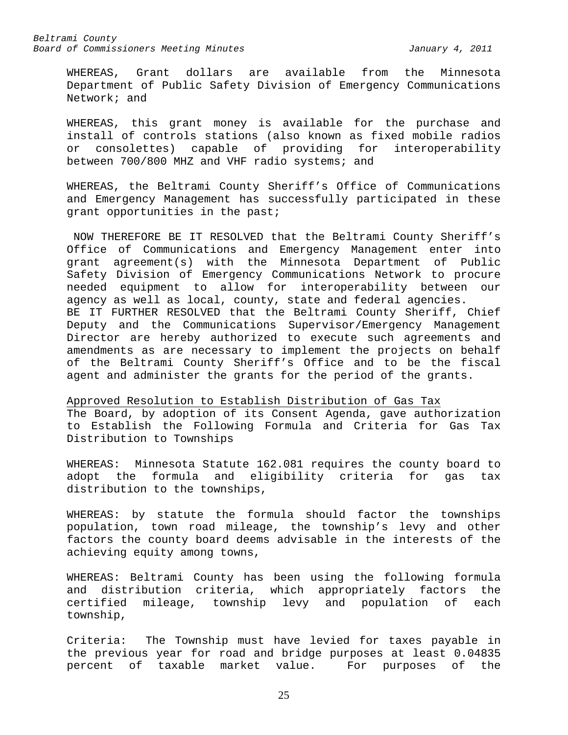WHEREAS, Grant dollars are available from the Minnesota Department of Public Safety Division of Emergency Communications Network; and

WHEREAS, this grant money is available for the purchase and install of controls stations (also known as fixed mobile radios or consolettes) capable of providing for interoperability between 700/800 MHZ and VHF radio systems; and

WHEREAS, the Beltrami County Sheriff's Office of Communications and Emergency Management has successfully participated in these grant opportunities in the past;

NOW THEREFORE BE IT RESOLVED that the Beltrami County Sheriff's Office of Communications and Emergency Management enter into grant agreement(s) with the Minnesota Department of Public Safety Division of Emergency Communications Network to procure needed equipment to allow for interoperability between our agency as well as local, county, state and federal agencies. BE IT FURTHER RESOLVED that the Beltrami County Sheriff, Chief Deputy and the Communications Supervisor/Emergency Management Director are hereby authorized to execute such agreements and amendments as are necessary to implement the projects on behalf of the Beltrami County Sheriff's Office and to be the fiscal agent and administer the grants for the period of the grants.

Approved Resolution to Establish Distribution of Gas Tax The Board, by adoption of its Consent Agenda, gave authorization

to Establish the Following Formula and Criteria for Gas Tax Distribution to Townships

WHEREAS: Minnesota Statute 162.081 requires the county board to adopt the formula and eligibility criteria for gas tax distribution to the townships,

WHEREAS: by statute the formula should factor the townships population, town road mileage, the township's levy and other factors the county board deems advisable in the interests of the achieving equity among towns,

WHEREAS: Beltrami County has been using the following formula and distribution criteria, which appropriately factors the<br>certified mileage, township levy and population of each mileage, township levy and population of each township,

Criteria: The Township must have levied for taxes payable in the previous year for road and bridge purposes at least 0.04835 percent of taxable market value. For purposes of the

25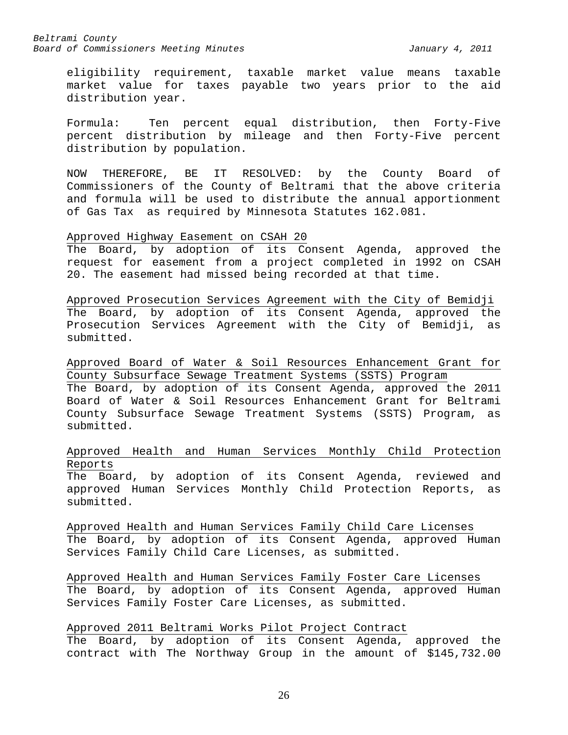eligibility requirement, taxable market value means taxable market value for taxes payable two years prior to the aid distribution year.

Formula: Ten percent equal distribution, then Forty-Five percent distribution by mileage and then Forty-Five percent distribution by population.

NOW THEREFORE, BE IT RESOLVED: by the County Board of Commissioners of the County of Beltrami that the above criteria and formula will be used to distribute the annual apportionment of Gas Tax as required by Minnesota Statutes 162.081.

#### Approved Highway Easement on CSAH 20

The Board, by adoption of its Consent Agenda, approved the request for easement from a project completed in 1992 on CSAH 20. The easement had missed being recorded at that time.

Approved Prosecution Services Agreement with the City of Bemidji The Board, by adoption of its Consent Agenda, approved the Prosecution Services Agreement with the City of Bemidji, as submitted.

Approved Board of Water & Soil Resources Enhancement Grant for County Subsurface Sewage Treatment Systems (SSTS) Program The Board, by adoption of its Consent Agenda, approved the 2011 Board of Water & Soil Resources Enhancement Grant for Beltrami County Subsurface Sewage Treatment Systems (SSTS) Program, as submitted.

# Approved Health and Human Services Monthly Child Protection Reports

The Board, by adoption of its Consent Agenda, reviewed and approved Human Services Monthly Child Protection Reports, as submitted.

Approved Health and Human Services Family Child Care Licenses The Board, by adoption of its Consent Agenda, approved Human Services Family Child Care Licenses, as submitted.

Approved Health and Human Services Family Foster Care Licenses The Board, by adoption of its Consent Agenda, approved Human Services Family Foster Care Licenses, as submitted.

# Approved 2011 Beltrami Works Pilot Project Contract

The Board, by adoption of its Consent Agenda, approved the contract with The Northway Group in the amount of \$145,732.00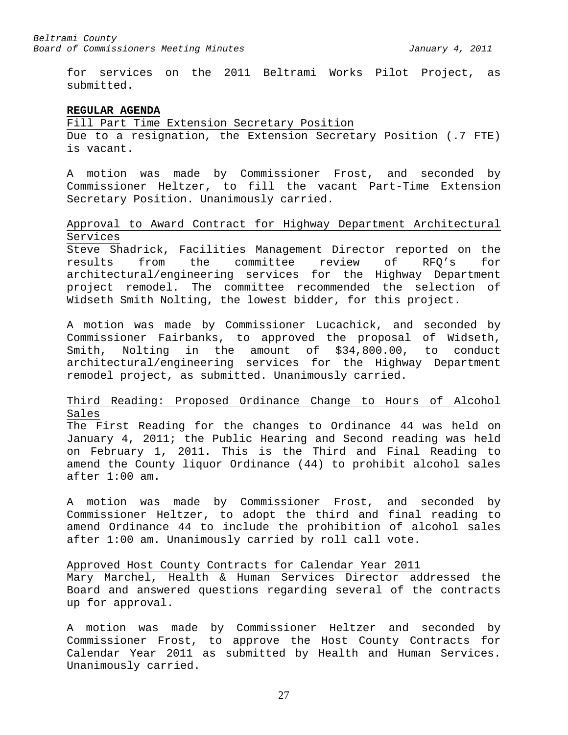for services on the 2011 Beltrami Works Pilot Project, as submitted.

#### <span id="page-26-0"></span>**REGULAR AGENDA**

Fill Part Time Extension Secretary Position Due to a resignation, the Extension Secretary Position (.7 FTE) is vacant.

A motion was made by Commissioner Frost, and seconded by Commissioner Heltzer, to fill the vacant Part-Time Extension Secretary Position. Unanimously carried.

# Approval to Award Contract for Highway Department Architectural Services

Steve Shadrick, Facilities Management Director reported on the results from the committee review of RFQ's for architectural/engineering services for the Highway Department project remodel. The committee recommended the selection of Widseth Smith Nolting, the lowest bidder, for this project.

A motion was made by Commissioner Lucachick, and seconded by Commissioner Fairbanks, to approved the proposal of Widseth, Smith, Nolting in the amount of \$34,800.00, to conduct architectural/engineering services for the Highway Department remodel project, as submitted. Unanimously carried.

# Third Reading: Proposed Ordinance Change to Hours of Alcohol Sales

The First Reading for the changes to Ordinance 44 was held on January 4, 2011; the Public Hearing and Second reading was held on February 1, 2011. This is the Third and Final Reading to amend the County liquor Ordinance (44) to prohibit alcohol sales after 1:00 am.

A motion was made by Commissioner Frost, and seconded by Commissioner Heltzer, to adopt the third and final reading to amend Ordinance 44 to include the prohibition of alcohol sales after 1:00 am. Unanimously carried by roll call vote.

#### Approved Host County Contracts for Calendar Year 2011

Mary Marchel, Health & Human Services Director addressed the Board and answered questions regarding several of the contracts up for approval.

A motion was made by Commissioner Heltzer and seconded by Commissioner Frost, to approve the Host County Contracts for Calendar Year 2011 as submitted by Health and Human Services. Unanimously carried.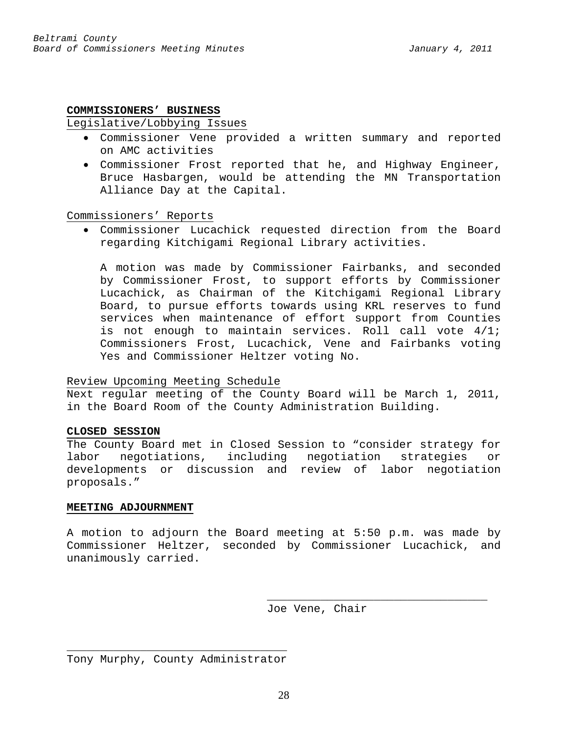### <span id="page-27-0"></span>**COMMISSIONERS' BUSINESS**

### Legislative/Lobbying Issues

- Commissioner Vene provided a written summary and reported on AMC activities
- Commissioner Frost reported that he, and Highway Engineer, Bruce Hasbargen, would be attending the MN Transportation Alliance Day at the Capital.

# Commissioners' Reports

• Commissioner Lucachick requested direction from the Board regarding Kitchigami Regional Library activities.

A motion was made by Commissioner Fairbanks, and seconded by Commissioner Frost, to support efforts by Commissioner Lucachick, as Chairman of the Kitchigami Regional Library Board, to pursue efforts towards using KRL reserves to fund services when maintenance of effort support from Counties is not enough to maintain services. Roll call vote 4/1; Commissioners Frost, Lucachick, Vene and Fairbanks voting Yes and Commissioner Heltzer voting No.

# Review Upcoming Meeting Schedule

Next regular meeting of the County Board will be March 1, 2011, in the Board Room of the County Administration Building.

# **CLOSED SESSION**

The County Board met in Closed Session to "consider strategy for labor negotiations, including negotiation strategies or developments or discussion and review of labor negotiation proposals."

# <span id="page-27-1"></span>**MEETING ADJOURNMENT**

A motion to adjourn the Board meeting at 5:50 p.m. was made by Commissioner Heltzer, seconded by Commissioner Lucachick, and unanimously carried.

> \_\_\_\_\_\_\_\_\_\_\_\_\_\_\_\_\_\_\_\_\_\_\_\_\_\_\_\_\_\_\_\_\_ Joe Vene, Chair

\_\_\_\_\_\_\_\_\_\_\_\_\_\_\_\_\_\_\_\_\_\_\_\_\_\_\_\_\_\_\_\_\_ Tony Murphy, County Administrator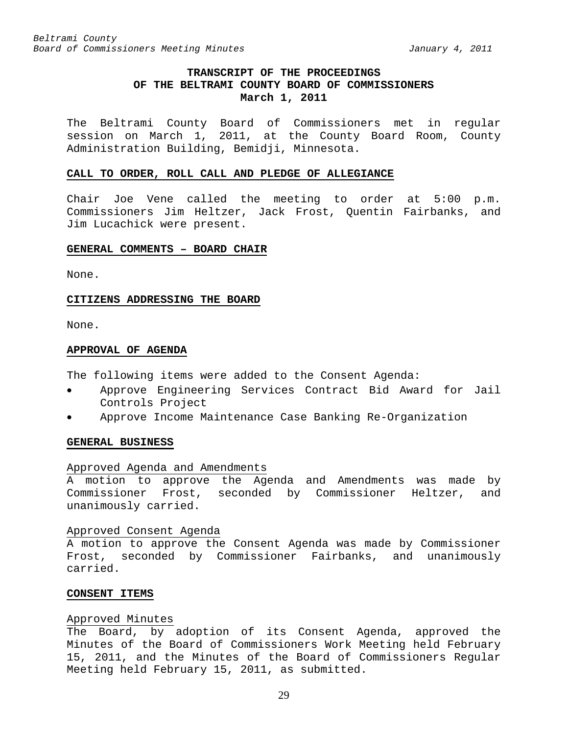# **TRANSCRIPT OF THE PROCEEDINGS OF THE BELTRAMI COUNTY BOARD OF COMMISSIONERS March 1, 2011**

<span id="page-28-0"></span>The Beltrami County Board of Commissioners met in regular session on March 1, 2011, at the County Board Room, County Administration Building, Bemidji, Minnesota.

#### <span id="page-28-1"></span>**CALL TO ORDER, ROLL CALL AND PLEDGE OF ALLEGIANCE**

Chair Joe Vene called the meeting to order at 5:00 p.m. Commissioners Jim Heltzer, Jack Frost, Quentin Fairbanks, and Jim Lucachick were present.

### <span id="page-28-2"></span>**GENERAL COMMENTS – BOARD CHAIR**

None.

#### <span id="page-28-3"></span>**CITIZENS ADDRESSING THE BOARD**

None.

#### <span id="page-28-4"></span>**APPROVAL OF AGENDA**

The following items were added to the Consent Agenda:

- Approve Engineering Services Contract Bid Award for Jail Controls Project
- Approve Income Maintenance Case Banking Re-Organization

#### <span id="page-28-5"></span>**GENERAL BUSINESS**

#### Approved Agenda and Amendments

A motion to approve the Agenda and Amendments was made by Commissioner Frost, seconded by Commissioner Heltzer, and unanimously carried.

#### Approved Consent Agenda

A motion to approve the Consent Agenda was made by Commissioner Frost, seconded by Commissioner Fairbanks, and unanimously carried.

#### <span id="page-28-6"></span>**CONSENT ITEMS**

#### Approved Minutes

The Board, by adoption of its Consent Agenda, approved the Minutes of the Board of Commissioners Work Meeting held February 15, 2011, and the Minutes of the Board of Commissioners Regular Meeting held February 15, 2011, as submitted.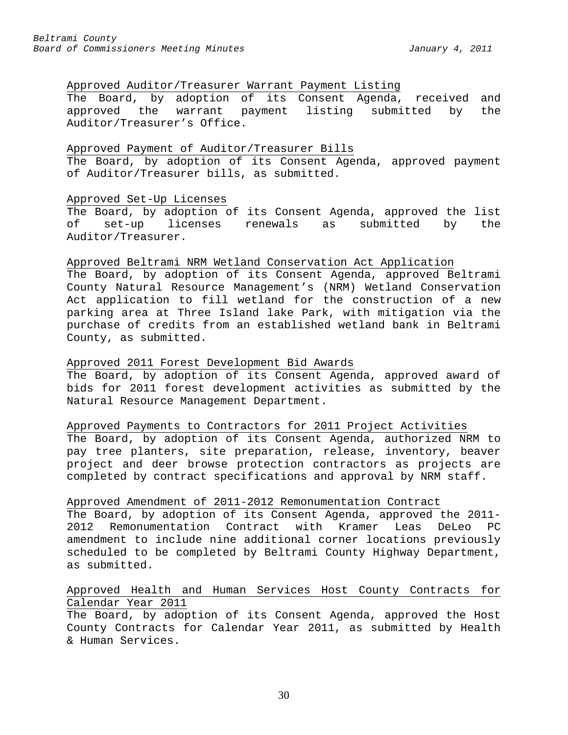# Approved Auditor/Treasurer Warrant Payment Listing

The Board, by adoption of its Consent Agenda, received and approved the warrant payment listing submitted by the Auditor/Treasurer's Office.

### Approved Payment of Auditor/Treasurer Bills

The Board, by adoption of its Consent Agenda, approved payment of Auditor/Treasurer bills, as submitted.

### Approved Set-Up Licenses

The Board, by adoption of its Consent Agenda, approved the list<br>of set-up licenses renewals as submitted by the of set-up licenses renewals as submitted by the Auditor/Treasurer.

### Approved Beltrami NRM Wetland Conservation Act Application

The Board, by adoption of its Consent Agenda, approved Beltrami County Natural Resource Management's (NRM) Wetland Conservation Act application to fill wetland for the construction of a new parking area at Three Island lake Park, with mitigation via the purchase of credits from an established wetland bank in Beltrami County, as submitted.

# Approved 2011 Forest Development Bid Awards

The Board, by adoption of its Consent Agenda, approved award of bids for 2011 forest development activities as submitted by the Natural Resource Management Department.

# Approved Payments to Contractors for 2011 Project Activities

The Board, by adoption of its Consent Agenda, authorized NRM to pay tree planters, site preparation, release, inventory, beaver project and deer browse protection contractors as projects are completed by contract specifications and approval by NRM staff.

#### Approved Amendment of 2011-2012 Remonumentation Contract

The Board, by adoption of its Consent Agenda, approved the 2011-<br>2012 Remonumentation Contract with Kramer Leas DeLeo PC 2012 Remonumentation Contract with Kramer Leas DeLeo PC amendment to include nine additional corner locations previously scheduled to be completed by Beltrami County Highway Department, as submitted.

# Approved Health and Human Services Host County Contracts for Calendar Year 2011

The Board, by adoption of its Consent Agenda, approved the Host County Contracts for Calendar Year 2011, as submitted by Health & Human Services.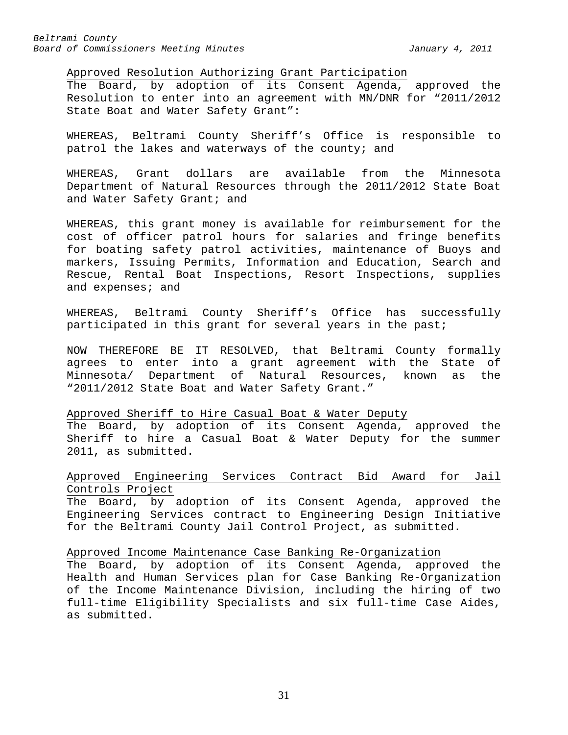Approved Resolution Authorizing Grant Participation

The Board, by adoption of its Consent Agenda, approved the Resolution to enter into an agreement with MN/DNR for "2011/2012 State Boat and Water Safety Grant":

WHEREAS, Beltrami County Sheriff's Office is responsible to patrol the lakes and waterways of the county; and

WHEREAS, Grant dollars are available from the Minnesota Department of Natural Resources through the 2011/2012 State Boat and Water Safety Grant; and

WHEREAS, this grant money is available for reimbursement for the cost of officer patrol hours for salaries and fringe benefits for boating safety patrol activities, maintenance of Buoys and markers, Issuing Permits, Information and Education, Search and Rescue, Rental Boat Inspections, Resort Inspections, supplies and expenses; and

WHEREAS, Beltrami County Sheriff's Office has successfully participated in this grant for several years in the past;

NOW THEREFORE BE IT RESOLVED, that Beltrami County formally agrees to enter into a grant agreement with the State of Minnesota/ Department of Natural Resources, known as the "2011/2012 State Boat and Water Safety Grant."

# Approved Sheriff to Hire Casual Boat & Water Deputy

The Board, by adoption of its Consent Agenda, approved the Sheriff to hire a Casual Boat & Water Deputy for the summer 2011, as submitted.

# Approved Engineering Services Contract Bid Award for Jail Controls Project

The Board, by adoption of its Consent Agenda, approved the Engineering Services contract to Engineering Design Initiative for the Beltrami County Jail Control Project, as submitted.

Approved Income Maintenance Case Banking Re-Organization

The Board, by adoption of its Consent Agenda, approved the Health and Human Services plan for Case Banking Re-Organization of the Income Maintenance Division, including the hiring of two full-time Eligibility Specialists and six full-time Case Aides, as submitted.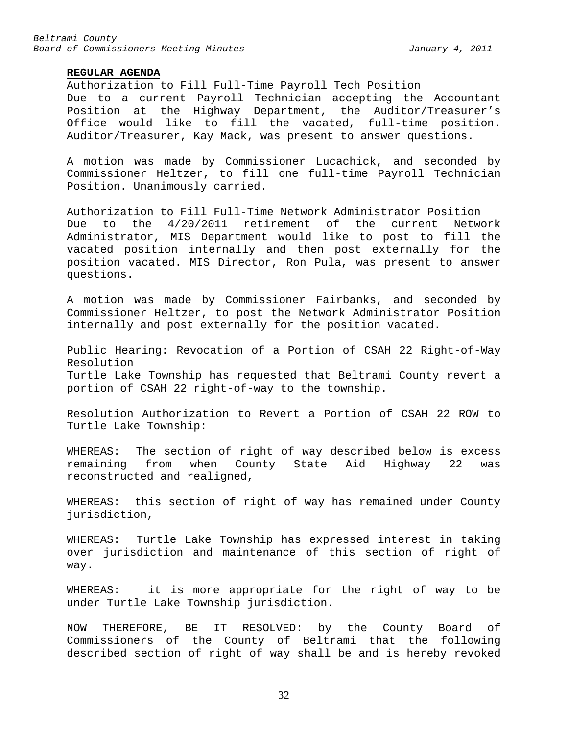### <span id="page-31-0"></span>**REGULAR AGENDA**

Authorization to Fill Full-Time Payroll Tech Position

Due to a current Payroll Technician accepting the Accountant Position at the Highway Department, the Auditor/Treasurer's Office would like to fill the vacated, full-time position. Auditor/Treasurer, Kay Mack, was present to answer questions.

A motion was made by Commissioner Lucachick, and seconded by Commissioner Heltzer, to fill one full-time Payroll Technician Position. Unanimously carried.

Authorization to Fill Full-Time Network Administrator Position Due to the 4/20/2011 retirement of the current Network Administrator, MIS Department would like to post to fill the vacated position internally and then post externally for the position vacated. MIS Director, Ron Pula, was present to answer questions.

A motion was made by Commissioner Fairbanks, and seconded by Commissioner Heltzer, to post the Network Administrator Position internally and post externally for the position vacated.

# Public Hearing: Revocation of a Portion of CSAH 22 Right-of-Way Resolution

Turtle Lake Township has requested that Beltrami County revert a portion of CSAH 22 right-of-way to the township.

Resolution Authorization to Revert a Portion of CSAH 22 ROW to Turtle Lake Township:

WHEREAS: The section of right of way described below is excess remaining from when County State Aid Highway 22 was reconstructed and realigned,

WHEREAS: this section of right of way has remained under County jurisdiction,

WHEREAS: Turtle Lake Township has expressed interest in taking over jurisdiction and maintenance of this section of right of way.

WHEREAS: it is more appropriate for the right of way to be under Turtle Lake Township jurisdiction.

NOW THEREFORE, BE IT RESOLVED: by the County Board of Commissioners of the County of Beltrami that the following described section of right of way shall be and is hereby revoked

32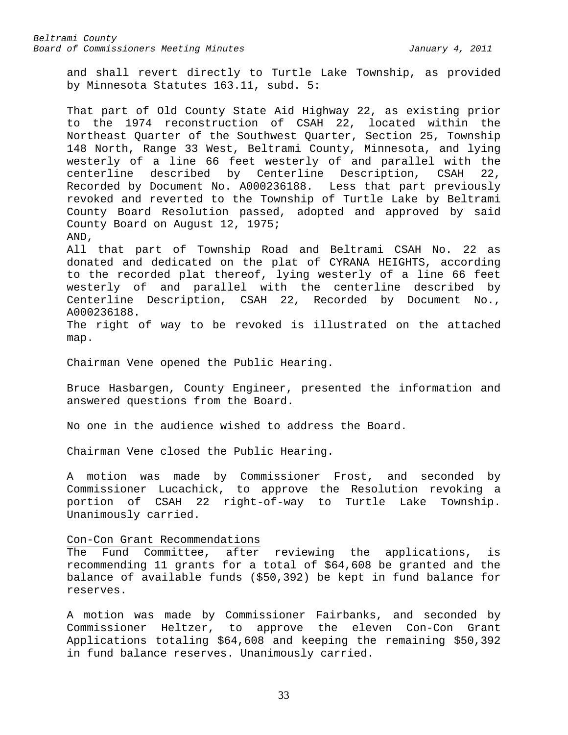and shall revert directly to Turtle Lake Township, as provided by Minnesota Statutes 163.11, subd. 5:

That part of Old County State Aid Highway 22, as existing prior to the 1974 reconstruction of CSAH 22, located within the Northeast Quarter of the Southwest Quarter, Section 25, Township 148 North, Range 33 West, Beltrami County, Minnesota, and lying westerly of a line 66 feet westerly of and parallel with the centerline described by Centerline Description, CSAH 22, Recorded by Document No. A000236188. Less that part previously revoked and reverted to the Township of Turtle Lake by Beltrami County Board Resolution passed, adopted and approved by said County Board on August 12, 1975; AND,

All that part of Township Road and Beltrami CSAH No. 22 as donated and dedicated on the plat of CYRANA HEIGHTS, according to the recorded plat thereof, lying westerly of a line 66 feet westerly of and parallel with the centerline described by Centerline Description, CSAH 22, Recorded by Document No., A000236188.

The right of way to be revoked is illustrated on the attached map.

Chairman Vene opened the Public Hearing.

Bruce Hasbargen, County Engineer, presented the information and answered questions from the Board.

No one in the audience wished to address the Board.

Chairman Vene closed the Public Hearing.

A motion was made by Commissioner Frost, and seconded by Commissioner Lucachick, to approve the Resolution revoking a portion of CSAH 22 right-of-way to Turtle Lake Township. Unanimously carried.

Con-Con Grant Recommendations

The Fund Committee, after reviewing the applications, is recommending 11 grants for a total of \$64,608 be granted and the balance of available funds (\$50,392) be kept in fund balance for reserves.

A motion was made by Commissioner Fairbanks, and seconded by Commissioner Heltzer, to approve the eleven Con-Con Grant Applications totaling \$64,608 and keeping the remaining \$50,392 in fund balance reserves. Unanimously carried.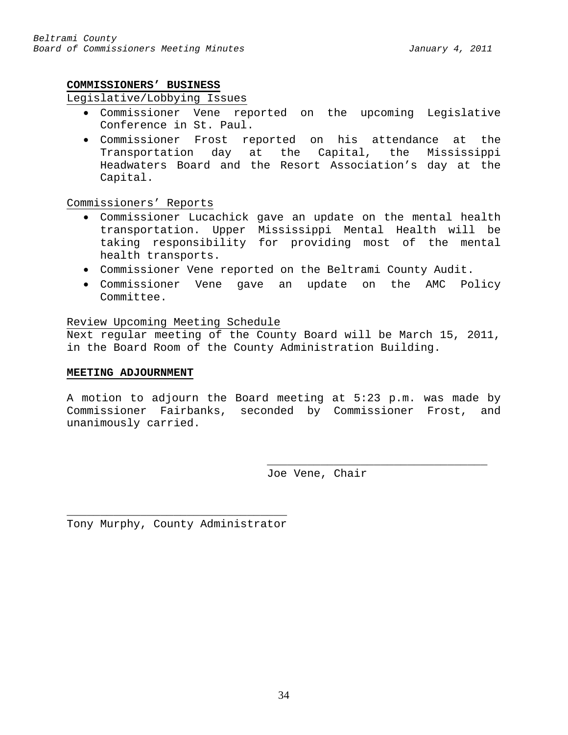# <span id="page-33-0"></span>**COMMISSIONERS' BUSINESS**

# Legislative/Lobbying Issues

- Commissioner Vene reported on the upcoming Legislative Conference in St. Paul.
- Commissioner Frost reported on his attendance at the Transportation day at the Capital, the Mississippi Headwaters Board and the Resort Association's day at the Capital.

# Commissioners' Reports

- Commissioner Lucachick gave an update on the mental health transportation. Upper Mississippi Mental Health will be taking responsibility for providing most of the mental health transports.
- Commissioner Vene reported on the Beltrami County Audit.
- Commissioner Vene gave an update on the AMC Policy Committee.

# Review Upcoming Meeting Schedule

Next regular meeting of the County Board will be March 15, 2011, in the Board Room of the County Administration Building.

# <span id="page-33-1"></span>**MEETING ADJOURNMENT**

A motion to adjourn the Board meeting at 5:23 p.m. was made by Commissioner Fairbanks, seconded by Commissioner Frost, and unanimously carried.

> \_\_\_\_\_\_\_\_\_\_\_\_\_\_\_\_\_\_\_\_\_\_\_\_\_\_\_\_\_\_\_\_\_ Joe Vene, Chair

\_\_\_\_\_\_\_\_\_\_\_\_\_\_\_\_\_\_\_\_\_\_\_\_\_\_\_\_\_\_\_\_\_ Tony Murphy, County Administrator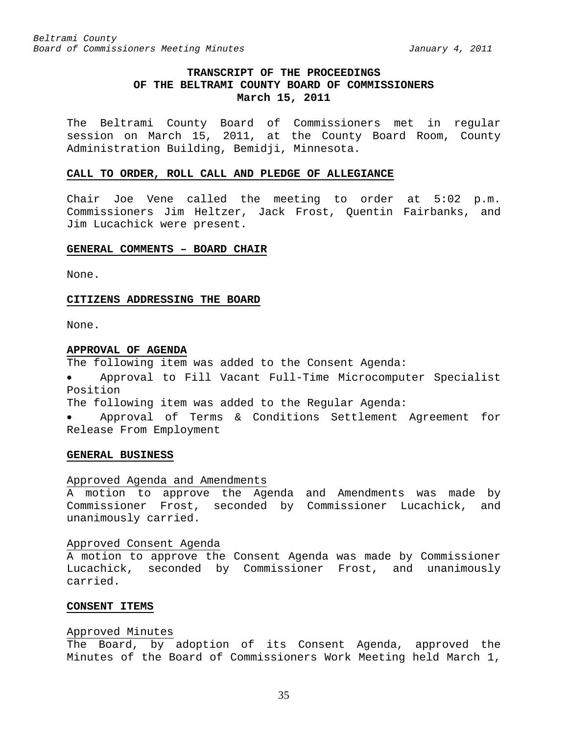# **TRANSCRIPT OF THE PROCEEDINGS OF THE BELTRAMI COUNTY BOARD OF COMMISSIONERS March 15, 2011**

<span id="page-34-0"></span>The Beltrami County Board of Commissioners met in regular session on March 15, 2011, at the County Board Room, County Administration Building, Bemidji, Minnesota.

#### <span id="page-34-1"></span>**CALL TO ORDER, ROLL CALL AND PLEDGE OF ALLEGIANCE**

Chair Joe Vene called the meeting to order at 5:02 p.m. Commissioners Jim Heltzer, Jack Frost, Quentin Fairbanks, and Jim Lucachick were present.

#### <span id="page-34-2"></span>**GENERAL COMMENTS – BOARD CHAIR**

None.

#### <span id="page-34-3"></span>**CITIZENS ADDRESSING THE BOARD**

None.

#### <span id="page-34-4"></span>**APPROVAL OF AGENDA**

The following item was added to the Consent Agenda:

• Approval to Fill Vacant Full-Time Microcomputer Specialist Position

The following item was added to the Regular Agenda:

• Approval of Terms & Conditions Settlement Agreement for Release From Employment

#### <span id="page-34-5"></span>**GENERAL BUSINESS**

# Approved Agenda and Amendments

A motion to approve the Agenda and Amendments was made by Commissioner Frost, seconded by Commissioner Lucachick, and unanimously carried.

#### Approved Consent Agenda

A motion to approve the Consent Agenda was made by Commissioner Lucachick, seconded by Commissioner Frost, and unanimously carried.

### <span id="page-34-6"></span>**CONSENT ITEMS**

### Approved Minutes

The Board, by adoption of its Consent Agenda, approved the Minutes of the Board of Commissioners Work Meeting held March 1,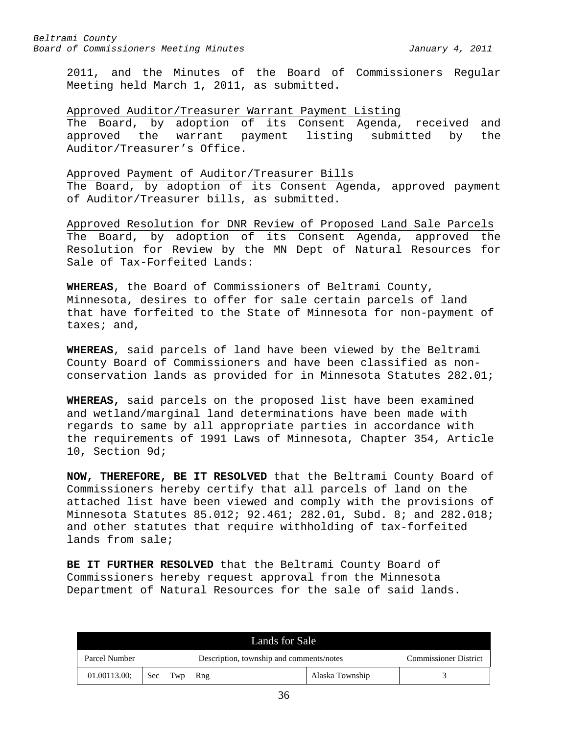2011, and the Minutes of the Board of Commissioners Regular Meeting held March 1, 2011, as submitted.

### Approved Auditor/Treasurer Warrant Payment Listing

The Board, by adoption of its Consent Agenda, received and<br>approved the warrant payment listing submitted by the approved the warrant payment listing submitted by the Auditor/Treasurer's Office.

### Approved Payment of Auditor/Treasurer Bills

The Board, by adoption of its Consent Agenda, approved payment of Auditor/Treasurer bills, as submitted.

Approved Resolution for DNR Review of Proposed Land Sale Parcels The Board, by adoption of its Consent Agenda, approved the Resolution for Review by the MN Dept of Natural Resources for Sale of Tax-Forfeited Lands:

**WHEREAS**, the Board of Commissioners of Beltrami County, Minnesota, desires to offer for sale certain parcels of land that have forfeited to the State of Minnesota for non-payment of taxes; and,

**WHEREAS**, said parcels of land have been viewed by the Beltrami County Board of Commissioners and have been classified as nonconservation lands as provided for in Minnesota Statutes 282.01;

**WHEREAS,** said parcels on the proposed list have been examined and wetland/marginal land determinations have been made with regards to same by all appropriate parties in accordance with the requirements of 1991 Laws of Minnesota, Chapter 354, Article 10, Section 9d;

**NOW, THEREFORE, BE IT RESOLVED** that the Beltrami County Board of Commissioners hereby certify that all parcels of land on the attached list have been viewed and comply with the provisions of Minnesota Statutes 85.012; 92.461; 282.01, Subd. 8; and 282.018; and other statutes that require withholding of tax-forfeited lands from sale;

**BE IT FURTHER RESOLVED** that the Beltrami County Board of Commissioners hereby request approval from the Minnesota Department of Natural Resources for the sale of said lands.

| Lands for Sale                                            |  |         |                              |                 |  |
|-----------------------------------------------------------|--|---------|------------------------------|-----------------|--|
| Description, township and comments/notes<br>Parcel Number |  |         | <b>Commissioner District</b> |                 |  |
| 01.00113.00;                                              |  | Sec Twp | Rng                          | Alaska Township |  |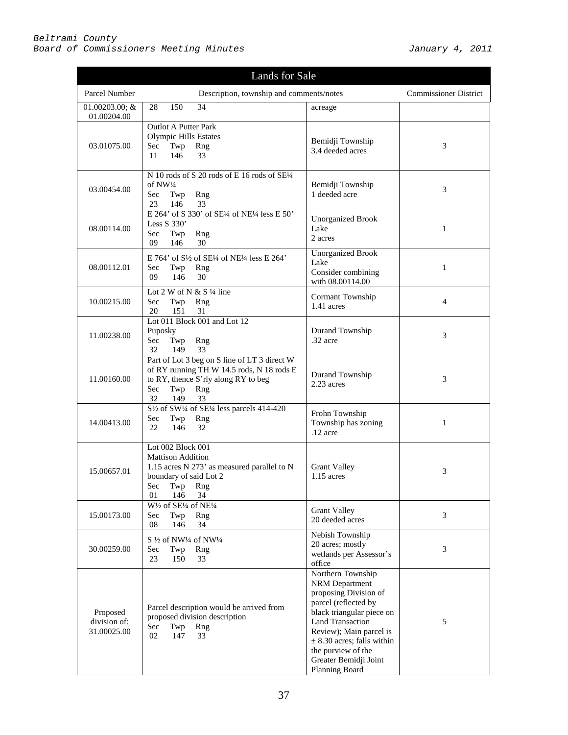| Lands for Sale                          |                                                                                                                                                                          |                                                                                                                                                                                                                                                                            |                              |
|-----------------------------------------|--------------------------------------------------------------------------------------------------------------------------------------------------------------------------|----------------------------------------------------------------------------------------------------------------------------------------------------------------------------------------------------------------------------------------------------------------------------|------------------------------|
| Parcel Number                           | Description, township and comments/notes                                                                                                                                 |                                                                                                                                                                                                                                                                            | <b>Commissioner District</b> |
| $01.00203.00; \&$<br>01.00204.00        | 150<br>34<br>28                                                                                                                                                          | acreage                                                                                                                                                                                                                                                                    |                              |
| 03.01075.00                             | <b>Outlot A Putter Park</b><br><b>Olympic Hills Estates</b><br>Sec<br>Twp<br>Rng<br>146<br>33<br>11                                                                      | Bemidji Township<br>3.4 deeded acres                                                                                                                                                                                                                                       | 3                            |
| 03.00454.00                             | N 10 rods of S 20 rods of E 16 rods of SE1/4<br>of NW1/4<br>Twp<br>Sec<br>Rng<br>23<br>146<br>33                                                                         | Bemidji Township<br>1 deeded acre                                                                                                                                                                                                                                          | 3                            |
| 08.00114.00                             | E 264' of S 330' of SE1/4 of NE1/4 less E 50'<br>Less S 330'<br>Twp<br>Sec<br>Rng<br>146<br>30<br>09                                                                     | <b>Unorganized Brook</b><br>Lake<br>2 acres                                                                                                                                                                                                                                | 1                            |
| 08.00112.01                             | E 764' of S1/2 of SE1/4 of NE1/4 less E 264'<br>Twp<br>Sec<br>Rng<br>09<br>146<br>30                                                                                     | Unorganized Brook<br>Lake<br>Consider combining<br>with 08.00114.00                                                                                                                                                                                                        | 1                            |
| 10.00215.00                             | Lot 2 W of N & S $\frac{1}{4}$ line<br>Sec<br>Twp<br>Rng<br>20<br>151<br>31                                                                                              | Cormant Township<br>1.41 acres                                                                                                                                                                                                                                             | 4                            |
| 11.00238.00                             | Lot 011 Block 001 and Lot 12<br>Puposky<br>Twp<br>Sec<br>Rng<br>32<br>149<br>33                                                                                          | Durand Township<br>.32 acre                                                                                                                                                                                                                                                | 3                            |
| 11.00160.00                             | Part of Lot 3 beg on S line of LT 3 direct W<br>of RY running TH W 14.5 rods, N 18 rods E<br>to RY, thence S'rly along RY to beg<br>Sec<br>Twp<br>Rng<br>32<br>149<br>33 | Durand Township<br>2.23 acres                                                                                                                                                                                                                                              | 3                            |
| 14.00413.00                             | S <sup>1/2</sup> of SW <sup>1</sup> /4 of SE <sup>1</sup> / <sub>4</sub> less parcels 414-420<br>Twp<br>Sec<br>Rng<br>32<br>22<br>146                                    | Frohn Township<br>Township has zoning<br>.12 acre                                                                                                                                                                                                                          | 1                            |
| 15.00657.01                             | Lot 002 Block 001<br><b>Mattison Addition</b><br>1.15 acres N 273' as measured parallel to N<br>boundary of said Lot 2<br>Sec<br>Twp<br>Rng<br>01<br>146<br>34           | <b>Grant Valley</b><br>$1.15$ acres                                                                                                                                                                                                                                        | 3                            |
| 15.00173.00                             | W1/2 of SE1/4 of NE1/4<br>Sec<br>Twp<br>Rng<br>08<br>146<br>34                                                                                                           | <b>Grant Valley</b><br>20 deeded acres                                                                                                                                                                                                                                     | 3                            |
| 30.00259.00                             | S 1/2 of NW1/4 of NW1/4<br>Sec<br>Rng<br>Twp<br>23<br>150<br>33                                                                                                          | Nebish Township<br>20 acres; mostly<br>wetlands per Assessor's<br>office                                                                                                                                                                                                   | 3                            |
| Proposed<br>division of:<br>31.00025.00 | Parcel description would be arrived from<br>proposed division description<br>Sec<br>Rng<br>Twp<br>02<br>147<br>33                                                        | Northern Township<br>NRM Department<br>proposing Division of<br>parcel (reflected by<br>black triangular piece on<br><b>Land Transaction</b><br>Review); Main parcel is<br>$\pm$ 8.30 acres; falls within<br>the purview of the<br>Greater Bemidji Joint<br>Planning Board | 5                            |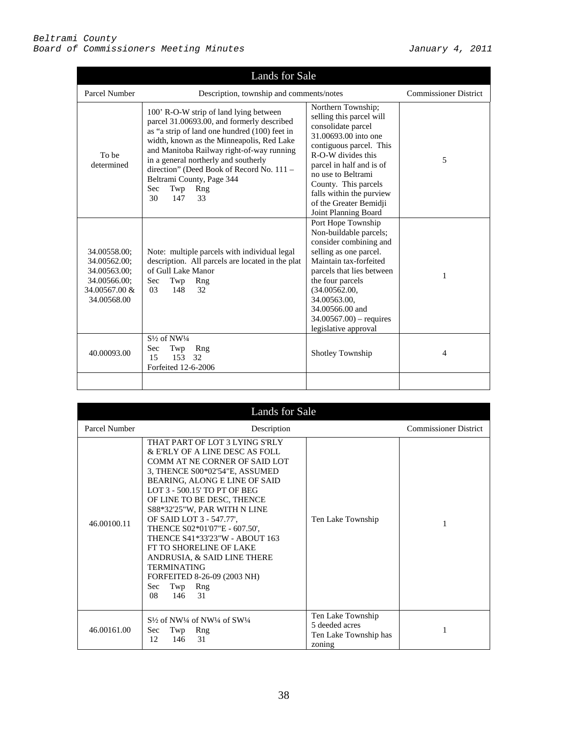| Lands for Sale                                                                               |                                                                                                                                                                                                                                                                                                                                                                                           |                                                                                                                                                                                                                                                                                                       |                              |
|----------------------------------------------------------------------------------------------|-------------------------------------------------------------------------------------------------------------------------------------------------------------------------------------------------------------------------------------------------------------------------------------------------------------------------------------------------------------------------------------------|-------------------------------------------------------------------------------------------------------------------------------------------------------------------------------------------------------------------------------------------------------------------------------------------------------|------------------------------|
| Parcel Number                                                                                | Description, township and comments/notes                                                                                                                                                                                                                                                                                                                                                  |                                                                                                                                                                                                                                                                                                       | <b>Commissioner District</b> |
| To be<br>determined                                                                          | 100' R-O-W strip of land lying between<br>parcel 31.00693.00, and formerly described<br>as "a strip of land one hundred (100) feet in<br>width, known as the Minneapolis, Red Lake<br>and Manitoba Railway right-of-way running<br>in a general northerly and southerly<br>direction" (Deed Book of Record No. 111 -<br>Beltrami County, Page 344<br>Twp<br>Sec<br>Rng<br>30<br>147<br>33 | Northern Township;<br>selling this parcel will<br>consolidate parcel<br>31,00693,00 into one<br>contiguous parcel. This<br>R-O-W divides this<br>parcel in half and is of<br>no use to Beltrami<br>County. This parcels<br>falls within the purview<br>of the Greater Bemidji<br>Joint Planning Board | 5                            |
| 34.00558.00;<br>34.00562.00;<br>34.00563.00;<br>34.00566.00;<br>34.00567.00 &<br>34.00568.00 | Note: multiple parcels with individual legal<br>description. All parcels are located in the plat<br>of Gull Lake Manor<br>Twp<br>Rng<br>Sec<br>32<br>0 <sup>3</sup><br>148                                                                                                                                                                                                                | Port Hope Township<br>Non-buildable parcels;<br>consider combining and<br>selling as one parcel.<br>Maintain tax-forfeited<br>parcels that lies between<br>the four parcels<br>(34.00562.00,<br>34.00563.00.<br>34,00566,00 and<br>$34.00567.00$ – requires<br>legislative approval                   | 1                            |
| 40.00093.00                                                                                  | $S\frac{1}{2}$ of NW $\frac{1}{4}$<br>Sec<br>Twp<br>Rng<br>153 32<br>15<br>Forfeited 12-6-2006                                                                                                                                                                                                                                                                                            | Shotley Township                                                                                                                                                                                                                                                                                      | 4                            |
|                                                                                              |                                                                                                                                                                                                                                                                                                                                                                                           |                                                                                                                                                                                                                                                                                                       |                              |

| Lands for Sale |                                                                                                                                                                                                                                                                                                                                                                                                                                                                                                                           |                                                                        |                              |
|----------------|---------------------------------------------------------------------------------------------------------------------------------------------------------------------------------------------------------------------------------------------------------------------------------------------------------------------------------------------------------------------------------------------------------------------------------------------------------------------------------------------------------------------------|------------------------------------------------------------------------|------------------------------|
| Parcel Number  | Description                                                                                                                                                                                                                                                                                                                                                                                                                                                                                                               |                                                                        | <b>Commissioner District</b> |
| 46.00100.11    | THAT PART OF LOT 3 LYING S'RLY<br>& E'RLY OF A LINE DESC AS FOLL<br>COMM AT NE CORNER OF SAID LOT<br>3, THENCE S00*02'54"E, ASSUMED<br>BEARING, ALONG E LINE OF SAID<br>LOT 3 - 500.15' TO PT OF BEG<br>OF LINE TO BE DESC, THENCE<br>S88*32'25"W, PAR WITH N LINE<br>OF SAID LOT 3 - 547.77',<br>THENCE S02*01'07"E - 607.50'.<br>THENCE S41*33'23"W - ABOUT 163<br>FT TO SHORELINE OF LAKE<br>ANDRUSIA, & SAID LINE THERE<br><b>TERMINATING</b><br>FORFEITED 8-26-09 (2003 NH)<br>Twp<br>Rng<br>Sec:<br>08<br>146<br>31 | Ten Lake Township                                                      | 1                            |
| 46.00161.00    | $S\frac{1}{2}$ of NW <sup>1</sup> /4 of NW <sup>1</sup> /4 of SW <sup>1</sup> /4<br>Twp<br>Rng<br><b>Sec</b><br>146<br>12<br>31                                                                                                                                                                                                                                                                                                                                                                                           | Ten Lake Township<br>5 deeded acres<br>Ten Lake Township has<br>zoning |                              |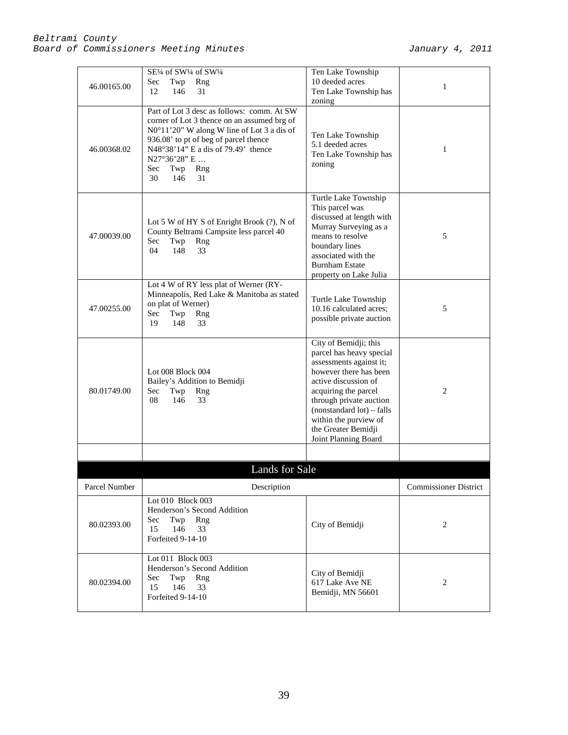| 46.00165.00   | SE1/4 of SW1/4 of SW1/4<br>Sec<br>Twp<br>Rng<br>31<br>12<br>146                                                                                                                                                                                                                 | Ten Lake Township<br>10 deeded acres<br>Ten Lake Township has<br>zoning                                                                                                                                                                                                                  | 1                            |
|---------------|---------------------------------------------------------------------------------------------------------------------------------------------------------------------------------------------------------------------------------------------------------------------------------|------------------------------------------------------------------------------------------------------------------------------------------------------------------------------------------------------------------------------------------------------------------------------------------|------------------------------|
| 46.00368.02   | Part of Lot 3 desc as follows: comm. At SW<br>corner of Lot 3 thence on an assumed brg of<br>N0°11'20" W along W line of Lot 3 a dis of<br>936.08' to pt of beg of parcel thence<br>N48°38'14" E a dis of 79.49' thence<br>N27°36'28" E<br>Sec<br>Twp<br>Rng<br>31<br>30<br>146 | Ten Lake Township<br>5.1 deeded acres<br>Ten Lake Township has<br>zoning                                                                                                                                                                                                                 | 1                            |
| 47.00039.00   | Lot 5 W of HY S of Enright Brook (?), N of<br>County Beltrami Campsite less parcel 40<br>Twp<br>Rng<br>Sec<br>04<br>148<br>33                                                                                                                                                   | Turtle Lake Township<br>This parcel was<br>discussed at length with<br>Murray Surveying as a<br>means to resolve<br>boundary lines<br>associated with the<br><b>Burnham Estate</b><br>property on Lake Julia                                                                             | 5                            |
| 47.00255.00   | Lot 4 W of RY less plat of Werner (RY-<br>Minneapolis, Red Lake & Manitoba as stated<br>on plat of Werner)<br>Sec<br>Twp<br>Rng<br>148<br>33<br>19                                                                                                                              | Turtle Lake Township<br>10.16 calculated acres;<br>possible private auction                                                                                                                                                                                                              | 5                            |
| 80.01749.00   | Lot 008 Block 004<br>Bailey's Addition to Bemidji<br>Sec<br>Twp<br>Rng<br>08<br>146<br>33                                                                                                                                                                                       | City of Bemidji; this<br>parcel has heavy special<br>assessments against it;<br>however there has been<br>active discussion of<br>acquiring the parcel<br>through private auction<br>$(nonstandard lot) - falls$<br>within the purview of<br>the Greater Bemidji<br>Joint Planning Board | 2                            |
|               |                                                                                                                                                                                                                                                                                 |                                                                                                                                                                                                                                                                                          |                              |
|               | Lands for Sale                                                                                                                                                                                                                                                                  |                                                                                                                                                                                                                                                                                          |                              |
| Parcel Number | Description                                                                                                                                                                                                                                                                     |                                                                                                                                                                                                                                                                                          | <b>Commissioner District</b> |
| 80.02393.00   | Lot 010 Block 003<br>Henderson's Second Addition<br>Sec<br>Twp<br>Rng<br>15<br>146<br>33<br>Forfeited 9-14-10                                                                                                                                                                   | City of Bemidji                                                                                                                                                                                                                                                                          | $\overline{2}$               |
| 80.02394.00   | Lot 011 Block 003<br>Henderson's Second Addition<br>Sec<br>Twp<br>Rng<br>15<br>146<br>33<br>Forfeited 9-14-10                                                                                                                                                                   | City of Bemidji<br>617 Lake Ave NE<br>Bemidji, MN 56601                                                                                                                                                                                                                                  | 2                            |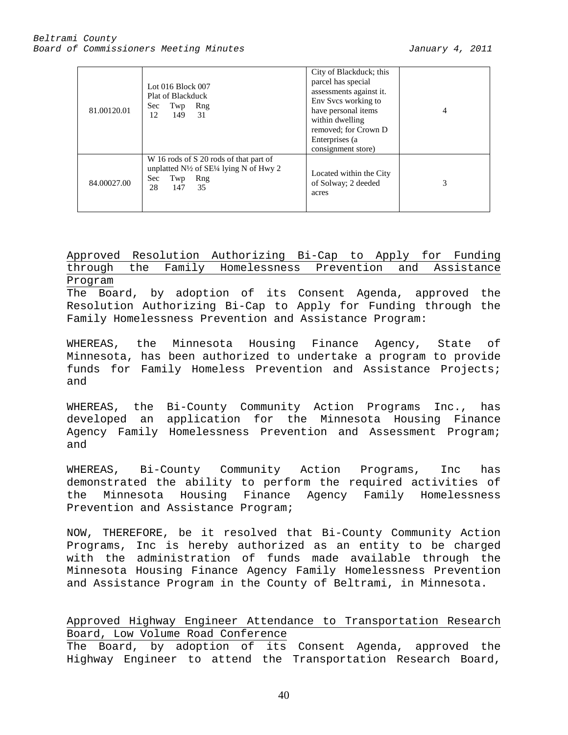| 81.00120.01 | Lot 016 Block 007<br>Plat of Blackduck<br>Rng<br>Sec.<br>Twp<br>31<br>12<br>149                                                                 | City of Blackduck; this<br>parcel has special<br>assessments against it.<br>Env Svcs working to<br>have personal items<br>within dwelling<br>removed; for Crown D<br>Enterprises (a)<br>consignment store) | 4 |
|-------------|-------------------------------------------------------------------------------------------------------------------------------------------------|------------------------------------------------------------------------------------------------------------------------------------------------------------------------------------------------------------|---|
| 84.00027.00 | W 16 rods of S 20 rods of that part of<br>unplatted $N\frac{1}{2}$ of SE $\frac{1}{4}$ lying N of Hwy 2<br>Sec<br>Rng<br>Twp<br>28<br>35<br>147 | Located within the City<br>of Solway; 2 deeded<br>acres                                                                                                                                                    | 3 |

Approved Resolution Authorizing Bi-Cap to Apply for Funding through the Family Homelessness Prevention and Assistance Program The Board, by adoption of its Consent Agenda, approved the Resolution Authorizing Bi-Cap to Apply for Funding through the Family Homelessness Prevention and Assistance Program:

WHEREAS, the Minnesota Housing Finance Agency, State of Minnesota, has been authorized to undertake a program to provide funds for Family Homeless Prevention and Assistance Projects; and

WHEREAS, the Bi-County Community Action Programs Inc., has developed an application for the Minnesota Housing Finance Agency Family Homelessness Prevention and Assessment Program; and

WHEREAS, Bi-County Community Action Programs, Inc has demonstrated the ability to perform the required activities of the Minnesota Housing Finance Agency Family Homelessness Prevention and Assistance Program;

NOW, THEREFORE, be it resolved that Bi-County Community Action Programs, Inc is hereby authorized as an entity to be charged with the administration of funds made available through the Minnesota Housing Finance Agency Family Homelessness Prevention and Assistance Program in the County of Beltrami, in Minnesota.

Approved Highway Engineer Attendance to Transportation Research Board, Low Volume Road Conference

The Board, by adoption of its Consent Agenda, approved the Highway Engineer to attend the Transportation Research Board,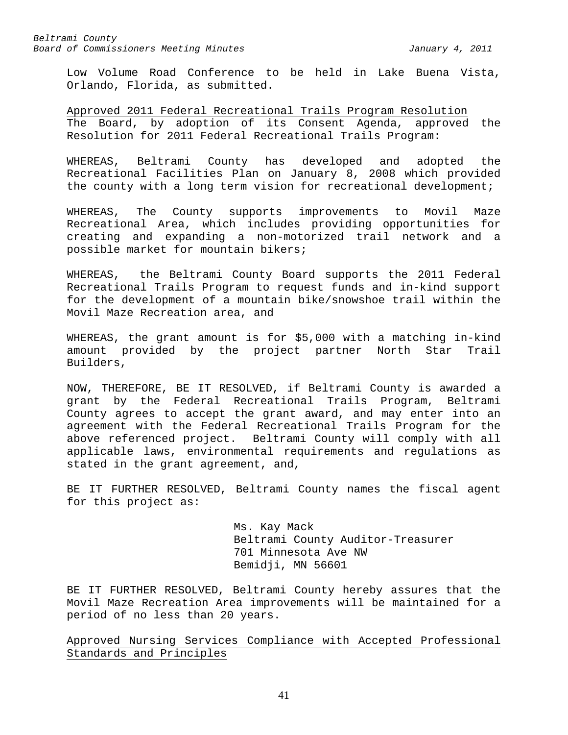Low Volume Road Conference to be held in Lake Buena Vista, Orlando, Florida, as submitted.

Approved 2011 Federal Recreational Trails Program Resolution The Board, by adoption of its Consent Agenda, approved the Resolution for 2011 Federal Recreational Trails Program:

WHEREAS, Beltrami County has developed and adopted the Recreational Facilities Plan on January 8, 2008 which provided the county with a long term vision for recreational development;

WHEREAS, The County supports improvements to Movil Maze Recreational Area, which includes providing opportunities for creating and expanding a non-motorized trail network and a possible market for mountain bikers;

WHEREAS, the Beltrami County Board supports the 2011 Federal Recreational Trails Program to request funds and in-kind support for the development of a mountain bike/snowshoe trail within the Movil Maze Recreation area, and

WHEREAS, the grant amount is for \$5,000 with a matching in-kind amount provided by the project partner North Star Trail Builders,

NOW, THEREFORE, BE IT RESOLVED, if Beltrami County is awarded a grant by the Federal Recreational Trails Program, Beltrami County agrees to accept the grant award, and may enter into an agreement with the Federal Recreational Trails Program for the above referenced project. Beltrami County will comply with all applicable laws, environmental requirements and regulations as stated in the grant agreement, and,

BE IT FURTHER RESOLVED, Beltrami County names the fiscal agent for this project as:

> Ms. Kay Mack Beltrami County Auditor-Treasurer 701 Minnesota Ave NW Bemidji, MN 56601

BE IT FURTHER RESOLVED, Beltrami County hereby assures that the Movil Maze Recreation Area improvements will be maintained for a period of no less than 20 years.

Approved Nursing Services Compliance with Accepted Professional Standards and Principles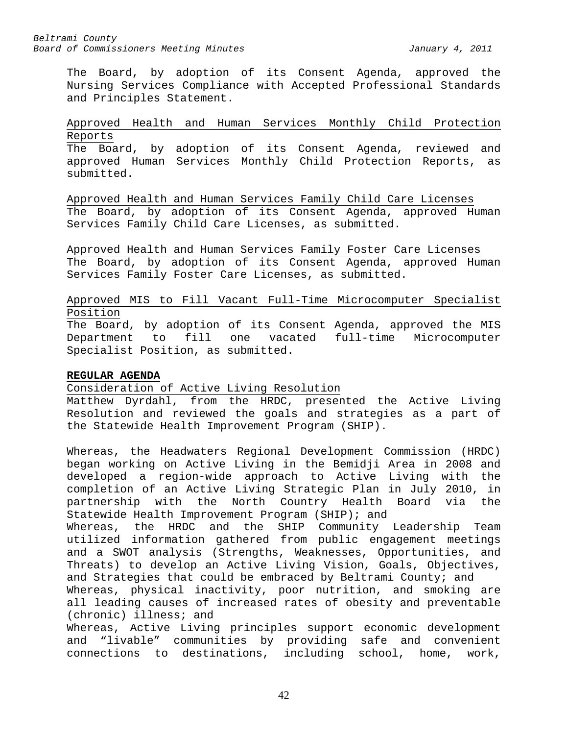The Board, by adoption of its Consent Agenda, approved the Nursing Services Compliance with Accepted Professional Standards and Principles Statement.

# Approved Health and Human Services Monthly Child Protection Reports

The Board, by adoption of its Consent Agenda, reviewed and approved Human Services Monthly Child Protection Reports, as submitted.

Approved Health and Human Services Family Child Care Licenses The Board, by adoption of its Consent Agenda, approved Human Services Family Child Care Licenses, as submitted.

Approved Health and Human Services Family Foster Care Licenses The Board, by adoption of its Consent Agenda, approved Human Services Family Foster Care Licenses, as submitted.

# Approved MIS to Fill Vacant Full-Time Microcomputer Specialist Position

The Board, by adoption of its Consent Agenda, approved the MIS Department to fill one vacated full-time Microcomputer Specialist Position, as submitted.

# **REGULAR AGENDA**

Consideration of Active Living Resolution

Matthew Dyrdahl, from the HRDC, presented the Active Living Resolution and reviewed the goals and strategies as a part of the Statewide Health Improvement Program (SHIP).

Whereas, the Headwaters Regional Development Commission (HRDC) began working on Active Living in the Bemidji Area in 2008 and developed a region-wide approach to Active Living with the completion of an Active Living Strategic Plan in July 2010, in partnership with the North Country Health Board via the Statewide Health Improvement Program (SHIP); and

Whereas, the HRDC and the SHIP Community Leadership Team utilized information gathered from public engagement meetings and a SWOT analysis (Strengths, Weaknesses, Opportunities, and Threats) to develop an Active Living Vision, Goals, Objectives, and Strategies that could be embraced by Beltrami County; and

Whereas, physical inactivity, poor nutrition, and smoking are all leading causes of increased rates of obesity and preventable (chronic) illness; and

Whereas, Active Living principles support economic development and "livable" communities by providing safe and convenient connections to destinations, including school, home, work,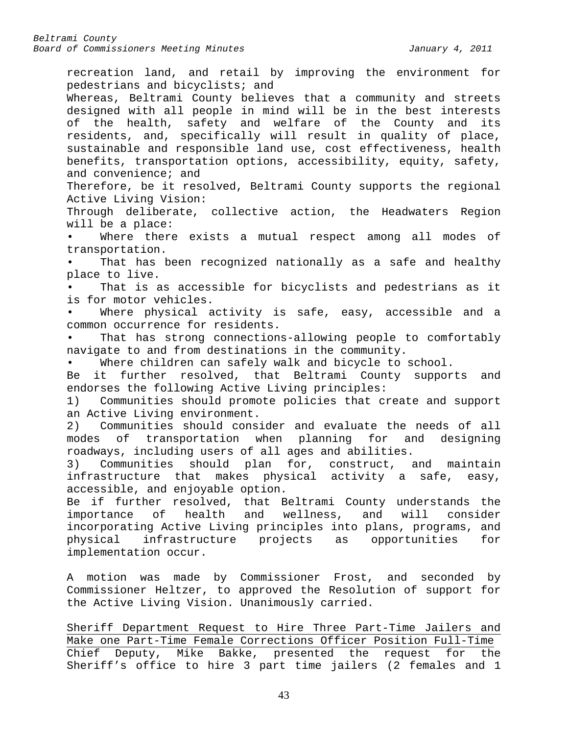recreation land, and retail by improving the environment for pedestrians and bicyclists; and Whereas, Beltrami County believes that a community and streets designed with all people in mind will be in the best interests of the health, safety and welfare of the County and its residents, and, specifically will result in quality of place, sustainable and responsible land use, cost effectiveness, health benefits, transportation options, accessibility, equity, safety, and convenience; and Therefore, be it resolved, Beltrami County supports the regional Active Living Vision: Through deliberate, collective action, the Headwaters Region will be a place: Where there exists a mutual respect among all modes of transportation. That has been recognized nationally as a safe and healthy place to live. That is as accessible for bicyclists and pedestrians as it is for motor vehicles. Where physical activity is safe, easy, accessible and a common occurrence for residents. That has strong connections-allowing people to comfortably navigate to and from destinations in the community. Where children can safely walk and bicycle to school. Be it further resolved, that Beltrami County supports and endorses the following Active Living principles: 1) Communities should promote policies that create and support an Active Living environment. 2) Communities should consider and evaluate the needs of all<br>modes of transportation when planning for and designing modes of transportation when planning for and roadways, including users of all ages and abilities. 3) Communities should plan for, construct, and maintain infrastructure that makes physical activity a safe, easy, accessible, and enjoyable option. Be if further resolved, that Beltrami County understands the importance of health and wellness, and will consider importance of health incorporating Active Living principles into plans, programs, and physical infrastructure projects as opportunities for implementation occur. A motion was made by Commissioner Frost, and seconded by Commissioner Heltzer, to approved the Resolution of support for the Active Living Vision. Unanimously carried. Sheriff Department Request to Hire Three Part-Time Jailers and Make one Part-Time Female Corrections Officer Position Full-Time Chief Deputy, Mike Bakke, presented the request for the Sheriff's office to hire 3 part time jailers (2 females and 1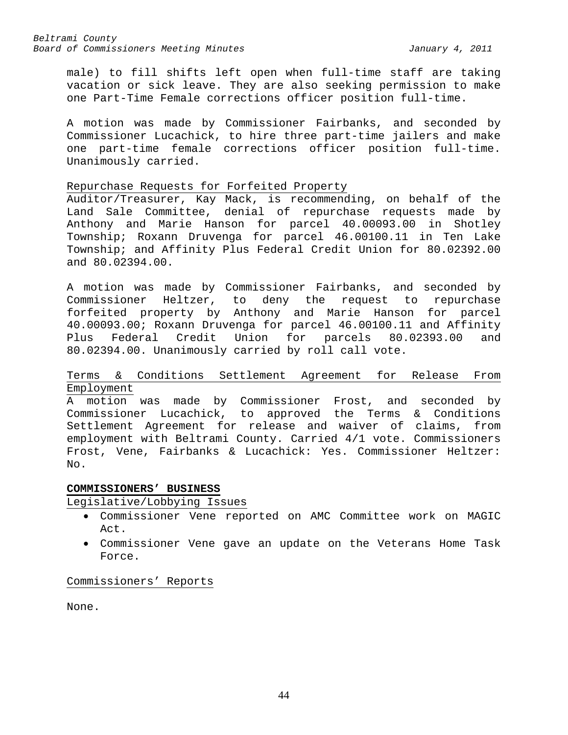male) to fill shifts left open when full-time staff are taking vacation or sick leave. They are also seeking permission to make one Part-Time Female corrections officer position full-time.

A motion was made by Commissioner Fairbanks, and seconded by Commissioner Lucachick, to hire three part-time jailers and make one part-time female corrections officer position full-time. Unanimously carried.

#### Repurchase Requests for Forfeited Property

Auditor/Treasurer, Kay Mack, is recommending, on behalf of the Land Sale Committee, denial of repurchase requests made by Anthony and Marie Hanson for parcel 40.00093.00 in Shotley Township; Roxann Druvenga for parcel 46.00100.11 in Ten Lake Township; and Affinity Plus Federal Credit Union for 80.02392.00 and 80.02394.00.

A motion was made by Commissioner Fairbanks, and seconded by Commissioner Heltzer, to deny the request to repurchase forfeited property by Anthony and Marie Hanson for parcel 40.00093.00; Roxann Druvenga for parcel 46.00100.11 and Affinity<br>Plus Federal Credit Union for parcels 80.02393.00 and  $parcels$   $80.02393.00$  and 80.02394.00. Unanimously carried by roll call vote.

# Terms & Conditions Settlement Agreement for Release From Employment

A motion was made by Commissioner Frost, and seconded by Commissioner Lucachick, to approved the Terms & Conditions Settlement Agreement for release and waiver of claims, from employment with Beltrami County. Carried 4/1 vote. Commissioners Frost, Vene, Fairbanks & Lucachick: Yes. Commissioner Heltzer: No.

# **COMMISSIONERS' BUSINESS**

#### Legislative/Lobbying Issues

- Commissioner Vene reported on AMC Committee work on MAGIC Act.
- Commissioner Vene gave an update on the Veterans Home Task Force.

Commissioners' Reports

None.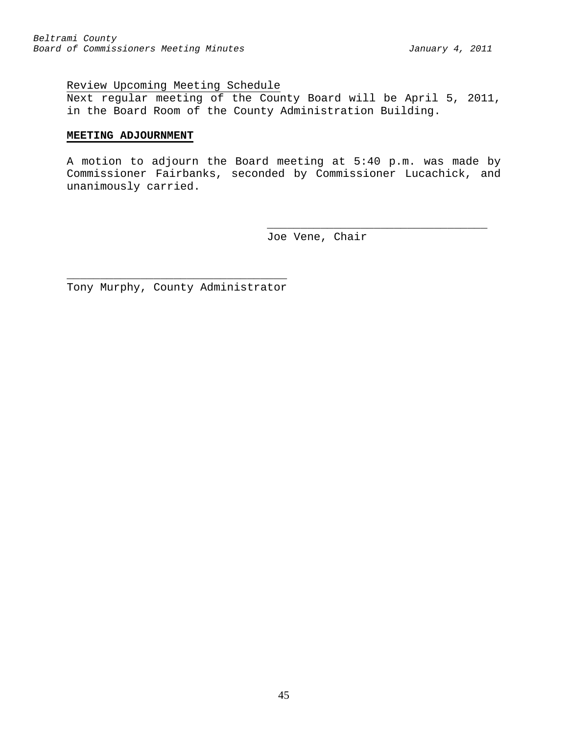# Review Upcoming Meeting Schedule

Next regular meeting of the County Board will be April 5, 2011, in the Board Room of the County Administration Building.

### **MEETING ADJOURNMENT**

A motion to adjourn the Board meeting at 5:40 p.m. was made by Commissioner Fairbanks, seconded by Commissioner Lucachick, and unanimously carried.

> \_\_\_\_\_\_\_\_\_\_\_\_\_\_\_\_\_\_\_\_\_\_\_\_\_\_\_\_\_\_\_\_\_ Joe Vene, Chair

\_\_\_\_\_\_\_\_\_\_\_\_\_\_\_\_\_\_\_\_\_\_\_\_\_\_\_\_\_\_\_\_\_ Tony Murphy, County Administrator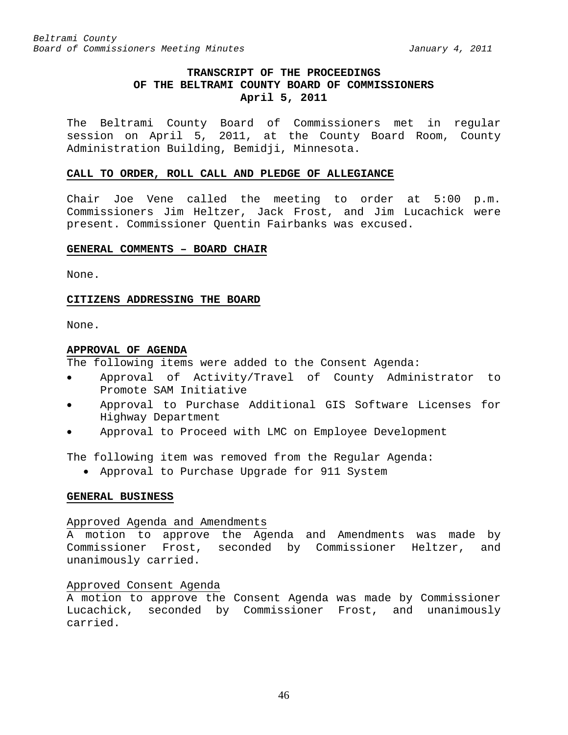# **TRANSCRIPT OF THE PROCEEDINGS OF THE BELTRAMI COUNTY BOARD OF COMMISSIONERS April 5, 2011**

The Beltrami County Board of Commissioners met in regular session on April 5, 2011, at the County Board Room, County Administration Building, Bemidji, Minnesota.

### **CALL TO ORDER, ROLL CALL AND PLEDGE OF ALLEGIANCE**

Chair Joe Vene called the meeting to order at 5:00 p.m. Commissioners Jim Heltzer, Jack Frost, and Jim Lucachick were present. Commissioner Quentin Fairbanks was excused.

### **GENERAL COMMENTS – BOARD CHAIR**

None.

### **CITIZENS ADDRESSING THE BOARD**

None.

### **APPROVAL OF AGENDA**

The following items were added to the Consent Agenda:

- Approval of Activity/Travel of County Administrator to Promote SAM Initiative
- Approval to Purchase Additional GIS Software Licenses for Highway Department
- Approval to Proceed with LMC on Employee Development

The following item was removed from the Regular Agenda:

• Approval to Purchase Upgrade for 911 System

# **GENERAL BUSINESS**

#### Approved Agenda and Amendments

A motion to approve the Agenda and Amendments was made by Commissioner Frost, seconded by Commissioner Heltzer, and unanimously carried.

# Approved Consent Agenda

A motion to approve the Consent Agenda was made by Commissioner Lucachick, seconded by Commissioner Frost, and unanimously carried.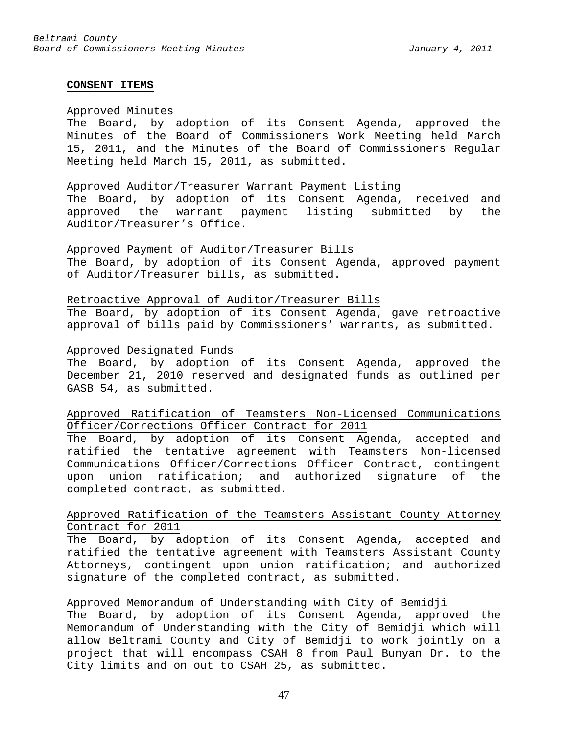#### **CONSENT ITEMS**

#### Approved Minutes

The Board, by adoption of its Consent Agenda, approved the Minutes of the Board of Commissioners Work Meeting held March 15, 2011, and the Minutes of the Board of Commissioners Regular Meeting held March 15, 2011, as submitted.

### Approved Auditor/Treasurer Warrant Payment Listing

The Board, by adoption of its Consent Agenda, received and approved the warrant payment listing submitted by the Auditor/Treasurer's Office.

# Approved Payment of Auditor/Treasurer Bills

The Board, by adoption of its Consent Agenda, approved payment of Auditor/Treasurer bills, as submitted.

#### Retroactive Approval of Auditor/Treasurer Bills

The Board, by adoption of its Consent Agenda, gave retroactive approval of bills paid by Commissioners' warrants, as submitted.

#### Approved Designated Funds

The Board, by adoption of its Consent Agenda, approved the December 21, 2010 reserved and designated funds as outlined per GASB 54, as submitted.

# Approved Ratification of Teamsters Non-Licensed Communications Officer/Corrections Officer Contract for 2011

The Board, by adoption of its Consent Agenda, accepted and ratified the tentative agreement with Teamsters Non-licensed Communications Officer/Corrections Officer Contract, contingent upon union ratification; and authorized signature of the completed contract, as submitted.

# Approved Ratification of the Teamsters Assistant County Attorney Contract for 2011

The Board, by adoption of its Consent Agenda, accepted and ratified the tentative agreement with Teamsters Assistant County Attorneys, contingent upon union ratification; and authorized signature of the completed contract, as submitted.

### Approved Memorandum of Understanding with City of Bemidji

The Board, by adoption of its Consent Agenda, approved the Memorandum of Understanding with the City of Bemidji which will allow Beltrami County and City of Bemidji to work jointly on a project that will encompass CSAH 8 from Paul Bunyan Dr. to the City limits and on out to CSAH 25, as submitted.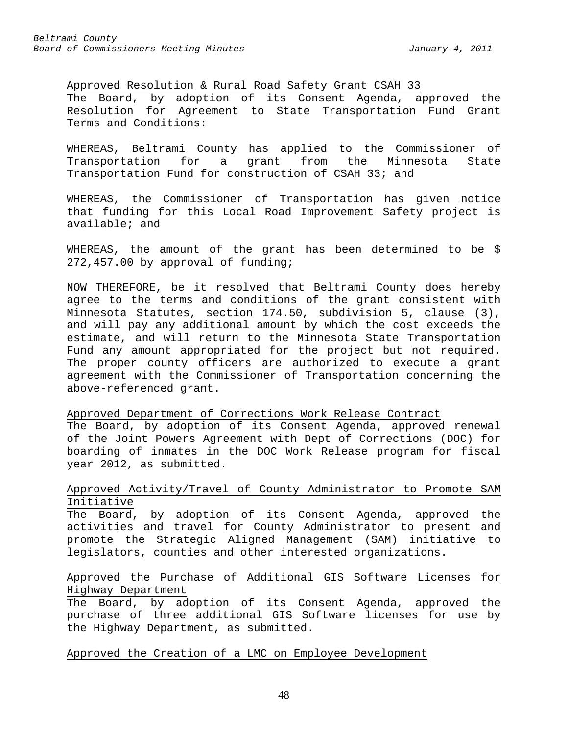Approved Resolution & Rural Road Safety Grant CSAH 33 The Board, by adoption of its Consent Agenda, approved the Resolution for Agreement to State Transportation Fund Grant Terms and Conditions:

WHEREAS, Beltrami County has applied to the Commissioner of Transportation for a grant from the Minnesota State Transportation Fund for construction of CSAH 33; and

WHEREAS, the Commissioner of Transportation has given notice that funding for this Local Road Improvement Safety project is available; and

WHEREAS, the amount of the grant has been determined to be \$ 272,457.00 by approval of funding;

NOW THEREFORE, be it resolved that Beltrami County does hereby agree to the terms and conditions of the grant consistent with Minnesota Statutes, section 174.50, subdivision 5, clause (3), and will pay any additional amount by which the cost exceeds the estimate, and will return to the Minnesota State Transportation Fund any amount appropriated for the project but not required. The proper county officers are authorized to execute a grant agreement with the Commissioner of Transportation concerning the above-referenced grant.

Approved Department of Corrections Work Release Contract

The Board, by adoption of its Consent Agenda, approved renewal of the Joint Powers Agreement with Dept of Corrections (DOC) for boarding of inmates in the DOC Work Release program for fiscal year 2012, as submitted.

# Approved Activity/Travel of County Administrator to Promote SAM Initiative

The Board, by adoption of its Consent Agenda, approved the activities and travel for County Administrator to present and promote the Strategic Aligned Management (SAM) initiative to legislators, counties and other interested organizations.

# Approved the Purchase of Additional GIS Software Licenses for Highway Department

The Board, by adoption of its Consent Agenda, approved the purchase of three additional GIS Software licenses for use by the Highway Department, as submitted.

### Approved the Creation of a LMC on Employee Development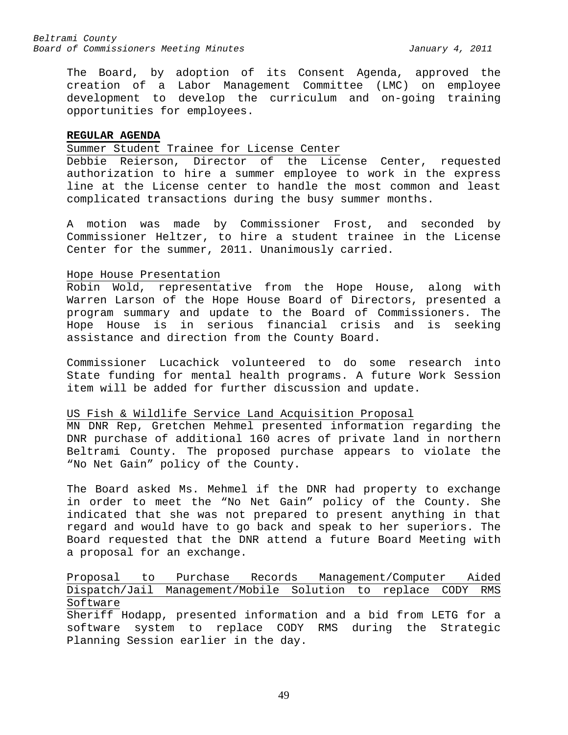The Board, by adoption of its Consent Agenda, approved the creation of a Labor Management Committee (LMC) on employee development to develop the curriculum and on-going training opportunities for employees.

#### **REGULAR AGENDA**

### Summer Student Trainee for License Center

Debbie Reierson, Director of the License Center, requested authorization to hire a summer employee to work in the express line at the License center to handle the most common and least complicated transactions during the busy summer months.

A motion was made by Commissioner Frost, and seconded by Commissioner Heltzer, to hire a student trainee in the License Center for the summer, 2011. Unanimously carried.

#### Hope House Presentation

Robin Wold, representative from the Hope House, along with Warren Larson of the Hope House Board of Directors, presented a program summary and update to the Board of Commissioners. The Hope House is in serious financial crisis and is seeking assistance and direction from the County Board.

Commissioner Lucachick volunteered to do some research into State funding for mental health programs. A future Work Session item will be added for further discussion and update.

# US Fish & Wildlife Service Land Acquisition Proposal

MN DNR Rep, Gretchen Mehmel presented information regarding the DNR purchase of additional 160 acres of private land in northern Beltrami County. The proposed purchase appears to violate the "No Net Gain" policy of the County.

The Board asked Ms. Mehmel if the DNR had property to exchange in order to meet the "No Net Gain" policy of the County. She indicated that she was not prepared to present anything in that regard and would have to go back and speak to her superiors. The Board requested that the DNR attend a future Board Meeting with a proposal for an exchange.

# Proposal to Purchase Records Management/Computer Aided Dispatch/Jail Management/Mobile Solution to replace CODY RMS Software

Sheriff Hodapp, presented information and a bid from LETG for a software system to replace CODY RMS during the Strategic Planning Session earlier in the day.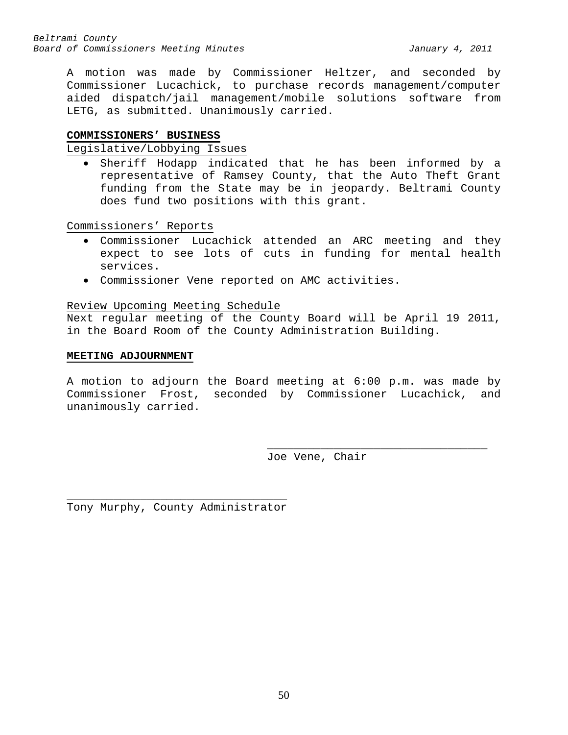A motion was made by Commissioner Heltzer, and seconded by Commissioner Lucachick, to purchase records management/computer aided dispatch/jail management/mobile solutions software from LETG, as submitted. Unanimously carried.

#### **COMMISSIONERS' BUSINESS**

Legislative/Lobbying Issues

• Sheriff Hodapp indicated that he has been informed by a representative of Ramsey County, that the Auto Theft Grant funding from the State may be in jeopardy. Beltrami County does fund two positions with this grant.

Commissioners' Reports

- Commissioner Lucachick attended an ARC meeting and they expect to see lots of cuts in funding for mental health services.
- Commissioner Vene reported on AMC activities.

### Review Upcoming Meeting Schedule

Next regular meeting of the County Board will be April 19 2011, in the Board Room of the County Administration Building.

#### **MEETING ADJOURNMENT**

A motion to adjourn the Board meeting at 6:00 p.m. was made by Commissioner Frost, seconded by Commissioner Lucachick, and unanimously carried.

Joe Vene, Chair

\_\_\_\_\_\_\_\_\_\_\_\_\_\_\_\_\_\_\_\_\_\_\_\_\_\_\_\_\_\_\_\_\_

\_\_\_\_\_\_\_\_\_\_\_\_\_\_\_\_\_\_\_\_\_\_\_\_\_\_\_\_\_\_\_\_\_ Tony Murphy, County Administrator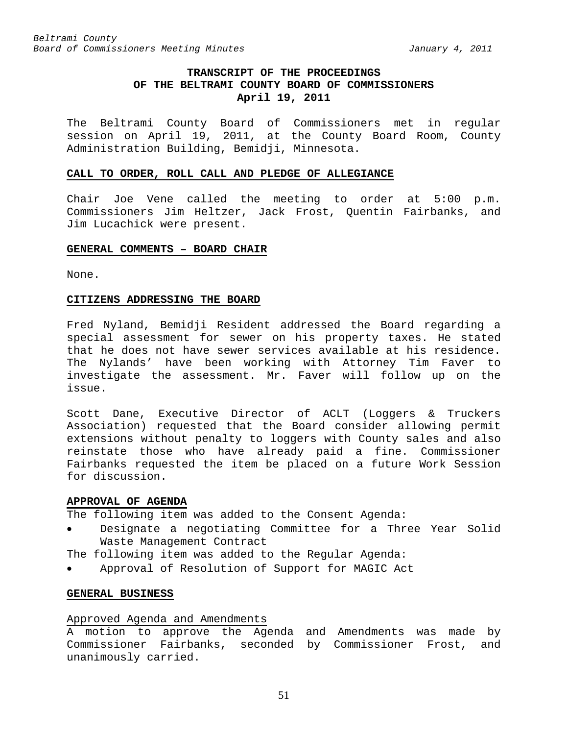# **TRANSCRIPT OF THE PROCEEDINGS OF THE BELTRAMI COUNTY BOARD OF COMMISSIONERS April 19, 2011**

The Beltrami County Board of Commissioners met in regular session on April 19, 2011, at the County Board Room, County Administration Building, Bemidji, Minnesota.

#### **CALL TO ORDER, ROLL CALL AND PLEDGE OF ALLEGIANCE**

Chair Joe Vene called the meeting to order at 5:00 p.m. Commissioners Jim Heltzer, Jack Frost, Quentin Fairbanks, and Jim Lucachick were present.

#### **GENERAL COMMENTS – BOARD CHAIR**

None.

### **CITIZENS ADDRESSING THE BOARD**

Fred Nyland, Bemidji Resident addressed the Board regarding a special assessment for sewer on his property taxes. He stated that he does not have sewer services available at his residence. The Nylands' have been working with Attorney Tim Faver to investigate the assessment. Mr. Faver will follow up on the issue.

Scott Dane, Executive Director of ACLT (Loggers & Truckers Association) requested that the Board consider allowing permit extensions without penalty to loggers with County sales and also reinstate those who have already paid a fine. Commissioner Fairbanks requested the item be placed on a future Work Session for discussion.

#### **APPROVAL OF AGENDA**

The following item was added to the Consent Agenda:

Designate a negotiating Committee for a Three Year Solid Waste Management Contract

The following item was added to the Regular Agenda:

• Approval of Resolution of Support for MAGIC Act

# **GENERAL BUSINESS**

#### Approved Agenda and Amendments

A motion to approve the Agenda and Amendments was made by Commissioner Fairbanks, seconded by Commissioner Frost, and unanimously carried.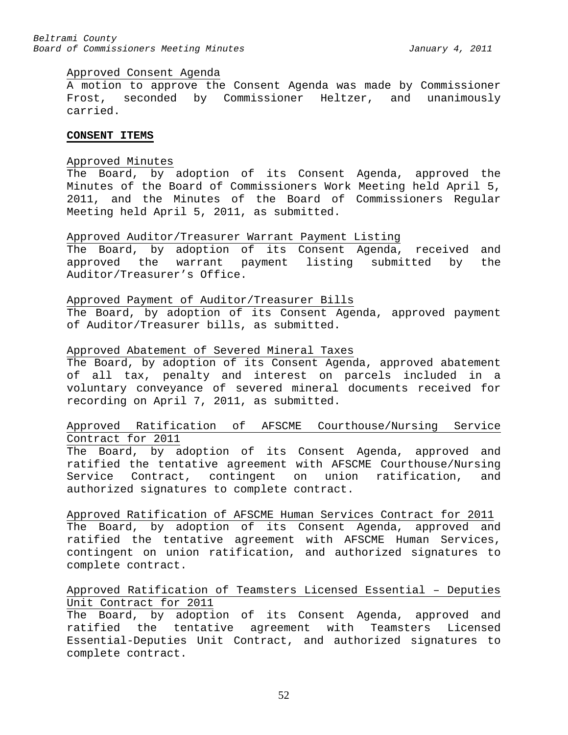#### Approved Consent Agenda

A motion to approve the Consent Agenda was made by Commissioner Frost, seconded by Commissioner Heltzer, and unanimously carried.

### **CONSENT ITEMS**

#### Approved Minutes

The Board, by adoption of its Consent Agenda, approved the Minutes of the Board of Commissioners Work Meeting held April 5, 2011, and the Minutes of the Board of Commissioners Regular Meeting held April 5, 2011, as submitted.

#### Approved Auditor/Treasurer Warrant Payment Listing

The Board, by adoption of its Consent Agenda, received and approved the warrant payment listing submitted by the Auditor/Treasurer's Office.

#### Approved Payment of Auditor/Treasurer Bills

The Board, by adoption of its Consent Agenda, approved payment of Auditor/Treasurer bills, as submitted.

#### Approved Abatement of Severed Mineral Taxes

The Board, by adoption of its Consent Agenda, approved abatement of all tax, penalty and interest on parcels included in a voluntary conveyance of severed mineral documents received for recording on April 7, 2011, as submitted.

# Approved Ratification of AFSCME Courthouse/Nursing Service Contract for 2011

The Board, by adoption of its Consent Agenda, approved and ratified the tentative agreement with AFSCME Courthouse/Nursing Service Contract, contingent on union ratification, and authorized signatures to complete contract.

Approved Ratification of AFSCME Human Services Contract for 2011 The Board, by adoption of its Consent Agenda, approved and ratified the tentative agreement with AFSCME Human Services, contingent on union ratification, and authorized signatures to complete contract.

# Approved Ratification of Teamsters Licensed Essential – Deputies Unit Contract for 2011

The Board, by adoption of its Consent Agenda, approved and ratified the tentative agreement with Teamsters Licensed Essential-Deputies Unit Contract, and authorized signatures to complete contract.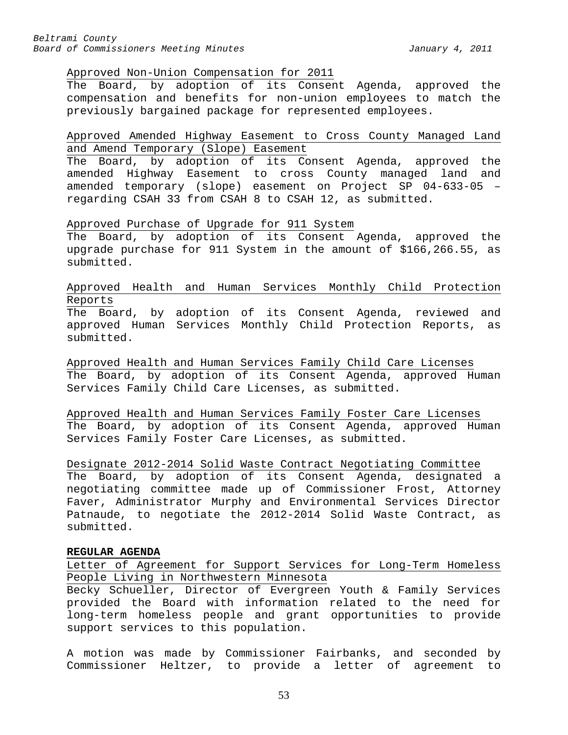#### Approved Non-Union Compensation for 2011

The Board, by adoption of its Consent Agenda, approved the compensation and benefits for non-union employees to match the previously bargained package for represented employees.

# Approved Amended Highway Easement to Cross County Managed Land and Amend Temporary (Slope) Easement

The Board, by adoption of its Consent Agenda, approved the amended Highway Easement to cross County managed land and amended temporary (slope) easement on Project SP 04-633-05 – regarding CSAH 33 from CSAH 8 to CSAH 12, as submitted.

### Approved Purchase of Upgrade for 911 System

The Board, by adoption of its Consent Agenda, approved the upgrade purchase for 911 System in the amount of \$166,266.55, as submitted.

# Approved Health and Human Services Monthly Child Protection Reports

The Board, by adoption of its Consent Agenda, reviewed and approved Human Services Monthly Child Protection Reports, as submitted.

Approved Health and Human Services Family Child Care Licenses The Board, by adoption of its Consent Agenda, approved Human Services Family Child Care Licenses, as submitted.

Approved Health and Human Services Family Foster Care Licenses The Board, by adoption of its Consent Agenda, approved Human Services Family Foster Care Licenses, as submitted.

Designate 2012-2014 Solid Waste Contract Negotiating Committee The Board, by adoption of its Consent Agenda, designated a negotiating committee made up of Commissioner Frost, Attorney Faver, Administrator Murphy and Environmental Services Director Patnaude, to negotiate the 2012-2014 Solid Waste Contract, as submitted.

#### **REGULAR AGENDA**

Letter of Agreement for Support Services for Long-Term Homeless People Living in Northwestern Minnesota

Becky Schueller, Director of Evergreen Youth & Family Services provided the Board with information related to the need for long-term homeless people and grant opportunities to provide support services to this population.

A motion was made by Commissioner Fairbanks, and seconded by Commissioner Heltzer, to provide a letter of agreement to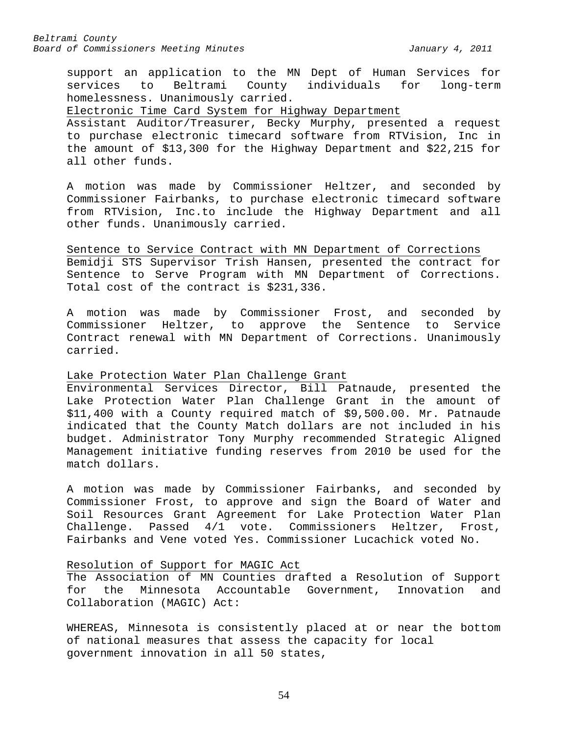support an application to the MN Dept of Human Services for services to Beltrami County individuals for long-term homelessness. Unanimously carried.

Electronic Time Card System for Highway Department

Assistant Auditor/Treasurer, Becky Murphy, presented a request to purchase electronic timecard software from RTVision, Inc in the amount of \$13,300 for the Highway Department and \$22,215 for all other funds.

A motion was made by Commissioner Heltzer, and seconded by Commissioner Fairbanks, to purchase electronic timecard software from RTVision, Inc.to include the Highway Department and all other funds. Unanimously carried.

Sentence to Service Contract with MN Department of Corrections Bemidji STS Supervisor Trish Hansen, presented the contract for Sentence to Serve Program with MN Department of Corrections. Total cost of the contract is \$231,336.

A motion was made by Commissioner Frost, and seconded by Commissioner Heltzer, to approve the Sentence to Service Contract renewal with MN Department of Corrections. Unanimously carried.

### Lake Protection Water Plan Challenge Grant

Environmental Services Director, Bill Patnaude, presented the Lake Protection Water Plan Challenge Grant in the amount of \$11,400 with a County required match of \$9,500.00. Mr. Patnaude indicated that the County Match dollars are not included in his budget. Administrator Tony Murphy recommended Strategic Aligned Management initiative funding reserves from 2010 be used for the match dollars.

A motion was made by Commissioner Fairbanks, and seconded by Commissioner Frost, to approve and sign the Board of Water and Soil Resources Grant Agreement for Lake Protection Water Plan Challenge. Passed 4/1 vote. Commissioners Heltzer, Frost, Fairbanks and Vene voted Yes. Commissioner Lucachick voted No.

# Resolution of Support for MAGIC Act

The Association of MN Counties drafted a Resolution of Support for the Minnesota Accountable Government, Innovation and Collaboration (MAGIC) Act:

WHEREAS, Minnesota is consistently placed at or near the bottom of national measures that assess the capacity for local government innovation in all 50 states,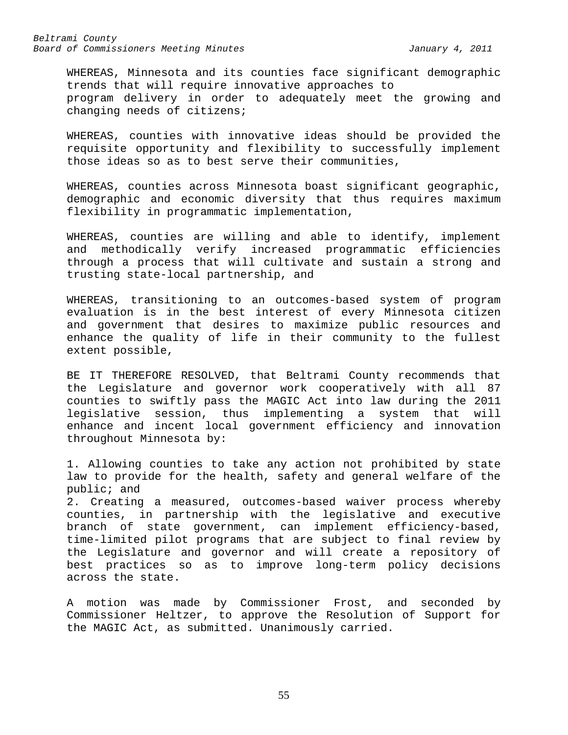WHEREAS, Minnesota and its counties face significant demographic trends that will require innovative approaches to program delivery in order to adequately meet the growing and changing needs of citizens;

WHEREAS, counties with innovative ideas should be provided the requisite opportunity and flexibility to successfully implement those ideas so as to best serve their communities,

WHEREAS, counties across Minnesota boast significant geographic, demographic and economic diversity that thus requires maximum flexibility in programmatic implementation,

WHEREAS, counties are willing and able to identify, implement and methodically verify increased programmatic efficiencies through a process that will cultivate and sustain a strong and trusting state-local partnership, and

WHEREAS, transitioning to an outcomes-based system of program evaluation is in the best interest of every Minnesota citizen and government that desires to maximize public resources and enhance the quality of life in their community to the fullest extent possible,

BE IT THEREFORE RESOLVED, that Beltrami County recommends that the Legislature and governor work cooperatively with all 87 counties to swiftly pass the MAGIC Act into law during the 2011 legislative session, thus implementing a system that will enhance and incent local government efficiency and innovation throughout Minnesota by:

1. Allowing counties to take any action not prohibited by state law to provide for the health, safety and general welfare of the public; and

2. Creating a measured, outcomes-based waiver process whereby counties, in partnership with the legislative and executive branch of state government, can implement efficiency-based, time-limited pilot programs that are subject to final review by the Legislature and governor and will create a repository of best practices so as to improve long-term policy decisions across the state.

A motion was made by Commissioner Frost, and seconded by Commissioner Heltzer, to approve the Resolution of Support for the MAGIC Act, as submitted. Unanimously carried.

55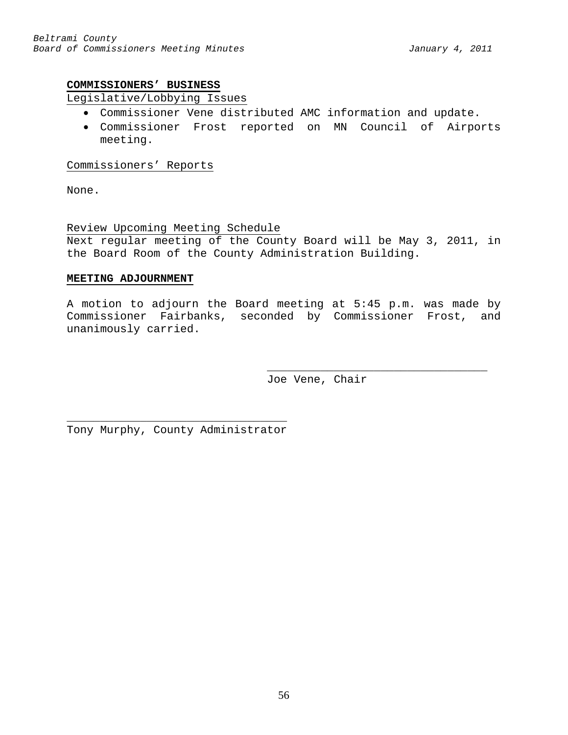### **COMMISSIONERS' BUSINESS**

# Legislative/Lobbying Issues

- Commissioner Vene distributed AMC information and update.
- Commissioner Frost reported on MN Council of Airports meeting.

Commissioners' Reports

None.

Review Upcoming Meeting Schedule

Next regular meeting of the County Board will be May 3, 2011, in the Board Room of the County Administration Building.

### **MEETING ADJOURNMENT**

A motion to adjourn the Board meeting at 5:45 p.m. was made by Commissioner Fairbanks, seconded by Commissioner Frost, and unanimously carried.

> \_\_\_\_\_\_\_\_\_\_\_\_\_\_\_\_\_\_\_\_\_\_\_\_\_\_\_\_\_\_\_\_\_ Joe Vene, Chair

\_\_\_\_\_\_\_\_\_\_\_\_\_\_\_\_\_\_\_\_\_\_\_\_\_\_\_\_\_\_\_\_\_ Tony Murphy, County Administrator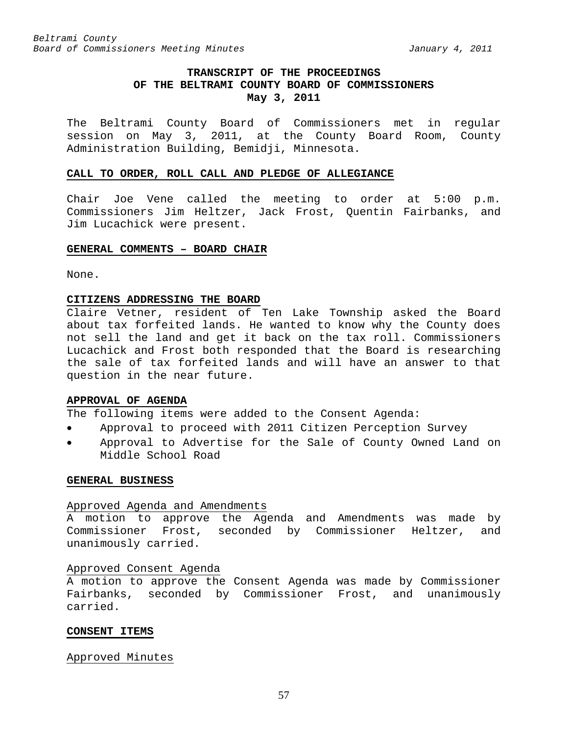# **TRANSCRIPT OF THE PROCEEDINGS OF THE BELTRAMI COUNTY BOARD OF COMMISSIONERS May 3, 2011**

The Beltrami County Board of Commissioners met in regular session on May 3, 2011, at the County Board Room, County Administration Building, Bemidji, Minnesota.

#### **CALL TO ORDER, ROLL CALL AND PLEDGE OF ALLEGIANCE**

Chair Joe Vene called the meeting to order at 5:00 p.m. Commissioners Jim Heltzer, Jack Frost, Quentin Fairbanks, and Jim Lucachick were present.

# **GENERAL COMMENTS – BOARD CHAIR**

None.

# **CITIZENS ADDRESSING THE BOARD**

Claire Vetner, resident of Ten Lake Township asked the Board about tax forfeited lands. He wanted to know why the County does not sell the land and get it back on the tax roll. Commissioners Lucachick and Frost both responded that the Board is researching the sale of tax forfeited lands and will have an answer to that question in the near future.

# **APPROVAL OF AGENDA**

The following items were added to the Consent Agenda:

- Approval to proceed with 2011 Citizen Perception Survey
- Approval to Advertise for the Sale of County Owned Land on Middle School Road

#### **GENERAL BUSINESS**

#### Approved Agenda and Amendments

A motion to approve the Agenda and Amendments was made by Commissioner Frost, seconded by Commissioner Heltzer, and unanimously carried.

#### Approved Consent Agenda

A motion to approve the Consent Agenda was made by Commissioner Fairbanks, seconded by Commissioner Frost, and unanimously carried.

#### **CONSENT ITEMS**

### Approved Minutes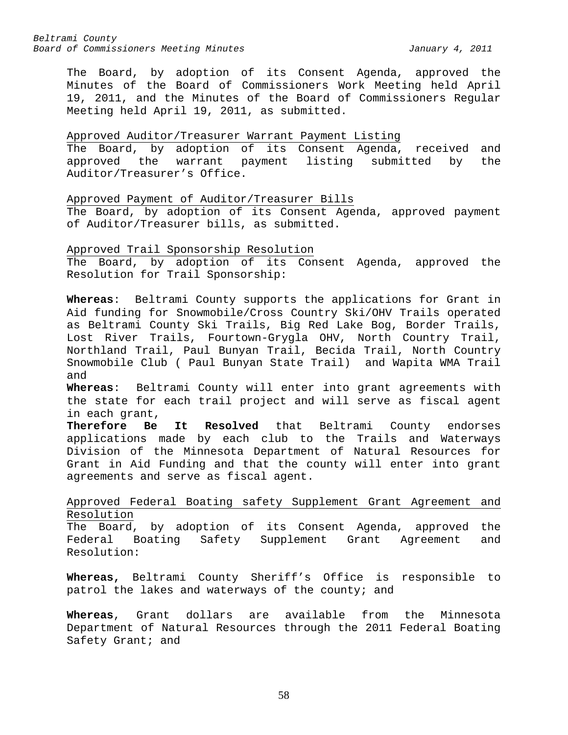The Board, by adoption of its Consent Agenda, approved the Minutes of the Board of Commissioners Work Meeting held April 19, 2011, and the Minutes of the Board of Commissioners Regular Meeting held April 19, 2011, as submitted.

# Approved Auditor/Treasurer Warrant Payment Listing

The Board, by adoption of its Consent Agenda, received and approved the warrant payment listing submitted by the Auditor/Treasurer's Office.

Approved Payment of Auditor/Treasurer Bills

The Board, by adoption of its Consent Agenda, approved payment of Auditor/Treasurer bills, as submitted.

Approved Trail Sponsorship Resolution The Board, by adoption of its Consent Agenda, approved the Resolution for Trail Sponsorship:

**Whereas**: Beltrami County supports the applications for Grant in Aid funding for Snowmobile/Cross Country Ski/OHV Trails operated as Beltrami County Ski Trails, Big Red Lake Bog, Border Trails, Lost River Trails, Fourtown-Grygla OHV, North Country Trail, Northland Trail, Paul Bunyan Trail, Becida Trail, North Country Snowmobile Club ( Paul Bunyan State Trail) and Wapita WMA Trail and

**Whereas**: Beltrami County will enter into grant agreements with the state for each trail project and will serve as fiscal agent in each grant,<br>Therefore Be

**Be It Resolved** that Beltrami County endorses applications made by each club to the Trails and Waterways Division of the Minnesota Department of Natural Resources for Grant in Aid Funding and that the county will enter into grant agreements and serve as fiscal agent.

Approved Federal Boating safety Supplement Grant Agreement and Resolution

The Board, by adoption of its Consent Agenda, approved the Federal Boating Safety Supplement Grant Agreement and Resolution:

**Whereas,** Beltrami County Sheriff's Office is responsible to patrol the lakes and waterways of the county; and

**Whereas**, Grant dollars are available from the Minnesota Department of Natural Resources through the 2011 Federal Boating Safety Grant; and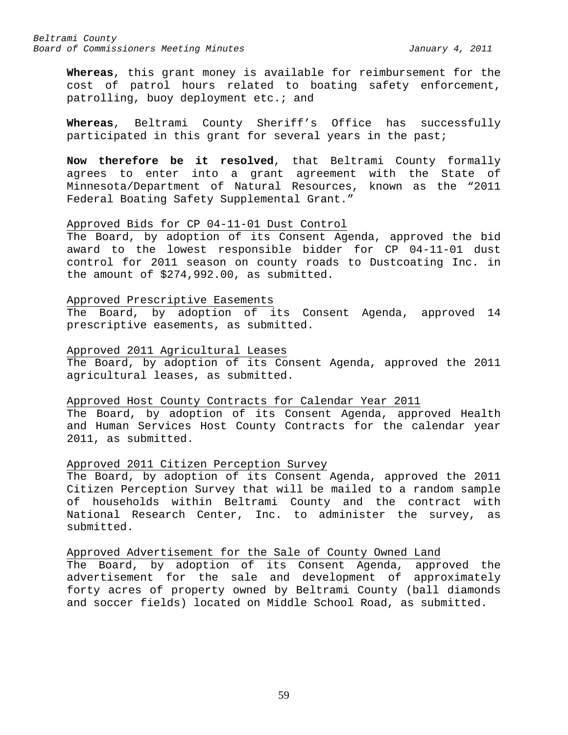**Whereas**, this grant money is available for reimbursement for the cost of patrol hours related to boating safety enforcement, patrolling, buoy deployment etc.; and

**Whereas**, Beltrami County Sheriff's Office has successfully participated in this grant for several years in the past;

**Now therefore be it resolved**, that Beltrami County formally agrees to enter into a grant agreement with the State of Minnesota/Department of Natural Resources, known as the "2011 Federal Boating Safety Supplemental Grant."

# Approved Bids for CP 04-11-01 Dust Control

The Board, by adoption of its Consent Agenda, approved the bid award to the lowest responsible bidder for CP 04-11-01 dust control for 2011 season on county roads to Dustcoating Inc. in the amount of \$274,992.00, as submitted.

#### Approved Prescriptive Easements

The Board, by adoption of its Consent Agenda, approved 14 prescriptive easements, as submitted.

#### Approved 2011 Agricultural Leases

The Board, by adoption of its Consent Agenda, approved the 2011 agricultural leases, as submitted.

### Approved Host County Contracts for Calendar Year 2011

The Board, by adoption of its Consent Agenda, approved Health and Human Services Host County Contracts for the calendar year 2011, as submitted.

# Approved 2011 Citizen Perception Survey

The Board, by adoption of its Consent Agenda, approved the 2011 Citizen Perception Survey that will be mailed to a random sample of households within Beltrami County and the contract with National Research Center, Inc. to administer the survey, as submitted.

Approved Advertisement for the Sale of County Owned Land The Board, by adoption of its Consent Agenda, approved the advertisement for the sale and development of approximately forty acres of property owned by Beltrami County (ball diamonds and soccer fields) located on Middle School Road, as submitted.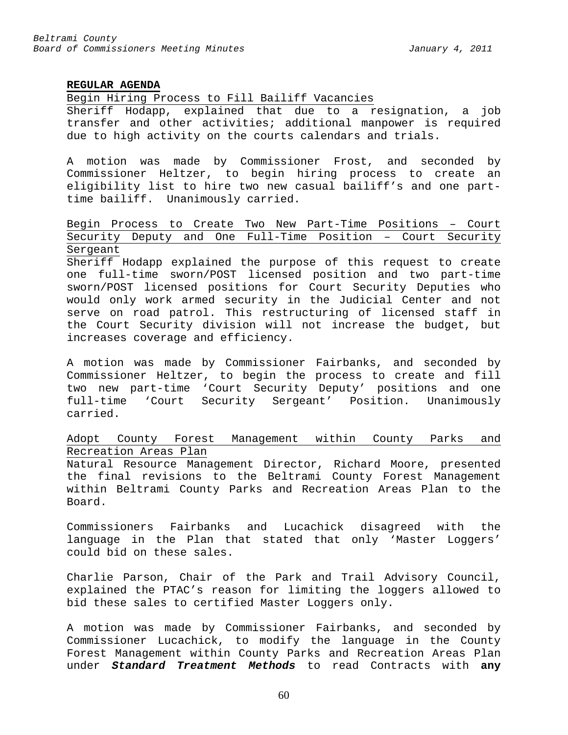### **REGULAR AGENDA**

Begin Hiring Process to Fill Bailiff Vacancies

Sheriff Hodapp, explained that due to a resignation, a job transfer and other activities; additional manpower is required due to high activity on the courts calendars and trials.

A motion was made by Commissioner Frost, and seconded by Commissioner Heltzer, to begin hiring process to create an eligibility list to hire two new casual bailiff's and one parttime bailiff. Unanimously carried.

Begin Process to Create Two New Part-Time Positions – Court Security Deputy and One Full-Time Position – Court Security Sergeant

Sheriff Hodapp explained the purpose of this request to create one full-time sworn/POST licensed position and two part-time sworn/POST licensed positions for Court Security Deputies who would only work armed security in the Judicial Center and not serve on road patrol. This restructuring of licensed staff in the Court Security division will not increase the budget, but increases coverage and efficiency.

A motion was made by Commissioner Fairbanks, and seconded by Commissioner Heltzer, to begin the process to create and fill two new part-time 'Court Security Deputy' positions and one full-time 'Court Security Sergeant' Position. Unanimously carried.

# Adopt County Forest Management within County Parks and Recreation Areas Plan

Natural Resource Management Director, Richard Moore, presented the final revisions to the Beltrami County Forest Management within Beltrami County Parks and Recreation Areas Plan to the Board.

Commissioners Fairbanks and Lucachick disagreed with the language in the Plan that stated that only 'Master Loggers' could bid on these sales.

Charlie Parson, Chair of the Park and Trail Advisory Council, explained the PTAC's reason for limiting the loggers allowed to bid these sales to certified Master Loggers only.

A motion was made by Commissioner Fairbanks, and seconded by Commissioner Lucachick, to modify the language in the County Forest Management within County Parks and Recreation Areas Plan under *Standard Treatment Methods* to read Contracts with **any**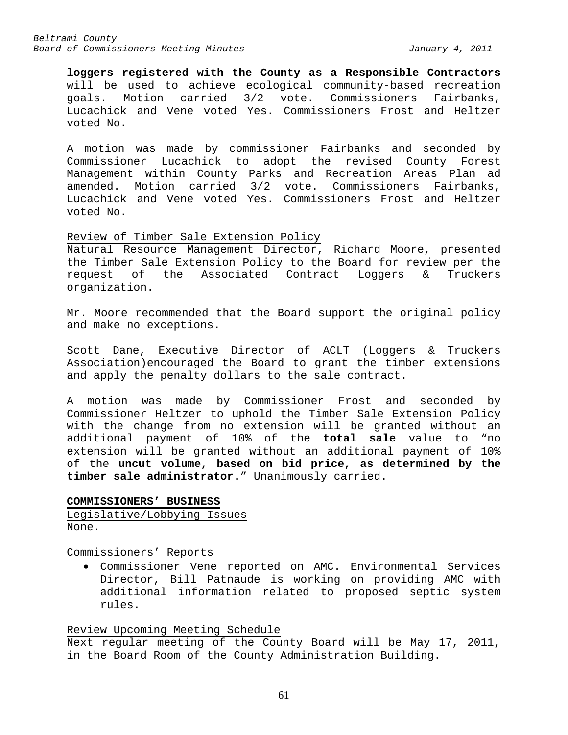**loggers registered with the County as a Responsible Contractors** will be used to achieve ecological community-based recreation<br>goals. Motion carried 3/2 vote. Commissioners Fairbanks, goals. Motion carried 3/2 vote. Commissioners Fairbanks, Lucachick and Vene voted Yes. Commissioners Frost and Heltzer voted No.

A motion was made by commissioner Fairbanks and seconded by Commissioner Lucachick to adopt the revised County Forest Management within County Parks and Recreation Areas Plan ad amended. Motion carried 3/2 vote. Commissioners Fairbanks, Lucachick and Vene voted Yes. Commissioners Frost and Heltzer voted No.

### Review of Timber Sale Extension Policy

Natural Resource Management Director, Richard Moore, presented the Timber Sale Extension Policy to the Board for review per the request of the Associated Contract Loggers & Truckers organization.

Mr. Moore recommended that the Board support the original policy and make no exceptions.

Scott Dane, Executive Director of ACLT (Loggers & Truckers Association)encouraged the Board to grant the timber extensions and apply the penalty dollars to the sale contract.

A motion was made by Commissioner Frost and seconded by Commissioner Heltzer to uphold the Timber Sale Extension Policy with the change from no extension will be granted without an additional payment of 10% of the **total sale** value to "no extension will be granted without an additional payment of 10% of the **uncut volume, based on bid price, as determined by the timber sale administrator.**" Unanimously carried.

**COMMISSIONERS' BUSINESS** Legislative/Lobbying Issues None.

Commissioners' Reports

• Commissioner Vene reported on AMC. Environmental Services Director, Bill Patnaude is working on providing AMC with additional information related to proposed septic system rules.

Review Upcoming Meeting Schedule Next regular meeting of the County Board will be May 17, 2011, in the Board Room of the County Administration Building.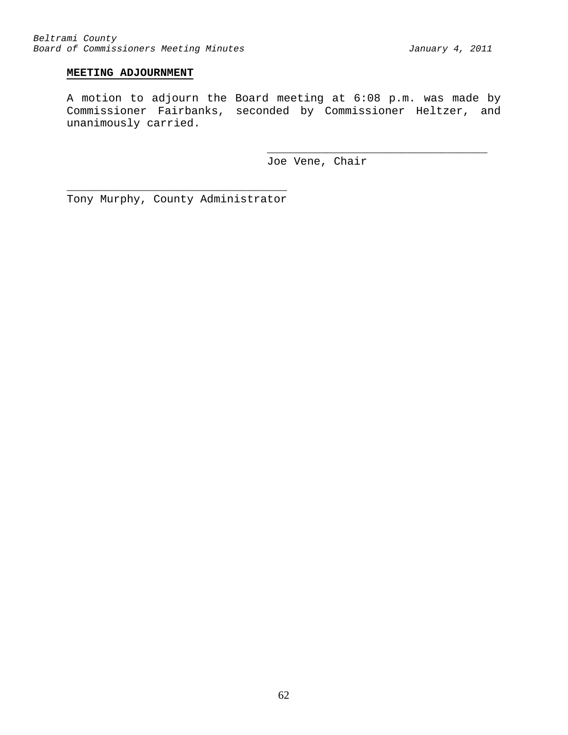# **MEETING ADJOURNMENT**

A motion to adjourn the Board meeting at 6:08 p.m. was made by Commissioner Fairbanks, seconded by Commissioner Heltzer, and unanimously carried.

Joe Vene, Chair

\_\_\_\_\_\_\_\_\_\_\_\_\_\_\_\_\_\_\_\_\_\_\_\_\_\_\_\_\_\_\_\_\_

\_\_\_\_\_\_\_\_\_\_\_\_\_\_\_\_\_\_\_\_\_\_\_\_\_\_\_\_\_\_\_\_\_ Tony Murphy, County Administrator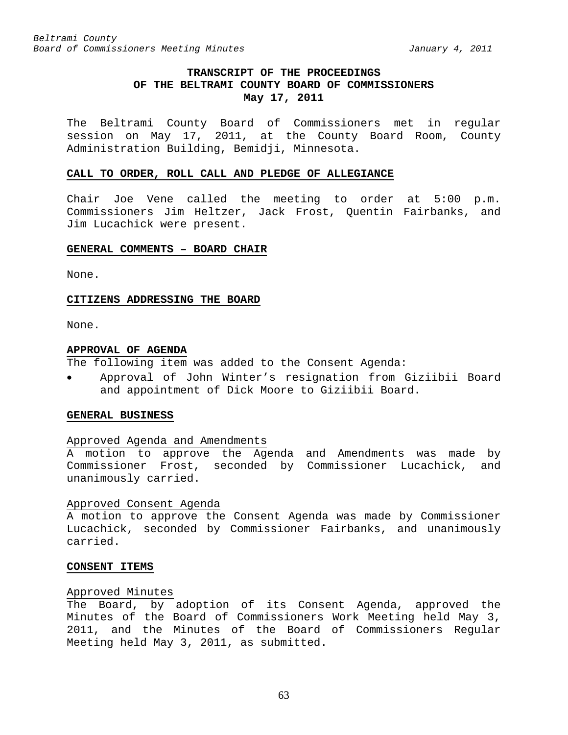# **TRANSCRIPT OF THE PROCEEDINGS OF THE BELTRAMI COUNTY BOARD OF COMMISSIONERS May 17, 2011**

The Beltrami County Board of Commissioners met in regular session on May 17, 2011, at the County Board Room, County Administration Building, Bemidji, Minnesota.

#### **CALL TO ORDER, ROLL CALL AND PLEDGE OF ALLEGIANCE**

Chair Joe Vene called the meeting to order at 5:00 p.m. Commissioners Jim Heltzer, Jack Frost, Quentin Fairbanks, and Jim Lucachick were present.

### **GENERAL COMMENTS – BOARD CHAIR**

None.

#### **CITIZENS ADDRESSING THE BOARD**

None.

#### **APPROVAL OF AGENDA**

The following item was added to the Consent Agenda:

• Approval of John Winter's resignation from Giziibii Board and appointment of Dick Moore to Giziibii Board.

#### **GENERAL BUSINESS**

#### Approved Agenda and Amendments

A motion to approve the Agenda and Amendments was made by Commissioner Frost, seconded by Commissioner Lucachick, and unanimously carried.

#### Approved Consent Agenda

A motion to approve the Consent Agenda was made by Commissioner Lucachick, seconded by Commissioner Fairbanks, and unanimously carried.

#### **CONSENT ITEMS**

#### Approved Minutes

The Board, by adoption of its Consent Agenda, approved the Minutes of the Board of Commissioners Work Meeting held May 3, 2011, and the Minutes of the Board of Commissioners Regular Meeting held May 3, 2011, as submitted.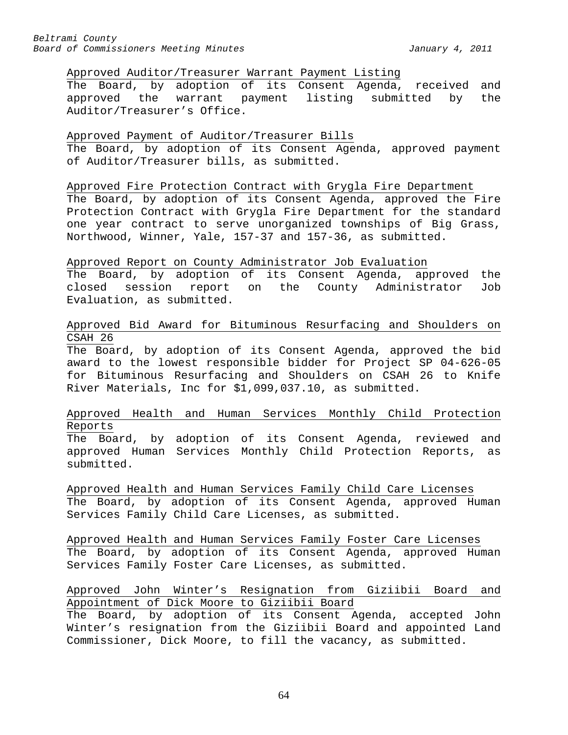### Approved Auditor/Treasurer Warrant Payment Listing

The Board, by adoption of its Consent Agenda, received and<br>approved the warrant payment listing submitted by the payment listing submitted by the Auditor/Treasurer's Office.

# Approved Payment of Auditor/Treasurer Bills The Board, by adoption of its Consent Agenda, approved payment of Auditor/Treasurer bills, as submitted.

#### Approved Fire Protection Contract with Grygla Fire Department

The Board, by adoption of its Consent Agenda, approved the Fire Protection Contract with Grygla Fire Department for the standard one year contract to serve unorganized townships of Big Grass, Northwood, Winner, Yale, 157-37 and 157-36, as submitted.

### Approved Report on County Administrator Job Evaluation

The Board, by adoption of its Consent Agenda, approved the closed session report on the County Administrator Job Evaluation, as submitted.

# Approved Bid Award for Bituminous Resurfacing and Shoulders on CSAH 26

The Board, by adoption of its Consent Agenda, approved the bid award to the lowest responsible bidder for Project SP 04-626-05 for Bituminous Resurfacing and Shoulders on CSAH 26 to Knife River Materials, Inc for \$1,099,037.10, as submitted.

# Approved Health and Human Services Monthly Child Protection Reports

The Board, by adoption of its Consent Agenda, reviewed and approved Human Services Monthly Child Protection Reports, as submitted.

Approved Health and Human Services Family Child Care Licenses The Board, by adoption of its Consent Agenda, approved Human Services Family Child Care Licenses, as submitted.

Approved Health and Human Services Family Foster Care Licenses The Board, by adoption of its Consent Agenda, approved Human Services Family Foster Care Licenses, as submitted.

# Approved John Winter's Resignation from Giziibii Board and Appointment of Dick Moore to Giziibii Board

The Board, by adoption of its Consent Agenda, accepted John Winter's resignation from the Giziibii Board and appointed Land Commissioner, Dick Moore, to fill the vacancy, as submitted.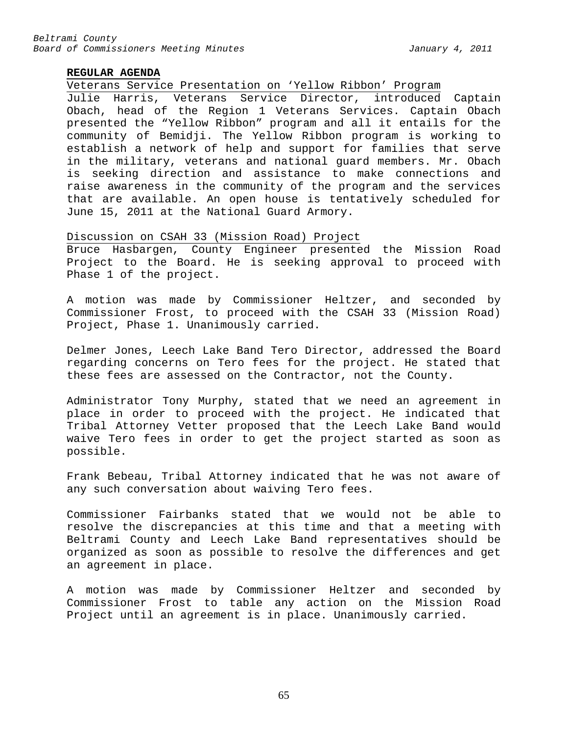# **REGULAR AGENDA**

Veterans Service Presentation on 'Yellow Ribbon' Program

Julie Harris, Veterans Service Director, introduced Captain Obach, head of the Region 1 Veterans Services. Captain Obach presented the "Yellow Ribbon" program and all it entails for the community of Bemidji. The Yellow Ribbon program is working to establish a network of help and support for families that serve in the military, veterans and national guard members. Mr. Obach is seeking direction and assistance to make connections and raise awareness in the community of the program and the services that are available. An open house is tentatively scheduled for June 15, 2011 at the National Guard Armory.

### Discussion on CSAH 33 (Mission Road) Project

Bruce Hasbargen, County Engineer presented the Mission Road Project to the Board. He is seeking approval to proceed with Phase 1 of the project.

A motion was made by Commissioner Heltzer, and seconded by Commissioner Frost, to proceed with the CSAH 33 (Mission Road) Project, Phase 1. Unanimously carried.

Delmer Jones, Leech Lake Band Tero Director, addressed the Board regarding concerns on Tero fees for the project. He stated that these fees are assessed on the Contractor, not the County.

Administrator Tony Murphy, stated that we need an agreement in place in order to proceed with the project. He indicated that Tribal Attorney Vetter proposed that the Leech Lake Band would waive Tero fees in order to get the project started as soon as possible.

Frank Bebeau, Tribal Attorney indicated that he was not aware of any such conversation about waiving Tero fees.

Commissioner Fairbanks stated that we would not be able to resolve the discrepancies at this time and that a meeting with Beltrami County and Leech Lake Band representatives should be organized as soon as possible to resolve the differences and get an agreement in place.

A motion was made by Commissioner Heltzer and seconded by Commissioner Frost to table any action on the Mission Road Project until an agreement is in place. Unanimously carried.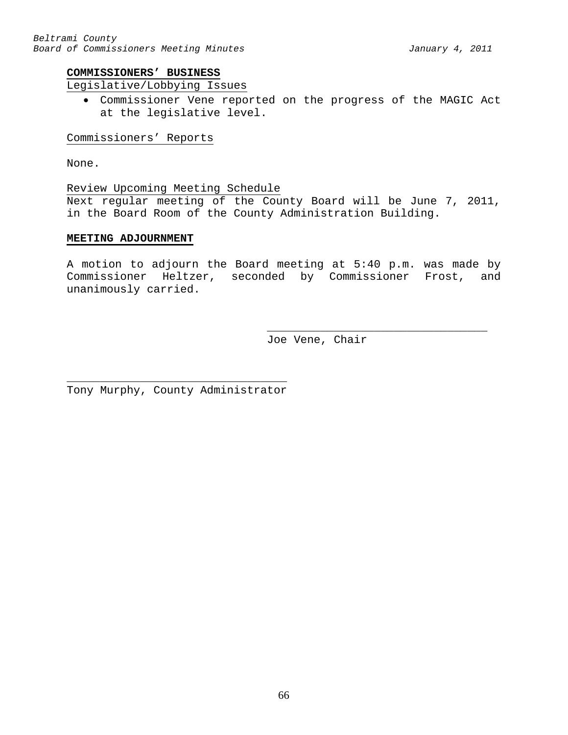# **COMMISSIONERS' BUSINESS**

# Legislative/Lobbying Issues

• Commissioner Vene reported on the progress of the MAGIC Act at the legislative level.

### Commissioners' Reports

None.

Review Upcoming Meeting Schedule Next regular meeting of the County Board will be June 7, 2011, in the Board Room of the County Administration Building.

# **MEETING ADJOURNMENT**

A motion to adjourn the Board meeting at 5:40 p.m. was made by Commissioner Heltzer, seconded by Commissioner Frost, and unanimously carried.

> \_\_\_\_\_\_\_\_\_\_\_\_\_\_\_\_\_\_\_\_\_\_\_\_\_\_\_\_\_\_\_\_\_ Joe Vene, Chair

\_\_\_\_\_\_\_\_\_\_\_\_\_\_\_\_\_\_\_\_\_\_\_\_\_\_\_\_\_\_\_\_\_ Tony Murphy, County Administrator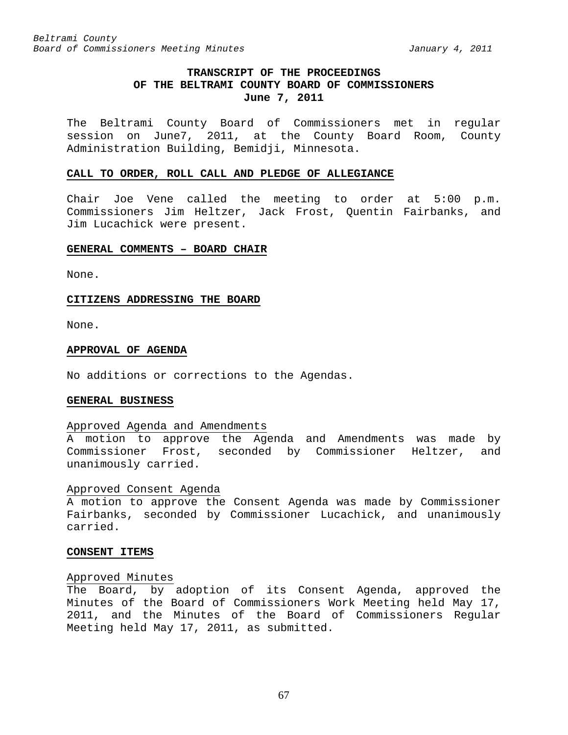# **TRANSCRIPT OF THE PROCEEDINGS OF THE BELTRAMI COUNTY BOARD OF COMMISSIONERS June 7, 2011**

The Beltrami County Board of Commissioners met in regular session on June7, 2011, at the County Board Room, County Administration Building, Bemidji, Minnesota.

#### **CALL TO ORDER, ROLL CALL AND PLEDGE OF ALLEGIANCE**

Chair Joe Vene called the meeting to order at 5:00 p.m. Commissioners Jim Heltzer, Jack Frost, Quentin Fairbanks, and Jim Lucachick were present.

### **GENERAL COMMENTS – BOARD CHAIR**

None.

#### **CITIZENS ADDRESSING THE BOARD**

None.

#### **APPROVAL OF AGENDA**

No additions or corrections to the Agendas.

#### **GENERAL BUSINESS**

#### Approved Agenda and Amendments

A motion to approve the Agenda and Amendments was made by Commissioner Frost, seconded by Commissioner Heltzer, and unanimously carried.

#### Approved Consent Agenda

A motion to approve the Consent Agenda was made by Commissioner Fairbanks, seconded by Commissioner Lucachick, and unanimously carried.

#### **CONSENT ITEMS**

### Approved Minutes

The Board, by adoption of its Consent Agenda, approved the Minutes of the Board of Commissioners Work Meeting held May 17, 2011, and the Minutes of the Board of Commissioners Regular Meeting held May 17, 2011, as submitted.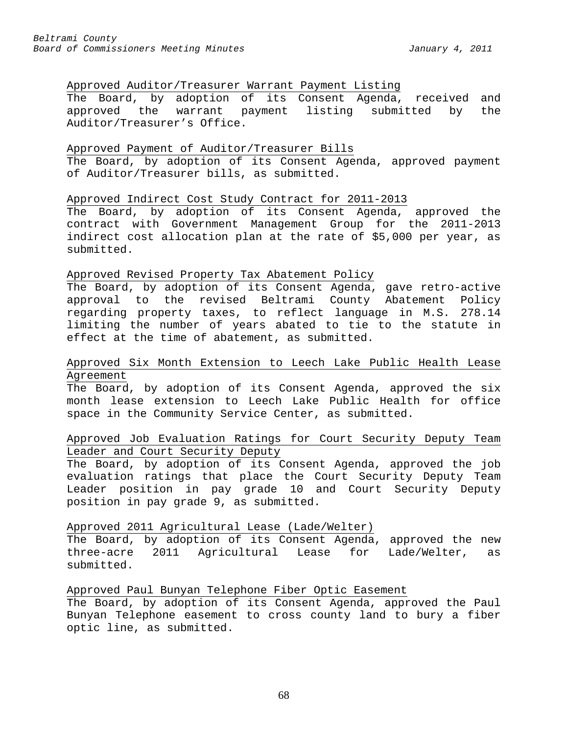# Approved Auditor/Treasurer Warrant Payment Listing

The Board, by adoption of its Consent Agenda, received and approved the warrant payment listing submitted by the Auditor/Treasurer's Office.

### Approved Payment of Auditor/Treasurer Bills

The Board, by adoption of its Consent Agenda, approved payment of Auditor/Treasurer bills, as submitted.

# Approved Indirect Cost Study Contract for 2011-2013

The Board, by adoption of its Consent Agenda, approved the contract with Government Management Group for the 2011-2013 indirect cost allocation plan at the rate of \$5,000 per year, as submitted.

# Approved Revised Property Tax Abatement Policy

The Board, by adoption of its Consent Agenda, gave retro-active approval to the revised Beltrami County Abatement Policy regarding property taxes, to reflect language in M.S. 278.14 limiting the number of years abated to tie to the statute in effect at the time of abatement, as submitted.

# Approved Six Month Extension to Leech Lake Public Health Lease Agreement

The Board, by adoption of its Consent Agenda, approved the six month lease extension to Leech Lake Public Health for office space in the Community Service Center, as submitted.

# Approved Job Evaluation Ratings for Court Security Deputy Team Leader and Court Security Deputy

The Board, by adoption of its Consent Agenda, approved the job evaluation ratings that place the Court Security Deputy Team Leader position in pay grade 10 and Court Security Deputy position in pay grade 9, as submitted.

### Approved 2011 Agricultural Lease (Lade/Welter)

The Board, by adoption of its Consent Agenda, approved the new three-acre 2011 Agricultural Lease for Lade/Welter, as submitted.

### Approved Paul Bunyan Telephone Fiber Optic Easement

The Board, by adoption of its Consent Agenda, approved the Paul Bunyan Telephone easement to cross county land to bury a fiber optic line, as submitted.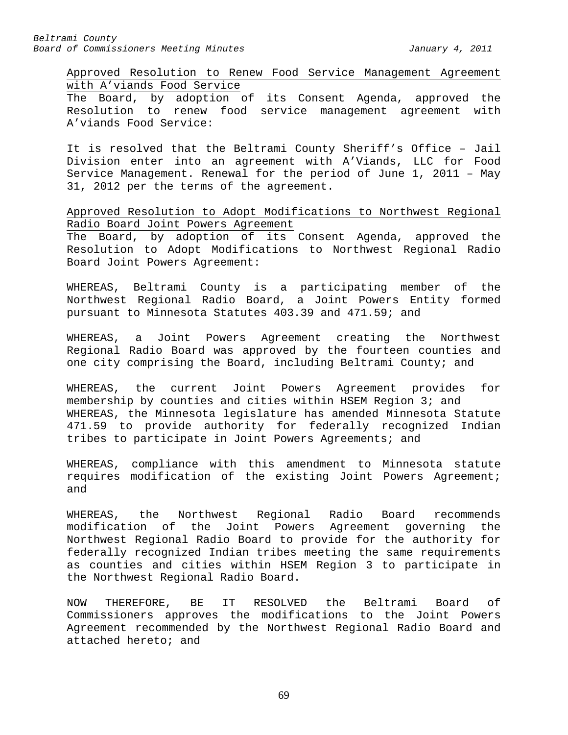Approved Resolution to Renew Food Service Management Agreement with A'viands Food Service

The Board, by adoption of its Consent Agenda, approved the Resolution to renew food service management agreement with A'viands Food Service:

It is resolved that the Beltrami County Sheriff's Office – Jail Division enter into an agreement with A'Viands, LLC for Food Service Management. Renewal for the period of June 1, 2011 – May 31, 2012 per the terms of the agreement.

Approved Resolution to Adopt Modifications to Northwest Regional Radio Board Joint Powers Agreement

The Board, by adoption of its Consent Agenda, approved the Resolution to Adopt Modifications to Northwest Regional Radio Board Joint Powers Agreement:

WHEREAS, Beltrami County is a participating member of the Northwest Regional Radio Board, a Joint Powers Entity formed pursuant to Minnesota Statutes 403.39 and 471.59; and

WHEREAS, a Joint Powers Agreement creating the Northwest Regional Radio Board was approved by the fourteen counties and one city comprising the Board, including Beltrami County; and

WHEREAS, the current Joint Powers Agreement provides for membership by counties and cities within HSEM Region 3; and WHEREAS, the Minnesota legislature has amended Minnesota Statute 471.59 to provide authority for federally recognized Indian tribes to participate in Joint Powers Agreements; and

WHEREAS, compliance with this amendment to Minnesota statute requires modification of the existing Joint Powers Agreement; and

WHEREAS, the Northwest Regional Radio Board recommends modification of the Joint Powers Agreement governing the Northwest Regional Radio Board to provide for the authority for federally recognized Indian tribes meeting the same requirements as counties and cities within HSEM Region 3 to participate in the Northwest Regional Radio Board.

NOW THEREFORE, BE IT RESOLVED the Beltrami Board of Commissioners approves the modifications to the Joint Powers Agreement recommended by the Northwest Regional Radio Board and attached hereto; and

69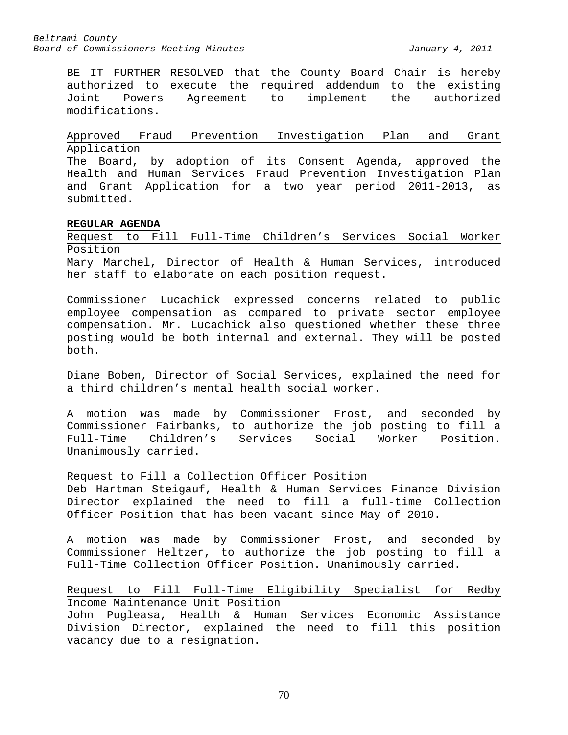BE IT FURTHER RESOLVED that the County Board Chair is hereby authorized to execute the required addendum to the existing<br>Joint Powers Agreement to implement the authorized to implement modifications.

Approved Fraud Prevention Investigation Plan and Grant Application

The Board, by adoption of its Consent Agenda, approved the Health and Human Services Fraud Prevention Investigation Plan and Grant Application for a two year period 2011-2013, as submitted.

# **REGULAR AGENDA**

Request to Fill Full-Time Children's Services Social Worker Position

Mary Marchel, Director of Health & Human Services, introduced her staff to elaborate on each position request.

Commissioner Lucachick expressed concerns related to public employee compensation as compared to private sector employee compensation. Mr. Lucachick also questioned whether these three posting would be both internal and external. They will be posted both.

Diane Boben, Director of Social Services, explained the need for a third children's mental health social worker.

A motion was made by Commissioner Frost, and seconded by Commissioner Fairbanks, to authorize the job posting to fill a Services Social Worker Unanimously carried.

# Request to Fill a Collection Officer Position

Deb Hartman Steigauf, Health & Human Services Finance Division Director explained the need to fill a full-time Collection Officer Position that has been vacant since May of 2010.

A motion was made by Commissioner Frost, and seconded by Commissioner Heltzer, to authorize the job posting to fill a Full-Time Collection Officer Position. Unanimously carried.

# Request to Fill Full-Time Eligibility Specialist for Redby Income Maintenance Unit Position

John Pugleasa, Health & Human Services Economic Assistance Division Director, explained the need to fill this position vacancy due to a resignation.

70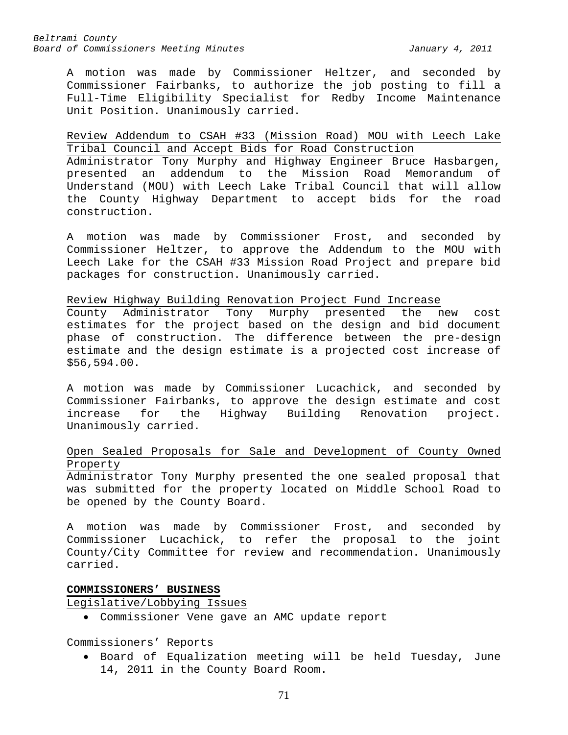A motion was made by Commissioner Heltzer, and seconded by Commissioner Fairbanks, to authorize the job posting to fill a Full-Time Eligibility Specialist for Redby Income Maintenance Unit Position. Unanimously carried.

# Review Addendum to CSAH #33 (Mission Road) MOU with Leech Lake Tribal Council and Accept Bids for Road Construction

Administrator Tony Murphy and Highway Engineer Bruce Hasbargen, presented an addendum to the Mission Road Memorandum of Understand (MOU) with Leech Lake Tribal Council that will allow the County Highway Department to accept bids for the road construction.

A motion was made by Commissioner Frost, and seconded by Commissioner Heltzer, to approve the Addendum to the MOU with Leech Lake for the CSAH #33 Mission Road Project and prepare bid packages for construction. Unanimously carried.

# Review Highway Building Renovation Project Fund Increase

County Administrator Tony Murphy presented the new cost estimates for the project based on the design and bid document phase of construction. The difference between the pre-design estimate and the design estimate is a projected cost increase of \$56,594.00.

A motion was made by Commissioner Lucachick, and seconded by Commissioner Fairbanks, to approve the design estimate and cost<br>increase for the Highway Building Renovation project. increase for the Highway Building Renovation project. Unanimously carried.

# Open Sealed Proposals for Sale and Development of County Owned Property

Administrator Tony Murphy presented the one sealed proposal that was submitted for the property located on Middle School Road to be opened by the County Board.

A motion was made by Commissioner Frost, and seconded by Commissioner Lucachick, to refer the proposal to the joint County/City Committee for review and recommendation. Unanimously carried.

# **COMMISSIONERS' BUSINESS**

Legislative/Lobbying Issues

• Commissioner Vene gave an AMC update report

Commissioners' Reports

• Board of Equalization meeting will be held Tuesday, June 14, 2011 in the County Board Room.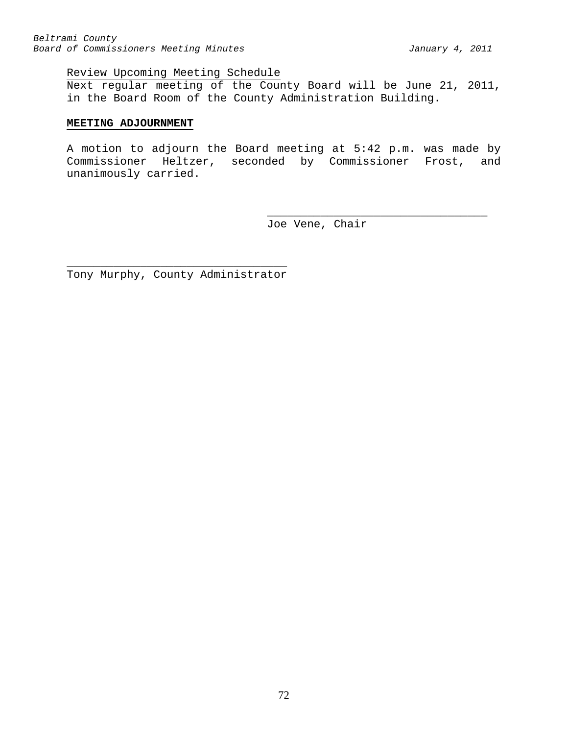# Review Upcoming Meeting Schedule

Next regular meeting of the County Board will be June 21, 2011, in the Board Room of the County Administration Building.

### **MEETING ADJOURNMENT**

A motion to adjourn the Board meeting at 5:42 p.m. was made by Commissioner Heltzer, seconded by Commissioner Frost, and unanimously carried.

> \_\_\_\_\_\_\_\_\_\_\_\_\_\_\_\_\_\_\_\_\_\_\_\_\_\_\_\_\_\_\_\_\_ Joe Vene, Chair

\_\_\_\_\_\_\_\_\_\_\_\_\_\_\_\_\_\_\_\_\_\_\_\_\_\_\_\_\_\_\_\_\_ Tony Murphy, County Administrator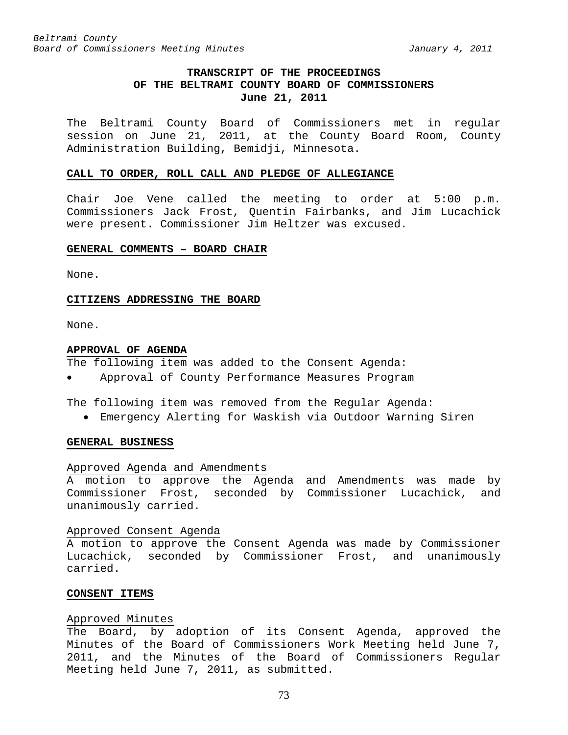## **TRANSCRIPT OF THE PROCEEDINGS OF THE BELTRAMI COUNTY BOARD OF COMMISSIONERS June 21, 2011**

The Beltrami County Board of Commissioners met in regular session on June 21, 2011, at the County Board Room, County Administration Building, Bemidji, Minnesota.

#### **CALL TO ORDER, ROLL CALL AND PLEDGE OF ALLEGIANCE**

Chair Joe Vene called the meeting to order at 5:00 p.m. Commissioners Jack Frost, Quentin Fairbanks, and Jim Lucachick were present. Commissioner Jim Heltzer was excused.

### **GENERAL COMMENTS – BOARD CHAIR**

None.

#### **CITIZENS ADDRESSING THE BOARD**

None.

#### **APPROVAL OF AGENDA**

The following item was added to the Consent Agenda:

• Approval of County Performance Measures Program

The following item was removed from the Regular Agenda:

• Emergency Alerting for Waskish via Outdoor Warning Siren

#### **GENERAL BUSINESS**

#### Approved Agenda and Amendments

A motion to approve the Agenda and Amendments was made by Commissioner Frost, seconded by Commissioner Lucachick, and unanimously carried.

#### Approved Consent Agenda

A motion to approve the Consent Agenda was made by Commissioner Lucachick, seconded by Commissioner Frost, and unanimously carried.

#### **CONSENT ITEMS**

#### Approved Minutes

The Board, by adoption of its Consent Agenda, approved the Minutes of the Board of Commissioners Work Meeting held June 7, 2011, and the Minutes of the Board of Commissioners Regular Meeting held June 7, 2011, as submitted.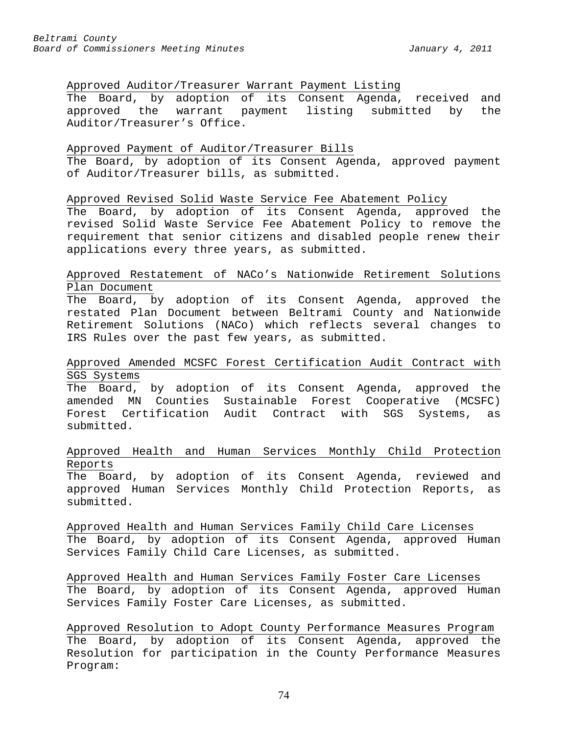## Approved Auditor/Treasurer Warrant Payment Listing

The Board, by adoption of its Consent Agenda, received and approved the warrant payment listing submitted by the Auditor/Treasurer's Office.

## Approved Payment of Auditor/Treasurer Bills

The Board, by adoption of its Consent Agenda, approved payment of Auditor/Treasurer bills, as submitted.

## Approved Revised Solid Waste Service Fee Abatement Policy

The Board, by adoption of its Consent Agenda, approved the revised Solid Waste Service Fee Abatement Policy to remove the requirement that senior citizens and disabled people renew their applications every three years, as submitted.

## Approved Restatement of NACo's Nationwide Retirement Solutions Plan Document

The Board, by adoption of its Consent Agenda, approved the restated Plan Document between Beltrami County and Nationwide Retirement Solutions (NACo) which reflects several changes to IRS Rules over the past few years, as submitted.

## Approved Amended MCSFC Forest Certification Audit Contract with SGS Systems

The Board, by adoption of its Consent Agenda, approved the amended MN Counties Sustainable Forest Cooperative (MCSFC) Forest Certification Audit Contract with SGS Systems, as submitted.

## Approved Health and Human Services Monthly Child Protection Reports

The Board, by adoption of its Consent Agenda, reviewed and approved Human Services Monthly Child Protection Reports, as submitted.

Approved Health and Human Services Family Child Care Licenses The Board, by adoption of its Consent Agenda, approved Human Services Family Child Care Licenses, as submitted.

Approved Health and Human Services Family Foster Care Licenses The Board, by adoption of its Consent Agenda, approved Human Services Family Foster Care Licenses, as submitted.

Approved Resolution to Adopt County Performance Measures Program The Board, by adoption of its Consent Agenda, approved the Resolution for participation in the County Performance Measures Program: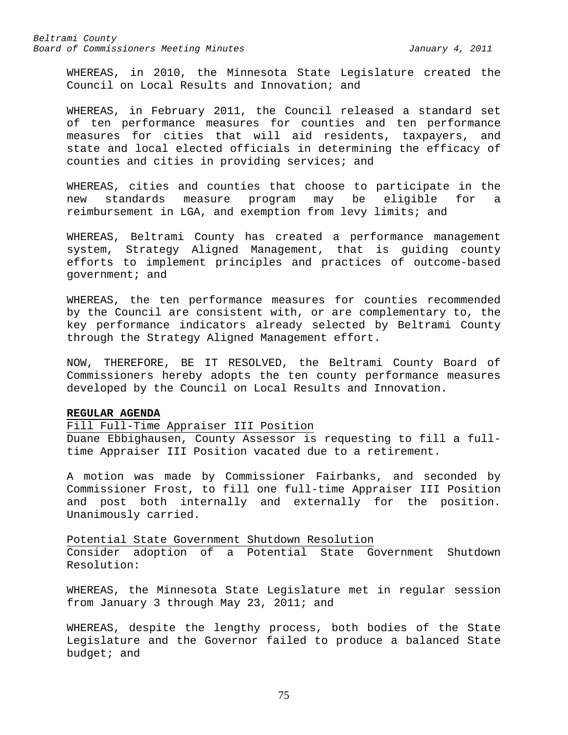WHEREAS, in 2010, the Minnesota State Legislature created the Council on Local Results and Innovation; and

WHEREAS, in February 2011, the Council released a standard set of ten performance measures for counties and ten performance measures for cities that will aid residents, taxpayers, and state and local elected officials in determining the efficacy of counties and cities in providing services; and

WHEREAS, cities and counties that choose to participate in the<br>new standards measure program may be eligible for a new standards measure program may be eligible for a reimbursement in LGA, and exemption from levy limits; and

WHEREAS, Beltrami County has created a performance management system, Strategy Aligned Management, that is guiding county efforts to implement principles and practices of outcome-based government; and

WHEREAS, the ten performance measures for counties recommended by the Council are consistent with, or are complementary to, the key performance indicators already selected by Beltrami County through the Strategy Aligned Management effort.

NOW, THEREFORE, BE IT RESOLVED, the Beltrami County Board of Commissioners hereby adopts the ten county performance measures developed by the Council on Local Results and Innovation.

## **REGULAR AGENDA**

## Fill Full-Time Appraiser III Position

Duane Ebbighausen, County Assessor is requesting to fill a fulltime Appraiser III Position vacated due to a retirement.

A motion was made by Commissioner Fairbanks, and seconded by Commissioner Frost, to fill one full-time Appraiser III Position and post both internally and externally for the position. Unanimously carried.

Potential State Government Shutdown Resolution

Consider adoption of a Potential State Government Shutdown Resolution:

WHEREAS, the Minnesota State Legislature met in regular session from January 3 through May 23, 2011; and

WHEREAS, despite the lengthy process, both bodies of the State Legislature and the Governor failed to produce a balanced State budget; and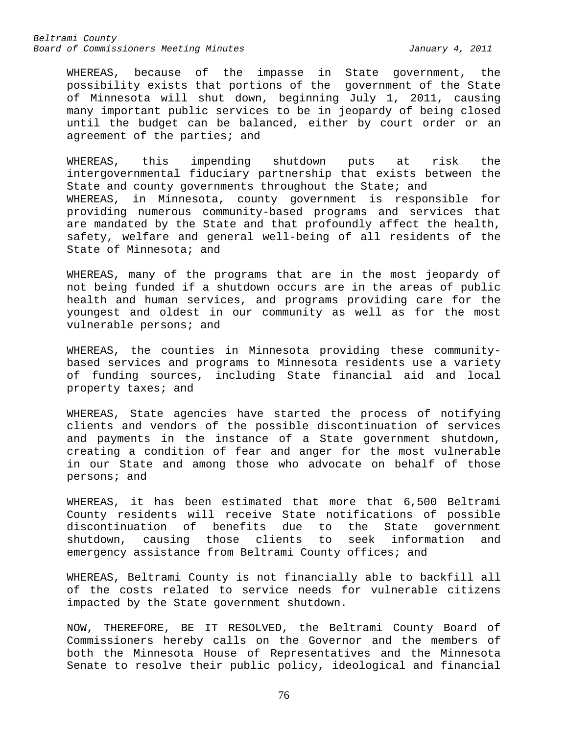WHEREAS, because of the impasse in State government, the possibility exists that portions of the government of the State of Minnesota will shut down, beginning July 1, 2011, causing many important public services to be in jeopardy of being closed until the budget can be balanced, either by court order or an agreement of the parties; and

WHEREAS, this impending shutdown puts at risk the intergovernmental fiduciary partnership that exists between the State and county governments throughout the State; and WHEREAS, in Minnesota, county government is responsible for providing numerous community-based programs and services that are mandated by the State and that profoundly affect the health, safety, welfare and general well-being of all residents of the State of Minnesota; and

WHEREAS, many of the programs that are in the most jeopardy of not being funded if a shutdown occurs are in the areas of public health and human services, and programs providing care for the youngest and oldest in our community as well as for the most vulnerable persons; and

WHEREAS, the counties in Minnesota providing these communitybased services and programs to Minnesota residents use a variety of funding sources, including State financial aid and local property taxes; and

WHEREAS, State agencies have started the process of notifying clients and vendors of the possible discontinuation of services and payments in the instance of a State government shutdown, creating a condition of fear and anger for the most vulnerable in our State and among those who advocate on behalf of those persons; and

WHEREAS, it has been estimated that more that 6,500 Beltrami County residents will receive State notifications of possible discontinuation of benefits due<br>shutdown, causing those clients shutdown, causing those clients to seek information and emergency assistance from Beltrami County offices; and

WHEREAS, Beltrami County is not financially able to backfill all of the costs related to service needs for vulnerable citizens impacted by the State government shutdown.

NOW, THEREFORE, BE IT RESOLVED, the Beltrami County Board of Commissioners hereby calls on the Governor and the members of both the Minnesota House of Representatives and the Minnesota Senate to resolve their public policy, ideological and financial

76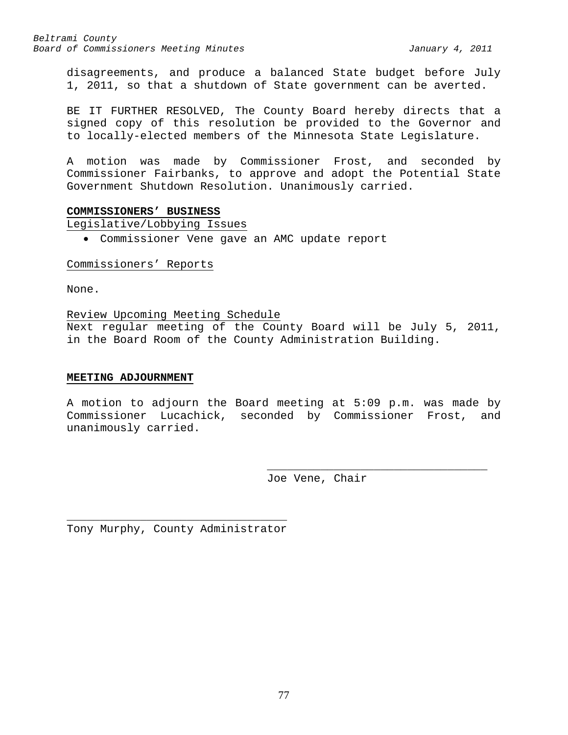disagreements, and produce a balanced State budget before July 1, 2011, so that a shutdown of State government can be averted.

BE IT FURTHER RESOLVED, The County Board hereby directs that a signed copy of this resolution be provided to the Governor and to locally-elected members of the Minnesota State Legislature.

A motion was made by Commissioner Frost, and seconded by Commissioner Fairbanks, to approve and adopt the Potential State Government Shutdown Resolution. Unanimously carried.

### **COMMISSIONERS' BUSINESS**

Legislative/Lobbying Issues

• Commissioner Vene gave an AMC update report

## Commissioners' Reports

None.

### Review Upcoming Meeting Schedule

Next regular meeting of the County Board will be July 5, 2011, in the Board Room of the County Administration Building.

### **MEETING ADJOURNMENT**

A motion to adjourn the Board meeting at 5:09 p.m. was made by Commissioner Lucachick, seconded by Commissioner Frost, and unanimously carried.

> \_\_\_\_\_\_\_\_\_\_\_\_\_\_\_\_\_\_\_\_\_\_\_\_\_\_\_\_\_\_\_\_\_ Joe Vene, Chair

\_\_\_\_\_\_\_\_\_\_\_\_\_\_\_\_\_\_\_\_\_\_\_\_\_\_\_\_\_\_\_\_\_ Tony Murphy, County Administrator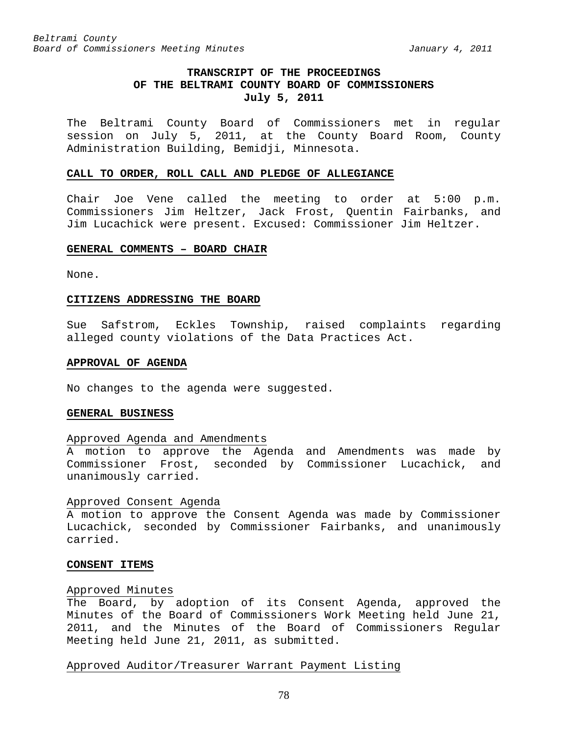## **TRANSCRIPT OF THE PROCEEDINGS OF THE BELTRAMI COUNTY BOARD OF COMMISSIONERS July 5, 2011**

The Beltrami County Board of Commissioners met in regular session on July 5, 2011, at the County Board Room, County Administration Building, Bemidji, Minnesota.

#### **CALL TO ORDER, ROLL CALL AND PLEDGE OF ALLEGIANCE**

Chair Joe Vene called the meeting to order at 5:00 p.m. Commissioners Jim Heltzer, Jack Frost, Quentin Fairbanks, and Jim Lucachick were present. Excused: Commissioner Jim Heltzer.

## **GENERAL COMMENTS – BOARD CHAIR**

None.

#### **CITIZENS ADDRESSING THE BOARD**

Sue Safstrom, Eckles Township, raised complaints regarding alleged county violations of the Data Practices Act.

### **APPROVAL OF AGENDA**

No changes to the agenda were suggested.

### **GENERAL BUSINESS**

## Approved Agenda and Amendments

A motion to approve the Agenda and Amendments was made by Commissioner Frost, seconded by Commissioner Lucachick, and unanimously carried.

### Approved Consent Agenda

A motion to approve the Consent Agenda was made by Commissioner Lucachick, seconded by Commissioner Fairbanks, and unanimously carried.

#### **CONSENT ITEMS**

### Approved Minutes

The Board, by adoption of its Consent Agenda, approved the Minutes of the Board of Commissioners Work Meeting held June 21, 2011, and the Minutes of the Board of Commissioners Regular Meeting held June 21, 2011, as submitted.

### Approved Auditor/Treasurer Warrant Payment Listing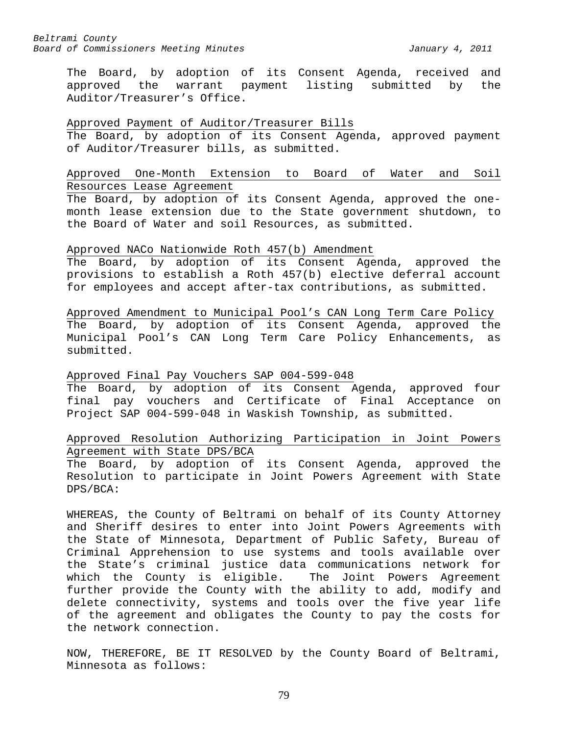The Board, by adoption of its Consent Agenda, received and approved the warrant payment listing submitted by the Auditor/Treasurer's Office.

## Approved Payment of Auditor/Treasurer Bills

The Board, by adoption of its Consent Agenda, approved payment of Auditor/Treasurer bills, as submitted.

## Approved One-Month Extension to Board of Water and Soil Resources Lease Agreement

The Board, by adoption of its Consent Agenda, approved the onemonth lease extension due to the State government shutdown, to the Board of Water and soil Resources, as submitted.

### Approved NACo Nationwide Roth 457(b) Amendment

The Board, by adoption of its Consent Agenda, approved the provisions to establish a Roth 457(b) elective deferral account for employees and accept after-tax contributions, as submitted.

Approved Amendment to Municipal Pool's CAN Long Term Care Policy The Board, by adoption of its Consent Agenda, approved the Municipal Pool's CAN Long Term Care Policy Enhancements, as submitted.

### Approved Final Pay Vouchers SAP 004-599-048

The Board, by adoption of its Consent Agenda, approved four final pay vouchers and Certificate of Final Acceptance on Project SAP 004-599-048 in Waskish Township, as submitted.

## Approved Resolution Authorizing Participation in Joint Powers Agreement with State DPS/BCA

The Board, by adoption of its Consent Agenda, approved the Resolution to participate in Joint Powers Agreement with State DPS/BCA:

WHEREAS, the County of Beltrami on behalf of its County Attorney and Sheriff desires to enter into Joint Powers Agreements with the State of Minnesota, Department of Public Safety, Bureau of Criminal Apprehension to use systems and tools available over the State's criminal justice data communications network for which the County is eligible. The Joint Powers Agreement further provide the County with the ability to add, modify and delete connectivity, systems and tools over the five year life of the agreement and obligates the County to pay the costs for the network connection.

NOW, THEREFORE, BE IT RESOLVED by the County Board of Beltrami, Minnesota as follows: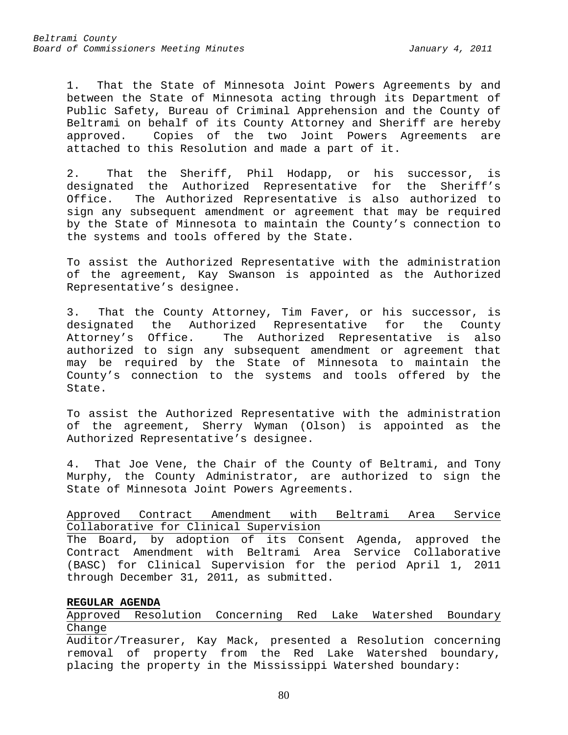1. That the State of Minnesota Joint Powers Agreements by and between the State of Minnesota acting through its Department of Public Safety, Bureau of Criminal Apprehension and the County of Beltrami on behalf of its County Attorney and Sheriff are hereby approved. Copies of the two Joint Powers Agreements are attached to this Resolution and made a part of it.

2. That the Sheriff, Phil Hodapp, or his successor, is designated the Authorized Representative for the Sheriff's<br>Office. The Authorized Representative is also authorized to The Authorized Representative is also authorized to sign any subsequent amendment or agreement that may be required by the State of Minnesota to maintain the County's connection to the systems and tools offered by the State.

To assist the Authorized Representative with the administration of the agreement, Kay Swanson is appointed as the Authorized Representative's designee.

3. That the County Attorney, Tim Faver, or his successor, is designated the Authorized Representative for the County<br>Attorney's Office. The Authorized Representative is also The Authorized Representative is also authorized to sign any subsequent amendment or agreement that may be required by the State of Minnesota to maintain the County's connection to the systems and tools offered by the State.

To assist the Authorized Representative with the administration of the agreement, Sherry Wyman (Olson) is appointed as the Authorized Representative's designee.

4. That Joe Vene, the Chair of the County of Beltrami, and Tony Murphy, the County Administrator, are authorized to sign the State of Minnesota Joint Powers Agreements.

Approved Contract Amendment with Beltrami Area Service Collaborative for Clinical Supervision The Board, by adoption of its Consent Agenda, approved the Contract Amendment with Beltrami Area Service Collaborative (BASC) for Clinical Supervision for the period April 1, 2011 through December 31, 2011, as submitted.

## **REGULAR AGENDA**

Approved Resolution Concerning Red Lake Watershed Boundary Change

Auditor/Treasurer, Kay Mack, presented a Resolution concerning removal of property from the Red Lake Watershed boundary, placing the property in the Mississippi Watershed boundary: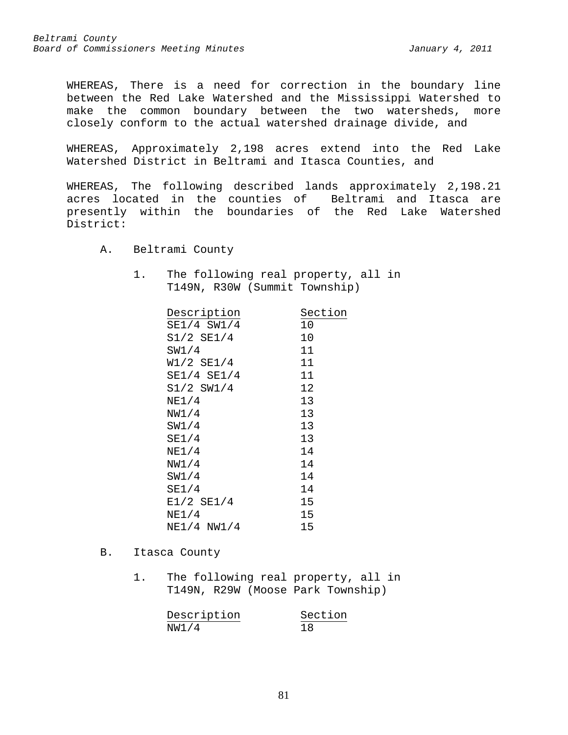WHEREAS, There is a need for correction in the boundary line between the Red Lake Watershed and the Mississippi Watershed to make the common boundary between the two watersheds, more closely conform to the actual watershed drainage divide, and

WHEREAS, Approximately 2,198 acres extend into the Red Lake Watershed District in Beltrami and Itasca Counties, and

WHEREAS, The following described lands approximately 2,198.21 acres located in the counties of Beltrami and Itasca are presently within the boundaries of the Red Lake Watershed District:

- A. Beltrami County
	- 1. The following real property, all in T149N, R30W (Summit Township)

| Description     | Section |  |
|-----------------|---------|--|
| SE1/4 SW1/4     | 10      |  |
| S1/2 SE1/4      | 10      |  |
| SW1/4           | 11      |  |
| W1/2 SE1/4      | 11      |  |
| $SE1/4$ $SE1/4$ | 11      |  |
| $S1/2$ SW1/4    | 12      |  |
| NE1/4           | 13      |  |
| NW1/4           | 13      |  |
| SW1/4           | 13      |  |
| SE1/4           | 13      |  |
| NE1/4           | 14      |  |
| NW1/4           | 14      |  |
| SW1/4           | 14      |  |
| SE1/4           | 14      |  |
| $E1/2$ SE1/4    | 15      |  |
| NE1/4           | 15      |  |
| $NE1/4$ $NW1/4$ | 15      |  |
|                 |         |  |

- B. Itasca County
	- 1. The following real property, all in T149N, R29W (Moose Park Township)

| Description | Section |  |
|-------------|---------|--|
| NW1/4       | 18      |  |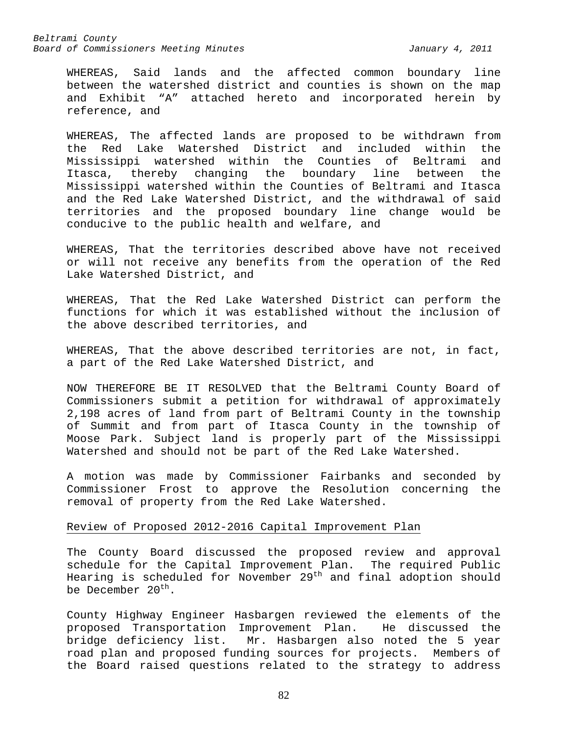WHEREAS, Said lands and the affected common boundary line between the watershed district and counties is shown on the map and Exhibit "A" attached hereto and incorporated herein by reference, and

WHEREAS, The affected lands are proposed to be withdrawn from the Red Lake Watershed District and included within the Mississippi watershed within the Counties of Beltrami and Itasca, thereby changing the boundary line between the Mississippi watershed within the Counties of Beltrami and Itasca and the Red Lake Watershed District, and the withdrawal of said territories and the proposed boundary line change would be conducive to the public health and welfare, and

WHEREAS, That the territories described above have not received or will not receive any benefits from the operation of the Red Lake Watershed District, and

WHEREAS, That the Red Lake Watershed District can perform the functions for which it was established without the inclusion of the above described territories, and

WHEREAS, That the above described territories are not, in fact, a part of the Red Lake Watershed District, and

NOW THEREFORE BE IT RESOLVED that the Beltrami County Board of Commissioners submit a petition for withdrawal of approximately 2,198 acres of land from part of Beltrami County in the township of Summit and from part of Itasca County in the township of Moose Park. Subject land is properly part of the Mississippi Watershed and should not be part of the Red Lake Watershed.

A motion was made by Commissioner Fairbanks and seconded by Commissioner Frost to approve the Resolution concerning the removal of property from the Red Lake Watershed.

### Review of Proposed 2012-2016 Capital Improvement Plan

The County Board discussed the proposed review and approval schedule for the Capital Improvement Plan. The required Public Hearing is scheduled for November 29<sup>th</sup> and final adoption should be December  $20^{th}$ .

County Highway Engineer Hasbargen reviewed the elements of the proposed Transportation Improvement Plan. bridge deficiency list. Mr. Hasbargen also noted the 5 year road plan and proposed funding sources for projects. Members of the Board raised questions related to the strategy to address

82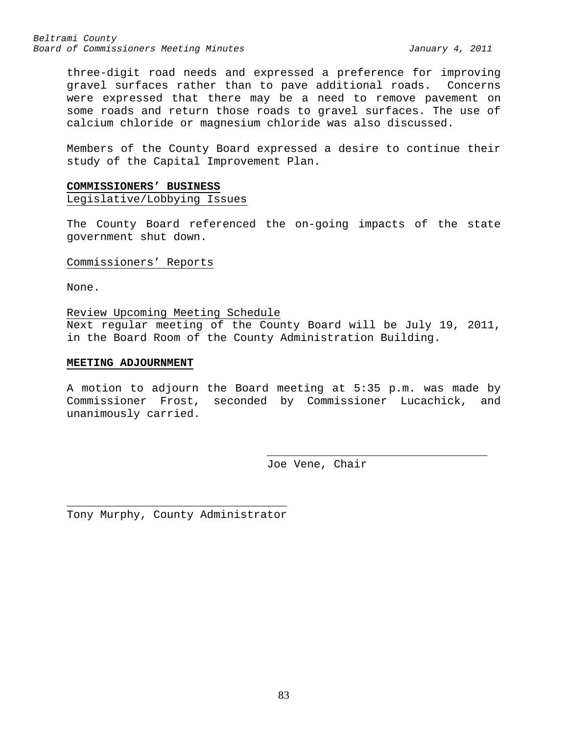three-digit road needs and expressed a preference for improving gravel surfaces rather than to pave additional roads. Concerns were expressed that there may be a need to remove pavement on some roads and return those roads to gravel surfaces. The use of calcium chloride or magnesium chloride was also discussed.

Members of the County Board expressed a desire to continue their study of the Capital Improvement Plan.

# **COMMISSIONERS' BUSINESS**

Legislative/Lobbying Issues

The County Board referenced the on-going impacts of the state government shut down.

### Commissioners' Reports

None.

Review Upcoming Meeting Schedule

Next regular meeting of the County Board will be July 19, 2011, in the Board Room of the County Administration Building.

### **MEETING ADJOURNMENT**

A motion to adjourn the Board meeting at 5:35 p.m. was made by Commissioner Frost, seconded by Commissioner Lucachick, and unanimously carried.

Joe Vene, Chair

\_\_\_\_\_\_\_\_\_\_\_\_\_\_\_\_\_\_\_\_\_\_\_\_\_\_\_\_\_\_\_\_\_

\_\_\_\_\_\_\_\_\_\_\_\_\_\_\_\_\_\_\_\_\_\_\_\_\_\_\_\_\_\_\_\_\_ Tony Murphy, County Administrator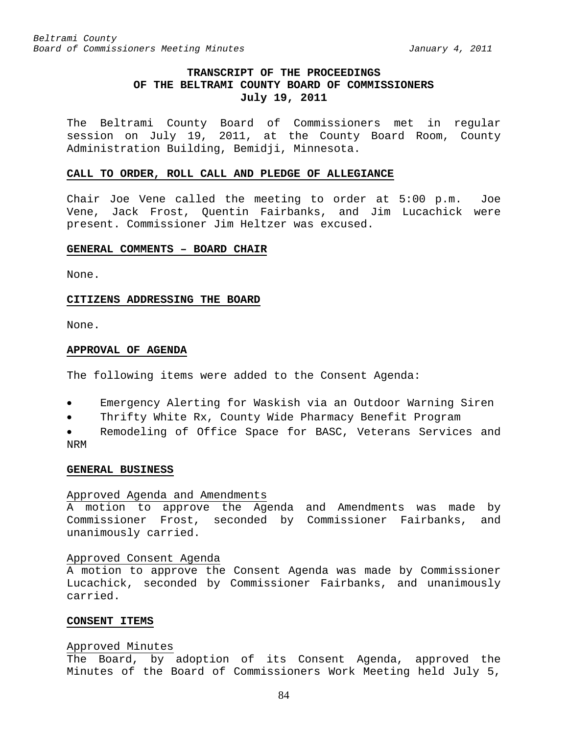## **TRANSCRIPT OF THE PROCEEDINGS OF THE BELTRAMI COUNTY BOARD OF COMMISSIONERS July 19, 2011**

The Beltrami County Board of Commissioners met in regular session on July 19, 2011, at the County Board Room, County Administration Building, Bemidji, Minnesota.

#### **CALL TO ORDER, ROLL CALL AND PLEDGE OF ALLEGIANCE**

Chair Joe Vene called the meeting to order at 5:00 p.m. Joe Vene, Jack Frost, Quentin Fairbanks, and Jim Lucachick were present. Commissioner Jim Heltzer was excused.

### **GENERAL COMMENTS – BOARD CHAIR**

None.

#### **CITIZENS ADDRESSING THE BOARD**

None.

#### **APPROVAL OF AGENDA**

The following items were added to the Consent Agenda:

- Emergency Alerting for Waskish via an Outdoor Warning Siren
- Thrifty White Rx, County Wide Pharmacy Benefit Program

• Remodeling of Office Space for BASC, Veterans Services and NRM

#### **GENERAL BUSINESS**

#### Approved Agenda and Amendments

A motion to approve the Agenda and Amendments was made by Commissioner Frost, seconded by Commissioner Fairbanks, and unanimously carried.

#### Approved Consent Agenda

A motion to approve the Consent Agenda was made by Commissioner Lucachick, seconded by Commissioner Fairbanks, and unanimously carried.

#### **CONSENT ITEMS**

#### Approved Minutes

The Board, by adoption of its Consent Agenda, approved the Minutes of the Board of Commissioners Work Meeting held July 5,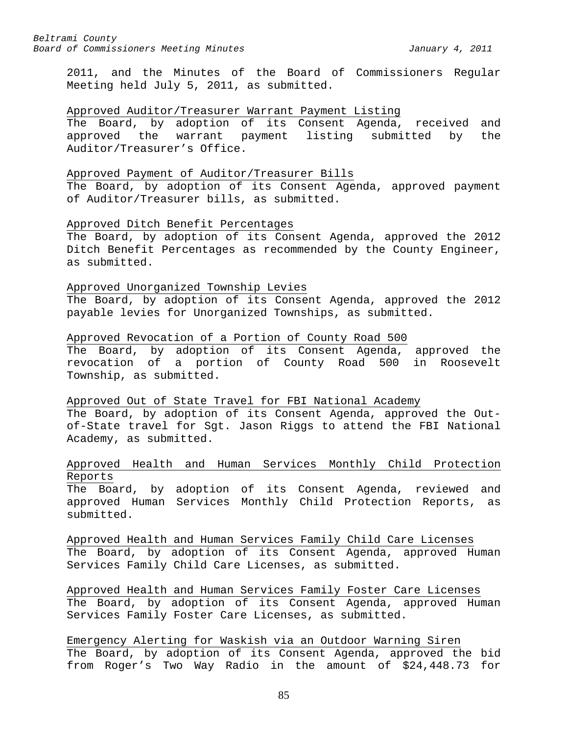2011, and the Minutes of the Board of Commissioners Regular Meeting held July 5, 2011, as submitted.

### Approved Auditor/Treasurer Warrant Payment Listing

The Board, by adoption of its Consent Agenda, received and<br>approved the warrant payment listing submitted by the approved the warrant payment listing submitted by the Auditor/Treasurer's Office.

### Approved Payment of Auditor/Treasurer Bills

The Board, by adoption of its Consent Agenda, approved payment of Auditor/Treasurer bills, as submitted.

## Approved Ditch Benefit Percentages

The Board, by adoption of its Consent Agenda, approved the 2012 Ditch Benefit Percentages as recommended by the County Engineer, as submitted.

#### Approved Unorganized Township Levies

The Board, by adoption of its Consent Agenda, approved the 2012 payable levies for Unorganized Townships, as submitted.

## Approved Revocation of a Portion of County Road 500

The Board, by adoption of its Consent Agenda, approved the revocation of a portion of County Road 500 in Roosevelt Township, as submitted.

## Approved Out of State Travel for FBI National Academy

The Board, by adoption of its Consent Agenda, approved the Outof-State travel for Sgt. Jason Riggs to attend the FBI National Academy, as submitted.

## Approved Health and Human Services Monthly Child Protection Reports

The Board, by adoption of its Consent Agenda, reviewed and approved Human Services Monthly Child Protection Reports, as submitted.

Approved Health and Human Services Family Child Care Licenses The Board, by adoption of its Consent Agenda, approved Human Services Family Child Care Licenses, as submitted.

Approved Health and Human Services Family Foster Care Licenses The Board, by adoption of its Consent Agenda, approved Human Services Family Foster Care Licenses, as submitted.

Emergency Alerting for Waskish via an Outdoor Warning Siren The Board, by adoption of its Consent Agenda, approved the bid from Roger's Two Way Radio in the amount of \$24,448.73 for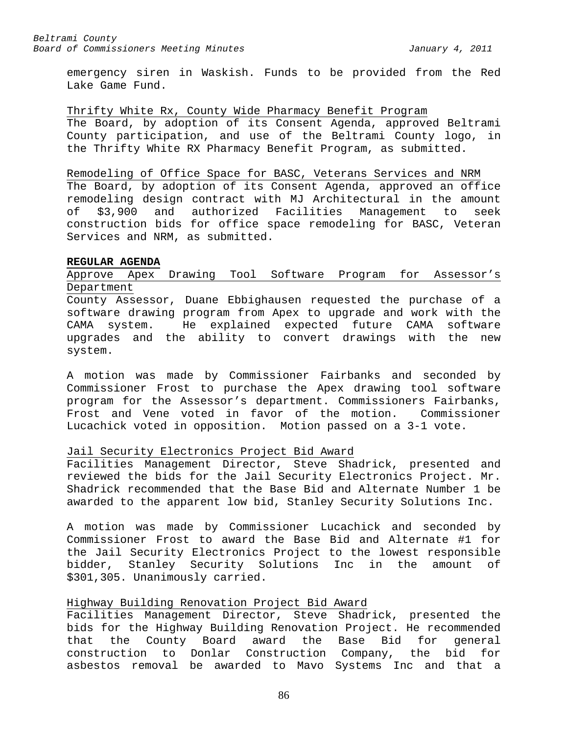emergency siren in Waskish. Funds to be provided from the Red Lake Game Fund.

### Thrifty White Rx, County Wide Pharmacy Benefit Program

The Board, by adoption of its Consent Agenda, approved Beltrami County participation, and use of the Beltrami County logo, in the Thrifty White RX Pharmacy Benefit Program, as submitted.

#### Remodeling of Office Space for BASC, Veterans Services and NRM

The Board, by adoption of its Consent Agenda, approved an office remodeling design contract with MJ Architectural in the amount<br>of \$3,900 and authorized Facilities Management to seek of \$3,900 and authorized Facilities Management to seek construction bids for office space remodeling for BASC, Veteran Services and NRM, as submitted.

## **REGULAR AGENDA**

## Approve Apex Drawing Tool Software Program for Assessor's Department

County Assessor, Duane Ebbighausen requested the purchase of a software drawing program from Apex to upgrade and work with the CAMA system. He explained expected future CAMA software upgrades and the ability to convert drawings with the new system.

A motion was made by Commissioner Fairbanks and seconded by Commissioner Frost to purchase the Apex drawing tool software program for the Assessor's department. Commissioners Fairbanks, Frost and Vene voted in favor of the motion. Commissioner Lucachick voted in opposition. Motion passed on a 3-1 vote.

## Jail Security Electronics Project Bid Award

Facilities Management Director, Steve Shadrick, presented and reviewed the bids for the Jail Security Electronics Project. Mr. Shadrick recommended that the Base Bid and Alternate Number 1 be awarded to the apparent low bid, Stanley Security Solutions Inc.

A motion was made by Commissioner Lucachick and seconded by Commissioner Frost to award the Base Bid and Alternate #1 for the Jail Security Electronics Project to the lowest responsible bidder, Stanley Security Solutions Inc in the amount of \$301,305. Unanimously carried.

## Highway Building Renovation Project Bid Award

Facilities Management Director, Steve Shadrick, presented the bids for the Highway Building Renovation Project. He recommended that the County Board award the Base Bid for general construction to Donlar Construction Company, the bid for asbestos removal be awarded to Mavo Systems Inc and that a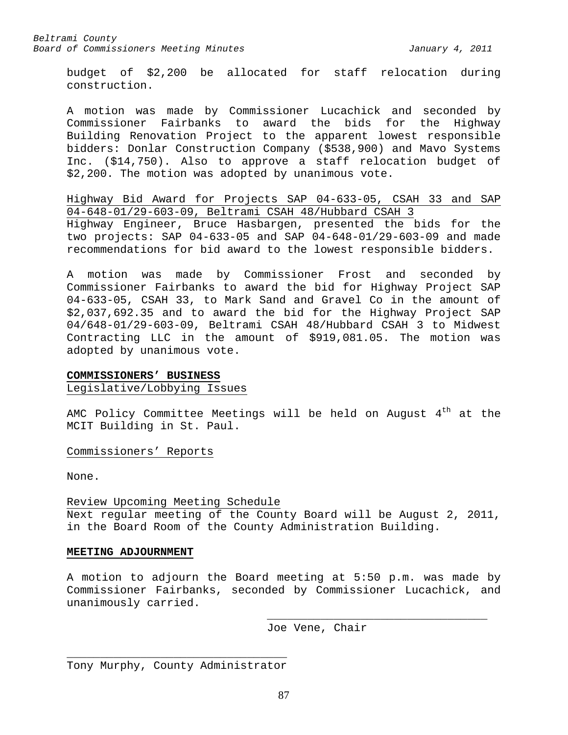budget of \$2,200 be allocated for staff relocation during construction.

A motion was made by Commissioner Lucachick and seconded by Commissioner Fairbanks to award the bids for the Highway Building Renovation Project to the apparent lowest responsible bidders: Donlar Construction Company (\$538,900) and Mavo Systems Inc. (\$14,750). Also to approve a staff relocation budget of \$2,200. The motion was adopted by unanimous vote.

Highway Bid Award for Projects SAP 04-633-05, CSAH 33 and SAP 04-648-01/29-603-09, Beltrami CSAH 48/Hubbard CSAH 3 Highway Engineer, Bruce Hasbargen, presented the bids for the two projects: SAP 04-633-05 and SAP 04-648-01/29-603-09 and made recommendations for bid award to the lowest responsible bidders.

A motion was made by Commissioner Frost and seconded by Commissioner Fairbanks to award the bid for Highway Project SAP 04-633-05, CSAH 33, to Mark Sand and Gravel Co in the amount of \$2,037,692.35 and to award the bid for the Highway Project SAP 04/648-01/29-603-09, Beltrami CSAH 48/Hubbard CSAH 3 to Midwest Contracting LLC in the amount of \$919,081.05. The motion was adopted by unanimous vote.

### **COMMISSIONERS' BUSINESS**

#### Legislative/Lobbying Issues

AMC Policy Committee Meetings will be held on August  $4<sup>th</sup>$  at the MCIT Building in St. Paul.

Commissioners' Reports

None.

Review Upcoming Meeting Schedule Next regular meeting of the County Board will be August 2, 2011, in the Board Room of the County Administration Building.

## **MEETING ADJOURNMENT**

A motion to adjourn the Board meeting at 5:50 p.m. was made by Commissioner Fairbanks, seconded by Commissioner Lucachick, and unanimously carried.

Joe Vene, Chair

\_\_\_\_\_\_\_\_\_\_\_\_\_\_\_\_\_\_\_\_\_\_\_\_\_\_\_\_\_\_\_\_\_

\_\_\_\_\_\_\_\_\_\_\_\_\_\_\_\_\_\_\_\_\_\_\_\_\_\_\_\_\_\_\_\_\_ Tony Murphy, County Administrator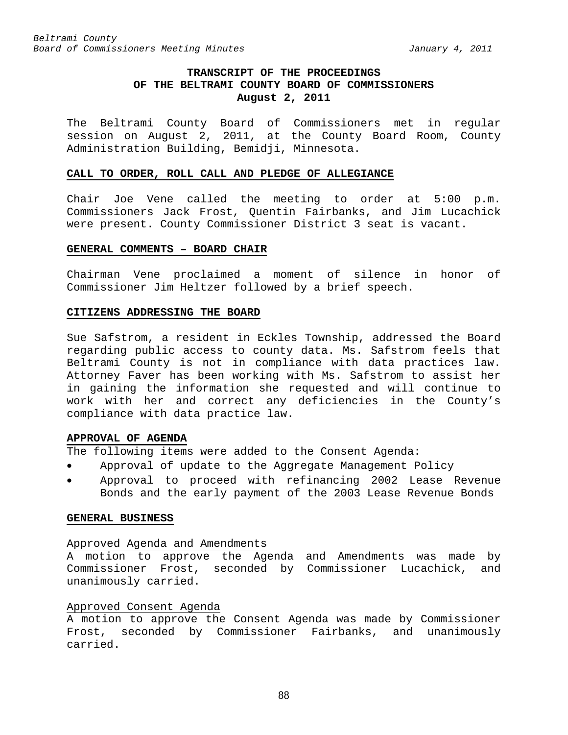## **TRANSCRIPT OF THE PROCEEDINGS OF THE BELTRAMI COUNTY BOARD OF COMMISSIONERS August 2, 2011**

The Beltrami County Board of Commissioners met in regular session on August 2, 2011, at the County Board Room, County Administration Building, Bemidji, Minnesota.

#### **CALL TO ORDER, ROLL CALL AND PLEDGE OF ALLEGIANCE**

Chair Joe Vene called the meeting to order at 5:00 p.m. Commissioners Jack Frost, Quentin Fairbanks, and Jim Lucachick were present. County Commissioner District 3 seat is vacant.

## **GENERAL COMMENTS – BOARD CHAIR**

Chairman Vene proclaimed a moment of silence in honor of Commissioner Jim Heltzer followed by a brief speech.

### **CITIZENS ADDRESSING THE BOARD**

Sue Safstrom, a resident in Eckles Township, addressed the Board regarding public access to county data. Ms. Safstrom feels that Beltrami County is not in compliance with data practices law. Attorney Faver has been working with Ms. Safstrom to assist her in gaining the information she requested and will continue to work with her and correct any deficiencies in the County's compliance with data practice law.

## **APPROVAL OF AGENDA**

The following items were added to the Consent Agenda:

- Approval of update to the Aggregate Management Policy
- Approval to proceed with refinancing 2002 Lease Revenue Bonds and the early payment of the 2003 Lease Revenue Bonds

### **GENERAL BUSINESS**

#### Approved Agenda and Amendments

A motion to approve the Agenda and Amendments was made by Commissioner Frost, seconded by Commissioner Lucachick, and unanimously carried.

## Approved Consent Agenda

A motion to approve the Consent Agenda was made by Commissioner Frost, seconded by Commissioner Fairbanks, and unanimously carried.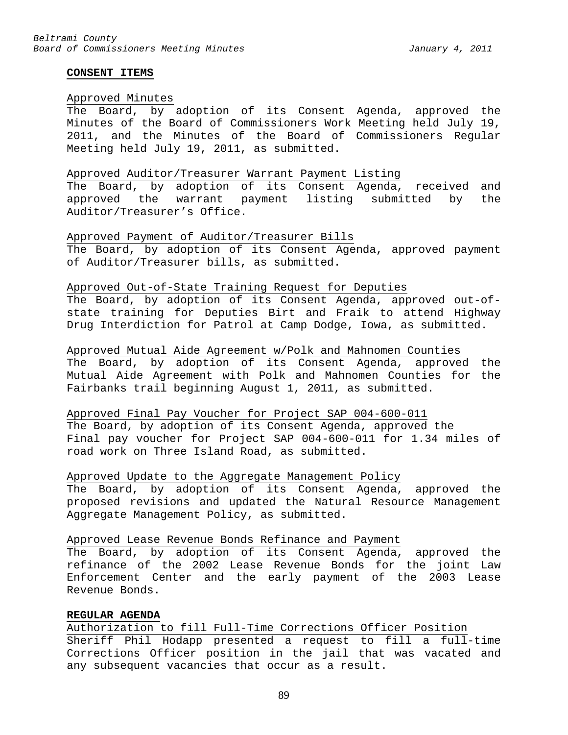#### **CONSENT ITEMS**

## Approved Minutes

The Board, by adoption of its Consent Agenda, approved the Minutes of the Board of Commissioners Work Meeting held July 19, 2011, and the Minutes of the Board of Commissioners Regular Meeting held July 19, 2011, as submitted.

#### Approved Auditor/Treasurer Warrant Payment Listing

The Board, by adoption of its Consent Agenda, received and approved the warrant payment listing submitted by the Auditor/Treasurer's Office.

#### Approved Payment of Auditor/Treasurer Bills

The Board, by adoption of its Consent Agenda, approved payment of Auditor/Treasurer bills, as submitted.

### Approved Out-of-State Training Request for Deputies

The Board, by adoption of its Consent Agenda, approved out-ofstate training for Deputies Birt and Fraik to attend Highway Drug Interdiction for Patrol at Camp Dodge, Iowa, as submitted.

Approved Mutual Aide Agreement w/Polk and Mahnomen Counties The Board, by adoption of its Consent Agenda, approved the Mutual Aide Agreement with Polk and Mahnomen Counties for the Fairbanks trail beginning August 1, 2011, as submitted.

## Approved Final Pay Voucher for Project SAP 004-600-011 The Board, by adoption of its Consent Agenda, approved the Final pay voucher for Project SAP 004-600-011 for 1.34 miles of road work on Three Island Road, as submitted.

### Approved Update to the Aggregate Management Policy

The Board, by adoption of its Consent Agenda, approved the proposed revisions and updated the Natural Resource Management Aggregate Management Policy, as submitted.

## Approved Lease Revenue Bonds Refinance and Payment

The Board, by adoption of its Consent Agenda, approved the refinance of the 2002 Lease Revenue Bonds for the joint Law Enforcement Center and the early payment of the 2003 Lease Revenue Bonds.

## **REGULAR AGENDA**

Authorization to fill Full-Time Corrections Officer Position Sheriff Phil Hodapp presented a request to fill a full-time Corrections Officer position in the jail that was vacated and any subsequent vacancies that occur as a result.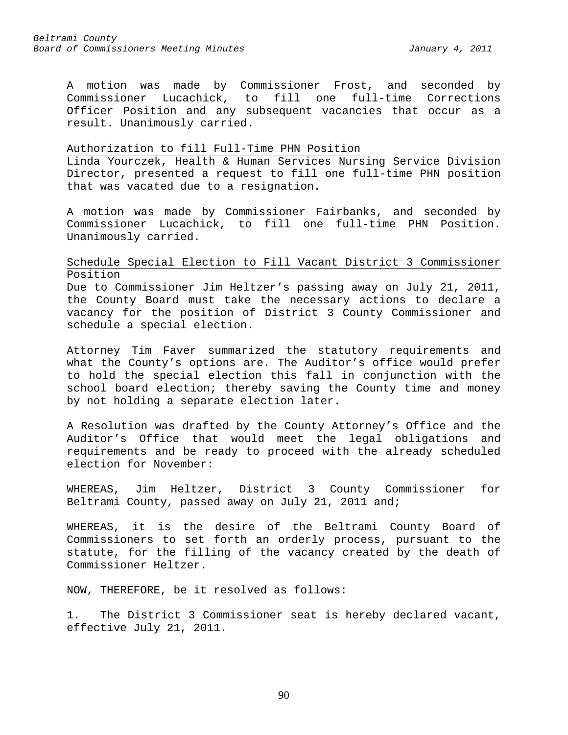A motion was made by Commissioner Frost, and seconded by<br>Commissioner Lucachick, to fill one full-time Corrections fill one full-time Corrections Officer Position and any subsequent vacancies that occur as a result. Unanimously carried.

### Authorization to fill Full-Time PHN Position

Linda Yourczek, Health & Human Services Nursing Service Division Director, presented a request to fill one full-time PHN position that was vacated due to a resignation.

A motion was made by Commissioner Fairbanks, and seconded by Commissioner Lucachick, to fill one full-time PHN Position. Unanimously carried.

## Schedule Special Election to Fill Vacant District 3 Commissioner Position

Due to Commissioner Jim Heltzer's passing away on July 21, 2011, the County Board must take the necessary actions to declare a vacancy for the position of District 3 County Commissioner and schedule a special election.

Attorney Tim Faver summarized the statutory requirements and what the County's options are. The Auditor's office would prefer to hold the special election this fall in conjunction with the school board election; thereby saving the County time and money by not holding a separate election later.

A Resolution was drafted by the County Attorney's Office and the Auditor's Office that would meet the legal obligations and requirements and be ready to proceed with the already scheduled election for November:

WHEREAS, Jim Heltzer, District 3 County Commissioner for Beltrami County, passed away on July 21, 2011 and;

WHEREAS, it is the desire of the Beltrami County Board of Commissioners to set forth an orderly process, pursuant to the statute, for the filling of the vacancy created by the death of Commissioner Heltzer.

NOW, THEREFORE, be it resolved as follows:

1. The District 3 Commissioner seat is hereby declared vacant, effective July 21, 2011.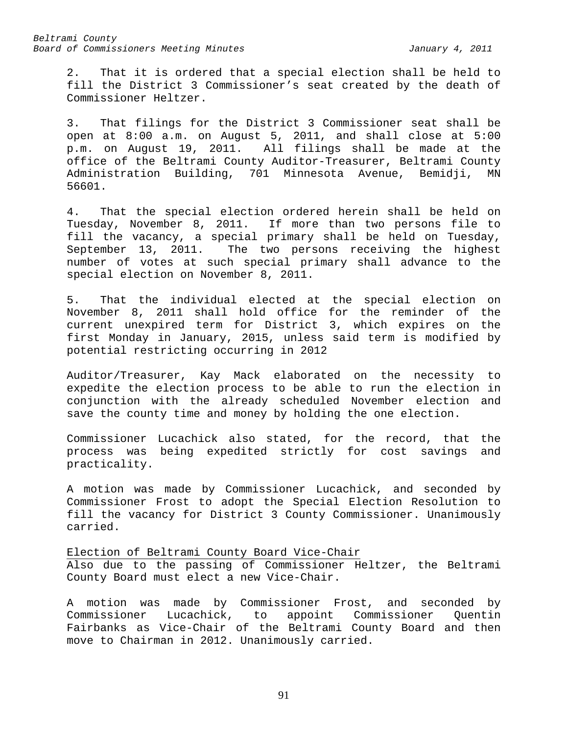2. That it is ordered that a special election shall be held to fill the District 3 Commissioner's seat created by the death of Commissioner Heltzer.

3. That filings for the District 3 Commissioner seat shall be open at 8:00 a.m. on August 5, 2011, and shall close at 5:00 p.m. on August 19, 2011. All filings shall be made at the office of the Beltrami County Auditor-Treasurer, Beltrami County Administration Building, 701 Minnesota Avenue, Bemidji, MN 56601.

4. That the special election ordered herein shall be held on Tuesday, November 8, 2011. If more than two persons file to fill the vacancy, a special primary shall be held on Tuesday, September 13, 2011. The two persons receiving the highest number of votes at such special primary shall advance to the special election on November 8, 2011.

5. That the individual elected at the special election on November 8, 2011 shall hold office for the reminder of the current unexpired term for District 3, which expires on the first Monday in January, 2015, unless said term is modified by potential restricting occurring in 2012

Auditor/Treasurer, Kay Mack elaborated on the necessity to expedite the election process to be able to run the election in conjunction with the already scheduled November election and save the county time and money by holding the one election.

Commissioner Lucachick also stated, for the record, that the process was being expedited strictly for cost savings and practicality.

A motion was made by Commissioner Lucachick, and seconded by Commissioner Frost to adopt the Special Election Resolution to fill the vacancy for District 3 County Commissioner. Unanimously carried.

Election of Beltrami County Board Vice-Chair Also due to the passing of Commissioner Heltzer, the Beltrami County Board must elect a new Vice-Chair.

A motion was made by Commissioner Frost, and seconded by Commissioner Lucachick, to appoint Commissioner Quentin Fairbanks as Vice-Chair of the Beltrami County Board and then move to Chairman in 2012. Unanimously carried.

91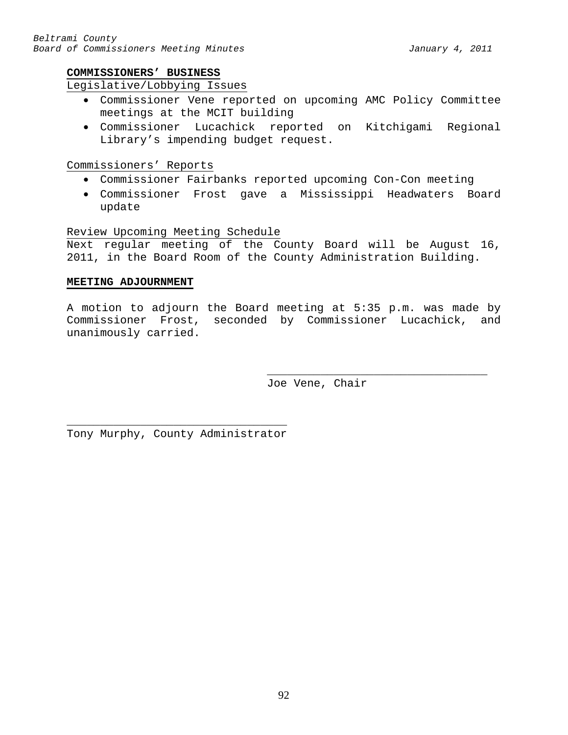## **COMMISSIONERS' BUSINESS**

## Legislative/Lobbying Issues

- Commissioner Vene reported on upcoming AMC Policy Committee meetings at the MCIT building
- Commissioner Lucachick reported on Kitchigami Regional Library's impending budget request.

Commissioners' Reports

- Commissioner Fairbanks reported upcoming Con-Con meeting
- Commissioner Frost gave a Mississippi Headwaters Board update

Review Upcoming Meeting Schedule

Next regular meeting of the County Board will be August 16, 2011, in the Board Room of the County Administration Building.

## **MEETING ADJOURNMENT**

A motion to adjourn the Board meeting at 5:35 p.m. was made by Commissioner Frost, seconded by Commissioner Lucachick, and unanimously carried.

> \_\_\_\_\_\_\_\_\_\_\_\_\_\_\_\_\_\_\_\_\_\_\_\_\_\_\_\_\_\_\_\_\_ Joe Vene, Chair

\_\_\_\_\_\_\_\_\_\_\_\_\_\_\_\_\_\_\_\_\_\_\_\_\_\_\_\_\_\_\_\_\_ Tony Murphy, County Administrator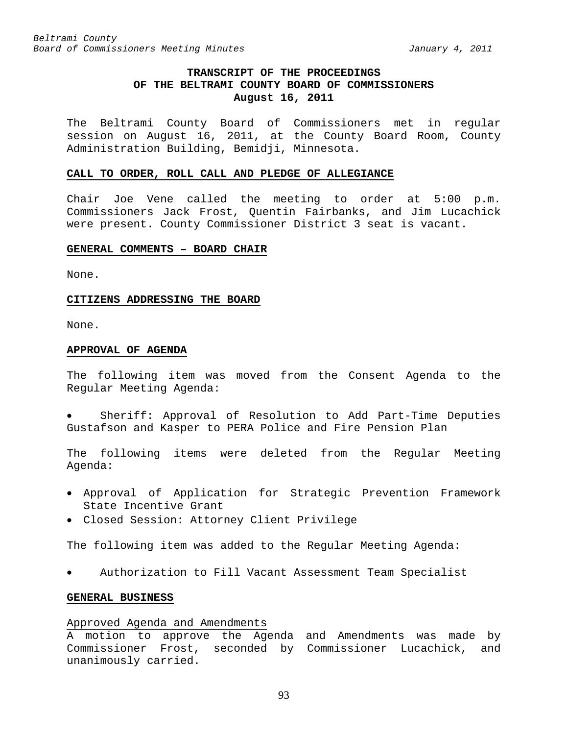## **TRANSCRIPT OF THE PROCEEDINGS OF THE BELTRAMI COUNTY BOARD OF COMMISSIONERS August 16, 2011**

The Beltrami County Board of Commissioners met in regular session on August 16, 2011, at the County Board Room, County Administration Building, Bemidji, Minnesota.

#### **CALL TO ORDER, ROLL CALL AND PLEDGE OF ALLEGIANCE**

Chair Joe Vene called the meeting to order at 5:00 p.m. Commissioners Jack Frost, Quentin Fairbanks, and Jim Lucachick were present. County Commissioner District 3 seat is vacant.

## **GENERAL COMMENTS – BOARD CHAIR**

None.

#### **CITIZENS ADDRESSING THE BOARD**

None.

#### **APPROVAL OF AGENDA**

The following item was moved from the Consent Agenda to the Regular Meeting Agenda:

• Sheriff: Approval of Resolution to Add Part-Time Deputies Gustafson and Kasper to PERA Police and Fire Pension Plan

The following items were deleted from the Regular Meeting Agenda:

- Approval of Application for Strategic Prevention Framework State Incentive Grant
- Closed Session: Attorney Client Privilege

The following item was added to the Regular Meeting Agenda:

• Authorization to Fill Vacant Assessment Team Specialist

### **GENERAL BUSINESS**

#### Approved Agenda and Amendments

A motion to approve the Agenda and Amendments was made by Commissioner Frost, seconded by Commissioner Lucachick, and unanimously carried.

93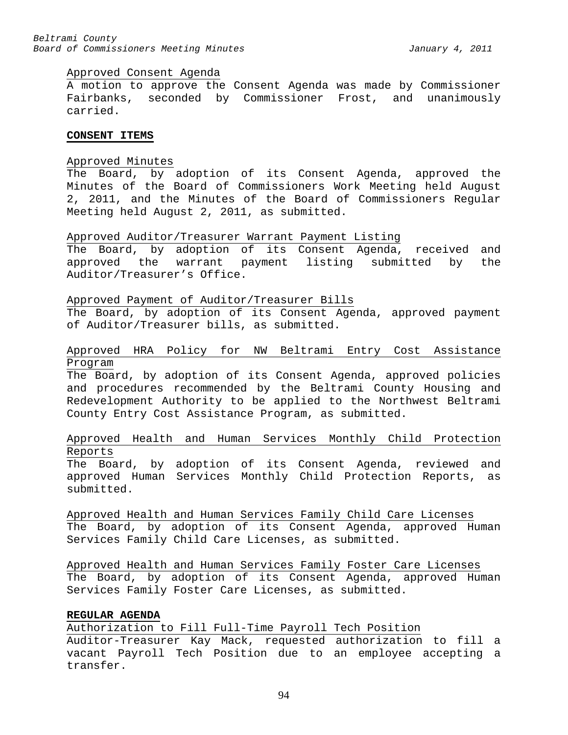#### Approved Consent Agenda

A motion to approve the Consent Agenda was made by Commissioner Fairbanks, seconded by Commissioner Frost, and unanimously carried.

## **CONSENT ITEMS**

#### Approved Minutes

The Board, by adoption of its Consent Agenda, approved the Minutes of the Board of Commissioners Work Meeting held August 2, 2011, and the Minutes of the Board of Commissioners Regular Meeting held August 2, 2011, as submitted.

### Approved Auditor/Treasurer Warrant Payment Listing

The Board, by adoption of its Consent Agenda, received and approved the warrant payment listing submitted by the Auditor/Treasurer's Office.

### Approved Payment of Auditor/Treasurer Bills

The Board, by adoption of its Consent Agenda, approved payment of Auditor/Treasurer bills, as submitted.

## Approved HRA Policy for NW Beltrami Entry Cost Assistance Program

The Board, by adoption of its Consent Agenda, approved policies and procedures recommended by the Beltrami County Housing and Redevelopment Authority to be applied to the Northwest Beltrami County Entry Cost Assistance Program, as submitted.

## Approved Health and Human Services Monthly Child Protection Reports

The Board, by adoption of its Consent Agenda, reviewed and approved Human Services Monthly Child Protection Reports, as submitted.

Approved Health and Human Services Family Child Care Licenses The Board, by adoption of its Consent Agenda, approved Human Services Family Child Care Licenses, as submitted.

Approved Health and Human Services Family Foster Care Licenses The Board, by adoption of its Consent Agenda, approved Human Services Family Foster Care Licenses, as submitted.

## **REGULAR AGENDA**

Authorization to Fill Full-Time Payroll Tech Position Auditor-Treasurer Kay Mack, requested authorization to fill a vacant Payroll Tech Position due to an employee accepting a transfer.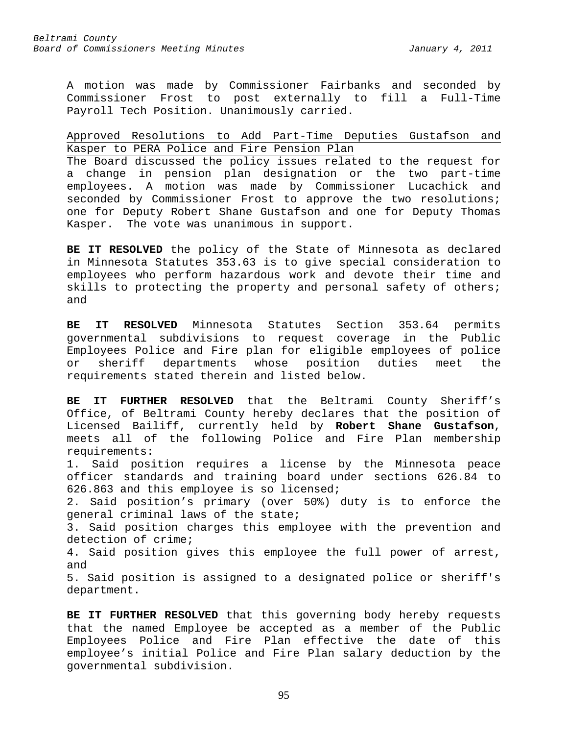A motion was made by Commissioner Fairbanks and seconded by Commissioner Frost to post externally to fill a Full-Time Payroll Tech Position. Unanimously carried.

## Approved Resolutions to Add Part-Time Deputies Gustafson and Kasper to PERA Police and Fire Pension Plan

The Board discussed the policy issues related to the request for a change in pension plan designation or the two part-time employees. A motion was made by Commissioner Lucachick and seconded by Commissioner Frost to approve the two resolutions; one for Deputy Robert Shane Gustafson and one for Deputy Thomas Kasper. The vote was unanimous in support.

**BE IT RESOLVED** the policy of the State of Minnesota as declared in Minnesota Statutes 353.63 is to give special consideration to employees who perform hazardous work and devote their time and skills to protecting the property and personal safety of others; and

**BE IT RESOLVED** Minnesota Statutes Section 353.64 permits governmental subdivisions to request coverage in the Public Employees Police and Fire plan for eligible employees of police or sheriff departments whose position duties meet the requirements stated therein and listed below.

**BE IT FURTHER RESOLVED** that the Beltrami County Sheriff's Office, of Beltrami County hereby declares that the position of Licensed Bailiff, currently held by **Robert Shane Gustafson**, meets all of the following Police and Fire Plan membership requirements:

1. Said position requires a license by the Minnesota peace officer standards and training board under sections 626.84 to 626.863 and this employee is so licensed;

2. Said position's primary (over 50%) duty is to enforce the general criminal laws of the state;

3. Said position charges this employee with the prevention and detection of crime;

4. Said position gives this employee the full power of arrest, and

5. Said position is assigned to a designated police or sheriff's department.

**BE IT FURTHER RESOLVED** that this governing body hereby requests that the named Employee be accepted as a member of the Public Employees Police and Fire Plan effective the date of this employee's initial Police and Fire Plan salary deduction by the governmental subdivision.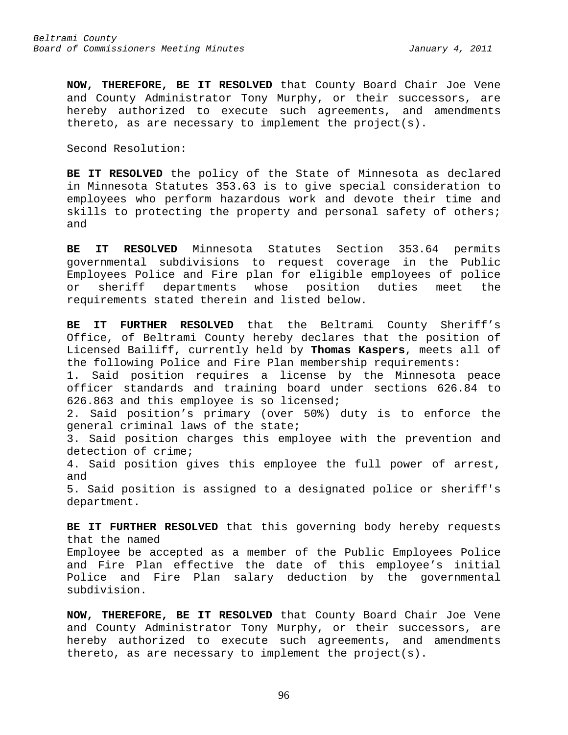**NOW, THEREFORE, BE IT RESOLVED** that County Board Chair Joe Vene and County Administrator Tony Murphy, or their successors, are hereby authorized to execute such agreements, and amendments thereto, as are necessary to implement the project(s).

Second Resolution:

**BE IT RESOLVED** the policy of the State of Minnesota as declared in Minnesota Statutes 353.63 is to give special consideration to employees who perform hazardous work and devote their time and skills to protecting the property and personal safety of others; and

**BE IT RESOLVED** Minnesota Statutes Section 353.64 permits governmental subdivisions to request coverage in the Public Employees Police and Fire plan for eligible employees of police or sheriff departments whose position requirements stated therein and listed below.

**BE IT FURTHER RESOLVED** that the Beltrami County Sheriff's Office, of Beltrami County hereby declares that the position of Licensed Bailiff, currently held by **Thomas Kaspers**, meets all of the following Police and Fire Plan membership requirements:

1. Said position requires a license by the Minnesota peace officer standards and training board under sections 626.84 to 626.863 and this employee is so licensed;

2. Said position's primary (over 50%) duty is to enforce the general criminal laws of the state;

3. Said position charges this employee with the prevention and detection of crime;

4. Said position gives this employee the full power of arrest, and

5. Said position is assigned to a designated police or sheriff's department.

**BE IT FURTHER RESOLVED** that this governing body hereby requests that the named Employee be accepted as a member of the Public Employees Police and Fire Plan effective the date of this employee's initial Police and Fire Plan salary deduction by the governmental subdivision.

**NOW, THEREFORE, BE IT RESOLVED** that County Board Chair Joe Vene and County Administrator Tony Murphy, or their successors, are hereby authorized to execute such agreements, and amendments thereto, as are necessary to implement the project(s).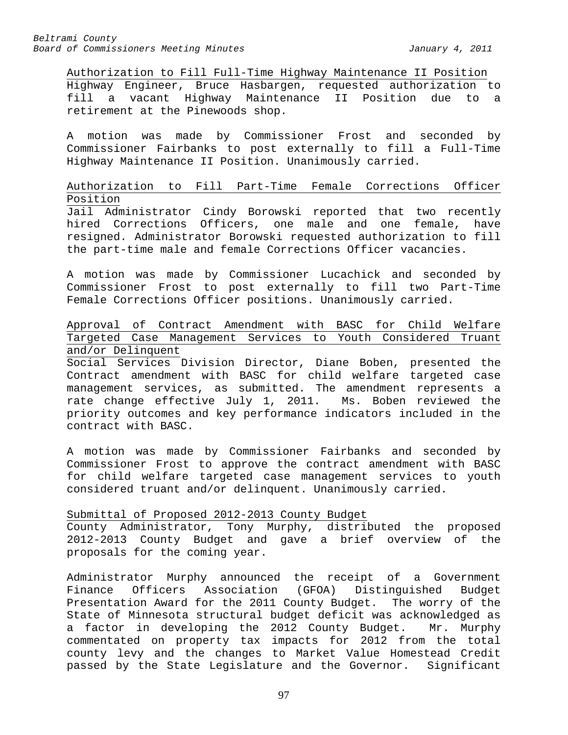Authorization to Fill Full-Time Highway Maintenance II Position Highway Engineer, Bruce Hasbargen, requested authorization to fill a vacant Highway Maintenance II Position due to a retirement at the Pinewoods shop.

A motion was made by Commissioner Frost and seconded by Commissioner Fairbanks to post externally to fill a Full-Time Highway Maintenance II Position. Unanimously carried.

## Authorization to Fill Part-Time Female Corrections Officer Position

Jail Administrator Cindy Borowski reported that two recently hired Corrections Officers, one male and one female, have resigned. Administrator Borowski requested authorization to fill the part-time male and female Corrections Officer vacancies.

A motion was made by Commissioner Lucachick and seconded by Commissioner Frost to post externally to fill two Part-Time Female Corrections Officer positions. Unanimously carried.

## Approval of Contract Amendment with BASC for Child Welfare Targeted Case Management Services to Youth Considered Truant and/or Delinquent

Social Services Division Director, Diane Boben, presented the Contract amendment with BASC for child welfare targeted case management services, as submitted. The amendment represents a rate change effective July 1, 2011. Ms. Boben reviewed the priority outcomes and key performance indicators included in the contract with BASC.

A motion was made by Commissioner Fairbanks and seconded by Commissioner Frost to approve the contract amendment with BASC for child welfare targeted case management services to youth considered truant and/or delinquent. Unanimously carried.

## Submittal of Proposed 2012-2013 County Budget

County Administrator, Tony Murphy, distributed the proposed 2012-2013 County Budget and gave a brief overview of the proposals for the coming year.

Administrator Murphy announced the receipt of a Government<br>Finance Officers Association (GFOA) Distinguished Budget Finance Officers Association (GFOA) Distinguished Budget Presentation Award for the 2011 County Budget. The worry of the State of Minnesota structural budget deficit was acknowledged as<br>a factor in developing the 2012 County Budget. Mr. Murphy a factor in developing the 2012 County Budget. commentated on property tax impacts for 2012 from the total county levy and the changes to Market Value Homestead Credit passed by the State Legislature and the Governor. Significant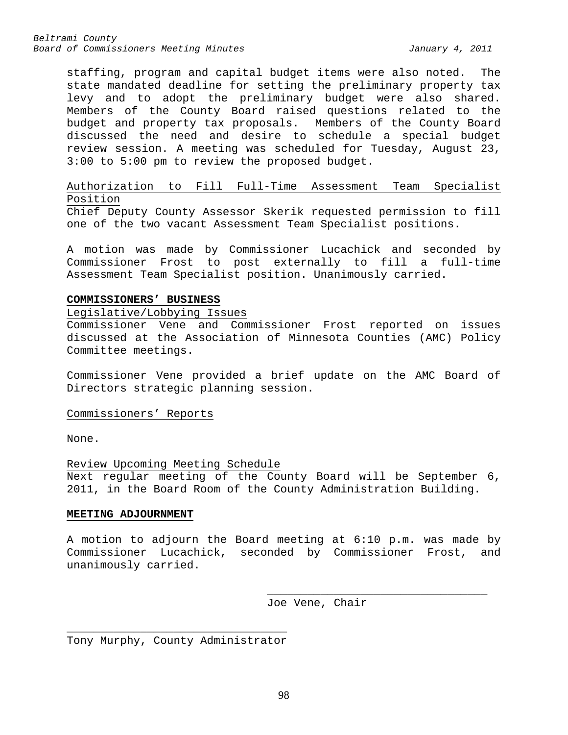staffing, program and capital budget items were also noted. The state mandated deadline for setting the preliminary property tax levy and to adopt the preliminary budget were also shared. Members of the County Board raised questions related to the budget and property tax proposals. Members of the County Board discussed the need and desire to schedule a special budget review session. A meeting was scheduled for Tuesday, August 23, 3:00 to 5:00 pm to review the proposed budget.

## Authorization to Fill Full-Time Assessment Team Specialist Position

Chief Deputy County Assessor Skerik requested permission to fill one of the two vacant Assessment Team Specialist positions.

A motion was made by Commissioner Lucachick and seconded by Commissioner Frost to post externally to fill a full-time Assessment Team Specialist position. Unanimously carried.

## **COMMISSIONERS' BUSINESS**

## Legislative/Lobbying Issues

Commissioner Vene and Commissioner Frost reported on issues discussed at the Association of Minnesota Counties (AMC) Policy Committee meetings.

Commissioner Vene provided a brief update on the AMC Board of Directors strategic planning session.

Commissioners' Reports

None.

Review Upcoming Meeting Schedule Next regular meeting of the County Board will be September 6, 2011, in the Board Room of the County Administration Building.

## **MEETING ADJOURNMENT**

A motion to adjourn the Board meeting at 6:10 p.m. was made by Commissioner Lucachick, seconded by Commissioner Frost, and unanimously carried.

> \_\_\_\_\_\_\_\_\_\_\_\_\_\_\_\_\_\_\_\_\_\_\_\_\_\_\_\_\_\_\_\_\_ Joe Vene, Chair

\_\_\_\_\_\_\_\_\_\_\_\_\_\_\_\_\_\_\_\_\_\_\_\_\_\_\_\_\_\_\_\_\_ Tony Murphy, County Administrator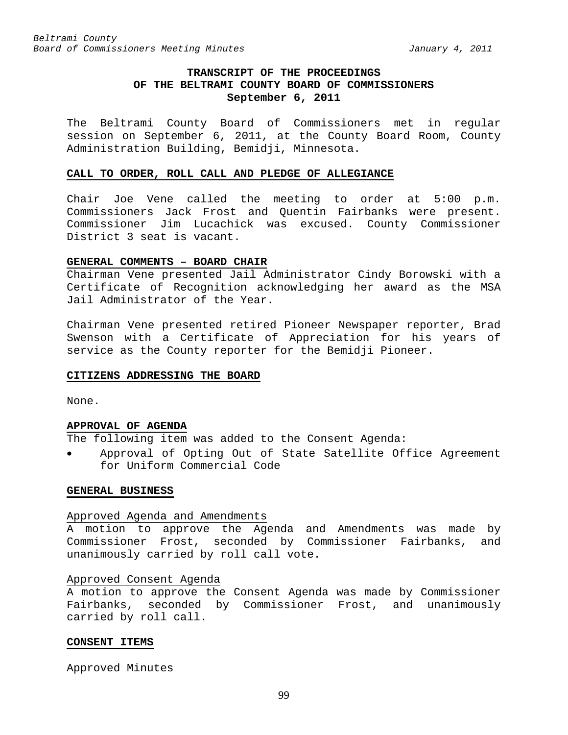## **TRANSCRIPT OF THE PROCEEDINGS OF THE BELTRAMI COUNTY BOARD OF COMMISSIONERS September 6, 2011**

The Beltrami County Board of Commissioners met in regular session on September 6, 2011, at the County Board Room, County Administration Building, Bemidji, Minnesota.

#### **CALL TO ORDER, ROLL CALL AND PLEDGE OF ALLEGIANCE**

Chair Joe Vene called the meeting to order at 5:00 p.m. Commissioners Jack Frost and Quentin Fairbanks were present. Commissioner Jim Lucachick was excused. County Commissioner District 3 seat is vacant.

### **GENERAL COMMENTS – BOARD CHAIR**

Chairman Vene presented Jail Administrator Cindy Borowski with a Certificate of Recognition acknowledging her award as the MSA Jail Administrator of the Year.

Chairman Vene presented retired Pioneer Newspaper reporter, Brad Swenson with a Certificate of Appreciation for his years of service as the County reporter for the Bemidji Pioneer.

### **CITIZENS ADDRESSING THE BOARD**

None.

### **APPROVAL OF AGENDA**

The following item was added to the Consent Agenda:

• Approval of Opting Out of State Satellite Office Agreement for Uniform Commercial Code

### **GENERAL BUSINESS**

#### Approved Agenda and Amendments

A motion to approve the Agenda and Amendments was made by Commissioner Frost, seconded by Commissioner Fairbanks, and unanimously carried by roll call vote.

#### Approved Consent Agenda

A motion to approve the Consent Agenda was made by Commissioner Fairbanks, seconded by Commissioner Frost, and unanimously carried by roll call.

### **CONSENT ITEMS**

Approved Minutes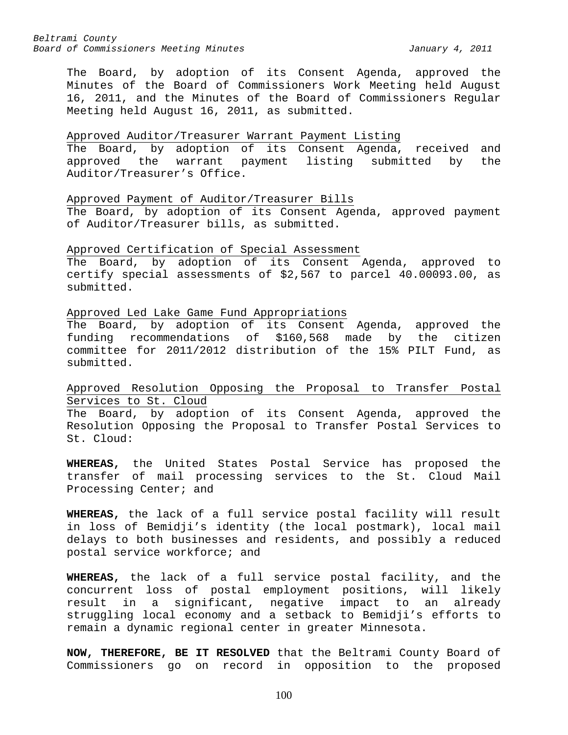The Board, by adoption of its Consent Agenda, approved the Minutes of the Board of Commissioners Work Meeting held August 16, 2011, and the Minutes of the Board of Commissioners Regular Meeting held August 16, 2011, as submitted.

## Approved Auditor/Treasurer Warrant Payment Listing

The Board, by adoption of its Consent Agenda, received and approved the warrant payment listing submitted by the Auditor/Treasurer's Office.

### Approved Payment of Auditor/Treasurer Bills

The Board, by adoption of its Consent Agenda, approved payment of Auditor/Treasurer bills, as submitted.

### Approved Certification of Special Assessment

The Board, by adoption of its Consent Agenda, approved to certify special assessments of \$2,567 to parcel 40.00093.00, as submitted.

### Approved Led Lake Game Fund Appropriations

The Board, by adoption of its Consent Agenda, approved the funding recommendations of \$160,568 made by the citizen committee for 2011/2012 distribution of the 15% PILT Fund, as submitted.

## Approved Resolution Opposing the Proposal to Transfer Postal Services to St. Cloud

The Board, by adoption of its Consent Agenda, approved the Resolution Opposing the Proposal to Transfer Postal Services to St. Cloud:

**WHEREAS,** the United States Postal Service has proposed the transfer of mail processing services to the St. Cloud Mail Processing Center; and

**WHEREAS,** the lack of a full service postal facility will result in loss of Bemidji's identity (the local postmark), local mail delays to both businesses and residents, and possibly a reduced postal service workforce; and

**WHEREAS,** the lack of a full service postal facility, and the concurrent loss of postal employment positions, will likely result in a significant, negative impact to an already struggling local economy and a setback to Bemidji's efforts to remain a dynamic regional center in greater Minnesota.

**NOW, THEREFORE, BE IT RESOLVED** that the Beltrami County Board of Commissioners go on record in opposition to the proposed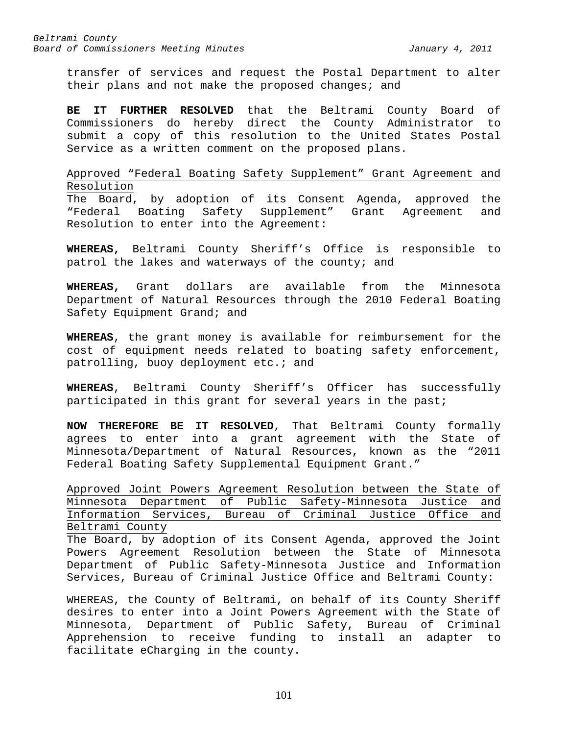transfer of services and request the Postal Department to alter their plans and not make the proposed changes; and

**BE IT FURTHER RESOLVED** that the Beltrami County Board of Commissioners do hereby direct the County Administrator to submit a copy of this resolution to the United States Postal Service as a written comment on the proposed plans.

Approved "Federal Boating Safety Supplement" Grant Agreement and Resolution

The Board, by adoption of its Consent Agenda, approved the "Federal Boating Safety Supplement" Grant Agreement and Resolution to enter into the Agreement:

**WHEREAS,** Beltrami County Sheriff's Office is responsible to patrol the lakes and waterways of the county; and

**WHEREAS,** Grant dollars are available from the Minnesota Department of Natural Resources through the 2010 Federal Boating Safety Equipment Grand; and

**WHEREAS**, the grant money is available for reimbursement for the cost of equipment needs related to boating safety enforcement, patrolling, buoy deployment etc.; and

**WHEREAS**, Beltrami County Sheriff's Officer has successfully participated in this grant for several years in the past;

**NOW THEREFORE BE IT RESOLVED**, That Beltrami County formally agrees to enter into a grant agreement with the State of Minnesota/Department of Natural Resources, known as the "2011 Federal Boating Safety Supplemental Equipment Grant."

Approved Joint Powers Agreement Resolution between the State of Minnesota Department of Public Safety-Minnesota Justice and Information Services, Bureau of Criminal Justice Office and Beltrami County

The Board, by adoption of its Consent Agenda, approved the Joint Powers Agreement Resolution between the State of Minnesota Department of Public Safety-Minnesota Justice and Information Services, Bureau of Criminal Justice Office and Beltrami County:

WHEREAS, the County of Beltrami, on behalf of its County Sheriff desires to enter into a Joint Powers Agreement with the State of Minnesota, Department of Public Safety, Bureau of Criminal Apprehension to receive funding to install an adapter to facilitate eCharging in the county.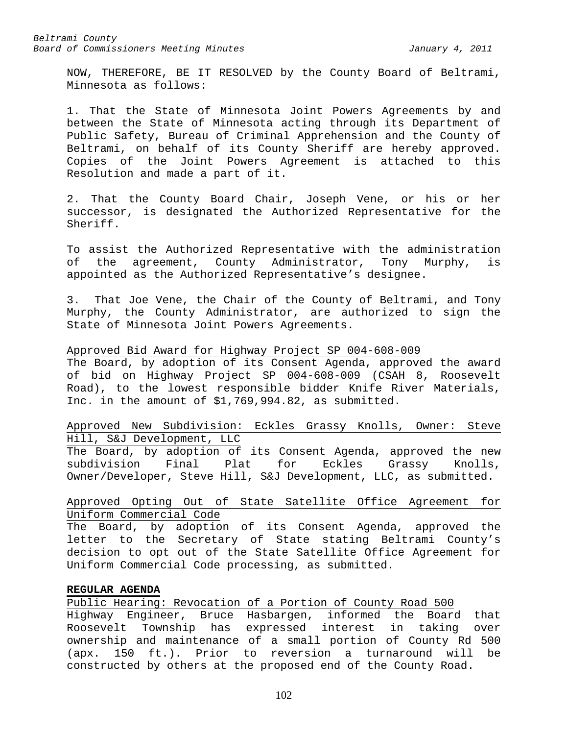NOW, THEREFORE, BE IT RESOLVED by the County Board of Beltrami, Minnesota as follows:

1. That the State of Minnesota Joint Powers Agreements by and between the State of Minnesota acting through its Department of Public Safety, Bureau of Criminal Apprehension and the County of Beltrami, on behalf of its County Sheriff are hereby approved. Copies of the Joint Powers Agreement is attached to this Resolution and made a part of it.

2. That the County Board Chair, Joseph Vene, or his or her successor, is designated the Authorized Representative for the Sheriff.

To assist the Authorized Representative with the administration of the agreement, County Administrator, Tony Murphy, is appointed as the Authorized Representative's designee.

3. That Joe Vene, the Chair of the County of Beltrami, and Tony Murphy, the County Administrator, are authorized to sign the State of Minnesota Joint Powers Agreements.

### Approved Bid Award for Highway Project SP 004-608-009

The Board, by adoption of its Consent Agenda, approved the award of bid on Highway Project SP 004-608-009 (CSAH 8, Roosevelt Road), to the lowest responsible bidder Knife River Materials, Inc. in the amount of \$1,769,994.82, as submitted.

Approved New Subdivision: Eckles Grassy Knolls, Owner: Steve Hill, S&J Development, LLC

The Board, by adoption of its Consent Agenda, approved the new<br>subdivision Final Plat for Eckles Grassy Knolls, subdivision Final Plat for Eckles Grassy Knolls, Owner/Developer, Steve Hill, S&J Development, LLC, as submitted.

## Approved Opting Out of State Satellite Office Agreement for Uniform Commercial Code

The Board, by adoption of its Consent Agenda, approved the letter to the Secretary of State stating Beltrami County's decision to opt out of the State Satellite Office Agreement for Uniform Commercial Code processing, as submitted.

### **REGULAR AGENDA**

Public Hearing: Revocation of a Portion of County Road 500

Highway Engineer, Bruce Hasbargen, informed the Board that Roosevelt Township has expressed interest in taking over ownership and maintenance of a small portion of County Rd 500 (apx. 150 ft.). Prior to reversion a turnaround will be constructed by others at the proposed end of the County Road.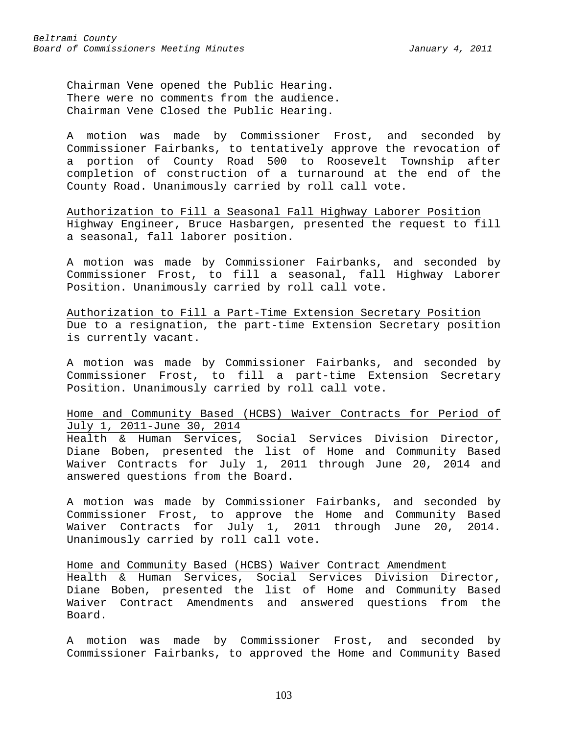Chairman Vene opened the Public Hearing. There were no comments from the audience. Chairman Vene Closed the Public Hearing.

A motion was made by Commissioner Frost, and seconded by Commissioner Fairbanks, to tentatively approve the revocation of a portion of County Road 500 to Roosevelt Township after completion of construction of a turnaround at the end of the County Road. Unanimously carried by roll call vote.

Authorization to Fill a Seasonal Fall Highway Laborer Position Highway Engineer, Bruce Hasbargen, presented the request to fill a seasonal, fall laborer position.

A motion was made by Commissioner Fairbanks, and seconded by Commissioner Frost, to fill a seasonal, fall Highway Laborer Position. Unanimously carried by roll call vote.

Authorization to Fill a Part-Time Extension Secretary Position Due to a resignation, the part-time Extension Secretary position is currently vacant.

A motion was made by Commissioner Fairbanks, and seconded by Commissioner Frost, to fill a part-time Extension Secretary Position. Unanimously carried by roll call vote.

Home and Community Based (HCBS) Waiver Contracts for Period of July 1, 2011-June 30, 2014

Health & Human Services, Social Services Division Director, Diane Boben, presented the list of Home and Community Based Waiver Contracts for July 1, 2011 through June 20, 2014 and answered questions from the Board.

A motion was made by Commissioner Fairbanks, and seconded by Commissioner Frost, to approve the Home and Community Based Waiver Contracts for July 1, 2011 through June 20, 2014. Unanimously carried by roll call vote.

Home and Community Based (HCBS) Waiver Contract Amendment Health & Human Services, Social Services Division Director, Diane Boben, presented the list of Home and Community Based Waiver Contract Amendments and answered questions from the Board.

A motion was made by Commissioner Frost, and seconded by Commissioner Fairbanks, to approved the Home and Community Based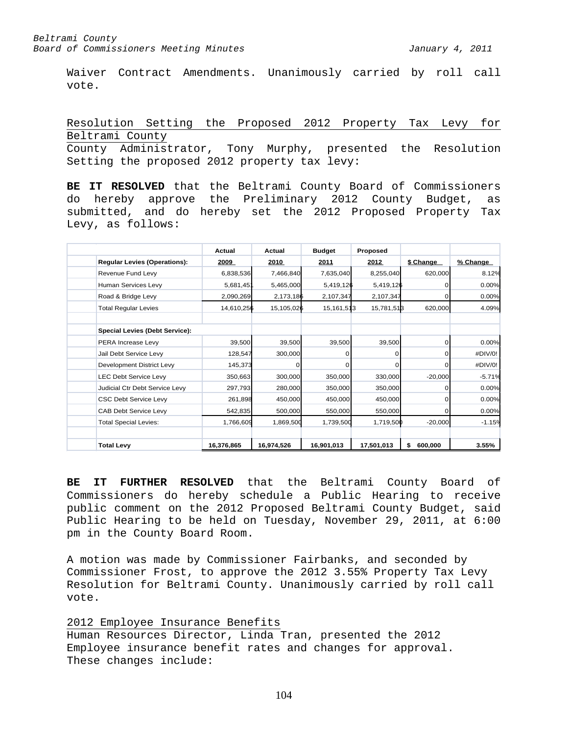Waiver Contract Amendments. Unanimously carried by roll call vote.

Resolution Setting the Proposed 2012 Property Tax Levy for Beltrami County County Administrator, Tony Murphy, presented the Resolution

Setting the proposed 2012 property tax levy:

**BE IT RESOLVED** that the Beltrami County Board of Commissioners do hereby approve the Preliminary 2012 County Budget, as submitted, and do hereby set the 2012 Proposed Property Tax Levy, as follows:

|                                       | Actual     | Actual     | <b>Budget</b> | Proposed   |               |          |
|---------------------------------------|------------|------------|---------------|------------|---------------|----------|
| <b>Regular Levies (Operations):</b>   | 2009       | 2010       | 2011          | 2012       | \$ Change     | % Change |
| Revenue Fund Levy                     | 6,838,536  | 7,466,840  | 7,635,040     | 8,255,040  | 620,000       | 8.12%    |
| Human Services Levy                   | 5,681,451  | 5,465,000  | 5,419,126     | 5,419,126  | $\Omega$      | 0.00%    |
| Road & Bridge Levy                    | 2,090,269  | 2,173,186  | 2,107,347     | 2,107,347  | $\Omega$      | 0.00%    |
| <b>Total Regular Levies</b>           | 14,610,256 | 15,105,026 | 15, 161, 513  | 15,781,513 | 620,000       | 4.09%    |
| <b>Special Levies (Debt Service):</b> |            |            |               |            |               |          |
| PERA Increase Levy                    | 39,500     | 39,500     | 39,500        | 39,500     | 0             | 0.00%    |
| Jail Debt Service Levy                | 128,547    | 300,000    | $\Omega$      | $\Omega$   | 0             | #DIV/0!  |
| Development District Levy             | 145,373    |            | 0             | 0          | 0             | #DIV/0!  |
| <b>LEC Debt Service Levy</b>          | 350,663    | 300,000    | 350,000       | 330,000    | $-20,000$     | $-5.71%$ |
| Judicial Ctr Debt Service Levy        | 297,793    | 280,000    | 350,000       | 350,000    | $\Omega$      | 0.00%    |
| <b>CSC Debt Service Levy</b>          | 261,898    | 450,000    | 450,000       | 450,000    | $\Omega$      | 0.00%    |
| CAB Debt Service Levy                 | 542,835    | 500,000    | 550,000       | 550,000    | $\Omega$      | 0.00%    |
| <b>Total Special Levies:</b>          | 1,766,609  | 1,869,500  | 1,739,500     | 1,719,500  | $-20,000$     | $-1.15%$ |
| <b>Total Levy</b>                     | 16,376,865 | 16,974,526 | 16,901,013    | 17,501,013 | 600,000<br>\$ | 3.55%    |

**BE IT FURTHER RESOLVED** that the Beltrami County Board of Commissioners do hereby schedule a Public Hearing to receive public comment on the 2012 Proposed Beltrami County Budget, said Public Hearing to be held on Tuesday, November 29, 2011, at 6:00 pm in the County Board Room.

A motion was made by Commissioner Fairbanks, and seconded by Commissioner Frost, to approve the 2012 3.55% Property Tax Levy Resolution for Beltrami County. Unanimously carried by roll call vote.

### 2012 Employee Insurance Benefits

Human Resources Director, Linda Tran, presented the 2012 Employee insurance benefit rates and changes for approval. These changes include: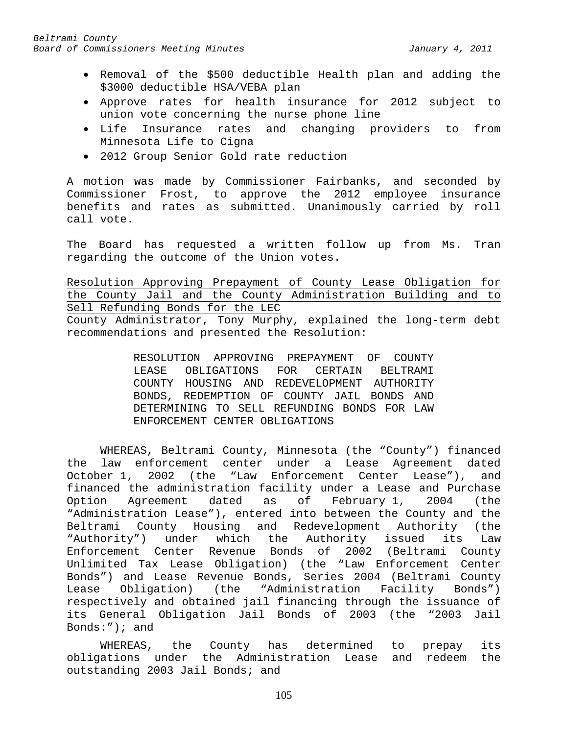- Removal of the \$500 deductible Health plan and adding the \$3000 deductible HSA/VEBA plan
- Approve rates for health insurance for 2012 subject to union vote concerning the nurse phone line
- Life Insurance rates and changing providers to from Minnesota Life to Cigna
- 2012 Group Senior Gold rate reduction

A motion was made by Commissioner Fairbanks, and seconded by Commissioner Frost, to approve the 2012 employee insurance benefits and rates as submitted. Unanimously carried by roll call vote.

The Board has requested a written follow up from Ms. Tran regarding the outcome of the Union votes.

Resolution Approving Prepayment of County Lease Obligation for the County Jail and the County Administration Building and to Sell Refunding Bonds for the LEC County Administrator, Tony Murphy, explained the long-term debt recommendations and presented the Resolution:

> RESOLUTION APPROVING PREPAYMENT OF COUNTY LEASE OBLIGATIONS FOR CERTAIN BELTRAMI COUNTY HOUSING AND REDEVELOPMENT AUTHORITY BONDS, REDEMPTION OF COUNTY JAIL BONDS AND DETERMINING TO SELL REFUNDING BONDS FOR LAW ENFORCEMENT CENTER OBLIGATIONS

WHEREAS, Beltrami County, Minnesota (the "County") financed the law enforcement center under a Lease Agreement dated October 1, 2002 (the "Law Enforcement Center Lease"), and financed the administration facility under a Lease and Purchase<br>Option Agreement dated as of February 1, 2004 (the Option Agreement dated as of February 1, "Administration Lease"), entered into between the County and the Beltrami County Housing and Redevelopment Authority (the "Authority") under which the Authority issued its Law Enforcement Center Revenue Bonds of 2002 (Beltrami County Unlimited Tax Lease Obligation) (the "Law Enforcement Center Bonds") and Lease Revenue Bonds, Series 2004 (Beltrami County Lease Obligation) (the "Administration Facility Bonds") respectively and obtained jail financing through the issuance of its General Obligation Jail Bonds of 2003 (the "2003 Jail Bonds:"); and

WHEREAS, the County has determined to prepay its obligations under the Administration Lease and redeem the outstanding 2003 Jail Bonds; and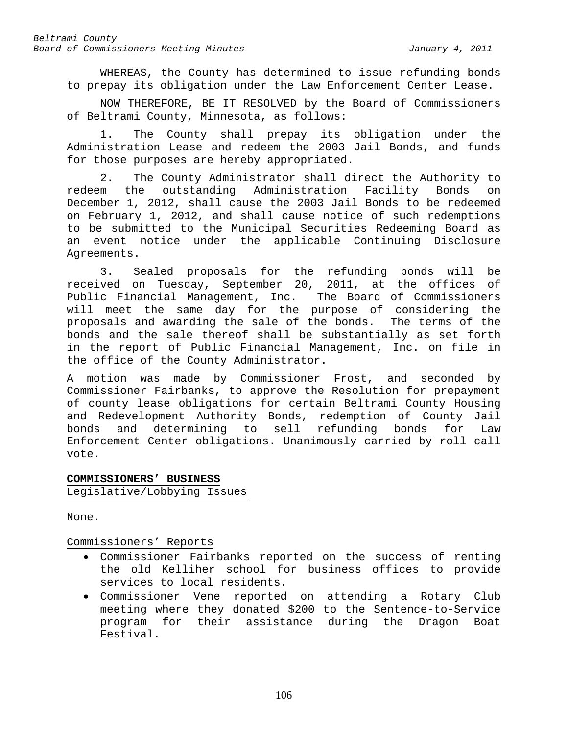WHEREAS, the County has determined to issue refunding bonds to prepay its obligation under the Law Enforcement Center Lease.

NOW THEREFORE, BE IT RESOLVED by the Board of Commissioners of Beltrami County, Minnesota, as follows:

1. The County shall prepay its obligation under the Administration Lease and redeem the 2003 Jail Bonds, and funds for those purposes are hereby appropriated.

2. The County Administrator shall direct the Authority to redeem the outstanding Administration Facility Bonds on December 1, 2012, shall cause the 2003 Jail Bonds to be redeemed on February 1, 2012, and shall cause notice of such redemptions to be submitted to the Municipal Securities Redeeming Board as an event notice under the applicable Continuing Disclosure Agreements.

3. Sealed proposals for the refunding bonds will be received on Tuesday, September 20, 2011, at the offices of Public Financial Management, Inc. The Board of Commissioners will meet the same day for the purpose of considering the proposals and awarding the sale of the bonds. The terms of the bonds and the sale thereof shall be substantially as set forth in the report of Public Financial Management, Inc. on file in the office of the County Administrator.

A motion was made by Commissioner Frost, and seconded by Commissioner Fairbanks, to approve the Resolution for prepayment of county lease obligations for certain Beltrami County Housing and Redevelopment Authority Bonds, redemption of County Jail and determining to sell refunding bonds for Law Enforcement Center obligations. Unanimously carried by roll call vote.

## **COMMISSIONERS' BUSINESS** Legislative/Lobbying Issues

None.

## Commissioners' Reports

- Commissioner Fairbanks reported on the success of renting the old Kelliher school for business offices to provide services to local residents.
- Commissioner Vene reported on attending a Rotary Club meeting where they donated \$200 to the Sentence-to-Service for their assistance during the Dragon Boat Festival.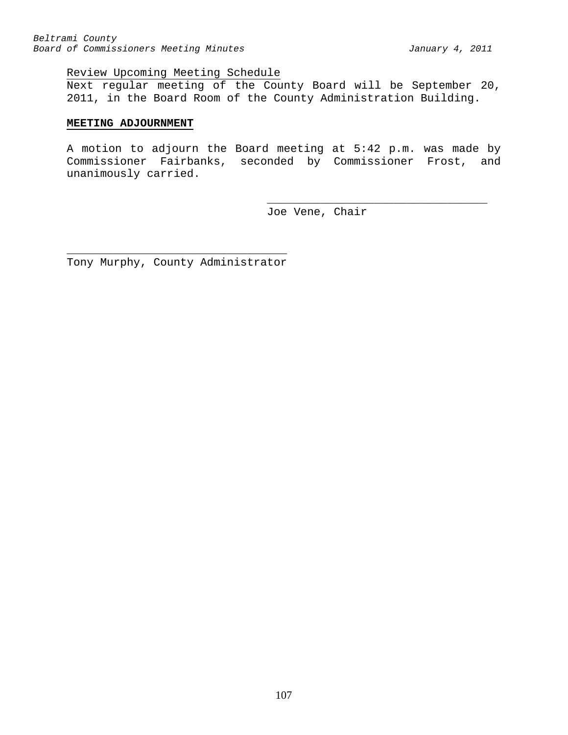## Review Upcoming Meeting Schedule

Next regular meeting of the County Board will be September 20, 2011, in the Board Room of the County Administration Building.

## **MEETING ADJOURNMENT**

A motion to adjourn the Board meeting at 5:42 p.m. was made by Commissioner Fairbanks, seconded by Commissioner Frost, and unanimously carried.

> \_\_\_\_\_\_\_\_\_\_\_\_\_\_\_\_\_\_\_\_\_\_\_\_\_\_\_\_\_\_\_\_\_ Joe Vene, Chair

\_\_\_\_\_\_\_\_\_\_\_\_\_\_\_\_\_\_\_\_\_\_\_\_\_\_\_\_\_\_\_\_\_ Tony Murphy, County Administrator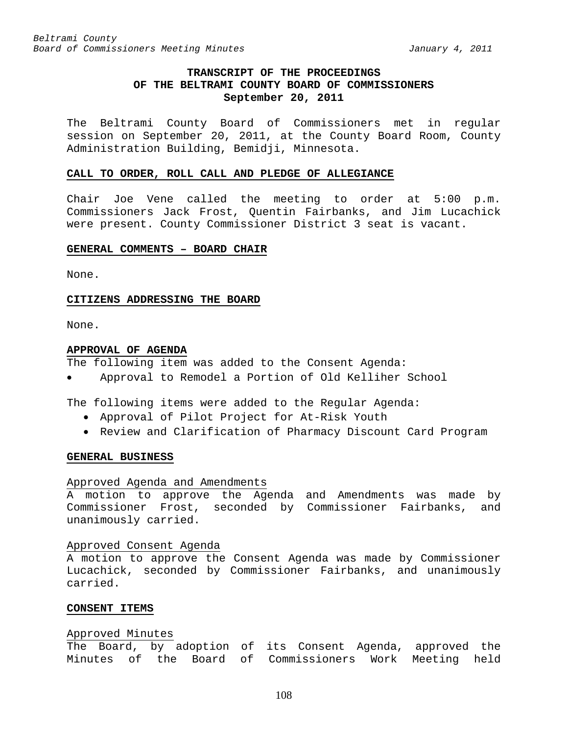## **TRANSCRIPT OF THE PROCEEDINGS OF THE BELTRAMI COUNTY BOARD OF COMMISSIONERS September 20, 2011**

The Beltrami County Board of Commissioners met in regular session on September 20, 2011, at the County Board Room, County Administration Building, Bemidji, Minnesota.

#### **CALL TO ORDER, ROLL CALL AND PLEDGE OF ALLEGIANCE**

Chair Joe Vene called the meeting to order at 5:00 p.m. Commissioners Jack Frost, Quentin Fairbanks, and Jim Lucachick were present. County Commissioner District 3 seat is vacant.

### **GENERAL COMMENTS – BOARD CHAIR**

None.

#### **CITIZENS ADDRESSING THE BOARD**

None.

#### **APPROVAL OF AGENDA**

The following item was added to the Consent Agenda:

• Approval to Remodel a Portion of Old Kelliher School

The following items were added to the Regular Agenda:

- Approval of Pilot Project for At-Risk Youth
- Review and Clarification of Pharmacy Discount Card Program

#### **GENERAL BUSINESS**

#### Approved Agenda and Amendments

A motion to approve the Agenda and Amendments was made by Commissioner Frost, seconded by Commissioner Fairbanks, and unanimously carried.

## Approved Consent Agenda

A motion to approve the Consent Agenda was made by Commissioner Lucachick, seconded by Commissioner Fairbanks, and unanimously carried.

### **CONSENT ITEMS**

## Approved Minutes

The Board, by adoption of its Consent Agenda, approved the Minutes of the Board of Commissioners Work Meeting held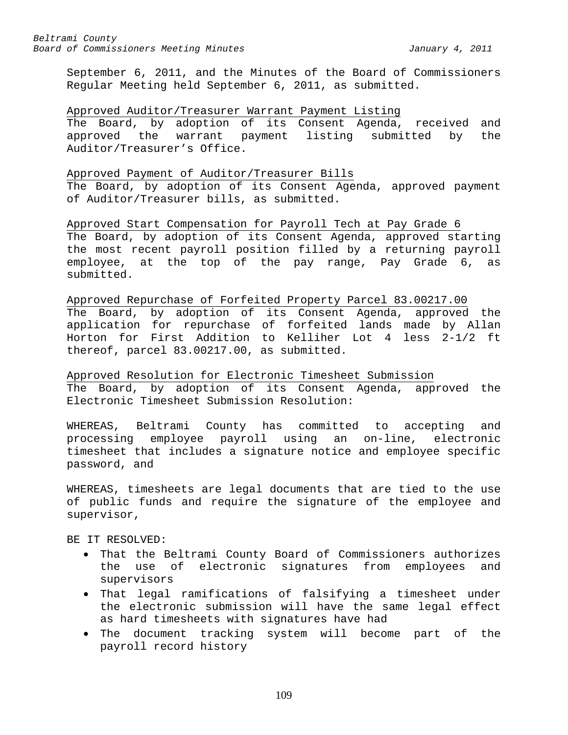September 6, 2011, and the Minutes of the Board of Commissioners Regular Meeting held September 6, 2011, as submitted.

#### Approved Auditor/Treasurer Warrant Payment Listing

The Board, by adoption of its Consent Agenda, received and approved the warrant payment listing submitted by the Auditor/Treasurer's Office.

#### Approved Payment of Auditor/Treasurer Bills

The Board, by adoption of its Consent Agenda, approved payment of Auditor/Treasurer bills, as submitted.

Approved Start Compensation for Payroll Tech at Pay Grade 6 The Board, by adoption of its Consent Agenda, approved starting the most recent payroll position filled by a returning payroll employee, at the top of the pay range, Pay Grade 6, as submitted.

## Approved Repurchase of Forfeited Property Parcel 83.00217.00

The Board, by adoption of its Consent Agenda, approved the application for repurchase of forfeited lands made by Allan Horton for First Addition to Kelliher Lot 4 less 2-1/2 ft thereof, parcel 83.00217.00, as submitted.

Approved Resolution for Electronic Timesheet Submission The Board, by adoption of its Consent Agenda, approved the Electronic Timesheet Submission Resolution:

WHEREAS, Beltrami County has committed to accepting and processing employee payroll using an on-line, electronic timesheet that includes a signature notice and employee specific password, and

WHEREAS, timesheets are legal documents that are tied to the use of public funds and require the signature of the employee and supervisor,

BE IT RESOLVED:

- That the Beltrami County Board of Commissioners authorizes the use of electronic signatures from employees and supervisors
- That legal ramifications of falsifying a timesheet under the electronic submission will have the same legal effect as hard timesheets with signatures have had
- The document tracking system will become part of the payroll record history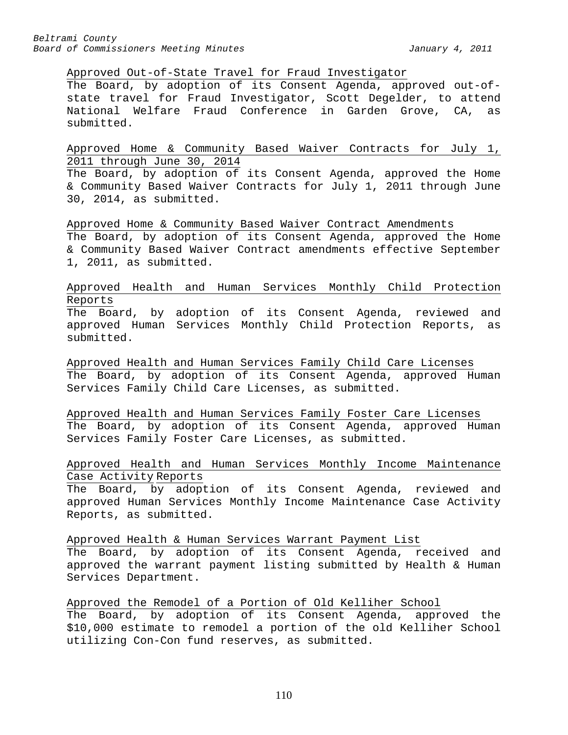#### Approved Out-of-State Travel for Fraud Investigator

The Board, by adoption of its Consent Agenda, approved out-ofstate travel for Fraud Investigator, Scott Degelder, to attend National Welfare Fraud Conference in Garden Grove, CA, as submitted.

Approved Home & Community Based Waiver Contracts for July 1, 2011 through June 30, 2014

The Board, by adoption of its Consent Agenda, approved the Home & Community Based Waiver Contracts for July 1, 2011 through June 30, 2014, as submitted.

Approved Home & Community Based Waiver Contract Amendments The Board, by adoption of its Consent Agenda, approved the Home & Community Based Waiver Contract amendments effective September 1, 2011, as submitted.

Approved Health and Human Services Monthly Child Protection Reports

The Board, by adoption of its Consent Agenda, reviewed and approved Human Services Monthly Child Protection Reports, as submitted.

Approved Health and Human Services Family Child Care Licenses The Board, by adoption of its Consent Agenda, approved Human Services Family Child Care Licenses, as submitted.

Approved Health and Human Services Family Foster Care Licenses The Board, by adoption of its Consent Agenda, approved Human Services Family Foster Care Licenses, as submitted.

## Approved Health and Human Services Monthly Income Maintenance Case Activity Reports

The Board, by adoption of its Consent Agenda, reviewed and approved Human Services Monthly Income Maintenance Case Activity Reports, as submitted.

Approved Health & Human Services Warrant Payment List

The Board, by adoption of its Consent Agenda, received and approved the warrant payment listing submitted by Health & Human Services Department.

Approved the Remodel of a Portion of Old Kelliher School The Board, by adoption of its Consent Agenda, approved the \$10,000 estimate to remodel a portion of the old Kelliher School utilizing Con-Con fund reserves, as submitted.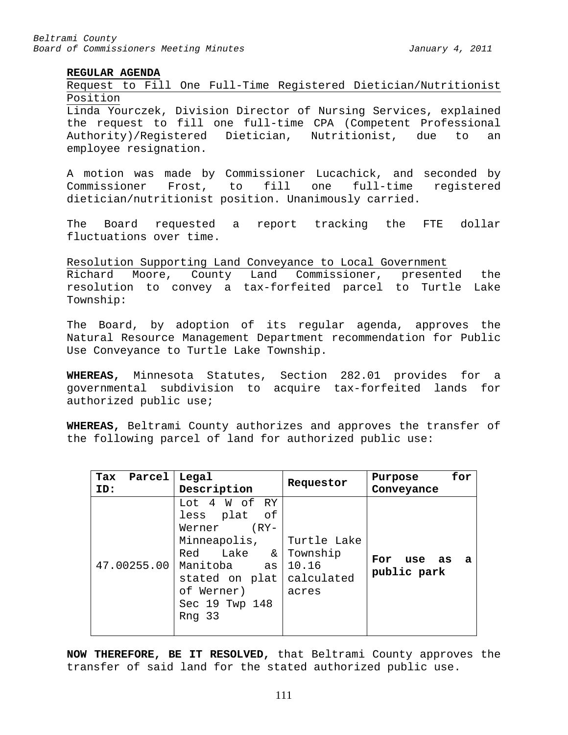## **REGULAR AGENDA**

## Request to Fill One Full-Time Registered Dietician/Nutritionist Position

Linda Yourczek, Division Director of Nursing Services, explained the request to fill one full-time CPA (Competent Professional Authority)/Registered Dietician, Nutritionist, due to an employee resignation.

A motion was made by Commissioner Lucachick, and seconded by<br>Commissioner Frost, to fill one full-time registered Commissioner Frost, to fill one full-time registered dietician/nutritionist position. Unanimously carried.

The Board requested a report tracking the FTE dollar fluctuations over time.

Resolution Supporting Land Conveyance to Local Government Richard Moore, County Land Commissioner, presented the resolution to convey a tax-forfeited parcel to Turtle Lake Township:

The Board, by adoption of its regular agenda, approves the Natural Resource Management Department recommendation for Public Use Conveyance to Turtle Lake Township.

**WHEREAS,** Minnesota Statutes, Section 282.01 provides for a governmental subdivision to acquire tax-forfeited lands for authorized public use;

**WHEREAS,** Beltrami County authorizes and approves the transfer of the following parcel of land for authorized public use:

| Parcel<br>Tax | Legal                                                                                                                                                                      | Requestor                                | for<br>Purpose                      |
|---------------|----------------------------------------------------------------------------------------------------------------------------------------------------------------------------|------------------------------------------|-------------------------------------|
| ID:           | Description                                                                                                                                                                |                                          | Conveyance                          |
| 47.00255.00   | Lot 4 W of RY<br>less plat of<br>$(RY -$<br>Werner<br>Minneapolis, Turtle Lake<br>Red Lake &<br>Manitoba<br>as<br>stated on plat<br>of Werner)<br>Sec 19 Twp 148<br>Rng 33 | Township<br>10.16<br>calculated<br>acres | For<br>use as<br>- a<br>public park |

**NOW THEREFORE, BE IT RESOLVED,** that Beltrami County approves the transfer of said land for the stated authorized public use.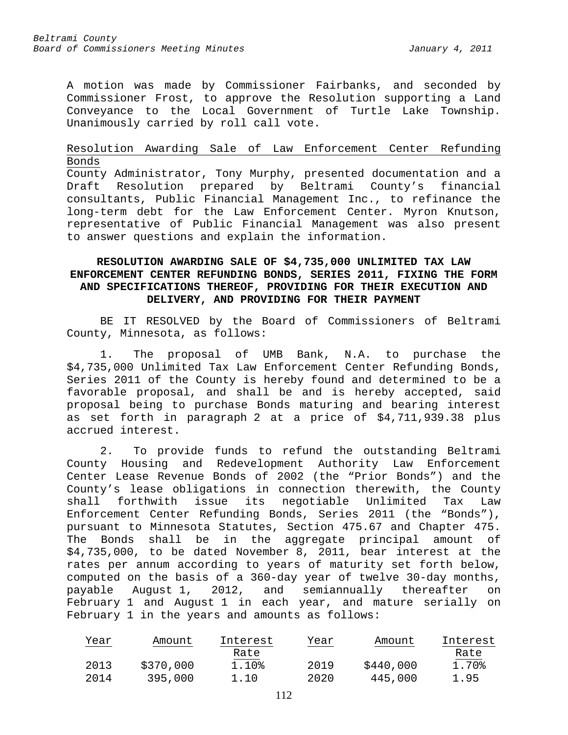A motion was made by Commissioner Fairbanks, and seconded by Commissioner Frost, to approve the Resolution supporting a Land Conveyance to the Local Government of Turtle Lake Township. Unanimously carried by roll call vote.

# Resolution Awarding Sale of Law Enforcement Center Refunding Bonds

County Administrator, Tony Murphy, presented documentation and a Draft Resolution prepared by Beltrami County's financial consultants, Public Financial Management Inc., to refinance the long-term debt for the Law Enforcement Center. Myron Knutson, representative of Public Financial Management was also present to answer questions and explain the information.

# **RESOLUTION AWARDING SALE OF \$4,735,000 UNLIMITED TAX LAW ENFORCEMENT CENTER REFUNDING BONDS, SERIES 2011, FIXING THE FORM AND SPECIFICATIONS THEREOF, PROVIDING FOR THEIR EXECUTION AND DELIVERY, AND PROVIDING FOR THEIR PAYMENT**

BE IT RESOLVED by the Board of Commissioners of Beltrami County, Minnesota, as follows:

1. The proposal of UMB Bank, N.A. to purchase the \$4,735,000 Unlimited Tax Law Enforcement Center Refunding Bonds, Series 2011 of the County is hereby found and determined to be a favorable proposal, and shall be and is hereby accepted, said proposal being to purchase Bonds maturing and bearing interest as set forth in paragraph 2 at a price of \$4,711,939.38 plus accrued interest.

2. To provide funds to refund the outstanding Beltrami County Housing and Redevelopment Authority Law Enforcement Center Lease Revenue Bonds of 2002 (the "Prior Bonds") and the County's lease obligations in connection therewith, the County shall forthwith issue its negotiable Unlimited Tax Law Enforcement Center Refunding Bonds, Series 2011 (the "Bonds"), pursuant to Minnesota Statutes, Section 475.67 and Chapter 475. The Bonds shall be in the aggregate principal amount of \$4,735,000, to be dated November 8, 2011, bear interest at the rates per annum according to years of maturity set forth below, computed on the basis of a 360-day year of twelve 30-day months, payable August 1, 2012, and semiannually thereafter on February 1 and August 1 in each year, and mature serially on February 1 in the years and amounts as follows:

| Year | Amount    | Interest | Year | Amount    | Interest |
|------|-----------|----------|------|-----------|----------|
|      |           | Rate     |      |           | Rate     |
| 2013 | \$370,000 | 1.10%    | 2019 | \$440,000 | 1.70%    |
| 2014 | 395,000   | 1.10     | 2020 | 445,000   | 1.95     |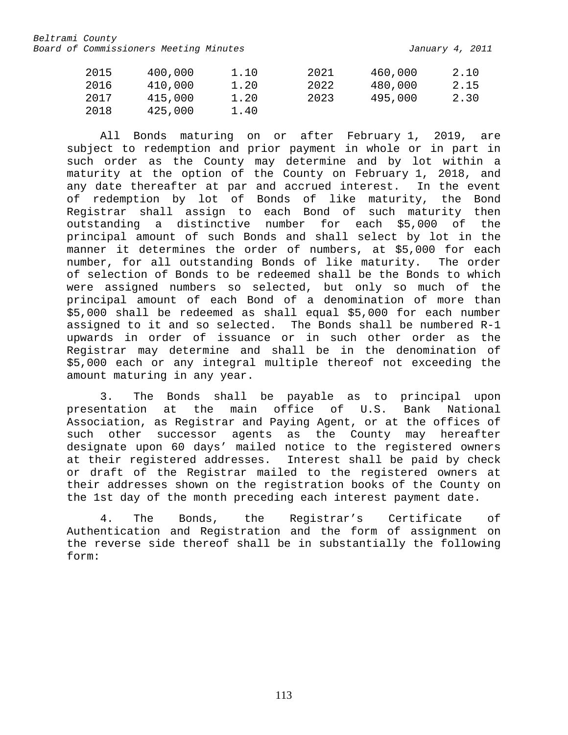| 2015 | 400,000 | 1.10 | 2021 | 460,000 | 2.10 |
|------|---------|------|------|---------|------|
| 2016 | 410,000 | 1.20 | 2022 | 480,000 | 2.15 |
| 2017 | 415,000 | 1.20 | 2023 | 495,000 | 2.30 |
| 2018 | 425,000 | 1.40 |      |         |      |

All Bonds maturing on or after February 1, 2019, are subject to redemption and prior payment in whole or in part in such order as the County may determine and by lot within a maturity at the option of the County on February 1, 2018, and any date thereafter at par and accrued interest. In the event of redemption by lot of Bonds of like maturity, the Bond Registrar shall assign to each Bond of such maturity then outstanding a distinctive number for each \$5,000 of the principal amount of such Bonds and shall select by lot in the manner it determines the order of numbers, at \$5,000 for each number, for all outstanding Bonds of like maturity. The order of selection of Bonds to be redeemed shall be the Bonds to which were assigned numbers so selected, but only so much of the principal amount of each Bond of a denomination of more than \$5,000 shall be redeemed as shall equal \$5,000 for each number assigned to it and so selected. The Bonds shall be numbered R-1 upwards in order of issuance or in such other order as the Registrar may determine and shall be in the denomination of \$5,000 each or any integral multiple thereof not exceeding the amount maturing in any year.

3. The Bonds shall be payable as to principal upon presentation at the main office of U.S. Bank National Association, as Registrar and Paying Agent, or at the offices of such other successor agents as the County may hereafter designate upon 60 days' mailed notice to the registered owners at their registered addresses. Interest shall be paid by check or draft of the Registrar mailed to the registered owners at their addresses shown on the registration books of the County on the 1st day of the month preceding each interest payment date.

4. The Bonds, the Registrar's Certificate of Authentication and Registration and the form of assignment on the reverse side thereof shall be in substantially the following form: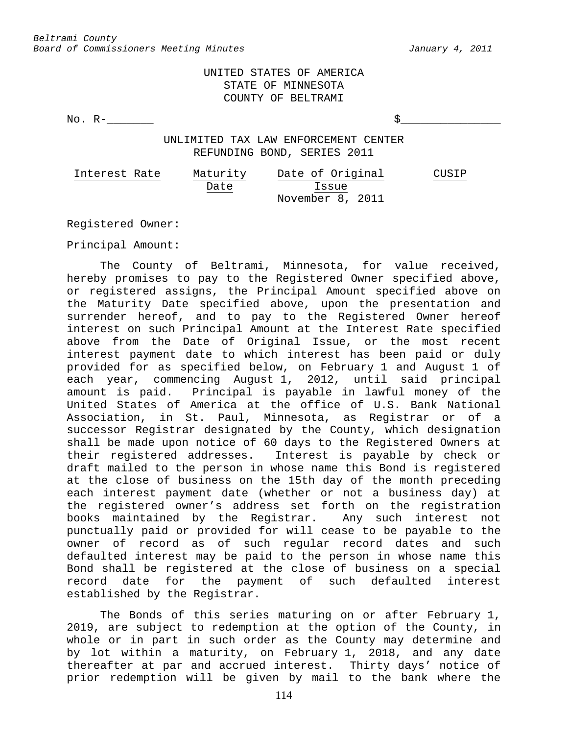UNITED STATES OF AMERICA STATE OF MINNESOTA COUNTY OF BELTRAMI

No.  $R-$ 

UNLIMITED TAX LAW ENFORCEMENT CENTER REFUNDING BOND, SERIES 2011

| Interest Rate | Maturity | Date of Original | CUSIP |
|---------------|----------|------------------|-------|
|               | Date     | Issue            |       |
|               |          | November 8, 2011 |       |

Registered Owner:

Principal Amount:

The County of Beltrami, Minnesota, for value received, hereby promises to pay to the Registered Owner specified above, or registered assigns, the Principal Amount specified above on the Maturity Date specified above, upon the presentation and surrender hereof, and to pay to the Registered Owner hereof interest on such Principal Amount at the Interest Rate specified above from the Date of Original Issue, or the most recent interest payment date to which interest has been paid or duly provided for as specified below, on February 1 and August 1 of each year, commencing August 1, 2012, until said principal<br>amount is paid. Principal is payable in lawful money of the Principal is payable in lawful money of the United States of America at the office of U.S. Bank National Association, in St. Paul, Minnesota, as Registrar or of a successor Registrar designated by the County, which designation shall be made upon notice of 60 days to the Registered Owners at<br>their registered addresses. Interest is payable by check or Interest is payable by check or draft mailed to the person in whose name this Bond is registered at the close of business on the 15th day of the month preceding each interest payment date (whether or not a business day) at the registered owner's address set forth on the registration books maintained by the Registrar. Any such interest not punctually paid or provided for will cease to be payable to the owner of record as of such regular record dates and such defaulted interest may be paid to the person in whose name this Bond shall be registered at the close of business on a special record date for the payment of such defaulted interest established by the Registrar.

The Bonds of this series maturing on or after February 1, 2019, are subject to redemption at the option of the County, in whole or in part in such order as the County may determine and by lot within a maturity, on February 1, 2018, and any date thereafter at par and accrued interest. Thirty days' notice of prior redemption will be given by mail to the bank where the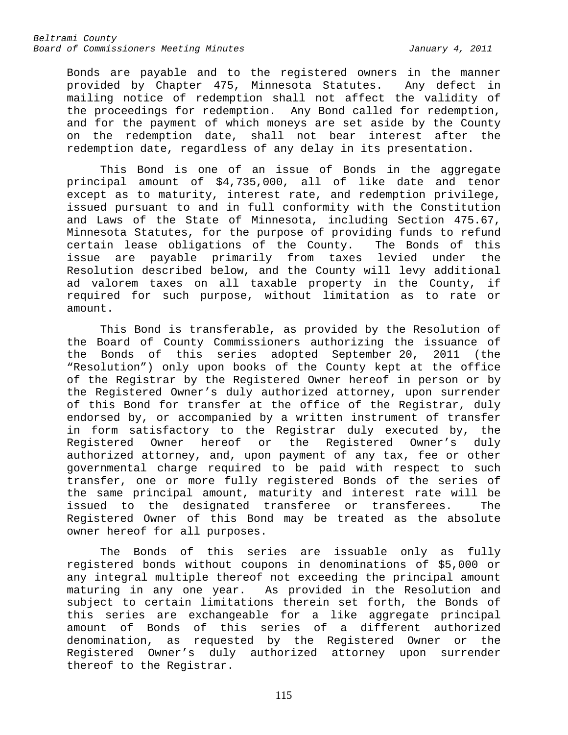Bonds are payable and to the registered owners in the manner provided by Chapter 475, Minnesota Statutes. Any defect in mailing notice of redemption shall not affect the validity of the proceedings for redemption. Any Bond called for redemption, and for the payment of which moneys are set aside by the County on the redemption date, shall not bear interest after the redemption date, regardless of any delay in its presentation.

This Bond is one of an issue of Bonds in the aggregate principal amount of \$4,735,000, all of like date and tenor except as to maturity, interest rate, and redemption privilege, issued pursuant to and in full conformity with the Constitution and Laws of the State of Minnesota, including Section 475.67, Minnesota Statutes, for the purpose of providing funds to refund<br>certain lease obligations of the County. The Bonds of this certain lease obligations of the County. issue are payable primarily from taxes levied under the Resolution described below, and the County will levy additional ad valorem taxes on all taxable property in the County, if required for such purpose, without limitation as to rate or amount.

This Bond is transferable, as provided by the Resolution of the Board of County Commissioners authorizing the issuance of the Bonds of this series adopted September 20, 2011 (the "Resolution") only upon books of the County kept at the office of the Registrar by the Registered Owner hereof in person or by the Registered Owner's duly authorized attorney, upon surrender of this Bond for transfer at the office of the Registrar, duly endorsed by, or accompanied by a written instrument of transfer in form satisfactory to the Registrar duly executed by, the Registered Owner hereof or the Registered Owner's duly authorized attorney, and, upon payment of any tax, fee or other governmental charge required to be paid with respect to such transfer, one or more fully registered Bonds of the series of the same principal amount, maturity and interest rate will be<br>issued to the designated transferee or transferees. The issued to the designated transferee or transferees. Registered Owner of this Bond may be treated as the absolute owner hereof for all purposes.

The Bonds of this series are issuable only as fully registered bonds without coupons in denominations of \$5,000 or any integral multiple thereof not exceeding the principal amount maturing in any one year. As provided in the Resolution and subject to certain limitations therein set forth, the Bonds of this series are exchangeable for a like aggregate principal amount of Bonds of this series of a different authorized denomination, as requested by the Registered Owner or the Registered Owner's duly authorized attorney upon surrender thereof to the Registrar.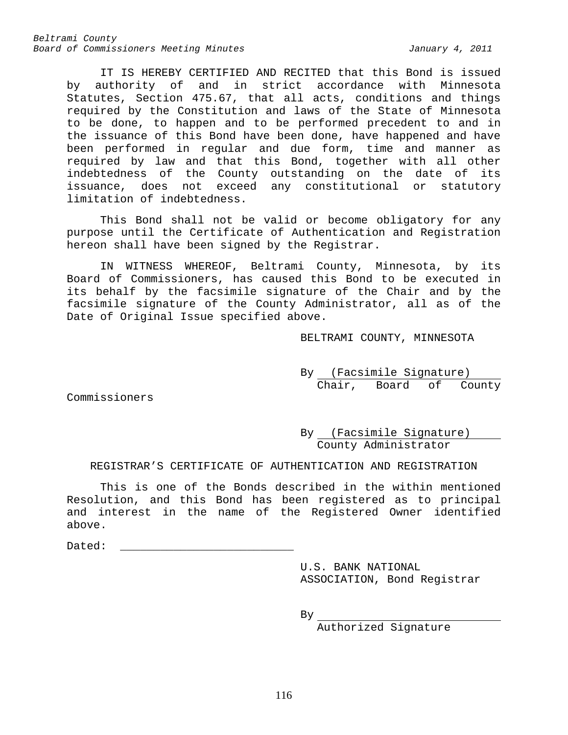IT IS HEREBY CERTIFIED AND RECITED that this Bond is issued by authority of and in strict accordance with Minnesota Statutes, Section 475.67, that all acts, conditions and things required by the Constitution and laws of the State of Minnesota to be done, to happen and to be performed precedent to and in the issuance of this Bond have been done, have happened and have been performed in regular and due form, time and manner as required by law and that this Bond, together with all other indebtedness of the County outstanding on the date of its issuance, does not exceed any constitutional or statutory limitation of indebtedness.

This Bond shall not be valid or become obligatory for any purpose until the Certificate of Authentication and Registration hereon shall have been signed by the Registrar.

IN WITNESS WHEREOF, Beltrami County, Minnesota, by its Board of Commissioners, has caused this Bond to be executed in its behalf by the facsimile signature of the Chair and by the facsimile signature of the County Administrator, all as of the Date of Original Issue specified above.

BELTRAMI COUNTY, MINNESOTA

By (Facsimile Signature) Chair, Board of County

Commissioners

By (Facsimile Signature) County Administrator

REGISTRAR'S CERTIFICATE OF AUTHENTICATION AND REGISTRATION

This is one of the Bonds described in the within mentioned Resolution, and this Bond has been registered as to principal and interest in the name of the Registered Owner identified above.

 $\mathtt{Dated}$ :

U.S. BANK NATIONAL ASSOCIATION, Bond Registrar

 $By$ 

Authorized Signature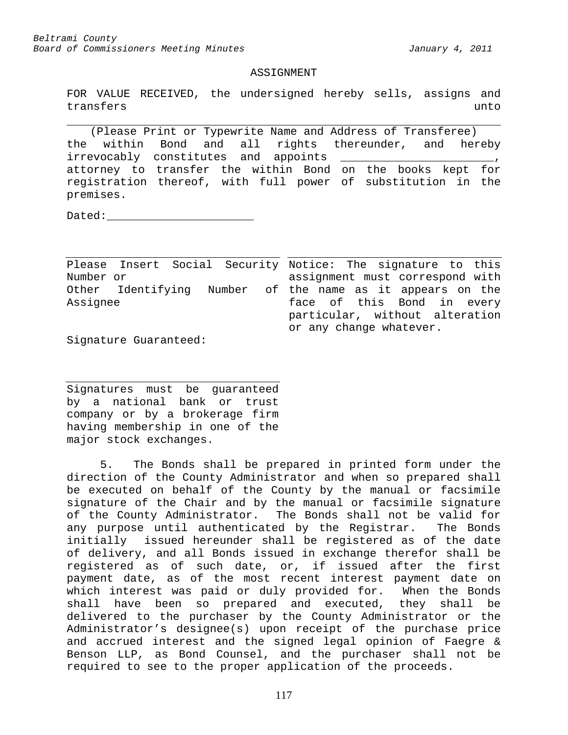#### ASSIGNMENT

FOR VALUE RECEIVED, the undersigned hereby sells, assigns and<br>transfers unto transfers unto unit and the set of the set of the set of the set of the set of the set of the set of the set o

(Please Print or Typewrite Name and Address of Transferee) the within Bond and all rights thereunder, and hereby irrevocably constitutes and appoints \_\_\_\_\_\_\_\_\_\_\_\_\_\_\_\_\_\_\_\_\_\_\_, attorney to transfer the within Bond on the books kept for registration thereof, with full power of substitution in the premises.

Dated:

Please Insert Social Security Notice: The signature to this Number or Other Identifying Number of the name as it appears on the Assignee assignment must correspond with face of this Bond in every particular, without alteration or any change whatever.

Signature Guaranteed:

Signatures must be guaranteed by a national bank or trust company or by a brokerage firm having membership in one of the major stock exchanges.

5. The Bonds shall be prepared in printed form under the direction of the County Administrator and when so prepared shall be executed on behalf of the County by the manual or facsimile signature of the Chair and by the manual or facsimile signature of the County Administrator. The Bonds shall not be valid for any purpose until authenticated by the Registrar. The Bonds initially issued hereunder shall be registered as of the date of delivery, and all Bonds issued in exchange therefor shall be registered as of such date, or, if issued after the first payment date, as of the most recent interest payment date on which interest was paid or duly provided for. When the Bonds shall have been so prepared and executed, they shall be delivered to the purchaser by the County Administrator or the Administrator's designee(s) upon receipt of the purchase price and accrued interest and the signed legal opinion of Faegre & Benson LLP, as Bond Counsel, and the purchaser shall not be required to see to the proper application of the proceeds.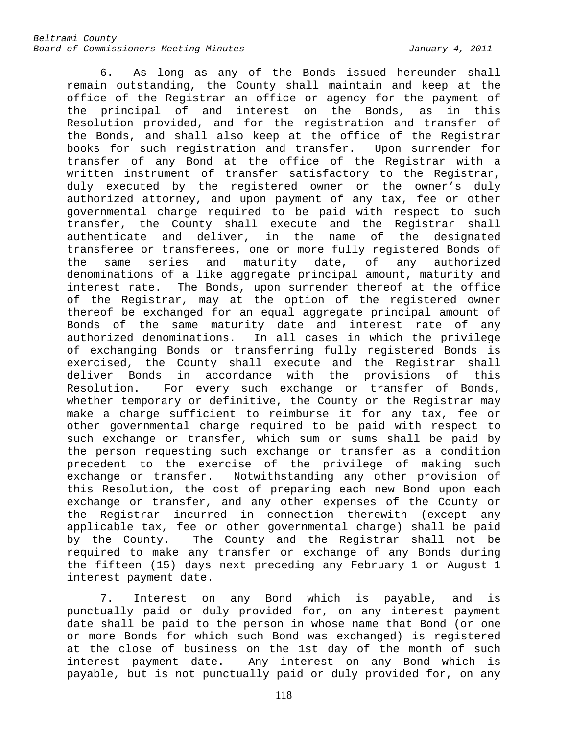6. As long as any of the Bonds issued hereunder shall remain outstanding, the County shall maintain and keep at the office of the Registrar an office or agency for the payment of the principal of and interest on the Bonds, as in this Resolution provided, and for the registration and transfer of the Bonds, and shall also keep at the office of the Registrar books for such registration and transfer. Upon surrender for transfer of any Bond at the office of the Registrar with a written instrument of transfer satisfactory to the Registrar, duly executed by the registered owner or the owner's duly authorized attorney, and upon payment of any tax, fee or other governmental charge required to be paid with respect to such transfer, the County shall execute and the Registrar shall authenticate and deliver, in the name of the designated transferee or transferees, one or more fully registered Bonds of the same series and maturity date, of any authorized denominations of a like aggregate principal amount, maturity and interest rate. The Bonds, upon surrender thereof at the office of the Registrar, may at the option of the registered owner thereof be exchanged for an equal aggregate principal amount of Bonds of the same maturity date and interest rate of any authorized denominations. In all cases in which the privilege of exchanging Bonds or transferring fully registered Bonds is exercised, the County shall execute and the Registrar shall deliver Bonds in accordance with the provisions of this Resolution. For every such exchange or transfer of Bonds, whether temporary or definitive, the County or the Registrar may make a charge sufficient to reimburse it for any tax, fee or other governmental charge required to be paid with respect to such exchange or transfer, which sum or sums shall be paid by the person requesting such exchange or transfer as a condition precedent to the exercise of the privilege of making such exchange or transfer. Notwithstanding any other provision of this Resolution, the cost of preparing each new Bond upon each exchange or transfer, and any other expenses of the County or the Registrar incurred in connection therewith (except any applicable tax, fee or other governmental charge) shall be paid by the County. The County and the Registrar shall not be required to make any transfer or exchange of any Bonds during the fifteen (15) days next preceding any February 1 or August 1 interest payment date.

7. Interest on any Bond which is payable, and is punctually paid or duly provided for, on any interest payment date shall be paid to the person in whose name that Bond (or one or more Bonds for which such Bond was exchanged) is registered at the close of business on the 1st day of the month of such interest payment date. Any interest on any Bond which is payable, but is not punctually paid or duly provided for, on any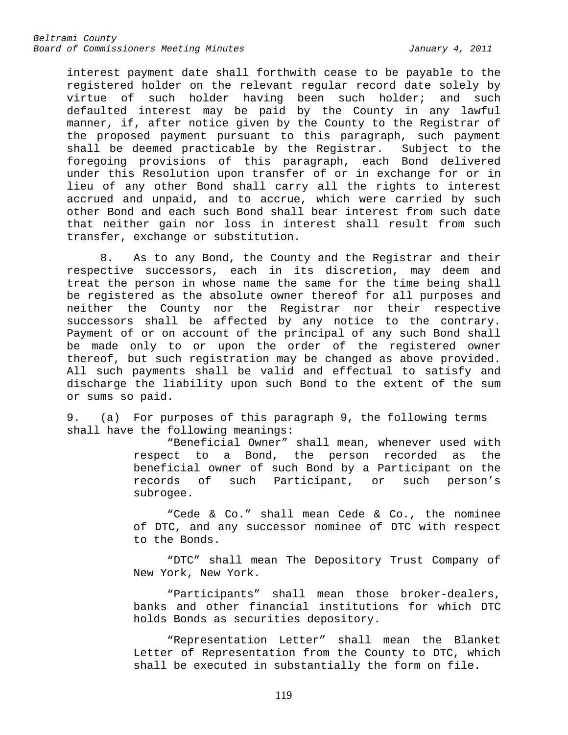interest payment date shall forthwith cease to be payable to the registered holder on the relevant regular record date solely by<br>virtue of such holder having been such holder; and such such holder having been such holder; and such defaulted interest may be paid by the County in any lawful manner, if, after notice given by the County to the Registrar of the proposed payment pursuant to this paragraph, such payment shall be deemed practicable by the Registrar. Subject to the foregoing provisions of this paragraph, each Bond delivered under this Resolution upon transfer of or in exchange for or in lieu of any other Bond shall carry all the rights to interest accrued and unpaid, and to accrue, which were carried by such other Bond and each such Bond shall bear interest from such date that neither gain nor loss in interest shall result from such transfer, exchange or substitution.

8. As to any Bond, the County and the Registrar and their respective successors, each in its discretion, may deem and treat the person in whose name the same for the time being shall be registered as the absolute owner thereof for all purposes and neither the County nor the Registrar nor their respective successors shall be affected by any notice to the contrary. Payment of or on account of the principal of any such Bond shall be made only to or upon the order of the registered owner thereof, but such registration may be changed as above provided. All such payments shall be valid and effectual to satisfy and discharge the liability upon such Bond to the extent of the sum or sums so paid.

9. (a) For purposes of this paragraph 9, the following terms shall have the following meanings:

> "Beneficial Owner" shall mean, whenever used with respect to a Bond, the person recorded as the beneficial owner of such Bond by a Participant on the records of such Participant, or such person's subrogee.

> "Cede & Co." shall mean Cede & Co., the nominee of DTC, and any successor nominee of DTC with respect to the Bonds.

> "DTC" shall mean The Depository Trust Company of New York, New York.

> "Participants" shall mean those broker-dealers, banks and other financial institutions for which DTC holds Bonds as securities depository.

> "Representation Letter" shall mean the Blanket Letter of Representation from the County to DTC, which shall be executed in substantially the form on file.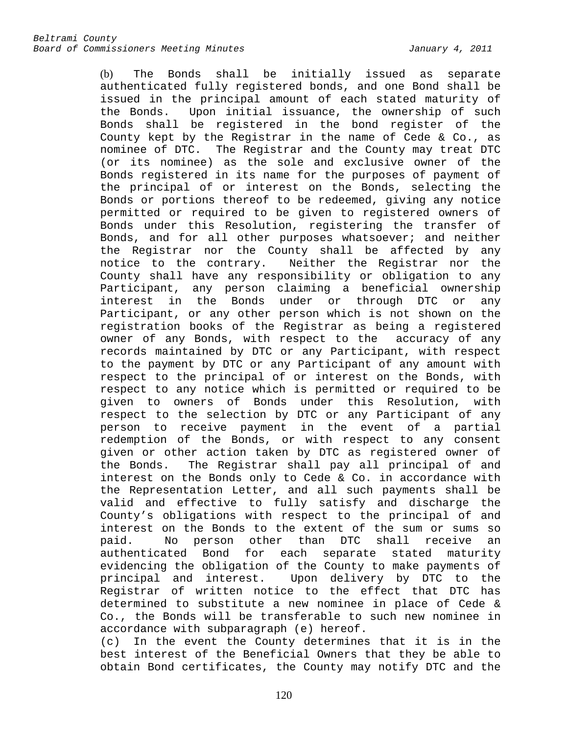(b) The Bonds shall be initially issued as separate authenticated fully registered bonds, and one Bond shall be issued in the principal amount of each stated maturity of<br>the Bonds. Upon initial issuance, the ownership of such Upon initial issuance, the ownership of such Bonds shall be registered in the bond register of the County kept by the Registrar in the name of Cede & Co., as nominee of DTC. The Registrar and the County may treat DTC (or its nominee) as the sole and exclusive owner of the Bonds registered in its name for the purposes of payment of the principal of or interest on the Bonds, selecting the Bonds or portions thereof to be redeemed, giving any notice permitted or required to be given to registered owners of Bonds under this Resolution, registering the transfer of Bonds, and for all other purposes whatsoever; and neither the Registrar nor the County shall be affected by any notice to the contrary. Neither the Registrar nor the County shall have any responsibility or obligation to any Participant, any person claiming a beneficial ownership interest in the Bonds under or through DTC or any Participant, or any other person which is not shown on the registration books of the Registrar as being a registered owner of any Bonds, with respect to the accuracy of any records maintained by DTC or any Participant, with respect to the payment by DTC or any Participant of any amount with respect to the principal of or interest on the Bonds, with respect to any notice which is permitted or required to be given to owners of Bonds under this Resolution, with respect to the selection by DTC or any Participant of any person to receive payment in the event of a partial redemption of the Bonds, or with respect to any consent given or other action taken by DTC as registered owner of<br>the Bonds. The Registrar shall pay all principal of and The Registrar shall pay all principal of and interest on the Bonds only to Cede & Co. in accordance with the Representation Letter, and all such payments shall be valid and effective to fully satisfy and discharge the County's obligations with respect to the principal of and interest on the Bonds to the extent of the sum or sums so<br>paid. No person other than DTC shall receive an No person other than DTC shall receive an authenticated Bond for each separate stated maturity evidencing the obligation of the County to make payments of<br>principal and interest. Upon delivery by DTC to the Upon delivery by DTC to the Registrar of written notice to the effect that DTC has determined to substitute a new nominee in place of Cede & Co., the Bonds will be transferable to such new nominee in accordance with subparagraph (e) hereof.

(c) In the event the County determines that it is in the best interest of the Beneficial Owners that they be able to obtain Bond certificates, the County may notify DTC and the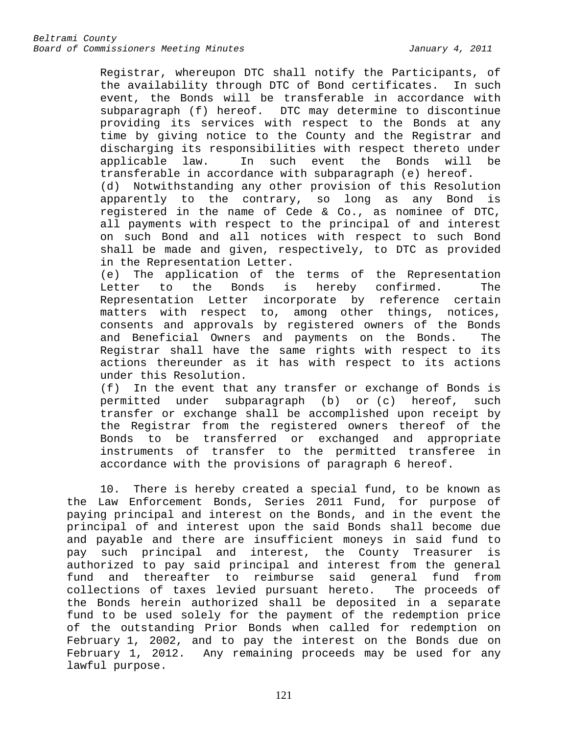Registrar, whereupon DTC shall notify the Participants, of the availability through DTC of Bond certificates. In such event, the Bonds will be transferable in accordance with subparagraph (f) hereof. DTC may determine to discontinue providing its services with respect to the Bonds at any time by giving notice to the County and the Registrar and discharging its responsibilities with respect thereto under applicable law. In such event the Bonds will be transferable in accordance with subparagraph (e) hereof. (d) Notwithstanding any other provision of this Resolution apparently to the contrary, so long as any Bond is registered in the name of Cede & Co., as nominee of DTC, all payments with respect to the principal of and interest on such Bond and all notices with respect to such Bond shall be made and given, respectively, to DTC as provided in the Representation Letter.

(e) The application of the terms of the Representation<br>Letter to the Bonds is hereby confirmed. The Letter to the Bonds is hereby confirmed. The Representation Letter incorporate by reference certain matters with respect to, among other things, notices, consents and approvals by registered owners of the Bonds and Beneficial Owners and payments on the Bonds. The Registrar shall have the same rights with respect to its actions thereunder as it has with respect to its actions under this Resolution.

(f) In the event that any transfer or exchange of Bonds is permitted under subparagraph (b) or (c) hereof, such transfer or exchange shall be accomplished upon receipt by the Registrar from the registered owners thereof of the Bonds to be transferred or exchanged and appropriate instruments of transfer to the permitted transferee in accordance with the provisions of paragraph 6 hereof.

10. There is hereby created a special fund, to be known as the Law Enforcement Bonds, Series 2011 Fund, for purpose of paying principal and interest on the Bonds, and in the event the principal of and interest upon the said Bonds shall become due and payable and there are insufficient moneys in said fund to pay such principal and interest, the County Treasurer is authorized to pay said principal and interest from the general fund and thereafter to reimburse said general fund from collections of taxes levied pursuant hereto. The proceeds of the Bonds herein authorized shall be deposited in a separate fund to be used solely for the payment of the redemption price of the outstanding Prior Bonds when called for redemption on February 1, 2002, and to pay the interest on the Bonds due on February 1, 2012. Any remaining proceeds may be used for any lawful purpose.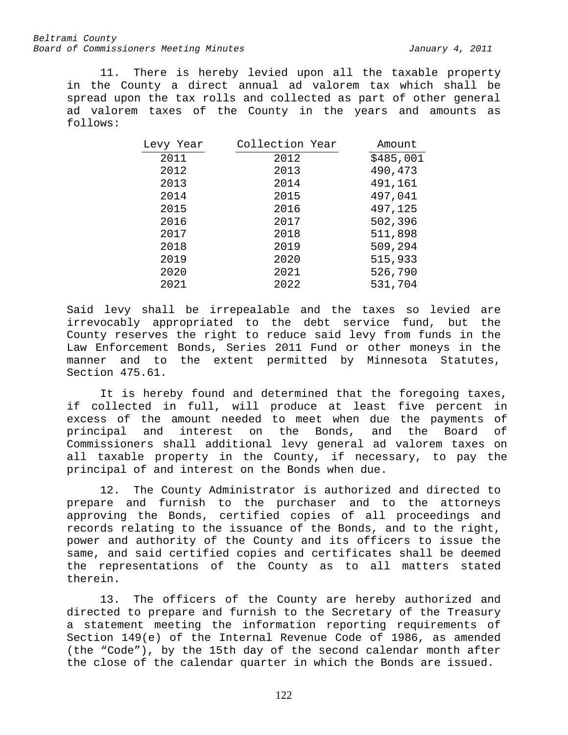11. There is hereby levied upon all the taxable property in the County a direct annual ad valorem tax which shall be spread upon the tax rolls and collected as part of other general ad valorem taxes of the County in the years and amounts as follows:

| Levy Year | Collection Year | Amount    |
|-----------|-----------------|-----------|
| 2011      | 2012            | \$485,001 |
| 2012      | 2013            | 490,473   |
| 2013      | 2014            | 491,161   |
| 2014      | 2015            | 497,041   |
| 2015      | 2016            | 497,125   |
| 2016      | 2017            | 502,396   |
| 2017      | 2018            | 511,898   |
| 2018      | 2019            | 509,294   |
| 2019      | 2020            | 515,933   |
| 2020      | 2021            | 526,790   |
| 2021      | 2022            | 531,704   |
|           |                 |           |

Said levy shall be irrepealable and the taxes so levied are irrevocably appropriated to the debt service fund, but the County reserves the right to reduce said levy from funds in the Law Enforcement Bonds, Series 2011 Fund or other moneys in the manner and to the extent permitted by Minnesota Statutes, Section 475.61.

It is hereby found and determined that the foregoing taxes, if collected in full, will produce at least five percent in excess of the amount needed to meet when due the payments of<br>principal and interest on the Bonds, and the Board of principal and interest on the Bonds, and the Board of Commissioners shall additional levy general ad valorem taxes on all taxable property in the County, if necessary, to pay the principal of and interest on the Bonds when due.

12. The County Administrator is authorized and directed to prepare and furnish to the purchaser and to the attorneys approving the Bonds, certified copies of all proceedings and records relating to the issuance of the Bonds, and to the right, power and authority of the County and its officers to issue the same, and said certified copies and certificates shall be deemed the representations of the County as to all matters stated therein.

13. The officers of the County are hereby authorized and directed to prepare and furnish to the Secretary of the Treasury a statement meeting the information reporting requirements of Section 149(e) of the Internal Revenue Code of 1986, as amended (the "Code"), by the 15th day of the second calendar month after the close of the calendar quarter in which the Bonds are issued.

122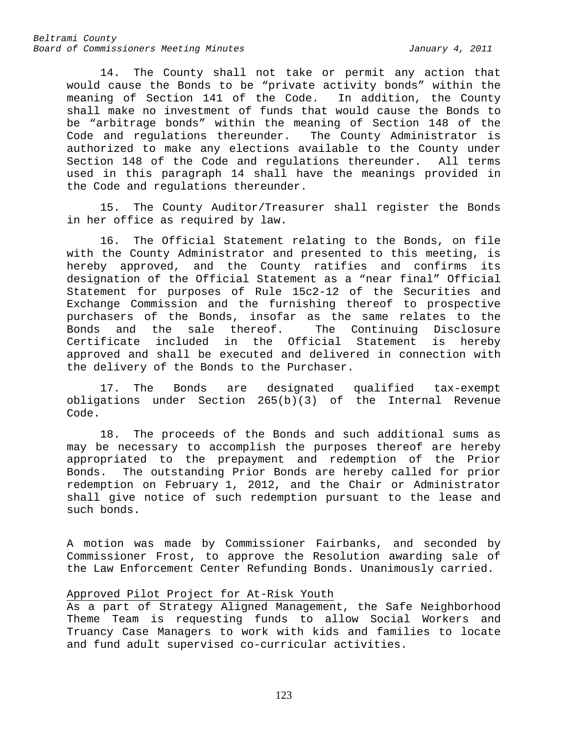14. The County shall not take or permit any action that would cause the Bonds to be "private activity bonds" within the<br>meaning of Section 141 of the Code. In addition, the County meaning of Section 141 of the Code. shall make no investment of funds that would cause the Bonds to be "arbitrage bonds" within the meaning of Section 148 of the Code and regulations thereunder. The County Administrator is authorized to make any elections available to the County under Section 148 of the Code and regulations thereunder. All terms used in this paragraph 14 shall have the meanings provided in the Code and regulations thereunder.

15. The County Auditor/Treasurer shall register the Bonds in her office as required by law.

16. The Official Statement relating to the Bonds, on file with the County Administrator and presented to this meeting, is hereby approved, and the County ratifies and confirms its designation of the Official Statement as a "near final" Official Statement for purposes of Rule 15c2-12 of the Securities and Exchange Commission and the furnishing thereof to prospective purchasers of the Bonds, insofar as the same relates to the<br>Bonds and the sale thereof. The Continuing Disclosure Bonds and the sale thereof. The Continuing Disclosure<br>Certificate included in the Official Statement is hereby in the Official Statement approved and shall be executed and delivered in connection with the delivery of the Bonds to the Purchaser.

17. The Bonds are designated qualified tax-exempt obligations under Section 265(b)(3) of the Internal Revenue Code.

18. The proceeds of the Bonds and such additional sums as may be necessary to accomplish the purposes thereof are hereby appropriated to the prepayment and redemption of the Prior Bonds. The outstanding Prior Bonds are hereby called for prior redemption on February 1, 2012, and the Chair or Administrator shall give notice of such redemption pursuant to the lease and such bonds.

A motion was made by Commissioner Fairbanks, and seconded by Commissioner Frost, to approve the Resolution awarding sale of the Law Enforcement Center Refunding Bonds. Unanimously carried.

## Approved Pilot Project for At-Risk Youth

As a part of Strategy Aligned Management, the Safe Neighborhood Theme Team is requesting funds to allow Social Workers and Truancy Case Managers to work with kids and families to locate and fund adult supervised co-curricular activities.

123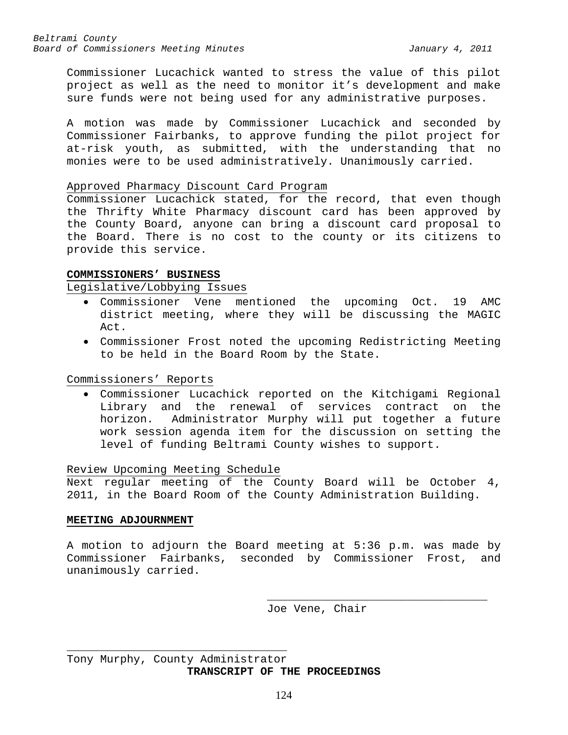Commissioner Lucachick wanted to stress the value of this pilot project as well as the need to monitor it's development and make sure funds were not being used for any administrative purposes.

A motion was made by Commissioner Lucachick and seconded by Commissioner Fairbanks, to approve funding the pilot project for at-risk youth, as submitted, with the understanding that no monies were to be used administratively. Unanimously carried.

#### Approved Pharmacy Discount Card Program

Commissioner Lucachick stated, for the record, that even though the Thrifty White Pharmacy discount card has been approved by the County Board, anyone can bring a discount card proposal to the Board. There is no cost to the county or its citizens to provide this service.

### **COMMISSIONERS' BUSINESS**

### Legislative/Lobbying Issues

- Commissioner Vene mentioned the upcoming Oct. 19 AMC district meeting, where they will be discussing the MAGIC Act.
- Commissioner Frost noted the upcoming Redistricting Meeting to be held in the Board Room by the State.

## Commissioners' Reports

• Commissioner Lucachick reported on the Kitchigami Regional Library and the renewal of services contract on the horizon. Administrator Murphy will put together a future work session agenda item for the discussion on setting the level of funding Beltrami County wishes to support.

## Review Upcoming Meeting Schedule

Next regular meeting of the County Board will be October 4, 2011, in the Board Room of the County Administration Building.

### **MEETING ADJOURNMENT**

A motion to adjourn the Board meeting at 5:36 p.m. was made by Commissioner Fairbanks, seconded by Commissioner Frost, and unanimously carried.

> \_\_\_\_\_\_\_\_\_\_\_\_\_\_\_\_\_\_\_\_\_\_\_\_\_\_\_\_\_\_\_\_\_ Joe Vene, Chair

\_\_\_\_\_\_\_\_\_\_\_\_\_\_\_\_\_\_\_\_\_\_\_\_\_\_\_\_\_\_\_\_\_ Tony Murphy, County Administrator **TRANSCRIPT OF THE PROCEEDINGS**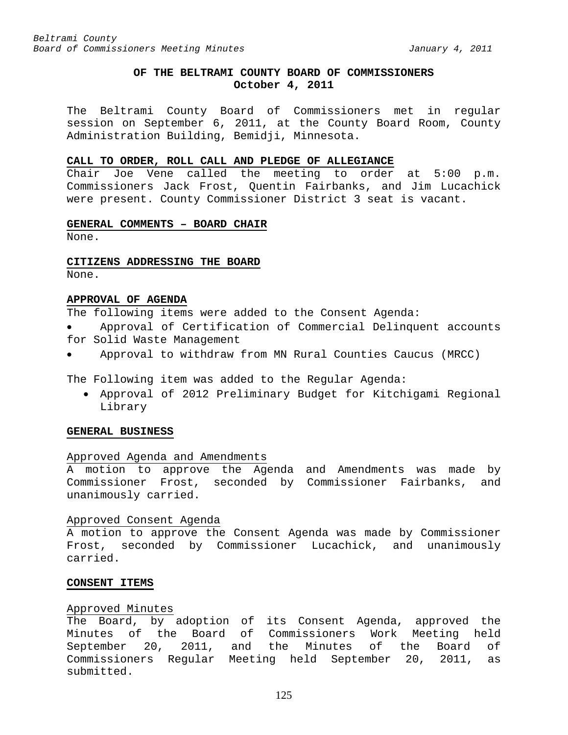# **OF THE BELTRAMI COUNTY BOARD OF COMMISSIONERS October 4, 2011**

The Beltrami County Board of Commissioners met in regular session on September 6, 2011, at the County Board Room, County Administration Building, Bemidji, Minnesota.

#### **CALL TO ORDER, ROLL CALL AND PLEDGE OF ALLEGIANCE**

Chair Joe Vene called the meeting to order at 5:00 p.m. Commissioners Jack Frost, Quentin Fairbanks, and Jim Lucachick were present. County Commissioner District 3 seat is vacant.

#### **GENERAL COMMENTS – BOARD CHAIR**

None.

#### **CITIZENS ADDRESSING THE BOARD**

None.

#### **APPROVAL OF AGENDA**

The following items were added to the Consent Agenda:

- Approval of Certification of Commercial Delinquent accounts for Solid Waste Management
- Approval to withdraw from MN Rural Counties Caucus (MRCC)

The Following item was added to the Regular Agenda:

• Approval of 2012 Preliminary Budget for Kitchigami Regional Library

### **GENERAL BUSINESS**

## Approved Agenda and Amendments

A motion to approve the Agenda and Amendments was made by Commissioner Frost, seconded by Commissioner Fairbanks, and unanimously carried.

#### Approved Consent Agenda

A motion to approve the Consent Agenda was made by Commissioner Frost, seconded by Commissioner Lucachick, and unanimously carried.

#### **CONSENT ITEMS**

#### Approved Minutes

The Board, by adoption of its Consent Agenda, approved the Minutes of the Board of Commissioners Work Meeting held September 20, 2011, and the Minutes of the Board of Commissioners Regular Meeting held September 20, 2011, as submitted.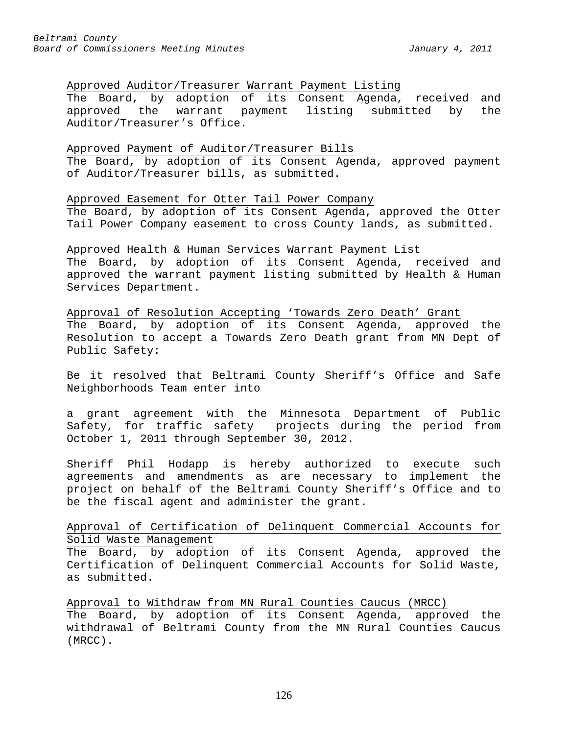## Approved Auditor/Treasurer Warrant Payment Listing

The Board, by adoption of its Consent Agenda, received and approved the warrant payment listing submitted by the Auditor/Treasurer's Office.

## Approved Payment of Auditor/Treasurer Bills

The Board, by adoption of its Consent Agenda, approved payment of Auditor/Treasurer bills, as submitted.

## Approved Easement for Otter Tail Power Company

The Board, by adoption of its Consent Agenda, approved the Otter Tail Power Company easement to cross County lands, as submitted.

## Approved Health & Human Services Warrant Payment List

The Board, by adoption of its Consent Agenda, received and approved the warrant payment listing submitted by Health & Human Services Department.

Approval of Resolution Accepting 'Towards Zero Death' Grant The Board, by adoption of its Consent Agenda, approved the Resolution to accept a Towards Zero Death grant from MN Dept of Public Safety:

Be it resolved that Beltrami County Sheriff's Office and Safe Neighborhoods Team enter into

a grant agreement with the Minnesota Department of Public Safety, for traffic safety projects during the period from October 1, 2011 through September 30, 2012.

Sheriff Phil Hodapp is hereby authorized to execute such agreements and amendments as are necessary to implement the project on behalf of the Beltrami County Sheriff's Office and to be the fiscal agent and administer the grant.

## Approval of Certification of Delinquent Commercial Accounts for Solid Waste Management

The Board, by adoption of its Consent Agenda, approved the Certification of Delinquent Commercial Accounts for Solid Waste, as submitted.

Approval to Withdraw from MN Rural Counties Caucus (MRCC)

The Board, by adoption of its Consent Agenda, approved the withdrawal of Beltrami County from the MN Rural Counties Caucus (MRCC).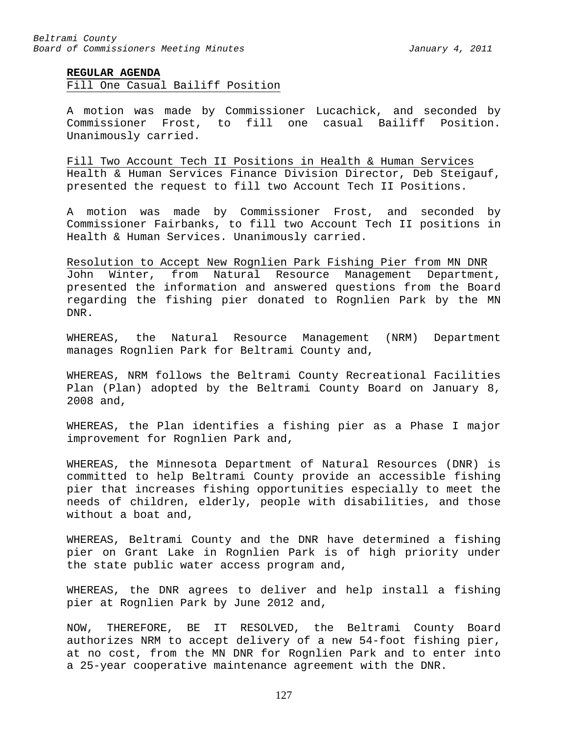### **REGULAR AGENDA**

Fill One Casual Bailiff Position

A motion was made by Commissioner Lucachick, and seconded by Commissioner Frost, to fill one casual Bailiff Position. Unanimously carried.

Fill Two Account Tech II Positions in Health & Human Services Health & Human Services Finance Division Director, Deb Steigauf, presented the request to fill two Account Tech II Positions.

A motion was made by Commissioner Frost, and seconded by Commissioner Fairbanks, to fill two Account Tech II positions in Health & Human Services. Unanimously carried.

Resolution to Accept New Rognlien Park Fishing Pier from MN DNR John Winter, from Natural Resource Management Department, presented the information and answered questions from the Board regarding the fishing pier donated to Rognlien Park by the MN DNR.

WHEREAS, the Natural Resource Management (NRM) Department manages Rognlien Park for Beltrami County and,

WHEREAS, NRM follows the Beltrami County Recreational Facilities Plan (Plan) adopted by the Beltrami County Board on January 8, 2008 and,

WHEREAS, the Plan identifies a fishing pier as a Phase I major improvement for Rognlien Park and,

WHEREAS, the Minnesota Department of Natural Resources (DNR) is committed to help Beltrami County provide an accessible fishing pier that increases fishing opportunities especially to meet the needs of children, elderly, people with disabilities, and those without a boat and,

WHEREAS, Beltrami County and the DNR have determined a fishing pier on Grant Lake in Rognlien Park is of high priority under the state public water access program and,

WHEREAS, the DNR agrees to deliver and help install a fishing pier at Rognlien Park by June 2012 and,

NOW, THEREFORE, BE IT RESOLVED, the Beltrami County Board authorizes NRM to accept delivery of a new 54-foot fishing pier, at no cost, from the MN DNR for Rognlien Park and to enter into a 25-year cooperative maintenance agreement with the DNR.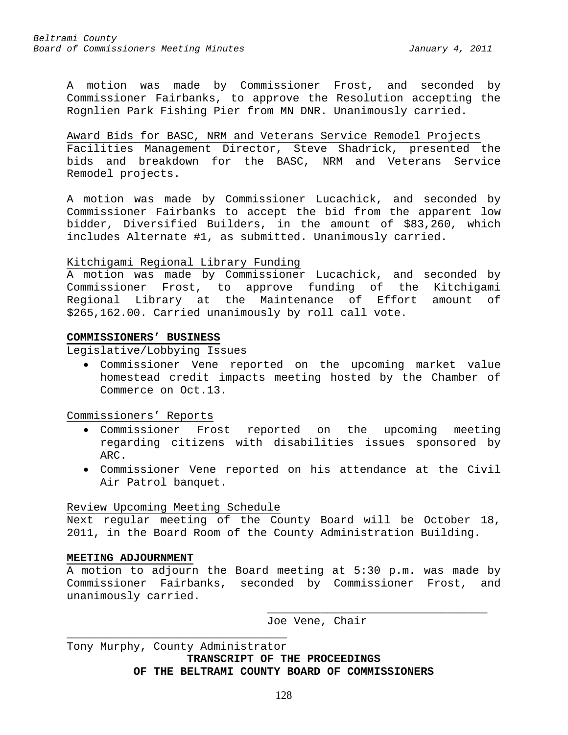A motion was made by Commissioner Frost, and seconded by Commissioner Fairbanks, to approve the Resolution accepting the Rognlien Park Fishing Pier from MN DNR. Unanimously carried.

Award Bids for BASC, NRM and Veterans Service Remodel Projects Facilities Management Director, Steve Shadrick, presented the bids and breakdown for the BASC, NRM and Veterans Service Remodel projects.

A motion was made by Commissioner Lucachick, and seconded by Commissioner Fairbanks to accept the bid from the apparent low bidder, Diversified Builders, in the amount of \$83,260, which includes Alternate #1, as submitted. Unanimously carried.

### Kitchigami Regional Library Funding

A motion was made by Commissioner Lucachick, and seconded by Commissioner Frost, to approve funding of the Kitchigami Regional Library at the Maintenance of Effort \$265,162.00. Carried unanimously by roll call vote.

#### **COMMISSIONERS' BUSINESS**

Legislative/Lobbying Issues

• Commissioner Vene reported on the upcoming market value homestead credit impacts meeting hosted by the Chamber of Commerce on Oct.13.

Commissioners' Reports

- Commissioner Frost reported on the upcoming meeting regarding citizens with disabilities issues sponsored by ARC.
- Commissioner Vene reported on his attendance at the Civil Air Patrol banquet.

## Review Upcoming Meeting Schedule

Next regular meeting of the County Board will be October 18, 2011, in the Board Room of the County Administration Building.

### **MEETING ADJOURNMENT**

A motion to adjourn the Board meeting at 5:30 p.m. was made by Commissioner Fairbanks, seconded by Commissioner Frost, and unanimously carried.

> \_\_\_\_\_\_\_\_\_\_\_\_\_\_\_\_\_\_\_\_\_\_\_\_\_\_\_\_\_\_\_\_\_ Joe Vene, Chair

\_\_\_\_\_\_\_\_\_\_\_\_\_\_\_\_\_\_\_\_\_\_\_\_\_\_\_\_\_\_\_\_\_ Tony Murphy, County Administrator **TRANSCRIPT OF THE PROCEEDINGS OF THE BELTRAMI COUNTY BOARD OF COMMISSIONERS**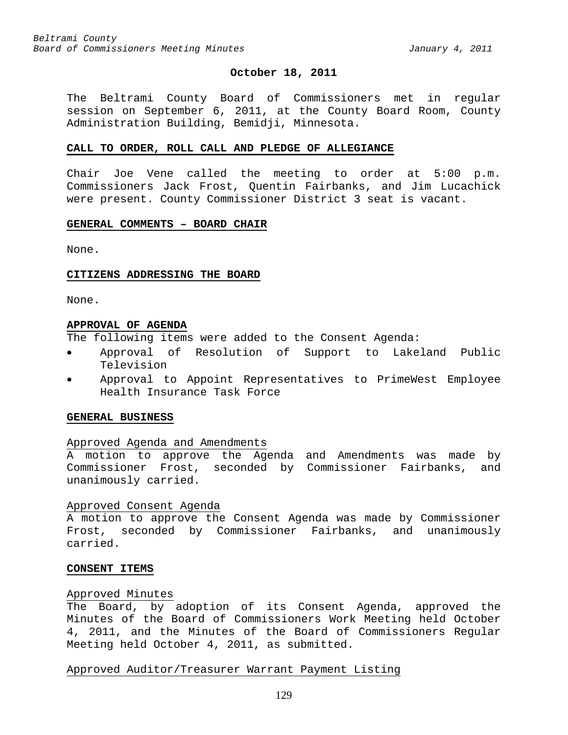#### **October 18, 2011**

The Beltrami County Board of Commissioners met in regular session on September 6, 2011, at the County Board Room, County Administration Building, Bemidji, Minnesota.

## **CALL TO ORDER, ROLL CALL AND PLEDGE OF ALLEGIANCE**

Chair Joe Vene called the meeting to order at 5:00 p.m. Commissioners Jack Frost, Quentin Fairbanks, and Jim Lucachick were present. County Commissioner District 3 seat is vacant.

### **GENERAL COMMENTS – BOARD CHAIR**

None.

### **CITIZENS ADDRESSING THE BOARD**

None.

#### **APPROVAL OF AGENDA**

The following items were added to the Consent Agenda:

- Approval of Resolution of Support to Lakeland Public Television
- Approval to Appoint Representatives to PrimeWest Employee Health Insurance Task Force

#### **GENERAL BUSINESS**

#### Approved Agenda and Amendments

A motion to approve the Agenda and Amendments was made by Commissioner Frost, seconded by Commissioner Fairbanks, and unanimously carried.

#### Approved Consent Agenda

A motion to approve the Consent Agenda was made by Commissioner Frost, seconded by Commissioner Fairbanks, and unanimously carried.

### **CONSENT ITEMS**

#### Approved Minutes

The Board, by adoption of its Consent Agenda, approved the Minutes of the Board of Commissioners Work Meeting held October 4, 2011, and the Minutes of the Board of Commissioners Regular Meeting held October 4, 2011, as submitted.

### Approved Auditor/Treasurer Warrant Payment Listing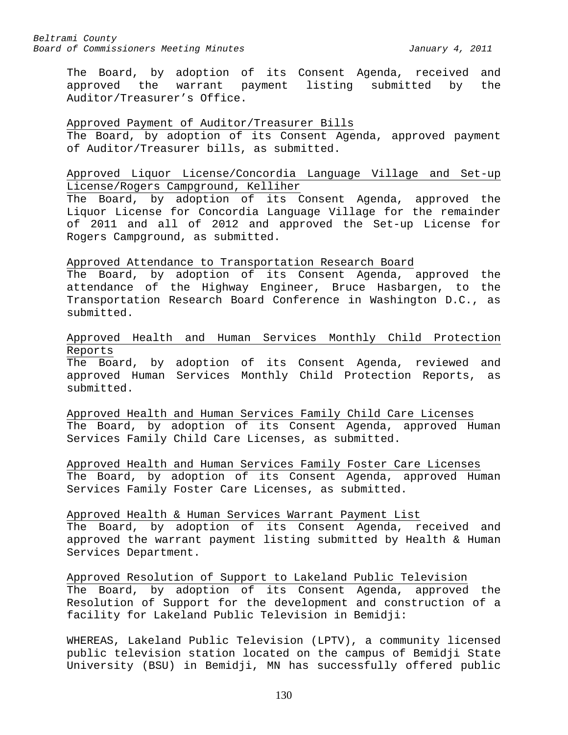The Board, by adoption of its Consent Agenda, received and approved the warrant payment listing submitted by the Auditor/Treasurer's Office.

Approved Payment of Auditor/Treasurer Bills The Board, by adoption of its Consent Agenda, approved payment of Auditor/Treasurer bills, as submitted.

Approved Liquor License/Concordia Language Village and Set-up License/Rogers Campground, Kelliher

The Board, by adoption of its Consent Agenda, approved the Liquor License for Concordia Language Village for the remainder of 2011 and all of 2012 and approved the Set-up License for Rogers Campground, as submitted.

#### Approved Attendance to Transportation Research Board

The Board, by adoption of its Consent Agenda, approved the attendance of the Highway Engineer, Bruce Hasbargen, to the Transportation Research Board Conference in Washington D.C., as submitted.

Approved Health and Human Services Monthly Child Protection Reports

The Board, by adoption of its Consent Agenda, reviewed and approved Human Services Monthly Child Protection Reports, as submitted.

Approved Health and Human Services Family Child Care Licenses The Board, by adoption of its Consent Agenda, approved Human Services Family Child Care Licenses, as submitted.

Approved Health and Human Services Family Foster Care Licenses The Board, by adoption of its Consent Agenda, approved Human Services Family Foster Care Licenses, as submitted.

Approved Health & Human Services Warrant Payment List

The Board, by adoption of its Consent Agenda, received and approved the warrant payment listing submitted by Health & Human Services Department.

Approved Resolution of Support to Lakeland Public Television The Board, by adoption of its Consent Agenda, approved the Resolution of Support for the development and construction of a facility for Lakeland Public Television in Bemidji:

WHEREAS, Lakeland Public Television (LPTV), a community licensed public television station located on the campus of Bemidji State University (BSU) in Bemidji, MN has successfully offered public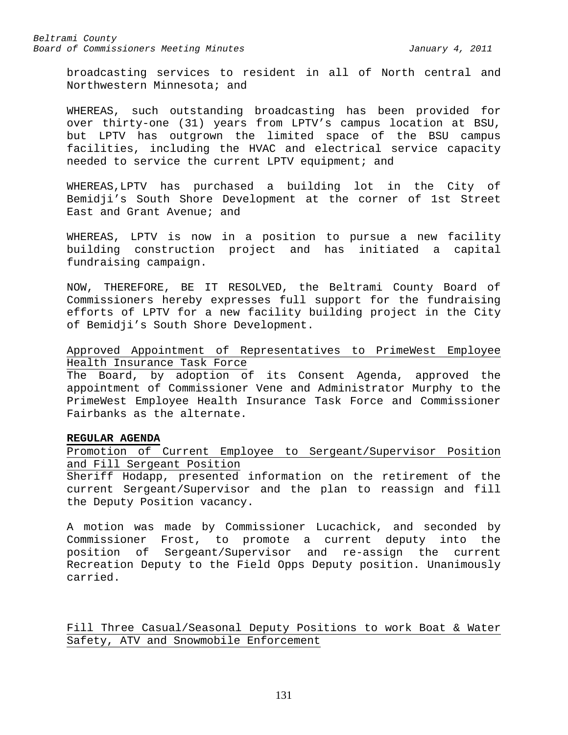broadcasting services to resident in all of North central and Northwestern Minnesota; and

WHEREAS, such outstanding broadcasting has been provided for over thirty-one (31) years from LPTV's campus location at BSU, but LPTV has outgrown the limited space of the BSU campus facilities, including the HVAC and electrical service capacity needed to service the current LPTV equipment; and

WHEREAS,LPTV has purchased a building lot in the City of Bemidji's South Shore Development at the corner of 1st Street East and Grant Avenue; and

WHEREAS, LPTV is now in a position to pursue a new facility building construction project and has initiated a capital fundraising campaign.

NOW, THEREFORE, BE IT RESOLVED, the Beltrami County Board of Commissioners hereby expresses full support for the fundraising efforts of LPTV for a new facility building project in the City of Bemidji's South Shore Development.

Approved Appointment of Representatives to PrimeWest Employee Health Insurance Task Force

The Board, by adoption of its Consent Agenda, approved the appointment of Commissioner Vene and Administrator Murphy to the PrimeWest Employee Health Insurance Task Force and Commissioner Fairbanks as the alternate.

## **REGULAR AGENDA**

Promotion of Current Employee to Sergeant/Supervisor Position and Fill Sergeant Position

Sheriff Hodapp, presented information on the retirement of the current Sergeant/Supervisor and the plan to reassign and fill the Deputy Position vacancy.

A motion was made by Commissioner Lucachick, and seconded by Commissioner Frost, to promote a current deputy into the position of Sergeant/Supervisor and re-assign the current Recreation Deputy to the Field Opps Deputy position. Unanimously carried.

Fill Three Casual/Seasonal Deputy Positions to work Boat & Water Safety, ATV and Snowmobile Enforcement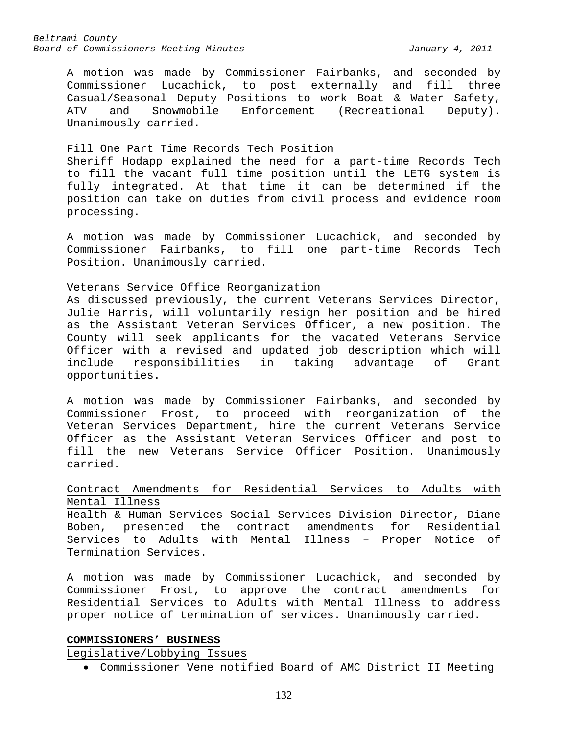A motion was made by Commissioner Fairbanks, and seconded by Commissioner Lucachick, to post externally and fill three Casual/Seasonal Deputy Positions to work Boat & Water Safety,<br>ATV and Snowmobile Enforcement (Recreational Deputy). ATV and Snowmobile Enforcement (Recreational Deputy). Unanimously carried.

#### Fill One Part Time Records Tech Position

Sheriff Hodapp explained the need for a part-time Records Tech to fill the vacant full time position until the LETG system is fully integrated. At that time it can be determined if the position can take on duties from civil process and evidence room processing.

A motion was made by Commissioner Lucachick, and seconded by Commissioner Fairbanks, to fill one part-time Records Tech Position. Unanimously carried.

### Veterans Service Office Reorganization

As discussed previously, the current Veterans Services Director, Julie Harris, will voluntarily resign her position and be hired as the Assistant Veteran Services Officer, a new position. The County will seek applicants for the vacated Veterans Service Officer with a revised and updated job description which will include responsibilities in taking advantage of Grant opportunities.

A motion was made by Commissioner Fairbanks, and seconded by Commissioner Frost, to proceed with reorganization of the Veteran Services Department, hire the current Veterans Service Officer as the Assistant Veteran Services Officer and post to fill the new Veterans Service Officer Position. Unanimously carried.

# Contract Amendments for Residential Services to Adults with Mental Illness

Health & Human Services Social Services Division Director, Diane Boben, presented the contract amendments for Residential Services to Adults with Mental Illness – Proper Notice of Termination Services.

A motion was made by Commissioner Lucachick, and seconded by Commissioner Frost, to approve the contract amendments for Residential Services to Adults with Mental Illness to address proper notice of termination of services. Unanimously carried.

## **COMMISSIONERS' BUSINESS**

Legislative/Lobbying Issues

• Commissioner Vene notified Board of AMC District II Meeting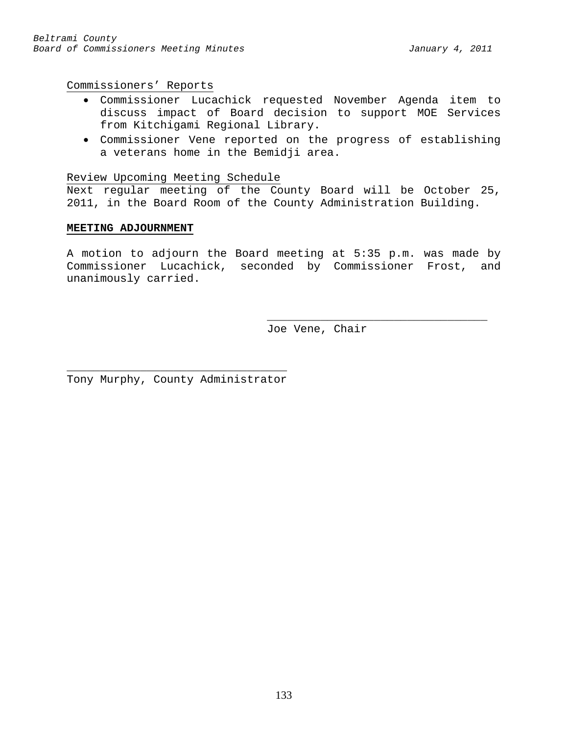Commissioners' Reports

- Commissioner Lucachick requested November Agenda item to discuss impact of Board decision to support MOE Services from Kitchigami Regional Library.
- Commissioner Vene reported on the progress of establishing a veterans home in the Bemidji area.

### Review Upcoming Meeting Schedule

Next regular meeting of the County Board will be October 25, 2011, in the Board Room of the County Administration Building.

### **MEETING ADJOURNMENT**

A motion to adjourn the Board meeting at 5:35 p.m. was made by Commissioner Lucachick, seconded by Commissioner Frost, and unanimously carried.

> \_\_\_\_\_\_\_\_\_\_\_\_\_\_\_\_\_\_\_\_\_\_\_\_\_\_\_\_\_\_\_\_\_ Joe Vene, Chair

\_\_\_\_\_\_\_\_\_\_\_\_\_\_\_\_\_\_\_\_\_\_\_\_\_\_\_\_\_\_\_\_\_ Tony Murphy, County Administrator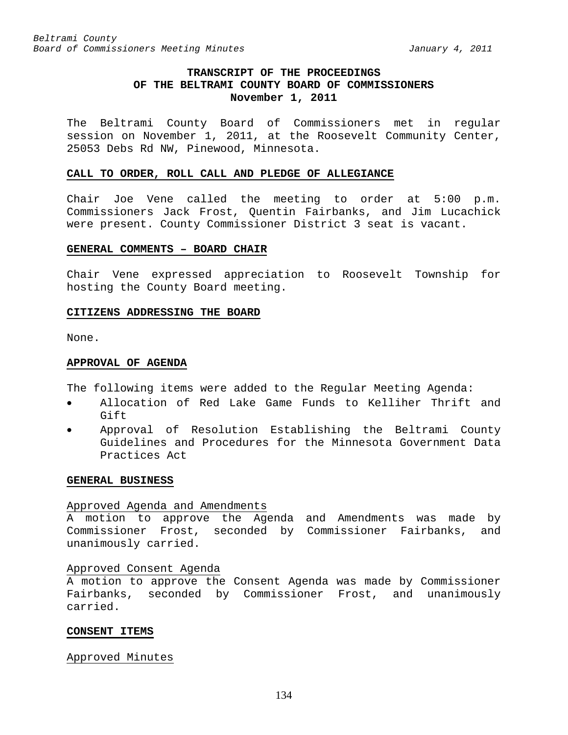# **TRANSCRIPT OF THE PROCEEDINGS OF THE BELTRAMI COUNTY BOARD OF COMMISSIONERS November 1, 2011**

The Beltrami County Board of Commissioners met in regular session on November 1, 2011, at the Roosevelt Community Center, 25053 Debs Rd NW, Pinewood, Minnesota.

#### **CALL TO ORDER, ROLL CALL AND PLEDGE OF ALLEGIANCE**

Chair Joe Vene called the meeting to order at 5:00 p.m. Commissioners Jack Frost, Quentin Fairbanks, and Jim Lucachick were present. County Commissioner District 3 seat is vacant.

## **GENERAL COMMENTS – BOARD CHAIR**

Chair Vene expressed appreciation to Roosevelt Township for hosting the County Board meeting.

### **CITIZENS ADDRESSING THE BOARD**

None.

### **APPROVAL OF AGENDA**

The following items were added to the Regular Meeting Agenda:

- Allocation of Red Lake Game Funds to Kelliher Thrift and Gift
- Approval of Resolution Establishing the Beltrami County Guidelines and Procedures for the Minnesota Government Data Practices Act

#### **GENERAL BUSINESS**

#### Approved Agenda and Amendments

A motion to approve the Agenda and Amendments was made by Commissioner Frost, seconded by Commissioner Fairbanks, and unanimously carried.

## Approved Consent Agenda

A motion to approve the Consent Agenda was made by Commissioner Fairbanks, seconded by Commissioner Frost, and unanimously carried.

#### **CONSENT ITEMS**

## Approved Minutes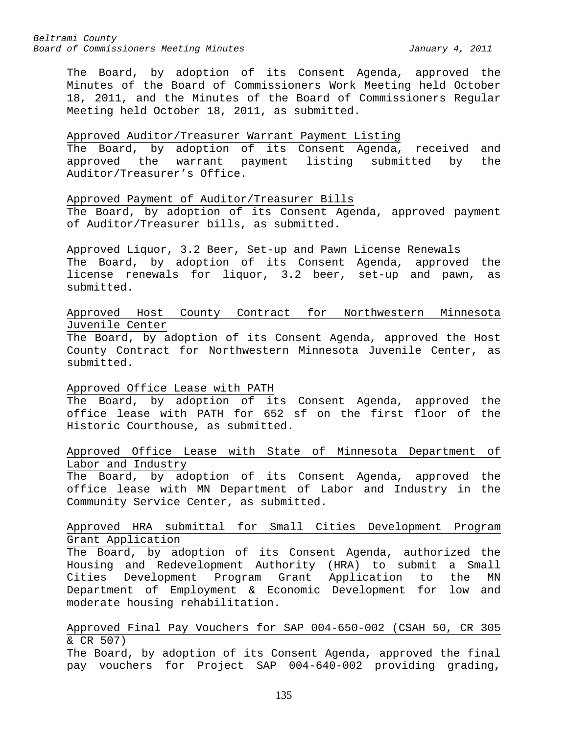The Board, by adoption of its Consent Agenda, approved the Minutes of the Board of Commissioners Work Meeting held October 18, 2011, and the Minutes of the Board of Commissioners Regular Meeting held October 18, 2011, as submitted.

## Approved Auditor/Treasurer Warrant Payment Listing

The Board, by adoption of its Consent Agenda, received and approved the warrant payment listing submitted by the Auditor/Treasurer's Office.

### Approved Payment of Auditor/Treasurer Bills

The Board, by adoption of its Consent Agenda, approved payment of Auditor/Treasurer bills, as submitted.

Approved Liquor, 3.2 Beer, Set-up and Pawn License Renewals The Board, by adoption of its Consent Agenda, approved the license renewals for liquor, 3.2 beer, set-up and pawn, as submitted.

# Approved Host County Contract for Northwestern Minnesota Juvenile Center

The Board, by adoption of its Consent Agenda, approved the Host County Contract for Northwestern Minnesota Juvenile Center, as submitted.

## Approved Office Lease with PATH

The Board, by adoption of its Consent Agenda, approved the office lease with PATH for 652 sf on the first floor of the Historic Courthouse, as submitted.

# Approved Office Lease with State of Minnesota Department of Labor and Industry

The Board, by adoption of its Consent Agenda, approved the office lease with MN Department of Labor and Industry in the Community Service Center, as submitted.

## Approved HRA submittal for Small Cities Development Program Grant Application

The Board, by adoption of its Consent Agenda, authorized the Housing and Redevelopment Authority (HRA) to submit a Small Cities Development Program Grant Application to the MN Department of Employment & Economic Development for low and moderate housing rehabilitation.

# Approved Final Pay Vouchers for SAP 004-650-002 (CSAH 50, CR 305 & CR 507)

The Board, by adoption of its Consent Agenda, approved the final pay vouchers for Project SAP 004-640-002 providing grading,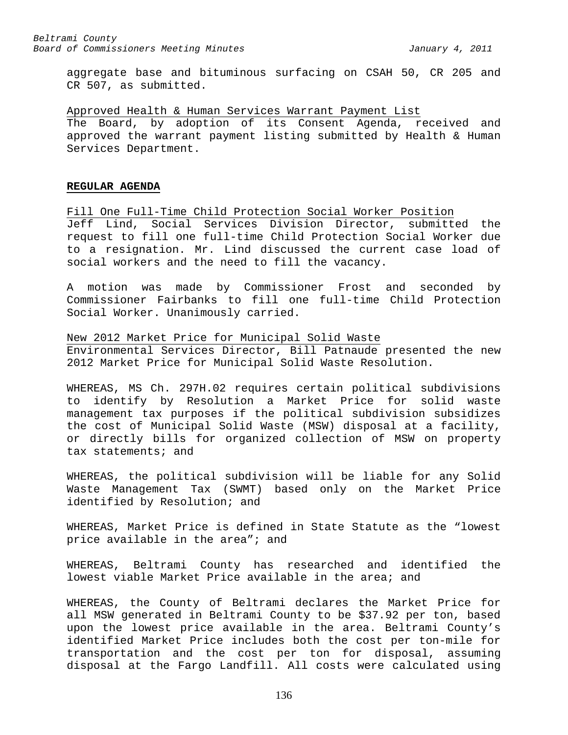aggregate base and bituminous surfacing on CSAH 50, CR 205 and CR 507, as submitted.

Approved Health & Human Services Warrant Payment List The Board, by adoption of its Consent Agenda, received and approved the warrant payment listing submitted by Health & Human Services Department.

#### **REGULAR AGENDA**

Fill One Full-Time Child Protection Social Worker Position Jeff Lind, Social Services Division Director, submitted the request to fill one full-time Child Protection Social Worker due to a resignation. Mr. Lind discussed the current case load of social workers and the need to fill the vacancy.

A motion was made by Commissioner Frost and seconded by Commissioner Fairbanks to fill one full-time Child Protection Social Worker. Unanimously carried.

New 2012 Market Price for Municipal Solid Waste Environmental Services Director, Bill Patnaude presented the new 2012 Market Price for Municipal Solid Waste Resolution.

WHEREAS, MS Ch. 297H.02 requires certain political subdivisions to identify by Resolution a Market Price for solid waste management tax purposes if the political subdivision subsidizes the cost of Municipal Solid Waste (MSW) disposal at a facility, or directly bills for organized collection of MSW on property tax statements; and

WHEREAS, the political subdivision will be liable for any Solid Waste Management Tax (SWMT) based only on the Market Price identified by Resolution; and

WHEREAS, Market Price is defined in State Statute as the "lowest price available in the area"; and

WHEREAS, Beltrami County has researched and identified the lowest viable Market Price available in the area; and

WHEREAS, the County of Beltrami declares the Market Price for all MSW generated in Beltrami County to be \$37.92 per ton, based upon the lowest price available in the area. Beltrami County's identified Market Price includes both the cost per ton-mile for transportation and the cost per ton for disposal, assuming disposal at the Fargo Landfill. All costs were calculated using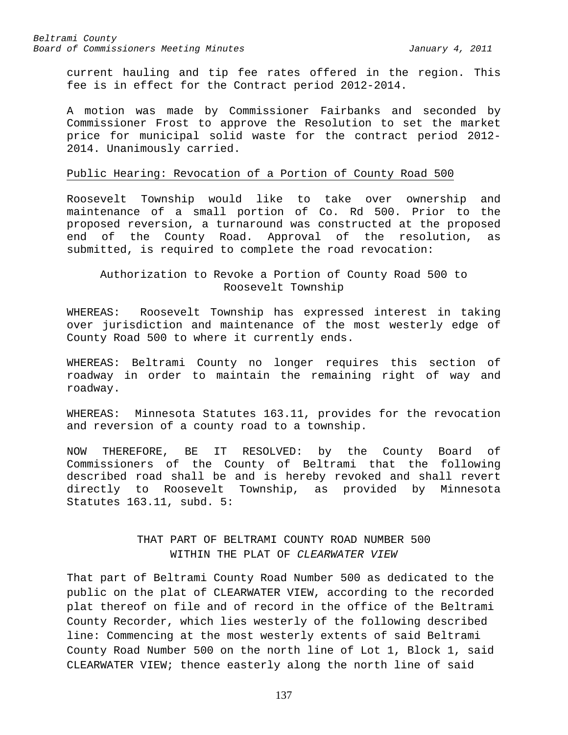current hauling and tip fee rates offered in the region. This fee is in effect for the Contract period 2012-2014.

A motion was made by Commissioner Fairbanks and seconded by Commissioner Frost to approve the Resolution to set the market price for municipal solid waste for the contract period 2012- 2014. Unanimously carried.

### Public Hearing: Revocation of a Portion of County Road 500

Roosevelt Township would like to take over ownership and maintenance of a small portion of Co. Rd 500. Prior to the proposed reversion, a turnaround was constructed at the proposed end of the County Road. Approval of the resolution, as submitted, is required to complete the road revocation:

Authorization to Revoke a Portion of County Road 500 to Roosevelt Township

WHEREAS: Roosevelt Township has expressed interest in taking over jurisdiction and maintenance of the most westerly edge of County Road 500 to where it currently ends.

WHEREAS: Beltrami County no longer requires this section of roadway in order to maintain the remaining right of way and roadway.

WHEREAS: Minnesota Statutes 163.11, provides for the revocation and reversion of a county road to a township.

NOW THEREFORE, BE IT RESOLVED: by the County Board of Commissioners of the County of Beltrami that the following described road shall be and is hereby revoked and shall revert directly to Roosevelt Township, as provided by Minnesota Statutes 163.11, subd. 5:

# THAT PART OF BELTRAMI COUNTY ROAD NUMBER 500 WITHIN THE PLAT OF *CLEARWATER VIEW*

That part of Beltrami County Road Number 500 as dedicated to the public on the plat of CLEARWATER VIEW, according to the recorded plat thereof on file and of record in the office of the Beltrami County Recorder, which lies westerly of the following described line: Commencing at the most westerly extents of said Beltrami County Road Number 500 on the north line of Lot 1, Block 1, said CLEARWATER VIEW; thence easterly along the north line of said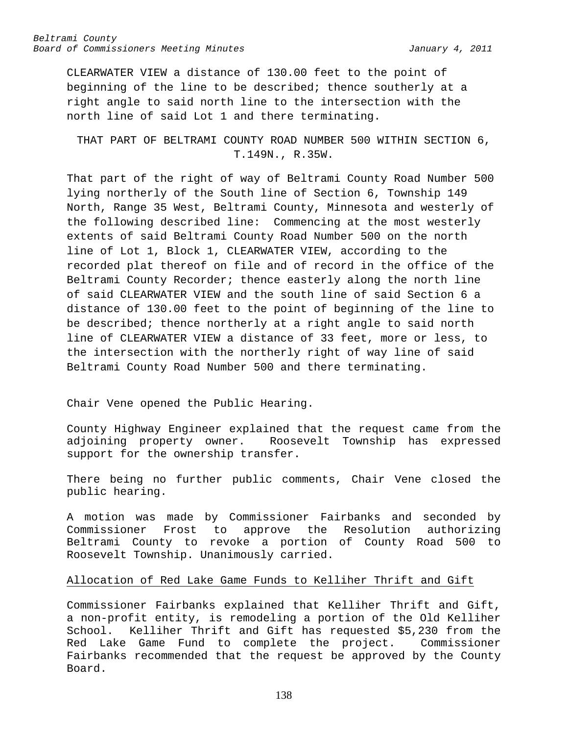CLEARWATER VIEW a distance of 130.00 feet to the point of beginning of the line to be described; thence southerly at a right angle to said north line to the intersection with the north line of said Lot 1 and there terminating.

THAT PART OF BELTRAMI COUNTY ROAD NUMBER 500 WITHIN SECTION 6, T.149N., R.35W.

That part of the right of way of Beltrami County Road Number 500 lying northerly of the South line of Section 6, Township 149 North, Range 35 West, Beltrami County, Minnesota and westerly of the following described line: Commencing at the most westerly extents of said Beltrami County Road Number 500 on the north line of Lot 1, Block 1, CLEARWATER VIEW, according to the recorded plat thereof on file and of record in the office of the Beltrami County Recorder; thence easterly along the north line of said CLEARWATER VIEW and the south line of said Section 6 a distance of 130.00 feet to the point of beginning of the line to be described; thence northerly at a right angle to said north line of CLEARWATER VIEW a distance of 33 feet, more or less, to the intersection with the northerly right of way line of said Beltrami County Road Number 500 and there terminating.

Chair Vene opened the Public Hearing.

County Highway Engineer explained that the request came from the<br>adjoining property owner. Roosevelt Township has expressed Roosevelt Township has expressed support for the ownership transfer.

There being no further public comments, Chair Vene closed the public hearing.

A motion was made by Commissioner Fairbanks and seconded by<br>Commissioner Frost to approve the Resolution authorizing approve the Resolution authorizing Beltrami County to revoke a portion of County Road 500 to Roosevelt Township. Unanimously carried.

## Allocation of Red Lake Game Funds to Kelliher Thrift and Gift

Commissioner Fairbanks explained that Kelliher Thrift and Gift, a non-profit entity, is remodeling a portion of the Old Kelliher School. Kelliher Thrift and Gift has requested \$5,230 from the Red Lake Game Fund to complete the project. Commissioner Fairbanks recommended that the request be approved by the County Board.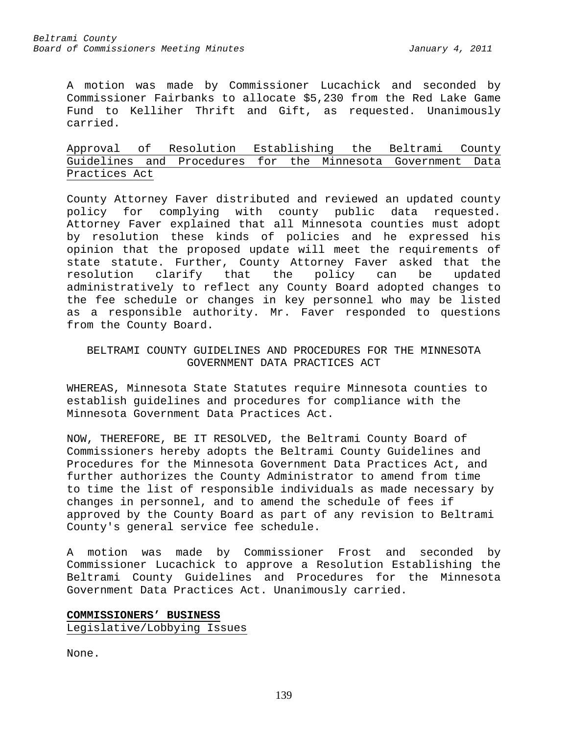A motion was made by Commissioner Lucachick and seconded by Commissioner Fairbanks to allocate \$5,230 from the Red Lake Game Fund to Kelliher Thrift and Gift, as requested. Unanimously carried.

# Approval of Resolution Establishing the Beltrami County Guidelines and Procedures for the Minnesota Government Data Practices Act

County Attorney Faver distributed and reviewed an updated county policy for complying with county public data requested. Attorney Faver explained that all Minnesota counties must adopt by resolution these kinds of policies and he expressed his opinion that the proposed update will meet the requirements of state statute. Further, County Attorney Faver asked that the<br>resolution clarify that the policy can be updated resolution clarify that the policy can be updated administratively to reflect any County Board adopted changes to the fee schedule or changes in key personnel who may be listed as a responsible authority. Mr. Faver responded to questions from the County Board.

## BELTRAMI COUNTY GUIDELINES AND PROCEDURES FOR THE MINNESOTA GOVERNMENT DATA PRACTICES ACT

WHEREAS, Minnesota State Statutes require Minnesota counties to establish guidelines and procedures for compliance with the Minnesota Government Data Practices Act.

NOW, THEREFORE, BE IT RESOLVED, the Beltrami County Board of Commissioners hereby adopts the Beltrami County Guidelines and Procedures for the Minnesota Government Data Practices Act, and further authorizes the County Administrator to amend from time to time the list of responsible individuals as made necessary by changes in personnel, and to amend the schedule of fees if approved by the County Board as part of any revision to Beltrami County's general service fee schedule.

A motion was made by Commissioner Frost and seconded by Commissioner Lucachick to approve a Resolution Establishing the Beltrami County Guidelines and Procedures for the Minnesota Government Data Practices Act. Unanimously carried.

# **COMMISSIONERS' BUSINESS** Legislative/Lobbying Issues

None.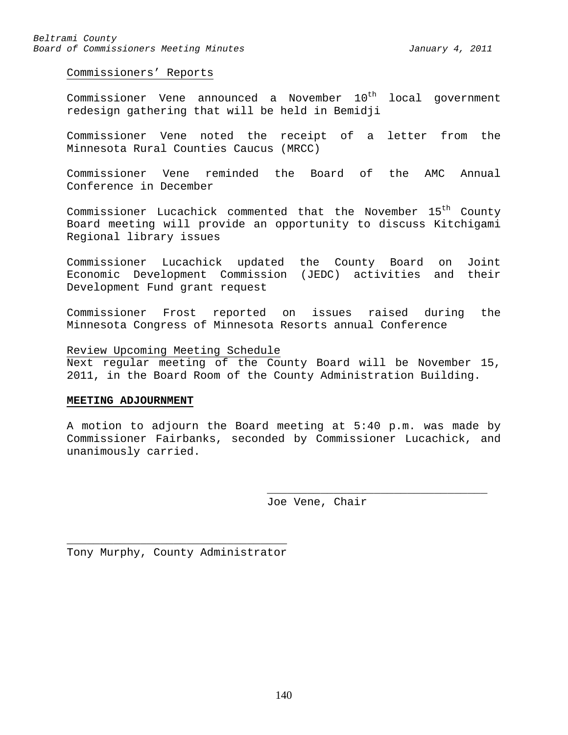Commissioners' Reports

Commissioner Vene announced a November  $10^{th}$  local government redesign gathering that will be held in Bemidji

Commissioner Vene noted the receipt of a letter from the Minnesota Rural Counties Caucus (MRCC)

Commissioner Vene reminded the Board of the AMC Annual Conference in December

Commissioner Lucachick commented that the November 15<sup>th</sup> County Board meeting will provide an opportunity to discuss Kitchigami Regional library issues

Commissioner Lucachick updated the County Board on Joint Economic Development Commission (JEDC) activities and their Development Fund grant request

Commissioner Frost reported on issues raised during the Minnesota Congress of Minnesota Resorts annual Conference

Review Upcoming Meeting Schedule

Next regular meeting of the County Board will be November 15, 2011, in the Board Room of the County Administration Building.

#### **MEETING ADJOURNMENT**

A motion to adjourn the Board meeting at 5:40 p.m. was made by Commissioner Fairbanks, seconded by Commissioner Lucachick, and unanimously carried.

> \_\_\_\_\_\_\_\_\_\_\_\_\_\_\_\_\_\_\_\_\_\_\_\_\_\_\_\_\_\_\_\_\_ Joe Vene, Chair

\_\_\_\_\_\_\_\_\_\_\_\_\_\_\_\_\_\_\_\_\_\_\_\_\_\_\_\_\_\_\_\_\_ Tony Murphy, County Administrator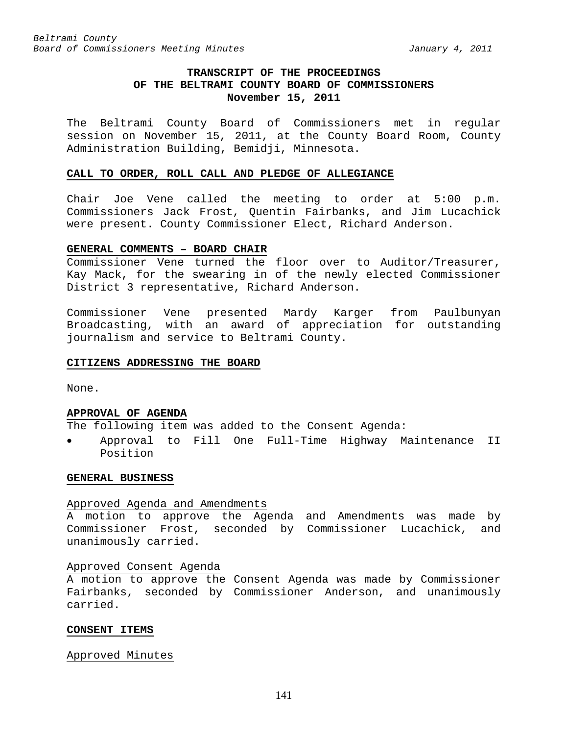# **TRANSCRIPT OF THE PROCEEDINGS OF THE BELTRAMI COUNTY BOARD OF COMMISSIONERS November 15, 2011**

The Beltrami County Board of Commissioners met in regular session on November 15, 2011, at the County Board Room, County Administration Building, Bemidji, Minnesota.

#### **CALL TO ORDER, ROLL CALL AND PLEDGE OF ALLEGIANCE**

Chair Joe Vene called the meeting to order at 5:00 p.m. Commissioners Jack Frost, Quentin Fairbanks, and Jim Lucachick were present. County Commissioner Elect, Richard Anderson.

#### **GENERAL COMMENTS – BOARD CHAIR**

Commissioner Vene turned the floor over to Auditor/Treasurer, Kay Mack, for the swearing in of the newly elected Commissioner District 3 representative, Richard Anderson.

Commissioner Vene presented Mardy Karger from Paulbunyan Broadcasting, with an award of appreciation for outstanding journalism and service to Beltrami County.

#### **CITIZENS ADDRESSING THE BOARD**

None.

#### **APPROVAL OF AGENDA**

The following item was added to the Consent Agenda:

• Approval to Fill One Full-Time Highway Maintenance II Position

#### **GENERAL BUSINESS**

#### Approved Agenda and Amendments

A motion to approve the Agenda and Amendments was made by Commissioner Frost, seconded by Commissioner Lucachick, and unanimously carried.

### Approved Consent Agenda

A motion to approve the Consent Agenda was made by Commissioner Fairbanks, seconded by Commissioner Anderson, and unanimously carried.

#### **CONSENT ITEMS**

### Approved Minutes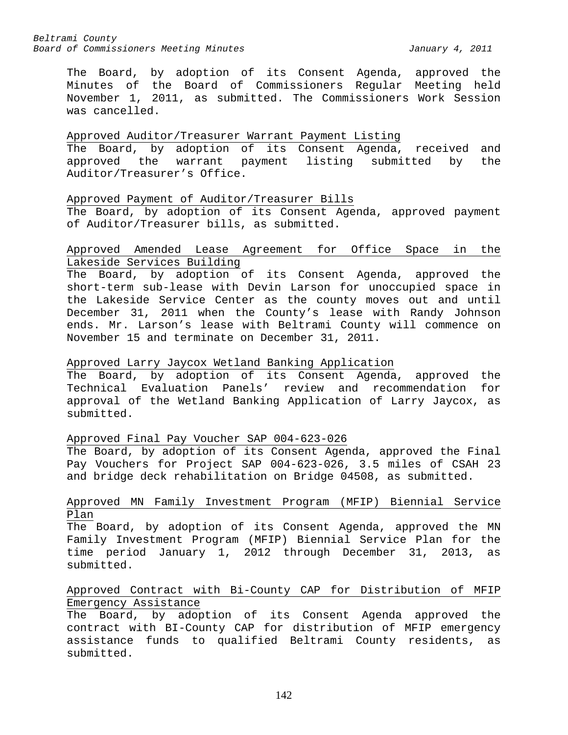The Board, by adoption of its Consent Agenda, approved the Minutes of the Board of Commissioners Regular Meeting held November 1, 2011, as submitted. The Commissioners Work Session was cancelled.

## Approved Auditor/Treasurer Warrant Payment Listing

The Board, by adoption of its Consent Agenda, received and approved the warrant payment listing submitted by the Auditor/Treasurer's Office.

## Approved Payment of Auditor/Treasurer Bills

The Board, by adoption of its Consent Agenda, approved payment of Auditor/Treasurer bills, as submitted.

## Approved Amended Lease Agreement for Office Space in the Lakeside Services Building

The Board, by adoption of its Consent Agenda, approved the short-term sub-lease with Devin Larson for unoccupied space in the Lakeside Service Center as the county moves out and until December 31, 2011 when the County's lease with Randy Johnson ends. Mr. Larson's lease with Beltrami County will commence on November 15 and terminate on December 31, 2011.

# Approved Larry Jaycox Wetland Banking Application

The Board, by adoption of its Consent Agenda, approved the Technical Evaluation Panels' review and recommendation for approval of the Wetland Banking Application of Larry Jaycox, as submitted.

## Approved Final Pay Voucher SAP 004-623-026

The Board, by adoption of its Consent Agenda, approved the Final Pay Vouchers for Project SAP 004-623-026, 3.5 miles of CSAH 23 and bridge deck rehabilitation on Bridge 04508, as submitted.

## Approved MN Family Investment Program (MFIP) Biennial Service Plan

The Board, by adoption of its Consent Agenda, approved the MN Family Investment Program (MFIP) Biennial Service Plan for the time period January 1, 2012 through December 31, 2013, as submitted.

## Approved Contract with Bi-County CAP for Distribution of MFIP Emergency Assistance

The Board, by adoption of its Consent Agenda approved the contract with BI-County CAP for distribution of MFIP emergency assistance funds to qualified Beltrami County residents, as submitted.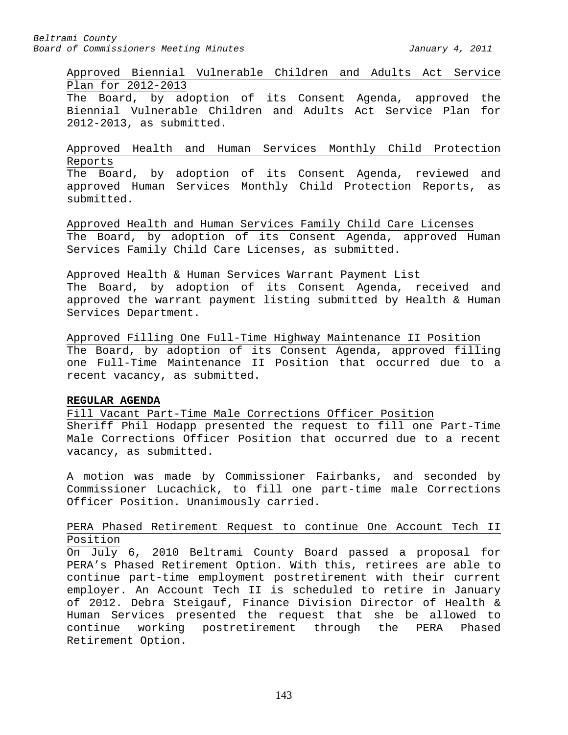## Approved Biennial Vulnerable Children and Adults Act Service Plan for 2012-2013

The Board, by adoption of its Consent Agenda, approved the Biennial Vulnerable Children and Adults Act Service Plan for 2012-2013, as submitted.

## Approved Health and Human Services Monthly Child Protection Reports

The Board, by adoption of its Consent Agenda, reviewed and approved Human Services Monthly Child Protection Reports, as submitted.

Approved Health and Human Services Family Child Care Licenses The Board, by adoption of its Consent Agenda, approved Human Services Family Child Care Licenses, as submitted.

## Approved Health & Human Services Warrant Payment List

The Board, by adoption of its Consent Agenda, received and approved the warrant payment listing submitted by Health & Human Services Department.

Approved Filling One Full-Time Highway Maintenance II Position The Board, by adoption of its Consent Agenda, approved filling one Full-Time Maintenance II Position that occurred due to a recent vacancy, as submitted.

## **REGULAR AGENDA**

Fill Vacant Part-Time Male Corrections Officer Position Sheriff Phil Hodapp presented the request to fill one Part-Time Male Corrections Officer Position that occurred due to a recent vacancy, as submitted.

A motion was made by Commissioner Fairbanks, and seconded by Commissioner Lucachick, to fill one part-time male Corrections Officer Position. Unanimously carried.

## PERA Phased Retirement Request to continue One Account Tech II Position

On July 6, 2010 Beltrami County Board passed a proposal for PERA's Phased Retirement Option. With this, retirees are able to continue part-time employment postretirement with their current employer. An Account Tech II is scheduled to retire in January of 2012. Debra Steigauf, Finance Division Director of Health & Human Services presented the request that she be allowed to continue working postretirement through the PERA Retirement Option.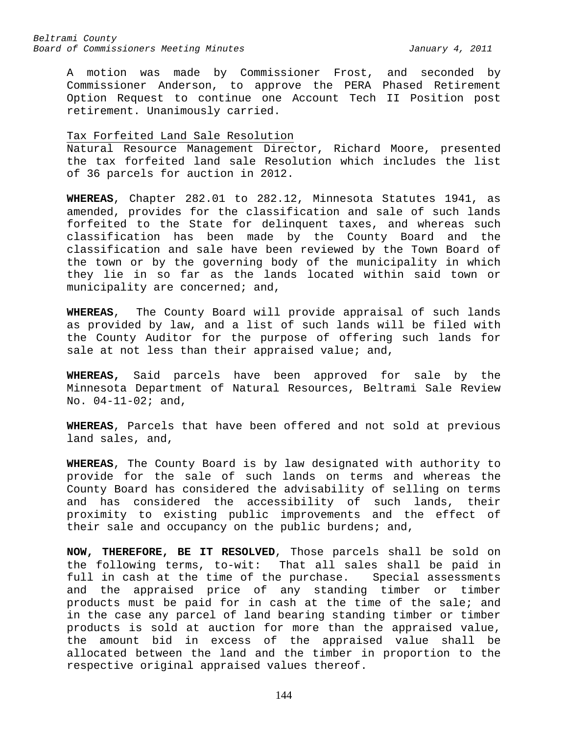A motion was made by Commissioner Frost, and seconded by Commissioner Anderson, to approve the PERA Phased Retirement Option Request to continue one Account Tech II Position post retirement. Unanimously carried.

### Tax Forfeited Land Sale Resolution

Natural Resource Management Director, Richard Moore, presented the tax forfeited land sale Resolution which includes the list of 36 parcels for auction in 2012.

**WHEREAS**, Chapter 282.01 to 282.12, Minnesota Statutes 1941, as amended, provides for the classification and sale of such lands forfeited to the State for delinquent taxes, and whereas such classification has been made by the County Board and the classification and sale have been reviewed by the Town Board of the town or by the governing body of the municipality in which they lie in so far as the lands located within said town or municipality are concerned; and,

**WHEREAS**, The County Board will provide appraisal of such lands as provided by law, and a list of such lands will be filed with the County Auditor for the purpose of offering such lands for sale at not less than their appraised value; and,

**WHEREAS,** Said parcels have been approved for sale by the Minnesota Department of Natural Resources, Beltrami Sale Review No. 04-11-02; and,

**WHEREAS**, Parcels that have been offered and not sold at previous land sales, and,

**WHEREAS**, The County Board is by law designated with authority to provide for the sale of such lands on terms and whereas the County Board has considered the advisability of selling on terms and has considered the accessibility of such lands, their proximity to existing public improvements and the effect of their sale and occupancy on the public burdens; and,

**NOW, THEREFORE, BE IT RESOLVED**, Those parcels shall be sold on the following terms, to-wit: That all sales shall be paid in full in cash at the time of the purchase. Special assessments and the appraised price of any standing timber or timber products must be paid for in cash at the time of the sale; and in the case any parcel of land bearing standing timber or timber products is sold at auction for more than the appraised value, the amount bid in excess of the appraised value shall be allocated between the land and the timber in proportion to the respective original appraised values thereof.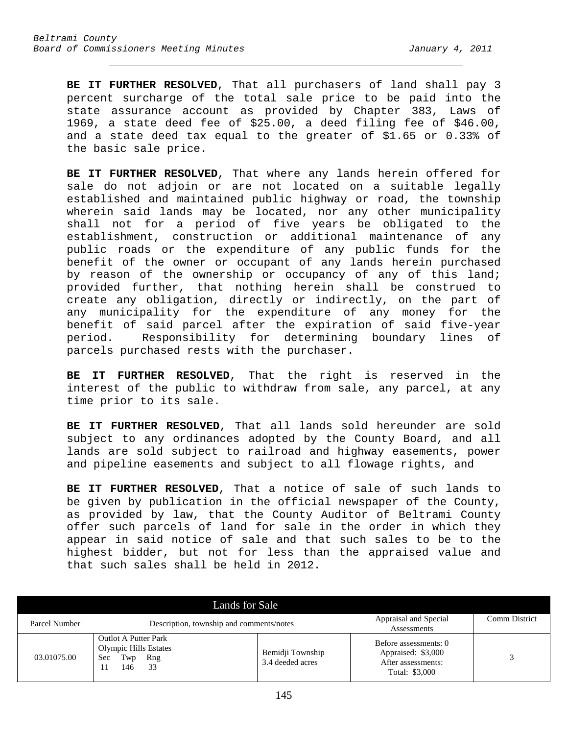**BE IT FURTHER RESOLVED**, That all purchasers of land shall pay 3 percent surcharge of the total sale price to be paid into the state assurance account as provided by Chapter 383, Laws of 1969, a state deed fee of \$25.00, a deed filing fee of \$46.00, and a state deed tax equal to the greater of \$1.65 or 0.33% of the basic sale price.

**BE IT FURTHER RESOLVED**, That where any lands herein offered for sale do not adjoin or are not located on a suitable legally established and maintained public highway or road, the township wherein said lands may be located, nor any other municipality shall not for a period of five years be obligated to the establishment, construction or additional maintenance of any public roads or the expenditure of any public funds for the benefit of the owner or occupant of any lands herein purchased by reason of the ownership or occupancy of any of this land; provided further, that nothing herein shall be construed to create any obligation, directly or indirectly, on the part of any municipality for the expenditure of any money for the benefit of said parcel after the expiration of said five-year period. Responsibility for determining boundary lines of parcels purchased rests with the purchaser.

**BE IT FURTHER RESOLVED**, That the right is reserved in the interest of the public to withdraw from sale, any parcel, at any time prior to its sale.

**BE IT FURTHER RESOLVED**, That all lands sold hereunder are sold subject to any ordinances adopted by the County Board, and all lands are sold subject to railroad and highway easements, power and pipeline easements and subject to all flowage rights, and

**BE IT FURTHER RESOLVED**, That a notice of sale of such lands to be given by publication in the official newspaper of the County, as provided by law, that the County Auditor of Beltrami County offer such parcels of land for sale in the order in which they appear in said notice of sale and that such sales to be to the highest bidder, but not for less than the appraised value and that such sales shall be held in 2012.

| Lands for Sale |                                                                                               |                                      |                                                                                     |                      |
|----------------|-----------------------------------------------------------------------------------------------|--------------------------------------|-------------------------------------------------------------------------------------|----------------------|
| Parcel Number  | Description, township and comments/notes                                                      |                                      | Appraisal and Special<br>Assessments                                                | <b>Comm District</b> |
| 03.01075.00    | <b>Outlot A Putter Park</b><br><b>Olympic Hills Estates</b><br>Twp<br>Sec<br>Rng<br>33<br>146 | Bemidji Township<br>3.4 deeded acres | Before assessments: 0<br>Appraised: \$3,000<br>After assessments:<br>Total: \$3,000 |                      |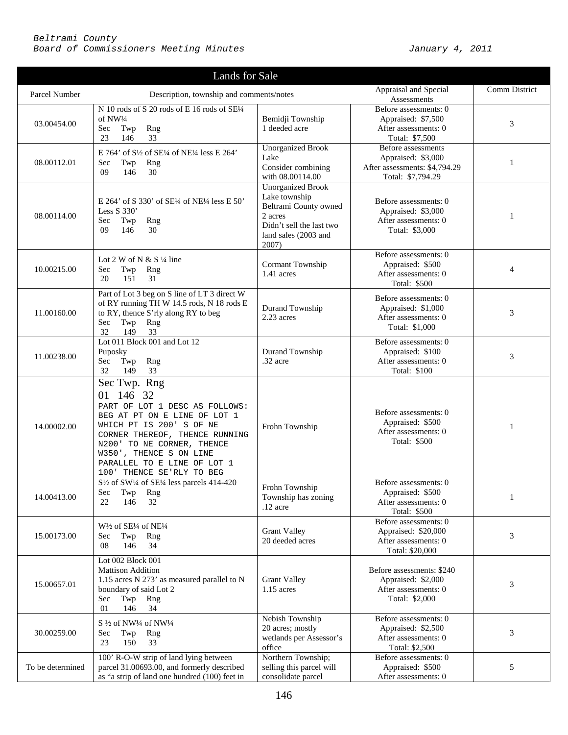| Lands for Sale   |                                                                                                                                                                                                                                                                                   |                                                                                                                                            |                                                                                                |               |
|------------------|-----------------------------------------------------------------------------------------------------------------------------------------------------------------------------------------------------------------------------------------------------------------------------------|--------------------------------------------------------------------------------------------------------------------------------------------|------------------------------------------------------------------------------------------------|---------------|
| Parcel Number    | Description, township and comments/notes                                                                                                                                                                                                                                          |                                                                                                                                            | Appraisal and Special<br>Assessments                                                           | Comm District |
| 03.00454.00      | N 10 rods of S 20 rods of E 16 rods of SE1/4<br>of NW1/4<br>Sec<br>Twp<br>Rng<br>23<br>146<br>33                                                                                                                                                                                  | Bemidji Township<br>1 deeded acre                                                                                                          | Before assessments: 0<br>Appraised: \$7,500<br>After assessments: 0<br>Total: \$7,500          | 3             |
| 08.00112.01      | E 764' of S <sup>1</sup> / <sub>2</sub> of SE <sup>1</sup> / <sub>4</sub> of NE <sup>1</sup> / <sub>4</sub> less E 264'<br>Sec<br>Twp<br>Rng<br>09<br>146<br>30                                                                                                                   | <b>Unorganized Brook</b><br>Lake<br>Consider combining<br>with 08.00114.00                                                                 | Before assessments<br>Appraised: \$3,000<br>After assessments: \$4,794.29<br>Total: \$7,794.29 | 1             |
| 08.00114.00      | E 264' of S 330' of SE1/4 of NE1/4 less E 50'<br>Less $S$ 330'<br>Twp<br>Sec<br>Rng<br>09<br>146<br>30                                                                                                                                                                            | <b>Unorganized Brook</b><br>Lake township<br>Beltrami County owned<br>2 acres<br>Didn't sell the last two<br>land sales (2003 and<br>2007) | Before assessments: 0<br>Appraised: \$3,000<br>After assessments: 0<br>Total: \$3,000          | 1             |
| 10.00215.00      | Lot 2 W of N & S $\frac{1}{4}$ line<br>Sec<br>Twp<br>Rng<br>20<br>31<br>151                                                                                                                                                                                                       | Cormant Township<br>1.41 acres                                                                                                             | Before assessments: 0<br>Appraised: \$500<br>After assessments: 0<br>Total: \$500              | 4             |
| 11.00160.00      | Part of Lot 3 beg on S line of LT 3 direct W<br>of RY running TH W 14.5 rods, N 18 rods E<br>to RY, thence S'rly along RY to beg<br>Sec<br>Twp<br>Rng<br>32<br>149<br>33                                                                                                          | Durand Township<br>2.23 acres                                                                                                              | Before assessments: 0<br>Appraised: \$1,000<br>After assessments: 0<br>Total: \$1,000          | 3             |
| 11.00238.00      | Lot 011 Block 001 and Lot 12<br>Puposky<br>Sec<br>Twp<br>Rng<br>32<br>149<br>33                                                                                                                                                                                                   | Durand Township<br>.32 acre                                                                                                                | Before assessments: 0<br>Appraised: \$100<br>After assessments: 0<br>Total: \$100              | 3             |
| 14.00002.00      | Sec Twp. Rng<br>146 32<br>01<br>PART OF LOT 1 DESC AS FOLLOWS:<br>BEG AT PT ON E LINE OF LOT 1<br>WHICH PT IS 200' S OF NE<br>CORNER THEREOF, THENCE RUNNING<br>N200' TO NE CORNER, THENCE<br>W350', THENCE S ON LINE<br>PARALLEL TO E LINE OF LOT 1<br>100' THENCE SE'RLY TO BEG | Frohn Township                                                                                                                             | Before assessments: 0<br>Appraised: \$500<br>After assessments: 0<br>Total: \$500              | $\mathbf{1}$  |
| 14.00413.00      | $S\frac{1}{2}$ of SW <sup>1</sup> /4 of SE <sup>1/4</sup> less parcels 414-420<br>Rng<br>Sec<br>Twp<br>22<br>146<br>32                                                                                                                                                            | Frohn Township<br>Township has zoning<br>$.12$ acre                                                                                        | Before assessments: 0<br>Appraised: \$500<br>After assessments: 0<br>Total: \$500              | 1             |
| 15.00173.00      | W <sup>1</sup> / <sub>2</sub> of SE <sup>1</sup> / <sub>4</sub> of NE <sup>1</sup> / <sub>4</sub><br>Sec<br>Twp<br>Rng<br>08<br>146<br>34                                                                                                                                         | <b>Grant Valley</b><br>20 deeded acres                                                                                                     | Before assessments: 0<br>Appraised: \$20,000<br>After assessments: 0<br>Total: \$20,000        | 3             |
| 15.00657.01      | Lot 002 Block 001<br><b>Mattison Addition</b><br>1.15 acres N 273' as measured parallel to N<br>boundary of said Lot 2<br>Sec<br>Twp Rng<br>01<br>146<br>34                                                                                                                       | <b>Grant Valley</b><br>1.15 acres                                                                                                          | Before assessments: \$240<br>Appraised: \$2,000<br>After assessments: 0<br>Total: \$2,000      | 3             |
| 30.00259.00      | S 1/2 of NW1/4 of NW1/4<br>Twp<br>Rng<br>Sec<br>23<br>150<br>33                                                                                                                                                                                                                   | Nebish Township<br>20 acres; mostly<br>wetlands per Assessor's<br>office                                                                   | Before assessments: 0<br>Appraised: \$2,500<br>After assessments: 0<br>Total: \$2,500          | 3             |
| To be determined | 100' R-O-W strip of land lying between<br>parcel 31.00693.00, and formerly described<br>as "a strip of land one hundred (100) feet in                                                                                                                                             | Northern Township;<br>selling this parcel will<br>consolidate parcel                                                                       | Before assessments: 0<br>Appraised: \$500<br>After assessments: 0                              | 5             |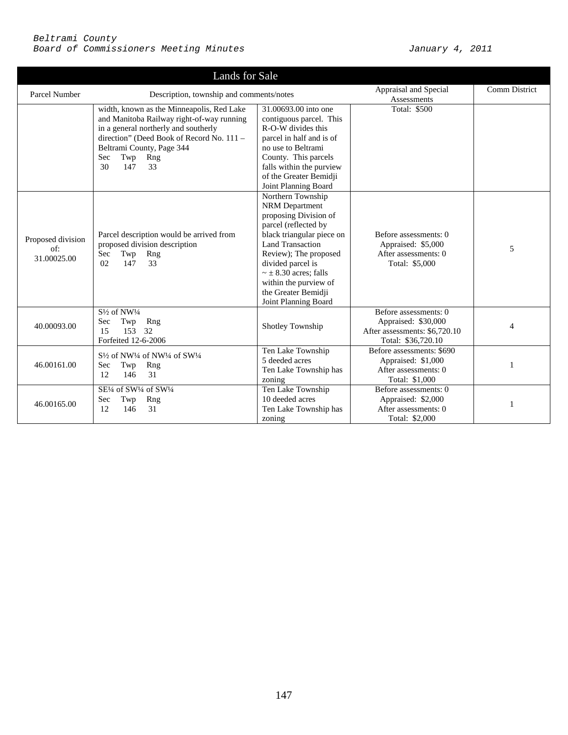| Lands for Sale                          |                                                                                                                                                                                                                                                  |                                                                                                                                                                                                                                                                                                           |                                                                                                     |               |
|-----------------------------------------|--------------------------------------------------------------------------------------------------------------------------------------------------------------------------------------------------------------------------------------------------|-----------------------------------------------------------------------------------------------------------------------------------------------------------------------------------------------------------------------------------------------------------------------------------------------------------|-----------------------------------------------------------------------------------------------------|---------------|
| Parcel Number                           | Description, township and comments/notes                                                                                                                                                                                                         |                                                                                                                                                                                                                                                                                                           | Appraisal and Special<br>Assessments                                                                | Comm District |
|                                         | width, known as the Minneapolis, Red Lake<br>and Manitoba Railway right-of-way running<br>in a general northerly and southerly<br>direction" (Deed Book of Record No. 111 -<br>Beltrami County, Page 344<br>Sec<br>Twp<br>Rng<br>30<br>147<br>33 | 31,00693,00 into one<br>contiguous parcel. This<br>R-O-W divides this<br>parcel in half and is of<br>no use to Beltrami<br>County. This parcels<br>falls within the purview<br>of the Greater Bemidji<br>Joint Planning Board                                                                             | Total: \$500                                                                                        |               |
| Proposed division<br>of:<br>31.00025.00 | Parcel description would be arrived from<br>proposed division description<br>Twp<br>Sec<br>Rng<br>02<br>147<br>33                                                                                                                                | Northern Township<br><b>NRM</b> Department<br>proposing Division of<br>parcel (reflected by<br>black triangular piece on<br><b>Land Transaction</b><br>Review); The proposed<br>divided parcel is<br>$\sim \pm 8.30$ acres; falls<br>within the purview of<br>the Greater Bemidji<br>Joint Planning Board | Before assessments: 0<br>Appraised: \$5,000<br>After assessments: 0<br>Total: \$5,000               | 5             |
| 40.00093.00                             | $S\frac{1}{2}$ of NW <sup>1</sup> /4<br>Sec<br>Twp<br>Rng<br>153<br>32<br>15<br>Forfeited 12-6-2006                                                                                                                                              | Shotley Township                                                                                                                                                                                                                                                                                          | Before assessments: 0<br>Appraised: \$30,000<br>After assessments: \$6,720.10<br>Total: \$36,720.10 | 4             |
| 46.00161.00                             | S <sup>1/2</sup> of NW <sup>1/4</sup> of NW <sup>1/4</sup> of SW <sup>1/4</sup><br>Sec<br>Rng<br>Twp<br>31<br>12<br>146                                                                                                                          | Ten Lake Township<br>5 deeded acres<br>Ten Lake Township has<br>zoning                                                                                                                                                                                                                                    | Before assessments: \$690<br>Appraised: \$1,000<br>After assessments: 0<br>Total: \$1,000           |               |
| 46.00165.00                             | SE1/4 of SW1/4 of SW1/4<br>Sec<br>Rng<br>Twp<br>12<br>31<br>146                                                                                                                                                                                  | Ten Lake Township<br>10 deeded acres<br>Ten Lake Township has<br>zoning                                                                                                                                                                                                                                   | Before assessments: 0<br>Appraised: \$2,000<br>After assessments: 0<br>Total: \$2,000               | 1             |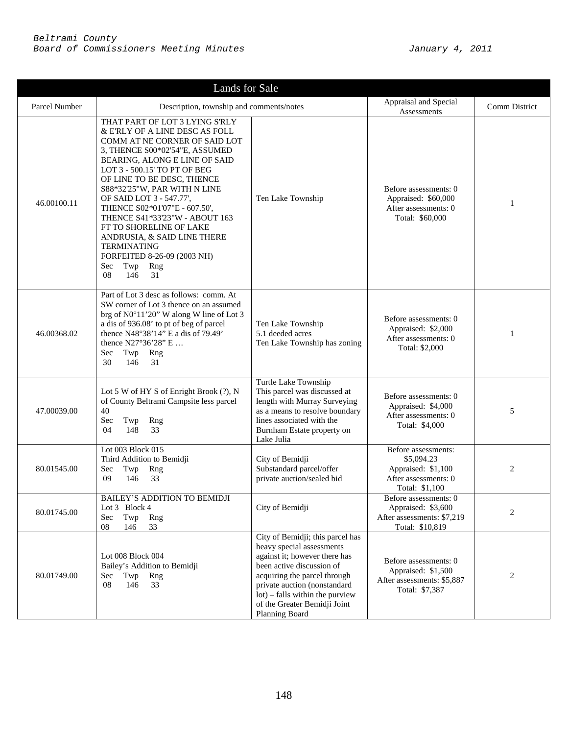| Lands for Sale |                                                                                                                                                                                                                                                                                                                                                                                                                                                                                                                          |                                                                                                                                                                                                                                                                                  |                                                                                                   |                |
|----------------|--------------------------------------------------------------------------------------------------------------------------------------------------------------------------------------------------------------------------------------------------------------------------------------------------------------------------------------------------------------------------------------------------------------------------------------------------------------------------------------------------------------------------|----------------------------------------------------------------------------------------------------------------------------------------------------------------------------------------------------------------------------------------------------------------------------------|---------------------------------------------------------------------------------------------------|----------------|
| Parcel Number  | Description, township and comments/notes                                                                                                                                                                                                                                                                                                                                                                                                                                                                                 |                                                                                                                                                                                                                                                                                  | Appraisal and Special<br>Assessments                                                              | Comm District  |
| 46.00100.11    | THAT PART OF LOT 3 LYING S'RLY<br>& E'RLY OF A LINE DESC AS FOLL<br>COMM AT NE CORNER OF SAID LOT<br>3, THENCE S00*02'54"E, ASSUMED<br>BEARING, ALONG E LINE OF SAID<br>LOT 3 - 500.15' TO PT OF BEG<br>OF LINE TO BE DESC, THENCE<br>S88*32'25"W, PAR WITH N LINE<br>OF SAID LOT 3 - 547.77',<br>THENCE S02*01'07"E - 607.50',<br>THENCE S41*33'23"W - ABOUT 163<br>FT TO SHORELINE OF LAKE<br>ANDRUSIA, & SAID LINE THERE<br><b>TERMINATING</b><br>FORFEITED 8-26-09 (2003 NH)<br>Twp<br>Sec<br>Rng<br>08<br>146<br>31 | Ten Lake Township                                                                                                                                                                                                                                                                | Before assessments: 0<br>Appraised: \$60,000<br>After assessments: 0<br>Total: \$60,000           | $\mathbf{1}$   |
| 46.00368.02    | Part of Lot 3 desc as follows: comm. At<br>SW corner of Lot 3 thence on an assumed<br>brg of N0°11'20" W along W line of Lot 3<br>a dis of 936.08' to pt of beg of parcel<br>thence N48°38'14" E a dis of 79.49'<br>thence N27°36'28" E<br>Sec<br>Twp<br>Rng<br>31<br>30<br>146                                                                                                                                                                                                                                          | Ten Lake Township<br>5.1 deeded acres<br>Ten Lake Township has zoning                                                                                                                                                                                                            | Before assessments: 0<br>Appraised: \$2,000<br>After assessments: 0<br>Total: \$2,000             | 1              |
| 47.00039.00    | Lot 5 W of HY S of Enright Brook (?), N<br>of County Beltrami Campsite less parcel<br>40<br>Sec<br>Twp<br>Rng<br>148<br>33<br>04                                                                                                                                                                                                                                                                                                                                                                                         | Turtle Lake Township<br>This parcel was discussed at<br>length with Murray Surveying<br>as a means to resolve boundary<br>lines associated with the<br>Burnham Estate property on<br>Lake Julia                                                                                  | Before assessments: 0<br>Appraised: \$4,000<br>After assessments: 0<br>Total: \$4,000             | 5              |
| 80.01545.00    | Lot 003 Block 015<br>Third Addition to Bemidji<br>Twp<br>Rng<br>Sec<br>09<br>146<br>33                                                                                                                                                                                                                                                                                                                                                                                                                                   | City of Bemidji<br>Substandard parcel/offer<br>private auction/sealed bid                                                                                                                                                                                                        | Before assessments:<br>\$5,094.23<br>Appraised: \$1,100<br>After assessments: 0<br>Total: \$1,100 | $\overline{2}$ |
| 80.01745.00    | BAILEY'S ADDITION TO BEMIDJI<br>Lot 3 Block 4<br>Twp<br>Sec<br>Rng<br>08<br>146<br>33                                                                                                                                                                                                                                                                                                                                                                                                                                    | City of Bemidji                                                                                                                                                                                                                                                                  | Before assessments: 0<br>Appraised: \$3,600<br>After assessments: \$7,219<br>Total: \$10,819      | 2              |
| 80.01749.00    | Lot 008 Block 004<br>Bailey's Addition to Bemidji<br>Sec<br>Twp Rng<br>08<br>146<br>33                                                                                                                                                                                                                                                                                                                                                                                                                                   | City of Bemidji; this parcel has<br>heavy special assessments<br>against it; however there has<br>been active discussion of<br>acquiring the parcel through<br>private auction (nonstandard<br>lot) – falls within the purview<br>of the Greater Bemidji Joint<br>Planning Board | Before assessments: 0<br>Appraised: \$1,500<br>After assessments: \$5,887<br>Total: \$7,387       | 2              |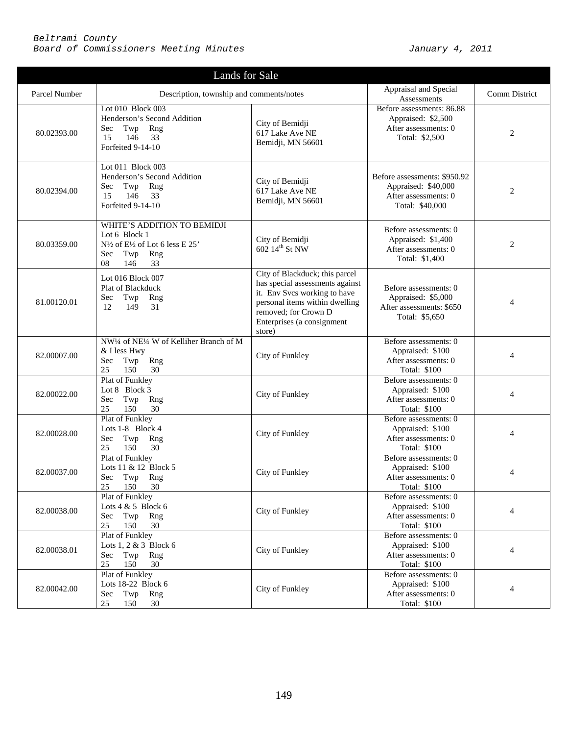| Lands for Sale |                                                                                                                                                                            |                                                                                                                                                                                                     |                                                                                                |                |
|----------------|----------------------------------------------------------------------------------------------------------------------------------------------------------------------------|-----------------------------------------------------------------------------------------------------------------------------------------------------------------------------------------------------|------------------------------------------------------------------------------------------------|----------------|
| Parcel Number  | Description, township and comments/notes                                                                                                                                   |                                                                                                                                                                                                     | Appraisal and Special<br>Assessments                                                           | Comm District  |
| 80.02393.00    | Lot 010 Block 003<br>Henderson's Second Addition<br>Rng<br>Sec<br>Twp<br>146<br>33<br>15<br>Forfeited 9-14-10                                                              | City of Bemidji<br>617 Lake Ave NE<br>Bemidji, MN 56601                                                                                                                                             | Before assessments: 86.88<br>Appraised: \$2,500<br>After assessments: 0<br>Total: \$2,500      | $\mathbf{2}$   |
| 80.02394.00    | Lot 011 Block 003<br>Henderson's Second Addition<br>Sec<br>Twp Rng<br>146<br>33<br>15<br>Forfeited 9-14-10                                                                 | City of Bemidji<br>617 Lake Ave NE<br>Bemidji, MN 56601                                                                                                                                             | Before assessments: \$950.92<br>Appraised: \$40,000<br>After assessments: 0<br>Total: \$40,000 | $\mathbf{2}$   |
| 80.03359.00    | WHITE'S ADDITION TO BEMIDJI<br>Lot 6 Block 1<br>N <sup>1</sup> / <sub>2</sub> of E <sup>1</sup> / <sub>2</sub> of Lot 6 less E 25'<br>Sec<br>Twp<br>Rng<br>08<br>146<br>33 | City of Bemidji<br>602 14th St NW                                                                                                                                                                   | Before assessments: 0<br>Appraised: \$1,400<br>After assessments: 0<br>Total: \$1,400          | $\overline{2}$ |
| 81.00120.01    | Lot 016 Block 007<br>Plat of Blackduck<br>Sec<br>Twp<br>Rng<br>149<br>12<br>31                                                                                             | City of Blackduck; this parcel<br>has special assessments against<br>it. Env Svcs working to have<br>personal items within dwelling<br>removed; for Crown D<br>Enterprises (a consignment<br>store) | Before assessments: 0<br>Appraised: \$5,000<br>After assessments: \$650<br>Total: \$5,650      | $\overline{4}$ |
| 82.00007.00    | NW <sup>1/4</sup> of NE <sup>1/4</sup> W of Kelliher Branch of M<br>& I less Hwy<br>Twp<br>Rng<br>Sec<br>25<br>150<br>30                                                   | City of Funkley                                                                                                                                                                                     | Before assessments: 0<br>Appraised: \$100<br>After assessments: 0<br>Total: \$100              | $\overline{4}$ |
| 82.00022.00    | Plat of Funkley<br>Lot 8 Block 3<br>Twp<br>Rng<br>Sec<br>25<br>150<br>30                                                                                                   | City of Funkley                                                                                                                                                                                     | Before assessments: 0<br>Appraised: \$100<br>After assessments: 0<br>Total: \$100              | 4              |
| 82.00028.00    | Plat of Funkley<br>Lots 1-8 Block 4<br>Twp<br>Rng<br>Sec<br>150<br>30<br>25                                                                                                | City of Funkley                                                                                                                                                                                     | Before assessments: 0<br>Appraised: \$100<br>After assessments: 0<br>Total: \$100              | 4              |
| 82.00037.00    | Plat of Funkley<br>Lots 11 & 12 Block 5<br>Sec Twp Rng<br>25 150 30                                                                                                        | City of Funkley                                                                                                                                                                                     | Before assessments: 0<br>Appraised: \$100<br>After assessments: 0<br>Total: \$100              | 4              |
| 82.00038.00    | Plat of Funkley<br>Lots $4 & 5$ Block 6<br>Twp Rng<br>Sec<br>25<br>150<br>30                                                                                               | City of Funkley                                                                                                                                                                                     | Before assessments: 0<br>Appraised: \$100<br>After assessments: 0<br>Total: \$100              | 4              |
| 82.00038.01    | Plat of Funkley<br>Lots $1, 2 \& 3$ Block 6<br>Twp Rng<br>Sec<br>25<br>150<br>30                                                                                           | City of Funkley                                                                                                                                                                                     | Before assessments: 0<br>Appraised: \$100<br>After assessments: 0<br>Total: \$100              | $\overline{4}$ |
| 82.00042.00    | Plat of Funkley<br>Lots 18-22 Block 6<br>Twp Rng<br>Sec<br>25<br>150<br>30                                                                                                 | City of Funkley                                                                                                                                                                                     | Before assessments: 0<br>Appraised: \$100<br>After assessments: 0<br>Total: \$100              | 4              |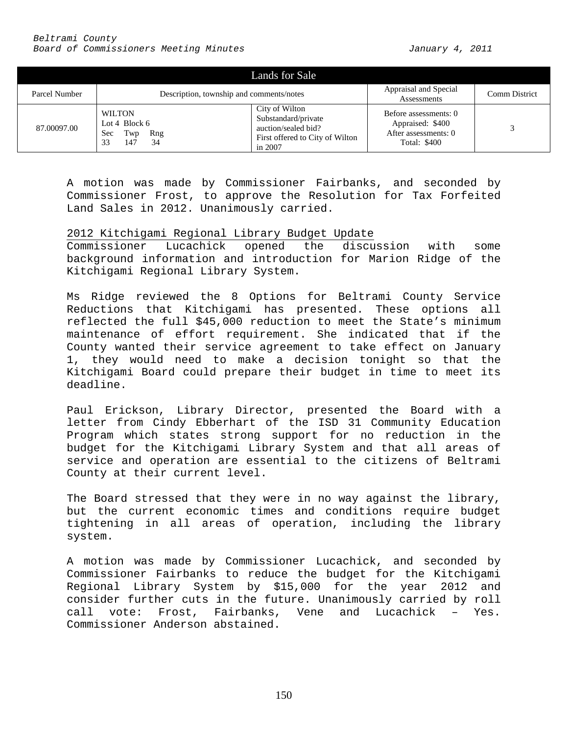|               |                                                                          | Lands for Sale                                                                                             |                                                                                          |               |
|---------------|--------------------------------------------------------------------------|------------------------------------------------------------------------------------------------------------|------------------------------------------------------------------------------------------|---------------|
| Parcel Number | Description, township and comments/notes                                 |                                                                                                            | Appraisal and Special<br>Assessments                                                     | Comm District |
| 87.00097.00   | <b>WILTON</b><br>Lot 4 Block $6$<br>Twp<br>Rng<br>Sec<br>33<br>34<br>147 | City of Wilton<br>Substandard/private<br>auction/sealed bid?<br>First offered to City of Wilton<br>in 2007 | Before assessments: 0<br>Appraised: \$400<br>After assessments: 0<br><b>Total: \$400</b> |               |

A motion was made by Commissioner Fairbanks, and seconded by Commissioner Frost, to approve the Resolution for Tax Forfeited Land Sales in 2012. Unanimously carried.

## 2012 Kitchigami Regional Library Budget Update

Commissioner Lucachick opened the discussion with some background information and introduction for Marion Ridge of the Kitchigami Regional Library System.

Ms Ridge reviewed the 8 Options for Beltrami County Service Reductions that Kitchigami has presented. These options all reflected the full \$45,000 reduction to meet the State's minimum maintenance of effort requirement. She indicated that if the County wanted their service agreement to take effect on January 1, they would need to make a decision tonight so that the Kitchigami Board could prepare their budget in time to meet its deadline.

Paul Erickson, Library Director, presented the Board with a letter from Cindy Ebberhart of the ISD 31 Community Education Program which states strong support for no reduction in the budget for the Kitchigami Library System and that all areas of service and operation are essential to the citizens of Beltrami County at their current level.

The Board stressed that they were in no way against the library, but the current economic times and conditions require budget tightening in all areas of operation, including the library system.

A motion was made by Commissioner Lucachick, and seconded by Commissioner Fairbanks to reduce the budget for the Kitchigami Regional Library System by \$15,000 for the year 2012 and consider further cuts in the future. Unanimously carried by roll<br>call vote: Frost, Fairbanks, Vene and Lucachick - Yes. Fairbanks, Vene and Lucachick - Yes. Commissioner Anderson abstained.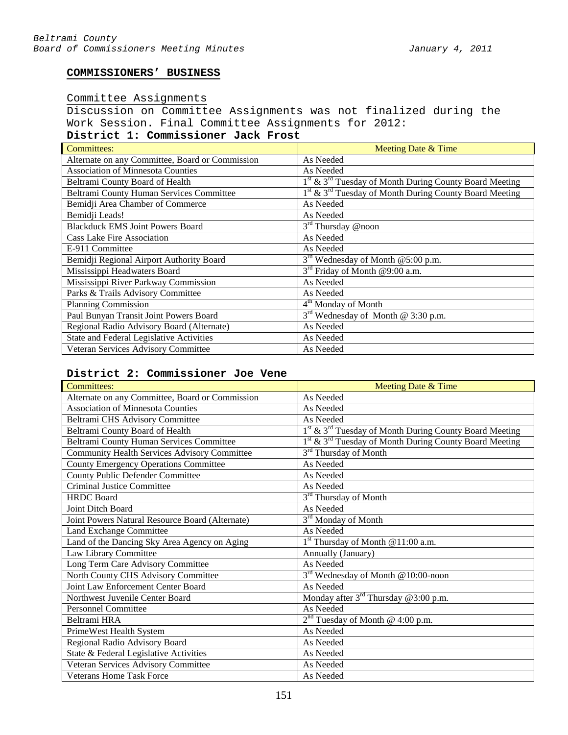# **COMMISSIONERS' BUSINESS**

## Committee Assignments

Discussion on Committee Assignments was not finalized during the Work Session. Final Committee Assignments for 2012:

# **District 1: Commissioner Jack Frost**

| Committees:                                     | Meeting Date & Time                                        |
|-------------------------------------------------|------------------------------------------------------------|
| Alternate on any Committee, Board or Commission | As Needed                                                  |
| <b>Association of Minnesota Counties</b>        | As Needed                                                  |
| Beltrami County Board of Health                 | $1st$ & $3rd$ Tuesday of Month During County Board Meeting |
| Beltrami County Human Services Committee        | $1st$ & $3rd$ Tuesday of Month During County Board Meeting |
| Bemidji Area Chamber of Commerce                | As Needed                                                  |
| Bemidji Leads!                                  | As Needed                                                  |
| <b>Blackduck EMS Joint Powers Board</b>         | $3rd$ Thursday @noon                                       |
| <b>Cass Lake Fire Association</b>               | As Needed                                                  |
| E-911 Committee                                 | As Needed                                                  |
| Bemidji Regional Airport Authority Board        | 3 <sup>rd</sup> Wednesday of Month @5:00 p.m.              |
| Mississippi Headwaters Board                    | $3rd$ Friday of Month @9:00 a.m.                           |
| Mississippi River Parkway Commission            | As Needed                                                  |
| Parks & Trails Advisory Committee               | As Needed                                                  |
| <b>Planning Commission</b>                      | 4 <sup>th</sup> Monday of Month                            |
| Paul Bunyan Transit Joint Powers Board          | $3rd$ Wednesday of Month @ 3:30 p.m.                       |
| Regional Radio Advisory Board (Alternate)       | As Needed                                                  |
| State and Federal Legislative Activities        | As Needed                                                  |
| Veteran Services Advisory Committee             | As Needed                                                  |

# **District 2: Commissioner Joe Vene**

| <b>Committees:</b>                                  | Meeting Date & Time                                                            |
|-----------------------------------------------------|--------------------------------------------------------------------------------|
| Alternate on any Committee, Board or Commission     | As Needed                                                                      |
| <b>Association of Minnesota Counties</b>            | As Needed                                                                      |
| Beltrami CHS Advisory Committee                     | As Needed                                                                      |
| Beltrami County Board of Health                     | 1 <sup>st</sup> & 3 <sup>rd</sup> Tuesday of Month During County Board Meeting |
| <b>Beltrami County Human Services Committee</b>     | 1 <sup>st</sup> & 3 <sup>rd</sup> Tuesday of Month During County Board Meeting |
| <b>Community Health Services Advisory Committee</b> | 3 <sup>rd</sup> Thursday of Month                                              |
| <b>County Emergency Operations Committee</b>        | As Needed                                                                      |
| <b>County Public Defender Committee</b>             | As Needed                                                                      |
| <b>Criminal Justice Committee</b>                   | As Needed                                                                      |
| <b>HRDC</b> Board                                   | 3 <sup>rd</sup> Thursday of Month                                              |
| <b>Joint Ditch Board</b>                            | As Needed                                                                      |
| Joint Powers Natural Resource Board (Alternate)     | 3 <sup>rd</sup> Monday of Month                                                |
| Land Exchange Committee                             | As Needed                                                                      |
| Land of the Dancing Sky Area Agency on Aging        | 1 <sup>st</sup> Thursday of Month @11:00 a.m.                                  |
| Law Library Committee                               | Annually (January)                                                             |
| Long Term Care Advisory Committee                   | As Needed                                                                      |
| North County CHS Advisory Committee                 | 3 <sup>rd</sup> Wednesday of Month @10:00-noon                                 |
| Joint Law Enforcement Center Board                  | As Needed                                                                      |
| Northwest Juvenile Center Board                     | Monday after $3^{rd}$ Thursday @ 3:00 p.m.                                     |
| <b>Personnel Committee</b>                          | As Needed                                                                      |
| Beltrami HRA                                        | $2nd$ Tuesday of Month @ 4:00 p.m.                                             |
| PrimeWest Health System                             | As Needed                                                                      |
| Regional Radio Advisory Board                       | As Needed                                                                      |
| State & Federal Legislative Activities              | As Needed                                                                      |
| Veteran Services Advisory Committee                 | As Needed                                                                      |
| <b>Veterans Home Task Force</b>                     | As Needed                                                                      |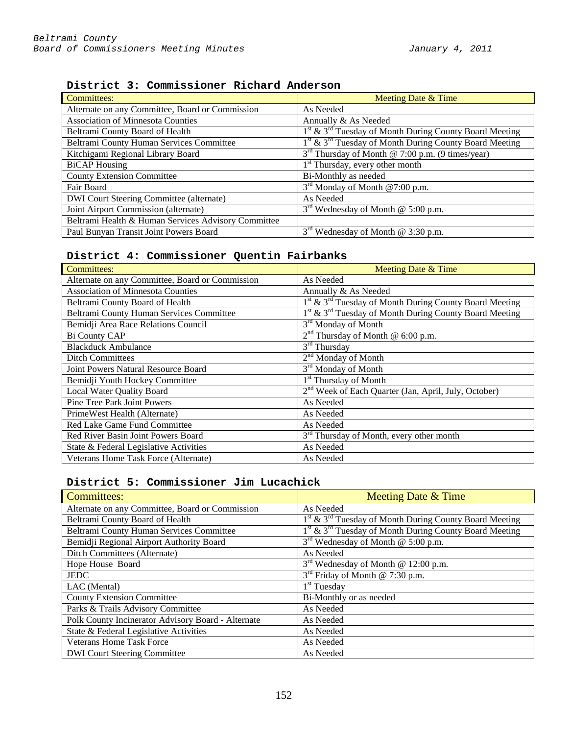| <b>Committees:</b>                                  | Meeting Date & Time                                                            |
|-----------------------------------------------------|--------------------------------------------------------------------------------|
| Alternate on any Committee, Board or Commission     | As Needed                                                                      |
| <b>Association of Minnesota Counties</b>            | Annually & As Needed                                                           |
| Beltrami County Board of Health                     | $1st$ & $3rd$ Tuesday of Month During County Board Meeting                     |
| Beltrami County Human Services Committee            | 1 <sup>st</sup> & 3 <sup>rd</sup> Tuesday of Month During County Board Meeting |
| Kitchigami Regional Library Board                   | $3rd$ Thursday of Month @ 7:00 p.m. (9 times/year)                             |
| <b>BiCAP</b> Housing                                | 1 <sup>st</sup> Thursday, every other month                                    |
| <b>County Extension Committee</b>                   | Bi-Monthly as needed                                                           |
| Fair Board                                          | $3rd$ Monday of Month @7:00 p.m.                                               |
| <b>DWI</b> Court Steering Committee (alternate)     | As Needed                                                                      |
| Joint Airport Commission (alternate)                | $3rd$ Wednesday of Month @ 5:00 p.m.                                           |
| Beltrami Health & Human Services Advisory Committee |                                                                                |
| Paul Bunyan Transit Joint Powers Board              | $3rd$ Wednesday of Month @ 3:30 p.m.                                           |

**District 3: Commissioner Richard Anderson**

# **District 4: Commissioner Quentin Fairbanks**

| Committees:                                     | Meeting Date & Time                                                            |  |
|-------------------------------------------------|--------------------------------------------------------------------------------|--|
| Alternate on any Committee, Board or Commission | As Needed                                                                      |  |
| <b>Association of Minnesota Counties</b>        | Annually & As Needed                                                           |  |
| Beltrami County Board of Health                 | $1st$ & $3rd$ Tuesday of Month During County Board Meeting                     |  |
| Beltrami County Human Services Committee        | 1 <sup>st</sup> & 3 <sup>rd</sup> Tuesday of Month During County Board Meeting |  |
| Bemidji Area Race Relations Council             | 3 <sup>rd</sup> Monday of Month                                                |  |
| Bi County CAP                                   | $2nd$ Thursday of Month @ 6:00 p.m.                                            |  |
| <b>Blackduck Ambulance</b>                      | $3rd$ Thursday                                                                 |  |
| <b>Ditch Committees</b>                         | $2nd$ Monday of Month                                                          |  |
| Joint Powers Natural Resource Board             | 3 <sup>rd</sup> Monday of Month                                                |  |
| Bemidji Youth Hockey Committee                  | 1 <sup>st</sup> Thursday of Month                                              |  |
| Local Water Quality Board                       | 2 <sup>nd</sup> Week of Each Quarter (Jan, April, July, October)               |  |
| Pine Tree Park Joint Powers                     | As Needed                                                                      |  |
| PrimeWest Health (Alternate)                    | As Needed                                                                      |  |
| Red Lake Game Fund Committee                    | As Needed                                                                      |  |
| Red River Basin Joint Powers Board              | 3 <sup>rd</sup> Thursday of Month, every other month                           |  |
| State & Federal Legislative Activities          | As Needed                                                                      |  |
| Veterans Home Task Force (Alternate)            | As Needed                                                                      |  |

# **District 5: Commissioner Jim Lucachick**

| <b>Committees:</b>                                 | Meeting Date & Time                                                |
|----------------------------------------------------|--------------------------------------------------------------------|
| Alternate on any Committee, Board or Commission    | As Needed                                                          |
| Beltrami County Board of Health                    | 1st & 3 <sup>rd</sup> Tuesday of Month During County Board Meeting |
| Beltrami County Human Services Committee           | $1st$ & $3rd$ Tuesday of Month During County Board Meeting         |
| Bemidji Regional Airport Authority Board           | $3rd$ Wednesday of Month @ 5:00 p.m.                               |
| Ditch Committees (Alternate)                       | As Needed                                                          |
| Hope House Board                                   | 3 <sup>rd</sup> Wednesday of Month @ 12:00 p.m.                    |
| <b>JEDC</b>                                        | 3 <sup>rd</sup> Friday of Month @ 7:30 p.m.                        |
| LAC (Mental)                                       | $1st$ Tuesday                                                      |
| <b>County Extension Committee</b>                  | Bi-Monthly or as needed                                            |
| Parks & Trails Advisory Committee                  | As Needed                                                          |
| Polk County Incinerator Advisory Board - Alternate | As Needed                                                          |
| State & Federal Legislative Activities             | As Needed                                                          |
| <b>Veterans Home Task Force</b>                    | As Needed                                                          |
| <b>DWI Court Steering Committee</b>                | As Needed                                                          |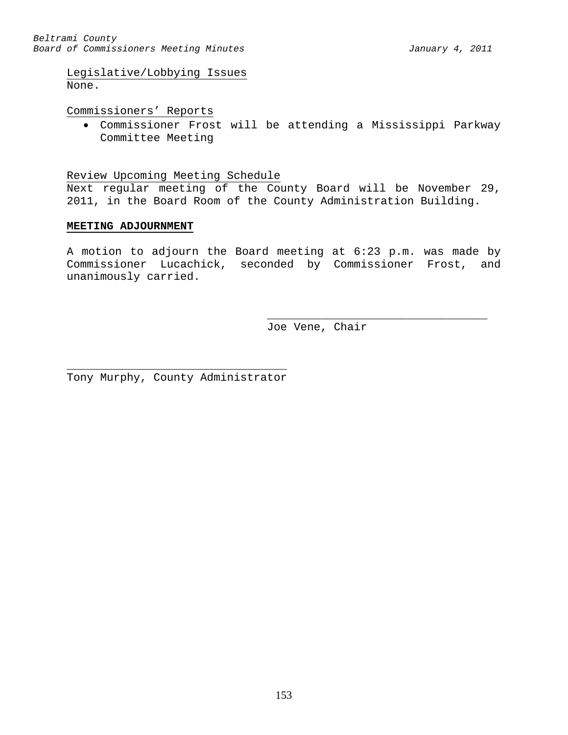Legislative/Lobbying Issues None.

Commissioners' Reports

• Commissioner Frost will be attending a Mississippi Parkway Committee Meeting

Review Upcoming Meeting Schedule

Next regular meeting of the County Board will be November 29, 2011, in the Board Room of the County Administration Building.

## **MEETING ADJOURNMENT**

A motion to adjourn the Board meeting at 6:23 p.m. was made by Commissioner Lucachick, seconded by Commissioner Frost, and unanimously carried.

> \_\_\_\_\_\_\_\_\_\_\_\_\_\_\_\_\_\_\_\_\_\_\_\_\_\_\_\_\_\_\_\_\_ Joe Vene, Chair

\_\_\_\_\_\_\_\_\_\_\_\_\_\_\_\_\_\_\_\_\_\_\_\_\_\_\_\_\_\_\_\_\_ Tony Murphy, County Administrator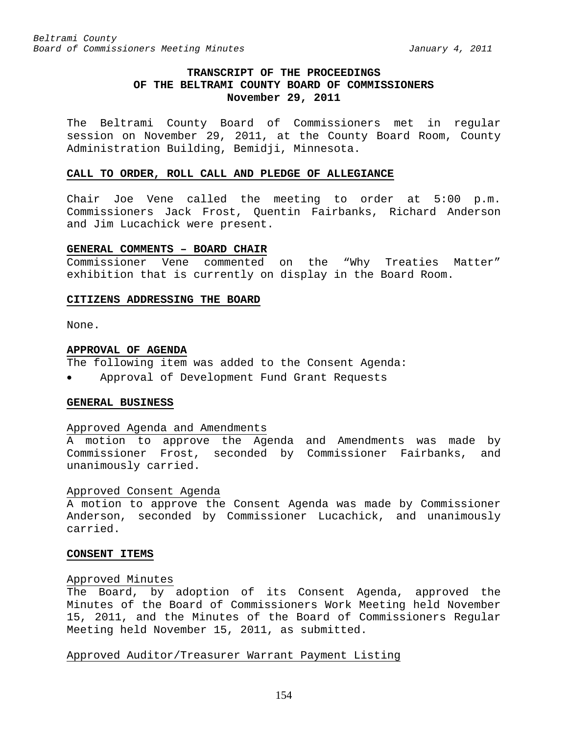# **TRANSCRIPT OF THE PROCEEDINGS OF THE BELTRAMI COUNTY BOARD OF COMMISSIONERS November 29, 2011**

The Beltrami County Board of Commissioners met in regular session on November 29, 2011, at the County Board Room, County Administration Building, Bemidji, Minnesota.

#### **CALL TO ORDER, ROLL CALL AND PLEDGE OF ALLEGIANCE**

Chair Joe Vene called the meeting to order at 5:00 p.m. Commissioners Jack Frost, Quentin Fairbanks, Richard Anderson and Jim Lucachick were present.

#### **GENERAL COMMENTS – BOARD CHAIR**

Commissioner Vene commented on the "Why Treaties Matter" exhibition that is currently on display in the Board Room.

### **CITIZENS ADDRESSING THE BOARD**

None.

#### **APPROVAL OF AGENDA**

The following item was added to the Consent Agenda:

• Approval of Development Fund Grant Requests

#### **GENERAL BUSINESS**

### Approved Agenda and Amendments

A motion to approve the Agenda and Amendments was made by Commissioner Frost, seconded by Commissioner Fairbanks, and unanimously carried.

#### Approved Consent Agenda

A motion to approve the Consent Agenda was made by Commissioner Anderson, seconded by Commissioner Lucachick, and unanimously carried.

#### **CONSENT ITEMS**

## Approved Minutes

The Board, by adoption of its Consent Agenda, approved the Minutes of the Board of Commissioners Work Meeting held November 15, 2011, and the Minutes of the Board of Commissioners Regular Meeting held November 15, 2011, as submitted.

## Approved Auditor/Treasurer Warrant Payment Listing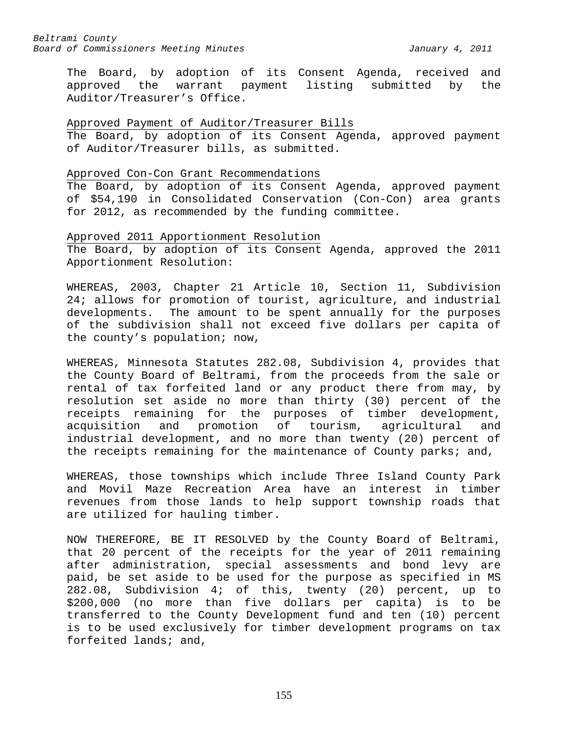The Board, by adoption of its Consent Agenda, received and approved the warrant payment listing submitted by the Auditor/Treasurer's Office.

### Approved Payment of Auditor/Treasurer Bills

The Board, by adoption of its Consent Agenda, approved payment of Auditor/Treasurer bills, as submitted.

#### Approved Con-Con Grant Recommendations

The Board, by adoption of its Consent Agenda, approved payment of \$54,190 in Consolidated Conservation (Con-Con) area grants for 2012, as recommended by the funding committee.

Approved 2011 Apportionment Resolution The Board, by adoption of its Consent Agenda, approved the 2011 Apportionment Resolution:

WHEREAS, 2003, Chapter 21 Article 10, Section 11, Subdivision 24; allows for promotion of tourist, agriculture, and industrial developments. The amount to be spent annually for the purposes of the subdivision shall not exceed five dollars per capita of the county's population; now,

WHEREAS, Minnesota Statutes 282.08, Subdivision 4, provides that the County Board of Beltrami, from the proceeds from the sale or rental of tax forfeited land or any product there from may, by resolution set aside no more than thirty (30) percent of the receipts remaining for the purposes of timber development,<br>acquisition and promotion of tourism, agricultural and acquisition and promotion of tourism, agricultural and industrial development, and no more than twenty (20) percent of the receipts remaining for the maintenance of County parks; and,

WHEREAS, those townships which include Three Island County Park and Movil Maze Recreation Area have an interest in timber revenues from those lands to help support township roads that are utilized for hauling timber.

NOW THEREFORE, BE IT RESOLVED by the County Board of Beltrami, that 20 percent of the receipts for the year of 2011 remaining after administration, special assessments and bond levy are paid, be set aside to be used for the purpose as specified in MS 282.08, Subdivision 4; of this, twenty (20) percent, up to \$200,000 (no more than five dollars per capita) is to be transferred to the County Development fund and ten (10) percent is to be used exclusively for timber development programs on tax forfeited lands; and,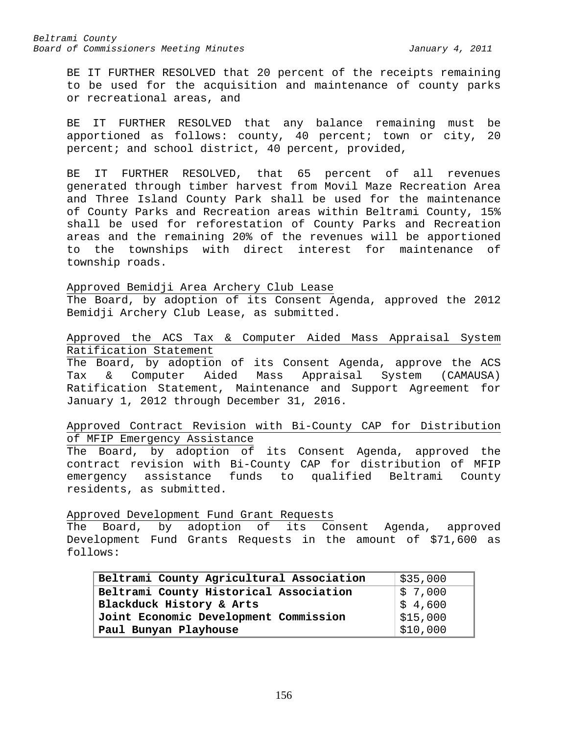BE IT FURTHER RESOLVED that 20 percent of the receipts remaining to be used for the acquisition and maintenance of county parks or recreational areas, and

BE IT FURTHER RESOLVED that any balance remaining must be apportioned as follows: county, 40 percent; town or city, 20 percent; and school district, 40 percent, provided,

BE IT FURTHER RESOLVED, that 65 percent of all revenues generated through timber harvest from Movil Maze Recreation Area and Three Island County Park shall be used for the maintenance of County Parks and Recreation areas within Beltrami County, 15% shall be used for reforestation of County Parks and Recreation areas and the remaining 20% of the revenues will be apportioned to the townships with direct interest for maintenance of township roads.

Approved Bemidji Area Archery Club Lease The Board, by adoption of its Consent Agenda, approved the 2012 Bemidji Archery Club Lease, as submitted.

Approved the ACS Tax & Computer Aided Mass Appraisal System Ratification Statement

The Board, by adoption of its Consent Agenda, approve the ACS Tax & Computer Aided Mass Appraisal System (CAMAUSA) Ratification Statement, Maintenance and Support Agreement for January 1, 2012 through December 31, 2016.

Approved Contract Revision with Bi-County CAP for Distribution of MFIP Emergency Assistance

The Board, by adoption of its Consent Agenda, approved the contract revision with Bi-County CAP for distribution of MFIP emergency assistance funds to qualified Beltrami County residents, as submitted.

Approved Development Fund Grant Requests

The Board, by adoption of its Consent Agenda, approved Development Fund Grants Requests in the amount of \$71,600 as follows:

| Beltrami County Agricultural Association                        | \$35,000            |  |
|-----------------------------------------------------------------|---------------------|--|
| Beltrami County Historical Association                          | $\frac{1}{2}$ 7,000 |  |
| $\frac{1}{5}$ 4,600<br>Blackduck History & Arts                 |                     |  |
| $\frac{1}{2}$ \$15,000<br>Joint Economic Development Commission |                     |  |
| Paul Bunyan Playhouse                                           | \$10,000            |  |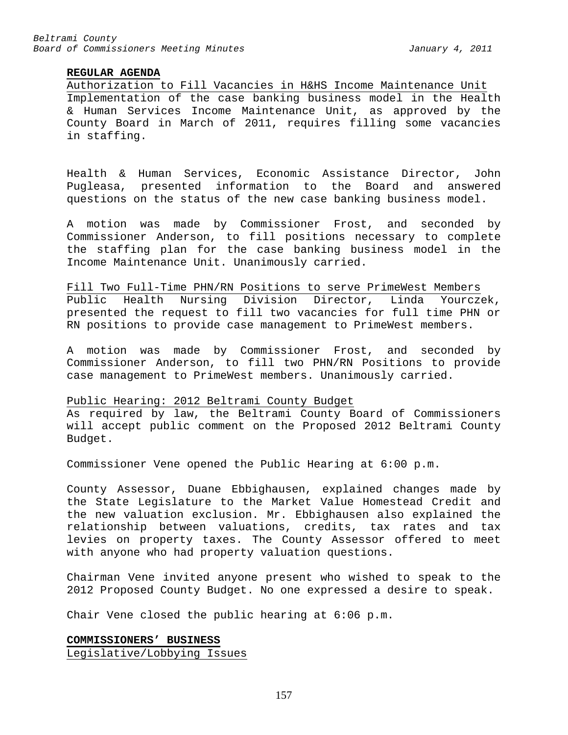## **REGULAR AGENDA**

Authorization to Fill Vacancies in H&HS Income Maintenance Unit Implementation of the case banking business model in the Health & Human Services Income Maintenance Unit, as approved by the County Board in March of 2011, requires filling some vacancies in staffing.

Health & Human Services, Economic Assistance Director, John Pugleasa, presented information to the Board and answered questions on the status of the new case banking business model.

A motion was made by Commissioner Frost, and seconded by Commissioner Anderson, to fill positions necessary to complete the staffing plan for the case banking business model in the Income Maintenance Unit. Unanimously carried.

Fill Two Full-Time PHN/RN Positions to serve PrimeWest Members<br>Public Health Nursing Division Director, Linda Yourczek, Public Health Nursing Division Director, Linda presented the request to fill two vacancies for full time PHN or RN positions to provide case management to PrimeWest members.

A motion was made by Commissioner Frost, and seconded by Commissioner Anderson, to fill two PHN/RN Positions to provide case management to PrimeWest members. Unanimously carried.

## Public Hearing: 2012 Beltrami County Budget

As required by law, the Beltrami County Board of Commissioners will accept public comment on the Proposed 2012 Beltrami County Budget.

Commissioner Vene opened the Public Hearing at 6:00 p.m.

County Assessor, Duane Ebbighausen, explained changes made by the State Legislature to the Market Value Homestead Credit and the new valuation exclusion. Mr. Ebbighausen also explained the relationship between valuations, credits, tax rates and tax levies on property taxes. The County Assessor offered to meet with anyone who had property valuation questions.

Chairman Vene invited anyone present who wished to speak to the 2012 Proposed County Budget. No one expressed a desire to speak.

Chair Vene closed the public hearing at 6:06 p.m.

**COMMISSIONERS' BUSINESS** Legislative/Lobbying Issues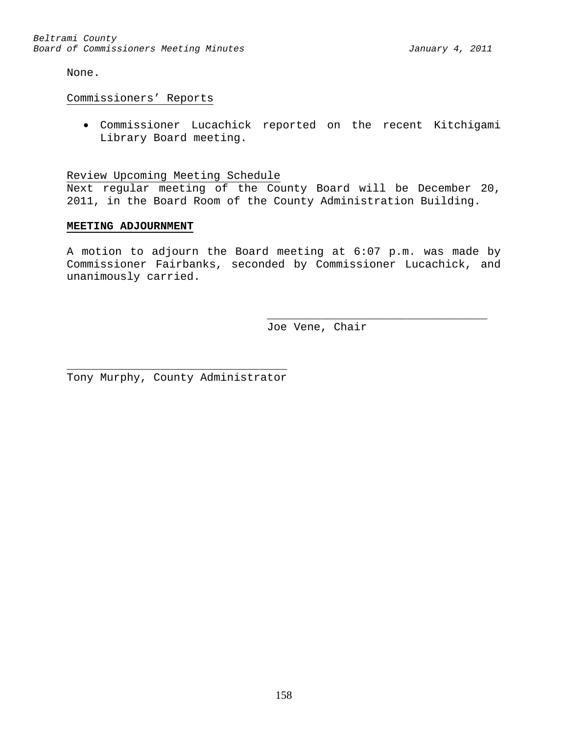None.

Commissioners' Reports

• Commissioner Lucachick reported on the recent Kitchigami Library Board meeting.

Review Upcoming Meeting Schedule

Next regular meeting of the County Board will be December 20, 2011, in the Board Room of the County Administration Building.

## **MEETING ADJOURNMENT**

A motion to adjourn the Board meeting at 6:07 p.m. was made by Commissioner Fairbanks, seconded by Commissioner Lucachick, and unanimously carried.

> \_\_\_\_\_\_\_\_\_\_\_\_\_\_\_\_\_\_\_\_\_\_\_\_\_\_\_\_\_\_\_\_\_ Joe Vene, Chair

\_\_\_\_\_\_\_\_\_\_\_\_\_\_\_\_\_\_\_\_\_\_\_\_\_\_\_\_\_\_\_\_\_ Tony Murphy, County Administrator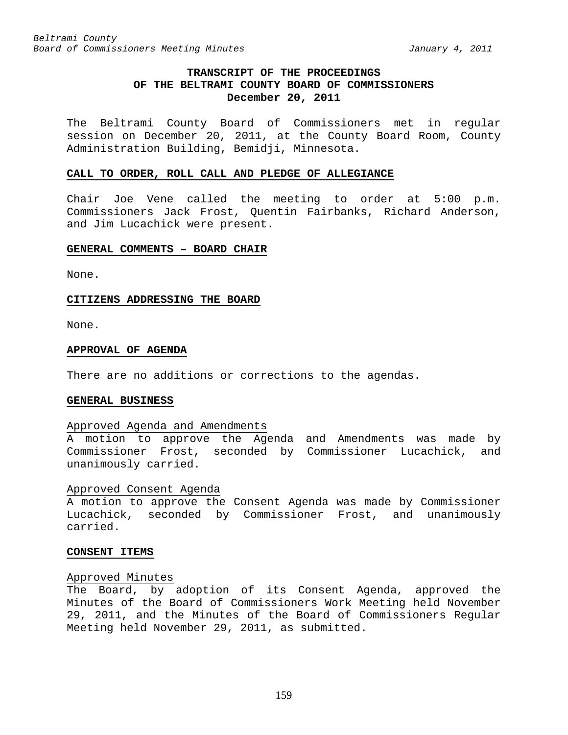# **TRANSCRIPT OF THE PROCEEDINGS OF THE BELTRAMI COUNTY BOARD OF COMMISSIONERS December 20, 2011**

The Beltrami County Board of Commissioners met in regular session on December 20, 2011, at the County Board Room, County Administration Building, Bemidji, Minnesota.

#### **CALL TO ORDER, ROLL CALL AND PLEDGE OF ALLEGIANCE**

Chair Joe Vene called the meeting to order at 5:00 p.m. Commissioners Jack Frost, Quentin Fairbanks, Richard Anderson, and Jim Lucachick were present.

#### **GENERAL COMMENTS – BOARD CHAIR**

None.

#### **CITIZENS ADDRESSING THE BOARD**

None.

#### **APPROVAL OF AGENDA**

There are no additions or corrections to the agendas.

### **GENERAL BUSINESS**

#### Approved Agenda and Amendments

A motion to approve the Agenda and Amendments was made by Commissioner Frost, seconded by Commissioner Lucachick, and unanimously carried.

### Approved Consent Agenda

A motion to approve the Consent Agenda was made by Commissioner Lucachick, seconded by Commissioner Frost, and unanimously carried.

#### **CONSENT ITEMS**

#### Approved Minutes

The Board, by adoption of its Consent Agenda, approved the Minutes of the Board of Commissioners Work Meeting held November 29, 2011, and the Minutes of the Board of Commissioners Regular Meeting held November 29, 2011, as submitted.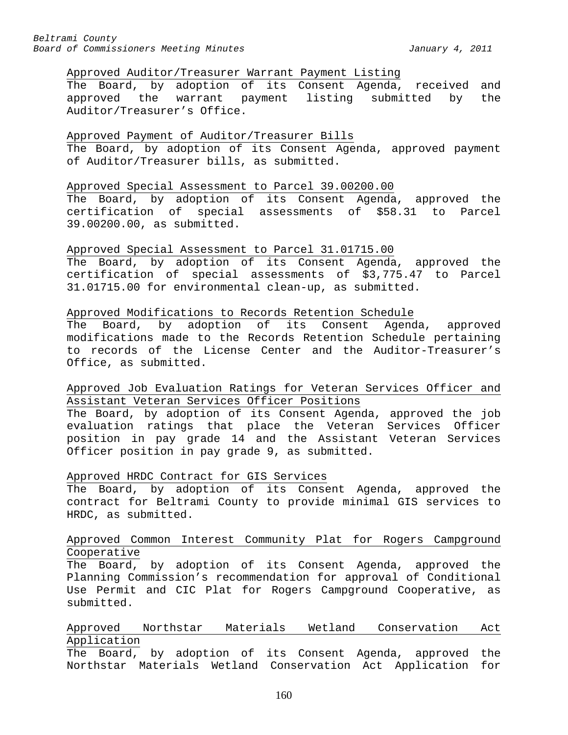### Approved Auditor/Treasurer Warrant Payment Listing

The Board, by adoption of its Consent Agenda, received and<br>approved the warrant payment listing submitted by the approved the warrant payment listing submitted by the Auditor/Treasurer's Office.

## Approved Payment of Auditor/Treasurer Bills

The Board, by adoption of its Consent Agenda, approved payment of Auditor/Treasurer bills, as submitted.

### Approved Special Assessment to Parcel 39.00200.00

The Board, by adoption of its Consent Agenda, approved the certification of special assessments of \$58.31 to Parcel 39.00200.00, as submitted.

## Approved Special Assessment to Parcel 31.01715.00

The Board, by adoption of its Consent Agenda, approved the certification of special assessments of \$3,775.47 to Parcel 31.01715.00 for environmental clean-up, as submitted.

#### Approved Modifications to Records Retention Schedule

The Board, by adoption of its Consent Agenda, approved modifications made to the Records Retention Schedule pertaining to records of the License Center and the Auditor-Treasurer's Office, as submitted.

# Approved Job Evaluation Ratings for Veteran Services Officer and Assistant Veteran Services Officer Positions

The Board, by adoption of its Consent Agenda, approved the job evaluation ratings that place the Veteran Services Officer position in pay grade 14 and the Assistant Veteran Services Officer position in pay grade 9, as submitted.

### Approved HRDC Contract for GIS Services

The Board, by adoption of its Consent Agenda, approved the contract for Beltrami County to provide minimal GIS services to HRDC, as submitted.

## Approved Common Interest Community Plat for Rogers Campground Cooperative

The Board, by adoption of its Consent Agenda, approved the Planning Commission's recommendation for approval of Conditional Use Permit and CIC Plat for Rogers Campground Cooperative, as submitted.

## Approved Northstar Materials Wetland Conservation Act Application

The Board, by adoption of its Consent Agenda, approved the Northstar Materials Wetland Conservation Act Application for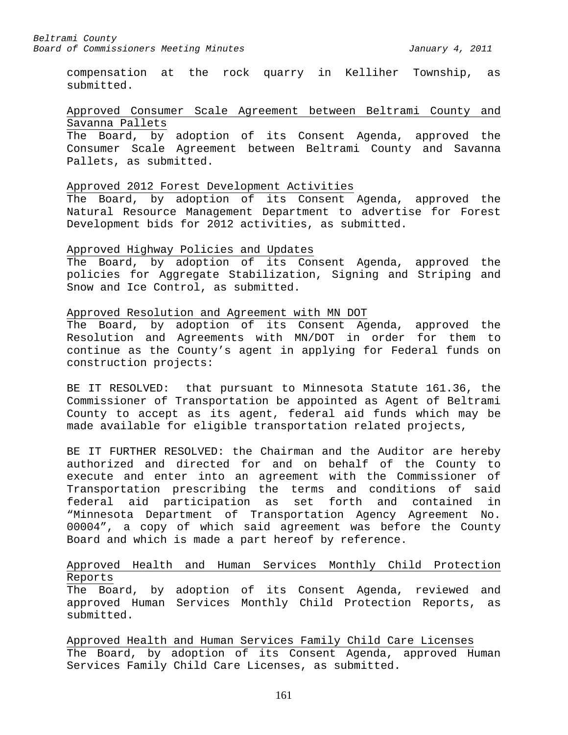compensation at the rock quarry in Kelliher Township, as submitted.

## Approved Consumer Scale Agreement between Beltrami County and Savanna Pallets

The Board, by adoption of its Consent Agenda, approved the Consumer Scale Agreement between Beltrami County and Savanna Pallets, as submitted.

### Approved 2012 Forest Development Activities

The Board, by adoption of its Consent Agenda, approved the Natural Resource Management Department to advertise for Forest Development bids for 2012 activities, as submitted.

### Approved Highway Policies and Updates

The Board, by adoption of its Consent Agenda, approved the policies for Aggregate Stabilization, Signing and Striping and Snow and Ice Control, as submitted.

### Approved Resolution and Agreement with MN DOT

The Board, by adoption of its Consent Agenda, approved the Resolution and Agreements with MN/DOT in order for them to continue as the County's agent in applying for Federal funds on construction projects:

BE IT RESOLVED: that pursuant to Minnesota Statute 161.36, the Commissioner of Transportation be appointed as Agent of Beltrami County to accept as its agent, federal aid funds which may be made available for eligible transportation related projects,

BE IT FURTHER RESOLVED: the Chairman and the Auditor are hereby authorized and directed for and on behalf of the County to execute and enter into an agreement with the Commissioner of Transportation prescribing the terms and conditions of said federal aid participation as set forth and contained in "Minnesota Department of Transportation Agency Agreement No. 00004", a copy of which said agreement was before the County Board and which is made a part hereof by reference.

# Approved Health and Human Services Monthly Child Protection Reports

The Board, by adoption of its Consent Agenda, reviewed and approved Human Services Monthly Child Protection Reports, as submitted.

Approved Health and Human Services Family Child Care Licenses The Board, by adoption of its Consent Agenda, approved Human Services Family Child Care Licenses, as submitted.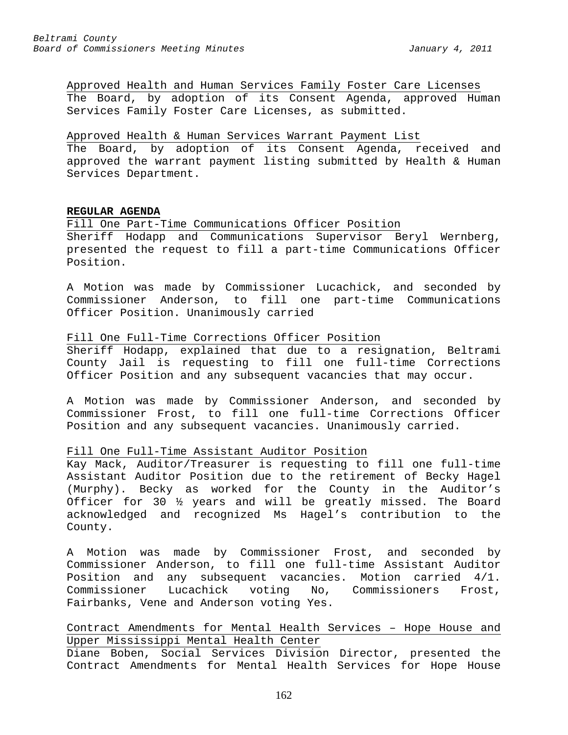Approved Health and Human Services Family Foster Care Licenses The Board, by adoption of its Consent Agenda, approved Human Services Family Foster Care Licenses, as submitted.

## Approved Health & Human Services Warrant Payment List

The Board, by adoption of its Consent Agenda, received and approved the warrant payment listing submitted by Health & Human Services Department.

## **REGULAR AGENDA**

Fill One Part-Time Communications Officer Position Sheriff Hodapp and Communications Supervisor Beryl Wernberg,

presented the request to fill a part-time Communications Officer Position.

A Motion was made by Commissioner Lucachick, and seconded by Commissioner Anderson, to fill one part-time Communications Officer Position. Unanimously carried

## Fill One Full-Time Corrections Officer Position

Sheriff Hodapp, explained that due to a resignation, Beltrami County Jail is requesting to fill one full-time Corrections Officer Position and any subsequent vacancies that may occur.

A Motion was made by Commissioner Anderson, and seconded by Commissioner Frost, to fill one full-time Corrections Officer Position and any subsequent vacancies. Unanimously carried.

## Fill One Full-Time Assistant Auditor Position

Kay Mack, Auditor/Treasurer is requesting to fill one full-time Assistant Auditor Position due to the retirement of Becky Hagel (Murphy). Becky as worked for the County in the Auditor's Officer for 30 ½ years and will be greatly missed. The Board acknowledged and recognized Ms Hagel's contribution to the County.

A Motion was made by Commissioner Frost, and seconded by Commissioner Anderson, to fill one full-time Assistant Auditor Position and any subsequent vacancies. Motion carried 4/1. Commissioner Lucachick voting No, Commissioners Frost, Fairbanks, Vene and Anderson voting Yes.

Contract Amendments for Mental Health Services – Hope House and Upper Mississippi Mental Health Center

Diane Boben, Social Services Division Director, presented the Contract Amendments for Mental Health Services for Hope House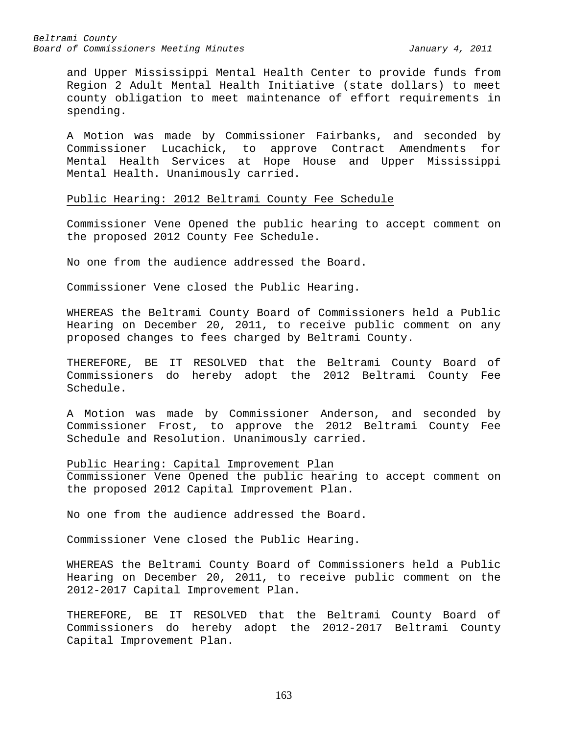and Upper Mississippi Mental Health Center to provide funds from Region 2 Adult Mental Health Initiative (state dollars) to meet county obligation to meet maintenance of effort requirements in spending.

A Motion was made by Commissioner Fairbanks, and seconded by Commissioner Lucachick, to approve Contract Amendments for Mental Health Services at Hope House and Upper Mississippi Mental Health. Unanimously carried.

#### Public Hearing: 2012 Beltrami County Fee Schedule

Commissioner Vene Opened the public hearing to accept comment on the proposed 2012 County Fee Schedule.

No one from the audience addressed the Board.

Commissioner Vene closed the Public Hearing.

WHEREAS the Beltrami County Board of Commissioners held a Public Hearing on December 20, 2011, to receive public comment on any proposed changes to fees charged by Beltrami County.

THEREFORE, BE IT RESOLVED that the Beltrami County Board of Commissioners do hereby adopt the 2012 Beltrami County Fee Schedule.

A Motion was made by Commissioner Anderson, and seconded by Commissioner Frost, to approve the 2012 Beltrami County Fee Schedule and Resolution. Unanimously carried.

Public Hearing: Capital Improvement Plan Commissioner Vene Opened the public hearing to accept comment on the proposed 2012 Capital Improvement Plan.

No one from the audience addressed the Board.

Commissioner Vene closed the Public Hearing.

WHEREAS the Beltrami County Board of Commissioners held a Public Hearing on December 20, 2011, to receive public comment on the 2012-2017 Capital Improvement Plan.

THEREFORE, BE IT RESOLVED that the Beltrami County Board of Commissioners do hereby adopt the 2012-2017 Beltrami County Capital Improvement Plan.

163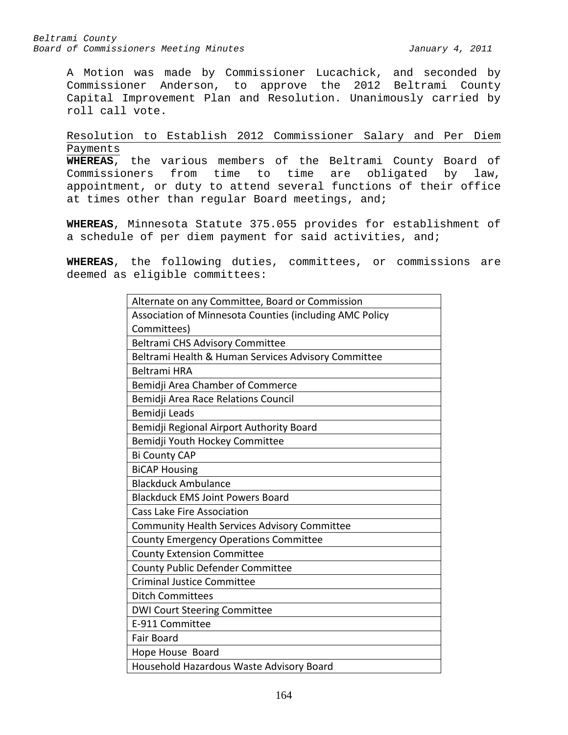A Motion was made by Commissioner Lucachick, and seconded by Commissioner Anderson, to approve the 2012 Beltrami County Capital Improvement Plan and Resolution. Unanimously carried by roll call vote.

# Resolution to Establish 2012 Commissioner Salary and Per Diem Payments

**WHEREAS**, the various members of the Beltrami County Board of Commissioners from time to time are obligated by law, appointment, or duty to attend several functions of their office at times other than regular Board meetings, and;

**WHEREAS**, Minnesota Statute 375.055 provides for establishment of a schedule of per diem payment for said activities, and;

**WHEREAS**, the following duties, committees, or commissions are deemed as eligible committees:

| Alternate on any Committee, Board or Commission         |
|---------------------------------------------------------|
| Association of Minnesota Counties (including AMC Policy |
| Committees)                                             |
| Beltrami CHS Advisory Committee                         |
| Beltrami Health & Human Services Advisory Committee     |
| <b>Beltrami HRA</b>                                     |
| Bemidji Area Chamber of Commerce                        |
| Bemidji Area Race Relations Council                     |
| Bemidji Leads                                           |
| Bemidji Regional Airport Authority Board                |
| Bemidji Youth Hockey Committee                          |
| <b>Bi County CAP</b>                                    |
| <b>BiCAP Housing</b>                                    |
| <b>Blackduck Ambulance</b>                              |
| <b>Blackduck EMS Joint Powers Board</b>                 |
| <b>Cass Lake Fire Association</b>                       |
| Community Health Services Advisory Committee            |
| <b>County Emergency Operations Committee</b>            |
| <b>County Extension Committee</b>                       |
| <b>County Public Defender Committee</b>                 |
| <b>Criminal Justice Committee</b>                       |
| <b>Ditch Committees</b>                                 |
| <b>DWI Court Steering Committee</b>                     |
| E-911 Committee                                         |
| <b>Fair Board</b>                                       |
| Hope House Board                                        |
| Household Hazardous Waste Advisory Board                |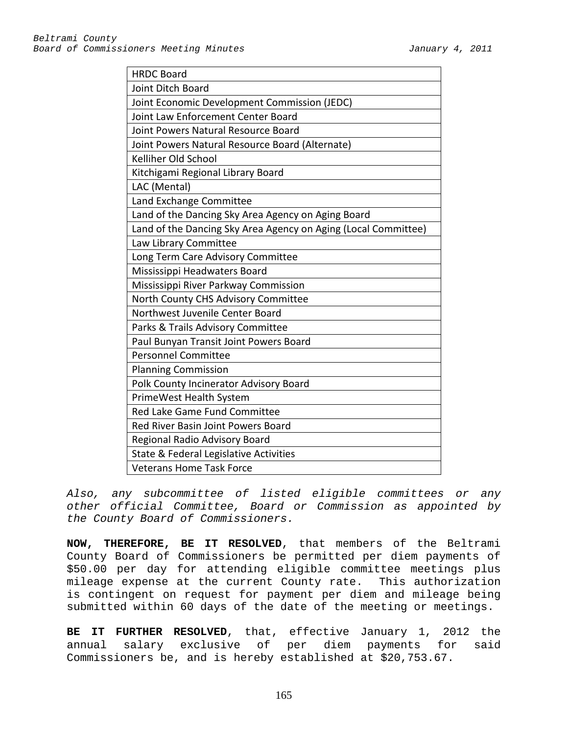| <b>HRDC Board</b>                                              |  |  |  |  |  |
|----------------------------------------------------------------|--|--|--|--|--|
| Joint Ditch Board                                              |  |  |  |  |  |
| Joint Economic Development Commission (JEDC)                   |  |  |  |  |  |
| Joint Law Enforcement Center Board                             |  |  |  |  |  |
| Joint Powers Natural Resource Board                            |  |  |  |  |  |
| Joint Powers Natural Resource Board (Alternate)                |  |  |  |  |  |
| Kelliher Old School                                            |  |  |  |  |  |
| Kitchigami Regional Library Board                              |  |  |  |  |  |
| LAC (Mental)                                                   |  |  |  |  |  |
| Land Exchange Committee                                        |  |  |  |  |  |
| Land of the Dancing Sky Area Agency on Aging Board             |  |  |  |  |  |
| Land of the Dancing Sky Area Agency on Aging (Local Committee) |  |  |  |  |  |
| Law Library Committee                                          |  |  |  |  |  |
| Long Term Care Advisory Committee                              |  |  |  |  |  |
| Mississippi Headwaters Board                                   |  |  |  |  |  |
| Mississippi River Parkway Commission                           |  |  |  |  |  |
| North County CHS Advisory Committee                            |  |  |  |  |  |
| Northwest Juvenile Center Board                                |  |  |  |  |  |
| Parks & Trails Advisory Committee                              |  |  |  |  |  |
| Paul Bunyan Transit Joint Powers Board                         |  |  |  |  |  |
| <b>Personnel Committee</b>                                     |  |  |  |  |  |
| <b>Planning Commission</b>                                     |  |  |  |  |  |
| Polk County Incinerator Advisory Board                         |  |  |  |  |  |
| PrimeWest Health System                                        |  |  |  |  |  |
| Red Lake Game Fund Committee                                   |  |  |  |  |  |
| Red River Basin Joint Powers Board                             |  |  |  |  |  |
| Regional Radio Advisory Board                                  |  |  |  |  |  |
| State & Federal Legislative Activities                         |  |  |  |  |  |
| <b>Veterans Home Task Force</b>                                |  |  |  |  |  |

*Also, any subcommittee of listed eligible committees or any other official Committee, Board or Commission as appointed by the County Board of Commissioners.*

**NOW, THEREFORE, BE IT RESOLVED**, that members of the Beltrami County Board of Commissioners be permitted per diem payments of \$50.00 per day for attending eligible committee meetings plus mileage expense at the current County rate. This authorization is contingent on request for payment per diem and mileage being submitted within 60 days of the date of the meeting or meetings.

**BE IT FURTHER RESOLVED**, that, effective January 1, 2012 the annual salary exclusive of per diem payments for said Commissioners be, and is hereby established at \$20,753.67.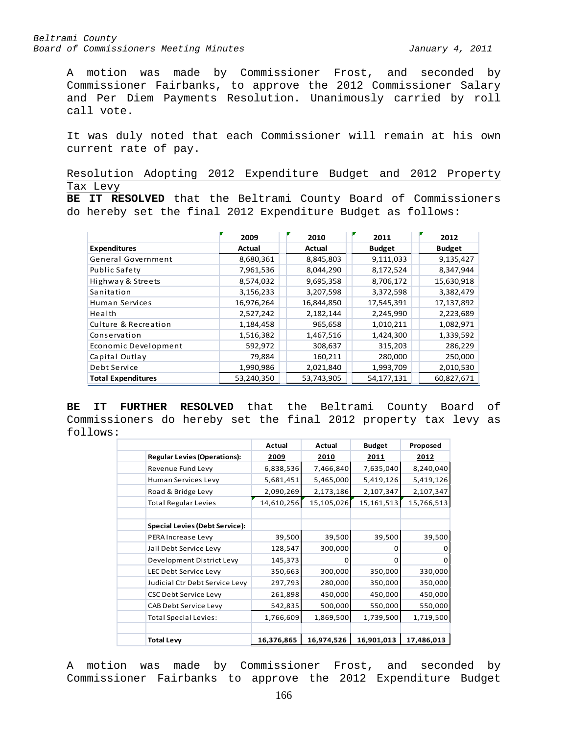A motion was made by Commissioner Frost, and seconded by Commissioner Fairbanks, to approve the 2012 Commissioner Salary and Per Diem Payments Resolution. Unanimously carried by roll call vote.

It was duly noted that each Commissioner will remain at his own current rate of pay.

Resolution Adopting 2012 Expenditure Budget and 2012 Property Tax Levy

**BE IT RESOLVED** that the Beltrami County Board of Commissioners do hereby set the final 2012 Expenditure Budget as follows:

|                           | 2009       | 2010          | 2011          | 2012          |
|---------------------------|------------|---------------|---------------|---------------|
| <b>Expenditures</b>       | Actual     | <b>Actual</b> | <b>Budget</b> | <b>Budget</b> |
| General Government        | 8,680,361  | 8,845,803     | 9,111,033     | 9,135,427     |
| Public Safety             | 7,961,536  | 8,044,290     | 8,172,524     | 8,347,944     |
| Highway & Streets         | 8,574,032  | 9,695,358     | 8,706,172     | 15,630,918    |
| Sanitation                | 3,156,233  | 3,207,598     | 3,372,598     | 3,382,479     |
| Human Services            | 16,976,264 | 16,844,850    | 17,545,391    | 17,137,892    |
| Health                    | 2,527,242  | 2,182,144     | 2,245,990     | 2,223,689     |
| Culture & Recreation      | 1,184,458  | 965,658       | 1,010,211     | 1,082,971     |
| Conservation              | 1,516,382  | 1,467,516     | 1,424,300     | 1,339,592     |
| Economic Development      | 592,972    | 308,637       | 315,203       | 286,229       |
| Capital Outlay            | 79,884     | 160,211       | 280,000       | 250,000       |
| Debt Service              | 1,990,986  | 2,021,840     | 1,993,709     | 2,010,530     |
| <b>Total Expenditures</b> | 53,240,350 | 53,743,905    | 54,177,131    | 60,827,671    |

**BE IT FURTHER RESOLVED** that the Beltrami County Board of Commissioners do hereby set the final 2012 property tax levy as follows:

|                                       | Actual     | Actual     | <b>Budget</b> | Proposed   |
|---------------------------------------|------------|------------|---------------|------------|
| <b>Regular Levies (Operations):</b>   | 2009       | 2010       | <u>2011</u>   | 2012       |
| Revenue Fund Levy                     | 6,838,536  | 7,466,840  | 7,635,040     | 8,240,040  |
| Human Services Levy                   | 5,681,451  | 5,465,000  | 5,419,126     | 5,419,126  |
| Road & Bridge Levy                    | 2,090,269  | 2,173,186  | 2,107,347     | 2,107,347  |
| <b>Total Regular Levies</b>           | 14,610,256 | 15,105,026 | 15,161,513    | 15,766,513 |
|                                       |            |            |               |            |
| <b>Special Levies (Debt Service):</b> |            |            |               |            |
| PERA Increase Levy                    | 39,500     | 39,500     | 39,500        | 39,500     |
| Jail Debt Service Levy                | 128,547    | 300,000    | O             |            |
| Development District Levy             | 145,373    | 0          | 0             | 0          |
| LEC Debt Service Levy                 | 350,663    | 300,000    | 350,000       | 330,000    |
| Judicial Ctr Debt Service Levy        | 297,793    | 280,000    | 350,000       | 350,000    |
| <b>CSC Debt Service Levy</b>          | 261,898    | 450,000    | 450,000       | 450,000    |
| CAB Debt Service Levy                 | 542,835    | 500,000    | 550,000       | 550,000    |
| <b>Total Special Levies:</b>          | 1,766,609  | 1,869,500  | 1,739,500     | 1,719,500  |
|                                       |            |            |               |            |
| <b>Total Levy</b>                     | 16,376,865 | 16,974,526 | 16,901,013    | 17,486,013 |

A motion was made by Commissioner Frost, and seconded by Commissioner Fairbanks to approve the 2012 Expenditure Budget